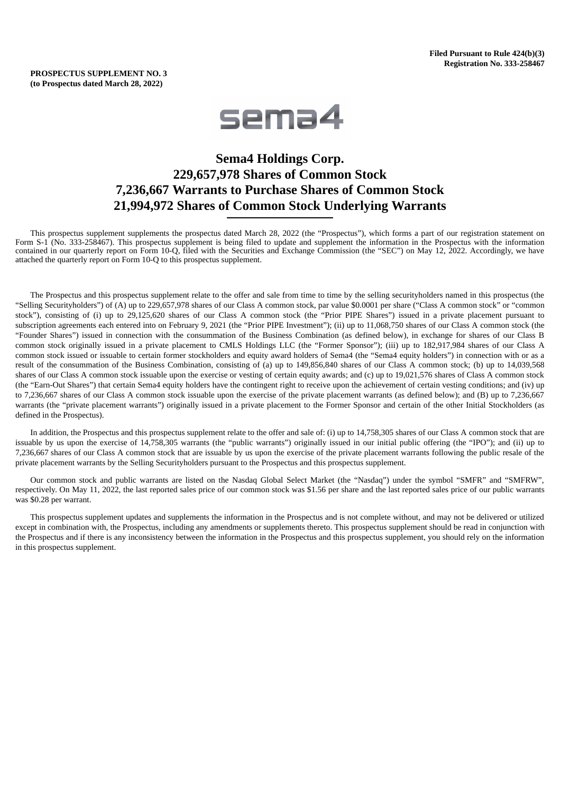# **PROSPECTUS SUPPLEMENT NO. 3 (to Prospectus dated March 28, 2022)**



# **Sema4 Holdings Corp. 229,657,978 Shares of Common Stock 7,236,667 Warrants to Purchase Shares of Common Stock 21,994,972 Shares of Common Stock Underlying Warrants**

This prospectus supplement supplements the prospectus dated March 28, 2022 (the "Prospectus"), which forms a part of our registration statement on Form S-1 (No. 333-258467). This prospectus supplement is being filed to update and supplement the information in the Prospectus with the information contained in our quarterly report on Form 10-Q, filed with the Securities and Exchange Commission (the "SEC") on May 12, 2022. Accordingly, we have attached the quarterly report on Form 10-Q to this prospectus supplement.

The Prospectus and this prospectus supplement relate to the offer and sale from time to time by the selling securityholders named in this prospectus (the "Selling Securityholders") of (A) up to 229,657,978 shares of our Class A common stock, par value \$0.0001 per share ("Class A common stock" or "common stock"), consisting of (i) up to 29,125,620 shares of our Class A common stock (the "Prior PIPE Shares") issued in a private placement pursuant to subscription agreements each entered into on February 9, 2021 (the "Prior PIPE Investment"); (ii) up to 11,068,750 shares of our Class A common stock (the "Founder Shares") issued in connection with the consummation of the Business Combination (as defined below), in exchange for shares of our Class B common stock originally issued in a private placement to CMLS Holdings LLC (the "Former Sponsor"); (iii) up to 182,917,984 shares of our Class A common stock issued or issuable to certain former stockholders and equity award holders of Sema4 (the "Sema4 equity holders") in connection with or as a result of the consummation of the Business Combination, consisting of (a) up to 149,856,840 shares of our Class A common stock; (b) up to 14,039,568 shares of our Class A common stock issuable upon the exercise or vesting of certain equity awards; and (c) up to 19,021,576 shares of Class A common stock (the "Earn-Out Shares") that certain Sema4 equity holders have the contingent right to receive upon the achievement of certain vesting conditions; and (iv) up to 7,236,667 shares of our Class A common stock issuable upon the exercise of the private placement warrants (as defined below); and (B) up to 7,236,667 warrants (the "private placement warrants") originally issued in a private placement to the Former Sponsor and certain of the other Initial Stockholders (as defined in the Prospectus).

In addition, the Prospectus and this prospectus supplement relate to the offer and sale of: (i) up to 14,758,305 shares of our Class A common stock that are issuable by us upon the exercise of 14,758,305 warrants (the "public warrants") originally issued in our initial public offering (the "IPO"); and (ii) up to 7,236,667 shares of our Class A common stock that are issuable by us upon the exercise of the private placement warrants following the public resale of the private placement warrants by the Selling Securityholders pursuant to the Prospectus and this prospectus supplement.

Our common stock and public warrants are listed on the Nasdaq Global Select Market (the "Nasdaq") under the symbol "SMFR" and "SMFRW", respectively. On May 11, 2022, the last reported sales price of our common stock was \$1.56 per share and the last reported sales price of our public warrants was \$0.28 per warrant.

This prospectus supplement updates and supplements the information in the Prospectus and is not complete without, and may not be delivered or utilized except in combination with, the Prospectus, including any amendments or supplements thereto. This prospectus supplement should be read in conjunction with the Prospectus and if there is any inconsistency between the information in the Prospectus and this prospectus supplement, you should rely on the information in this prospectus supplement.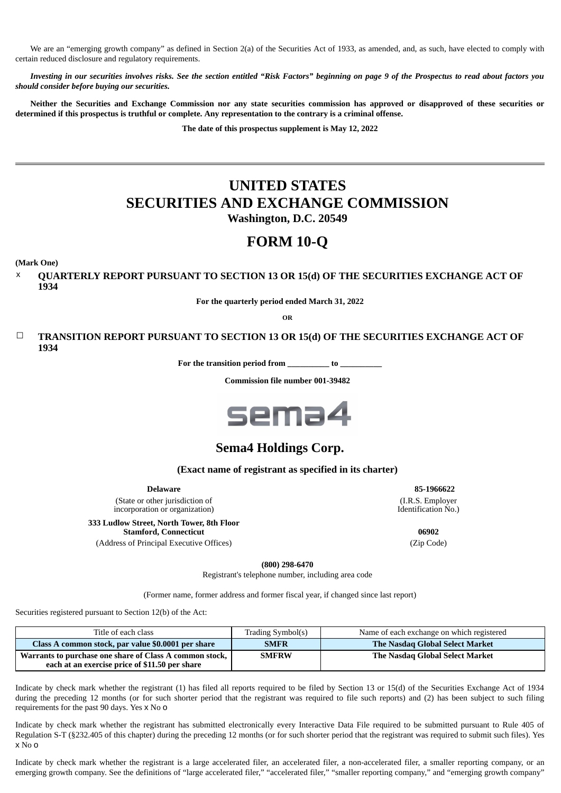We are an "emerging growth company" as defined in Section 2(a) of the Securities Act of 1933, as amended, and, as such, have elected to comply with certain reduced disclosure and regulatory requirements.

Investing in our securities involves risks. See the section entitled "Risk Factors" beginning on page 9 of the Prospectus to read about factors you *should consider before buying our securities.*

Neither the Securities and Exchange Commission nor any state securities commission has approved or disapproved of these securities or determined if this prospectus is truthful or complete. Any representation to the contrary is a criminal offense.

**The date of this prospectus supplement is May 12, 2022**

# **UNITED STATES SECURITIES AND EXCHANGE COMMISSION**

**Washington, D.C. 20549**

# **FORM 10-Q**

**(Mark One)**

x **QUARTERLY REPORT PURSUANT TO SECTION 13 OR 15(d) OF THE SECURITIES EXCHANGE ACT OF 1934**

**For the quarterly period ended March 31, 2022**

**OR**

# ☐ **TRANSITION REPORT PURSUANT TO SECTION 13 OR 15(d) OF THE SECURITIES EXCHANGE ACT OF 1934**

**For the transition period from \_\_\_\_\_\_\_\_\_\_ to \_\_\_\_\_\_\_\_\_\_**

**Commission file number 001-39482**



# **Sema4 Holdings Corp.**

# **(Exact name of registrant as specified in its charter)**

**Delaware 85-1966622** (State or other jurisdiction of incorporation or organization)

**333 Ludlow Street, North Tower, 8th Floor Stamford, Connecticut 06902**

(Address of Principal Executive Offices) (Zip Code)

(I.R.S. Employer Identification No.)

**(800) 298-6470**

Registrant's telephone number, including area code

(Former name, former address and former fiscal year, if changed since last report)

Securities registered pursuant to Section 12(b) of the Act:

| Title of each class                                                                                       | Trading Symbol(s) | Name of each exchange on which registered |
|-----------------------------------------------------------------------------------------------------------|-------------------|-------------------------------------------|
| Class A common stock, par value \$0.0001 per share                                                        | <b>SMFR</b>       | The Nasdag Global Select Market           |
| Warrants to purchase one share of Class A common stock,<br>each at an exercise price of \$11.50 per share | <b>SMFRW</b>      | The Nasdaq Global Select Market           |

Indicate by check mark whether the registrant (1) has filed all reports required to be filed by Section 13 or 15(d) of the Securities Exchange Act of 1934 during the preceding 12 months (or for such shorter period that the registrant was required to file such reports) and (2) has been subject to such filing requirements for the past 90 days. Yes x No o

Indicate by check mark whether the registrant has submitted electronically every Interactive Data File required to be submitted pursuant to Rule 405 of Regulation S-T (§232.405 of this chapter) during the preceding 12 months (or for such shorter period that the registrant was required to submit such files). Yes x No o

Indicate by check mark whether the registrant is a large accelerated filer, an accelerated filer, a non-accelerated filer, a smaller reporting company, or an emerging growth company. See the definitions of "large accelerated filer," "accelerated filer," "smaller reporting company," and "emerging growth company'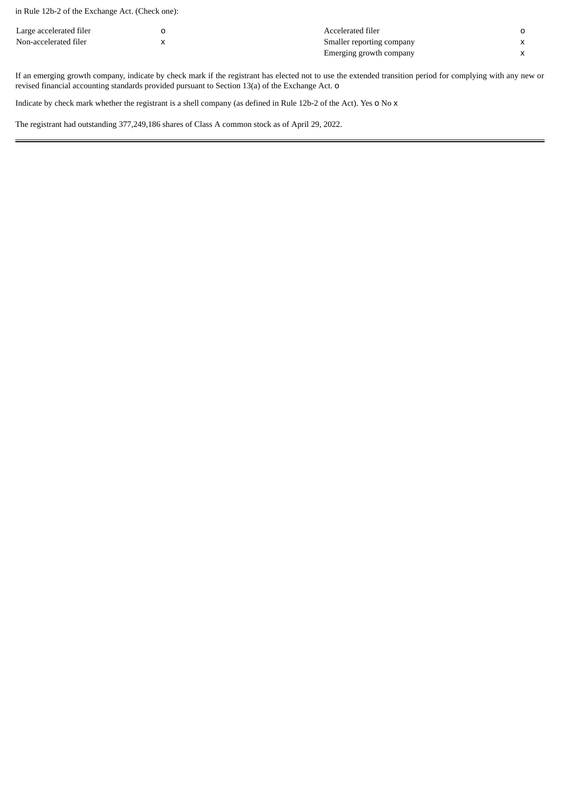in Rule 12b-2 of the Exchange Act. (Check one):

| Large accelerated filer | Accelerated filer         |  |
|-------------------------|---------------------------|--|
| Non-accelerated filer   | Smaller reporting company |  |
|                         | Emerging growth company   |  |

If an emerging growth company, indicate by check mark if the registrant has elected not to use the extended transition period for complying with any new or revised financial accounting standards provided pursuant to Section 13(a) of the Exchange Act. o

Indicate by check mark whether the registrant is a shell company (as defined in Rule 12b-2 of the Act). Yes o No x

<span id="page-2-0"></span>The registrant had outstanding 377,249,186 shares of Class A common stock as of April 29, 2022.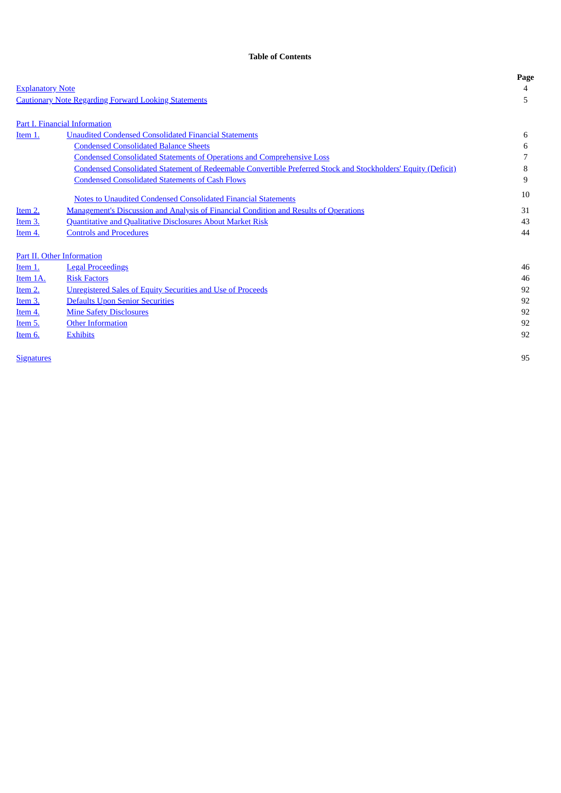# **Table of Contents**

|                         |                                                                                                               | Page |
|-------------------------|---------------------------------------------------------------------------------------------------------------|------|
| <b>Explanatory Note</b> |                                                                                                               | 4    |
|                         | <b>Cautionary Note Regarding Forward Looking Statements</b>                                                   | 5    |
|                         |                                                                                                               |      |
|                         | Part I. Financial Information                                                                                 |      |
| Item 1.                 | <b>Unaudited Condensed Consolidated Financial Statements</b>                                                  | 6    |
|                         | <b>Condensed Consolidated Balance Sheets</b>                                                                  | 6    |
|                         | <b>Condensed Consolidated Statements of Operations and Comprehensive Loss</b>                                 |      |
|                         | Condensed Consolidated Statement of Redeemable Convertible Preferred Stock and Stockholders' Equity (Deficit) | 8    |
|                         | <b>Condensed Consolidated Statements of Cash Flows</b>                                                        | 9    |
|                         | Notes to Unaudited Condensed Consolidated Financial Statements                                                | 10   |
| Item 2.                 | <b>Management's Discussion and Analysis of Financial Condition and Results of Operations</b>                  | 31   |
| Item 3.                 | <b>Quantitative and Qualitative Disclosures About Market Risk</b>                                             | 43   |
| Item 4.                 | <b>Controls and Procedures</b>                                                                                | 44   |
|                         | Part II. Other Information                                                                                    |      |
| Item 1.                 | <b>Legal Proceedings</b>                                                                                      | 46   |
| Item 1A.                | <b>Risk Factors</b>                                                                                           | 46   |
| <b>Item 2.</b>          | <b>Unregistered Sales of Equity Securities and Use of Proceeds</b>                                            | 92   |
| Item 3.                 | Defaults Upon Senior Securities                                                                               | 92   |
| Item 4.                 | <b>Mine Safety Disclosures</b>                                                                                | 92   |
| Item 5.                 | <b>Other Information</b>                                                                                      | 92   |
| Item 6.                 | <b>Exhibits</b>                                                                                               | 92   |
|                         |                                                                                                               |      |

<span id="page-3-0"></span><u>[Signatures](#page-94-0)</u> 2008 and 2009 and 2009 and 2009 and 2009 and 2009 and 2009 and 2009 and 2009 and 2009 and 2009 and 2009 and 2009 and 2009 and 2009 and 2009 and 2009 and 2009 and 2009 and 2009 and 2009 and 2009 and 2009 and 20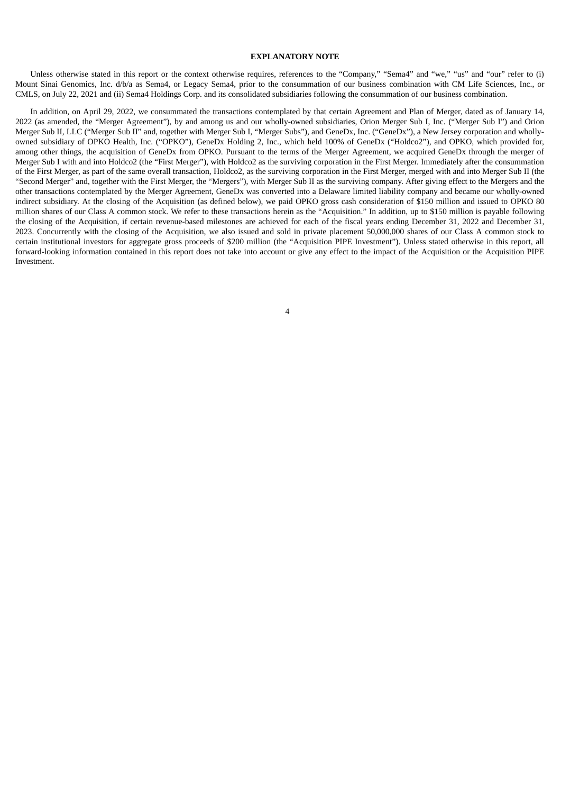# **EXPLANATORY NOTE**

Unless otherwise stated in this report or the context otherwise requires, references to the "Company," "Sema4" and "we," "us" and "our" refer to (i) Mount Sinai Genomics, Inc. d/b/a as Sema4, or Legacy Sema4, prior to the consummation of our business combination with CM Life Sciences, Inc., or CMLS, on July 22, 2021 and (ii) Sema4 Holdings Corp. and its consolidated subsidiaries following the consummation of our business combination.

<span id="page-4-0"></span>In addition, on April 29, 2022, we consummated the transactions contemplated by that certain Agreement and Plan of Merger, dated as of January 14, 2022 (as amended, the "Merger Agreement"), by and among us and our wholly-owned subsidiaries, Orion Merger Sub I, Inc. ("Merger Sub I") and Orion Merger Sub II, LLC ("Merger Sub II" and, together with Merger Sub I, "Merger Subs"), and GeneDx, Inc. ("GeneDx"), a New Jersey corporation and whollyowned subsidiary of OPKO Health, Inc. ("OPKO"), GeneDx Holding 2, Inc., which held 100% of GeneDx ("Holdco2"), and OPKO, which provided for, among other things, the acquisition of GeneDx from OPKO. Pursuant to the terms of the Merger Agreement, we acquired GeneDx through the merger of Merger Sub I with and into Holdco2 (the "First Merger"), with Holdco2 as the surviving corporation in the First Merger. Immediately after the consummation of the First Merger, as part of the same overall transaction, Holdco2, as the surviving corporation in the First Merger, merged with and into Merger Sub II (the "Second Merger" and, together with the First Merger, the "Mergers"), with Merger Sub II as the surviving company. After giving effect to the Mergers and the other transactions contemplated by the Merger Agreement, GeneDx was converted into a Delaware limited liability company and became our wholly-owned indirect subsidiary. At the closing of the Acquisition (as defined below), we paid OPKO gross cash consideration of \$150 million and issued to OPKO 80 million shares of our Class A common stock. We refer to these transactions herein as the "Acquisition." In addition, up to \$150 million is payable following the closing of the Acquisition, if certain revenue-based milestones are achieved for each of the fiscal years ending December 31, 2022 and December 31, 2023. Concurrently with the closing of the Acquisition, we also issued and sold in private placement 50,000,000 shares of our Class A common stock to certain institutional investors for aggregate gross proceeds of \$200 million (the "Acquisition PIPE Investment"). Unless stated otherwise in this report, all forward-looking information contained in this report does not take into account or give any effect to the impact of the Acquisition or the Acquisition PIPE Investment.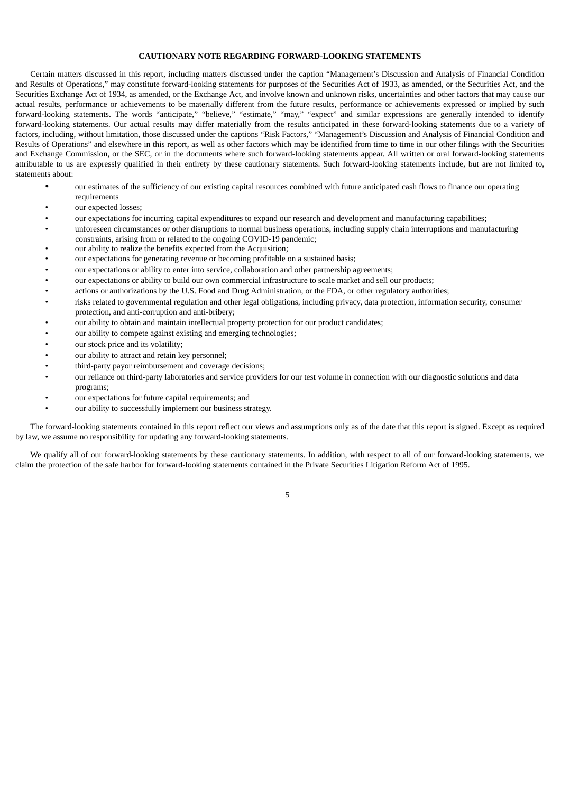# **CAUTIONARY NOTE REGARDING FORWARD-LOOKING STATEMENTS**

Certain matters discussed in this report, including matters discussed under the caption "Management's Discussion and Analysis of Financial Condition and Results of Operations," may constitute forward-looking statements for purposes of the Securities Act of 1933, as amended, or the Securities Act, and the Securities Exchange Act of 1934, as amended, or the Exchange Act, and involve known and unknown risks, uncertainties and other factors that may cause our actual results, performance or achievements to be materially different from the future results, performance or achievements expressed or implied by such forward-looking statements. The words "anticipate," "believe," "estimate," "may," "expect" and similar expressions are generally intended to identify forward-looking statements. Our actual results may differ materially from the results anticipated in these forward-looking statements due to a variety of factors, including, without limitation, those discussed under the captions "Risk Factors," "Management's Discussion and Analysis of Financial Condition and Results of Operations" and elsewhere in this report, as well as other factors which may be identified from time to time in our other filings with the Securities and Exchange Commission, or the SEC, or in the documents where such forward-looking statements appear. All written or oral forward-looking statements attributable to us are expressly qualified in their entirety by these cautionary statements. Such forward-looking statements include, but are not limited to, statements about:

- our estimates of the sufficiency of our existing capital resources combined with future anticipated cash flows to finance our operating requirements
- our expected losses:
- our expectations for incurring capital expenditures to expand our research and development and manufacturing capabilities;
- unforeseen circumstances or other disruptions to normal business operations, including supply chain interruptions and manufacturing constraints, arising from or related to the ongoing COVID-19 pandemic;
- our ability to realize the benefits expected from the Acquisition;
- our expectations for generating revenue or becoming profitable on a sustained basis;
- our expectations or ability to enter into service, collaboration and other partnership agreements;
- our expectations or ability to build our own commercial infrastructure to scale market and sell our products;
- actions or authorizations by the U.S. Food and Drug Administration, or the FDA, or other regulatory authorities;
- risks related to governmental regulation and other legal obligations, including privacy, data protection, information security, consumer protection, and anti-corruption and anti-bribery;
- our ability to obtain and maintain intellectual property protection for our product candidates;
- our ability to compete against existing and emerging technologies;
- our stock price and its volatility;
- our ability to attract and retain key personnel;
- third-party payor reimbursement and coverage decisions;
- our reliance on third-party laboratories and service providers for our test volume in connection with our diagnostic solutions and data programs;
- our expectations for future capital requirements; and
- our ability to successfully implement our business strategy.

The forward-looking statements contained in this report reflect our views and assumptions only as of the date that this report is signed. Except as required by law, we assume no responsibility for updating any forward-looking statements.

<span id="page-5-0"></span>We qualify all of our forward-looking statements by these cautionary statements. In addition, with respect to all of our forward-looking statements, we claim the protection of the safe harbor for forward-looking statements contained in the Private Securities Litigation Reform Act of 1995.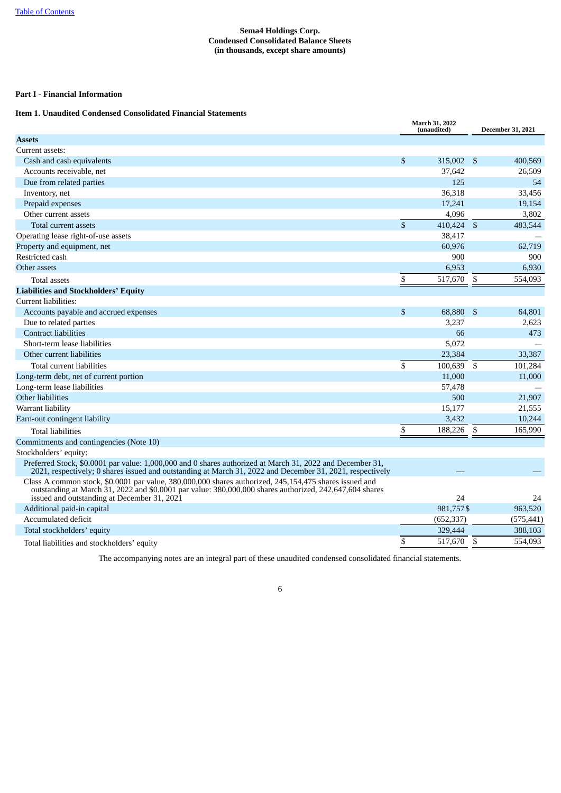# **Sema4 Holdings Corp. Condensed Consolidated Balance Sheets (in thousands, except share amounts)**

# **Part I - Financial Information**

# <span id="page-6-0"></span>**Item 1. Unaudited Condensed Consolidated Financial Statements**

<span id="page-6-1"></span>

|                                                                                                                                                                                                                                                                  | March 31, 2022<br>(unaudited) |            |          | <b>December 31, 2021</b> |
|------------------------------------------------------------------------------------------------------------------------------------------------------------------------------------------------------------------------------------------------------------------|-------------------------------|------------|----------|--------------------------|
| <b>Assets</b>                                                                                                                                                                                                                                                    |                               |            |          |                          |
| Current assets:                                                                                                                                                                                                                                                  |                               |            |          |                          |
| Cash and cash equivalents                                                                                                                                                                                                                                        | $\mathfrak{s}$                | 315,002 \$ |          | 400,569                  |
| Accounts receivable, net                                                                                                                                                                                                                                         |                               | 37,642     |          | 26,509                   |
| Due from related parties                                                                                                                                                                                                                                         |                               | 125        |          | 54                       |
| Inventory, net                                                                                                                                                                                                                                                   |                               | 36,318     |          | 33,456                   |
| Prepaid expenses                                                                                                                                                                                                                                                 |                               | 17,241     |          | 19,154                   |
| Other current assets                                                                                                                                                                                                                                             |                               | 4.096      |          | 3,802                    |
| Total current assets                                                                                                                                                                                                                                             | $\mathbf{\hat{S}}$            | 410,424 \$ |          | 483,544                  |
| Operating lease right-of-use assets                                                                                                                                                                                                                              |                               | 38,417     |          |                          |
| Property and equipment, net                                                                                                                                                                                                                                      |                               | 60.976     |          | 62,719                   |
| Restricted cash                                                                                                                                                                                                                                                  |                               | 900        |          | 900                      |
| Other assets                                                                                                                                                                                                                                                     |                               | 6,953      |          | 6,930                    |
| <b>Total assets</b>                                                                                                                                                                                                                                              | \$                            | 517,670    | \$       | 554,093                  |
| <b>Liabilities and Stockholders' Equity</b>                                                                                                                                                                                                                      |                               |            |          |                          |
| Current liabilities:                                                                                                                                                                                                                                             |                               |            |          |                          |
| Accounts payable and accrued expenses                                                                                                                                                                                                                            | $\mathbb{S}$                  | 68,880     | <b>S</b> | 64,801                   |
| Due to related parties                                                                                                                                                                                                                                           |                               | 3,237      |          | 2,623                    |
| <b>Contract liabilities</b>                                                                                                                                                                                                                                      |                               | 66         |          | 473                      |
| Short-term lease liabilities                                                                                                                                                                                                                                     |                               | 5,072      |          |                          |
| Other current liabilities                                                                                                                                                                                                                                        |                               | 23,384     |          | 33,387                   |
| Total current liabilities                                                                                                                                                                                                                                        | \$                            | 100,639    | \$       | 101,284                  |
| Long-term debt, net of current portion                                                                                                                                                                                                                           |                               | 11,000     |          | 11,000                   |
| Long-term lease liabilities                                                                                                                                                                                                                                      |                               | 57,478     |          |                          |
| Other liabilities                                                                                                                                                                                                                                                |                               | 500        |          | 21,907                   |
| Warrant liability                                                                                                                                                                                                                                                |                               | 15,177     |          | 21,555                   |
| Earn-out contingent liability                                                                                                                                                                                                                                    |                               | 3,432      |          | 10,244                   |
| <b>Total liabilities</b>                                                                                                                                                                                                                                         | \$                            | 188,226    | \$       | 165,990                  |
| Commitments and contingencies (Note 10)                                                                                                                                                                                                                          |                               |            |          |                          |
| Stockholders' equity:                                                                                                                                                                                                                                            |                               |            |          |                          |
| Preferred Stock, \$0.0001 par value: 1,000,000 and 0 shares authorized at March 31, 2022 and December 31,<br>2021, respectively; 0 shares issued and outstanding at March 31, 2022 and December 31, 2021, respectively                                           |                               |            |          |                          |
| Class A common stock, \$0.0001 par value, 380,000,000 shares authorized, 245,154,475 shares issued and<br>outstanding at March 31, 2022 and \$0.0001 par value: 380,000,000 shares authorized, 242,647,604 shares<br>issued and outstanding at December 31, 2021 |                               | 24         |          | 24                       |
| Additional paid-in capital                                                                                                                                                                                                                                       |                               | 981,757\$  |          | 963,520                  |
| Accumulated deficit                                                                                                                                                                                                                                              |                               | (652, 337) |          | (575, 441)               |
| Total stockholders' equity                                                                                                                                                                                                                                       |                               | 329,444    |          | 388,103                  |
| Total liabilities and stockholders' equity                                                                                                                                                                                                                       | \$                            | 517,670    | -S       | 554,093                  |

<span id="page-6-2"></span>The accompanying notes are an integral part of these unaudited condensed consolidated financial statements.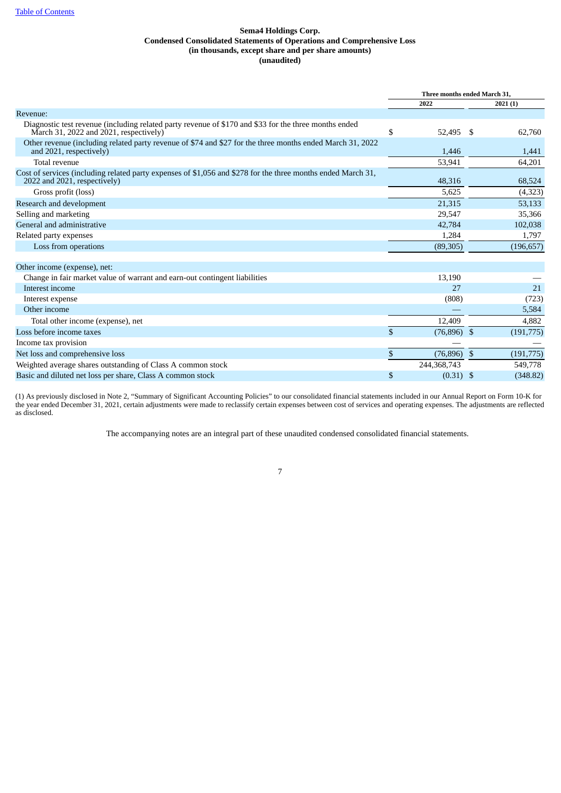# **Sema4 Holdings Corp. Condensed Consolidated Statements of Operations and Comprehensive Loss (in thousands, except share and per share amounts) (unaudited)**

|                                                                                                                                                 |              | Three months ended March 31. |              |            |  |
|-------------------------------------------------------------------------------------------------------------------------------------------------|--------------|------------------------------|--------------|------------|--|
|                                                                                                                                                 |              | 2022                         |              | 2021(1)    |  |
| Revenue:                                                                                                                                        |              |                              |              |            |  |
| Diagnostic test revenue (including related party revenue of \$170 and \$33 for the three months ended<br>March 31, 2022 and 2021, respectively) | \$           | 52,495                       | -S           | 62,760     |  |
| Other revenue (including related party revenue of \$74 and \$27 for the three months ended March 31, 2022<br>and 2021, respectively)            |              | 1,446                        |              | 1,441      |  |
| Total revenue                                                                                                                                   |              | 53,941                       |              | 64,201     |  |
| Cost of services (including related party expenses of \$1,056 and \$278 for the three months ended March 31,<br>2022 and 2021, respectively)    |              | 48,316                       |              | 68,524     |  |
| Gross profit (loss)                                                                                                                             |              | 5,625                        |              | (4,323)    |  |
| Research and development                                                                                                                        |              | 21,315                       |              | 53,133     |  |
| Selling and marketing                                                                                                                           |              | 29,547                       |              | 35,366     |  |
| General and administrative                                                                                                                      |              | 42,784                       |              | 102,038    |  |
| Related party expenses                                                                                                                          |              | 1,284                        |              | 1,797      |  |
| Loss from operations                                                                                                                            |              | (89, 305)                    |              | (196, 657) |  |
| Other income (expense), net:                                                                                                                    |              |                              |              |            |  |
| Change in fair market value of warrant and earn-out contingent liabilities                                                                      |              | 13,190                       |              |            |  |
| Interest income                                                                                                                                 |              | 27                           |              | 21         |  |
| Interest expense                                                                                                                                |              | (808)                        |              | (723)      |  |
| Other income                                                                                                                                    |              |                              |              | 5,584      |  |
| Total other income (expense), net                                                                                                               |              | 12,409                       |              | 4,882      |  |
| Loss before income taxes                                                                                                                        | $\mathbb{S}$ | $(76,896)$ \$                |              | (191, 775) |  |
| Income tax provision                                                                                                                            |              |                              |              |            |  |
| Net loss and comprehensive loss                                                                                                                 | \$           | (76, 896)                    | $\mathbf{s}$ | (191, 775) |  |
| Weighted average shares outstanding of Class A common stock                                                                                     |              | 244,368,743                  |              | 549,778    |  |
| Basic and diluted net loss per share, Class A common stock                                                                                      | \$           | $(0.31)$ \$                  |              | (348.82)   |  |

<span id="page-7-0"></span>(1) As previously disclosed in Note 2, "Summary of Significant Accounting Policies" to our consolidated financial statements included in our Annual Report on Form 10-K for the year ended December 31, 2021, certain adjustments were made to reclassify certain expenses between cost of services and operating expenses. The adjustments are reflected as disclosed.

The accompanying notes are an integral part of these unaudited condensed consolidated financial statements.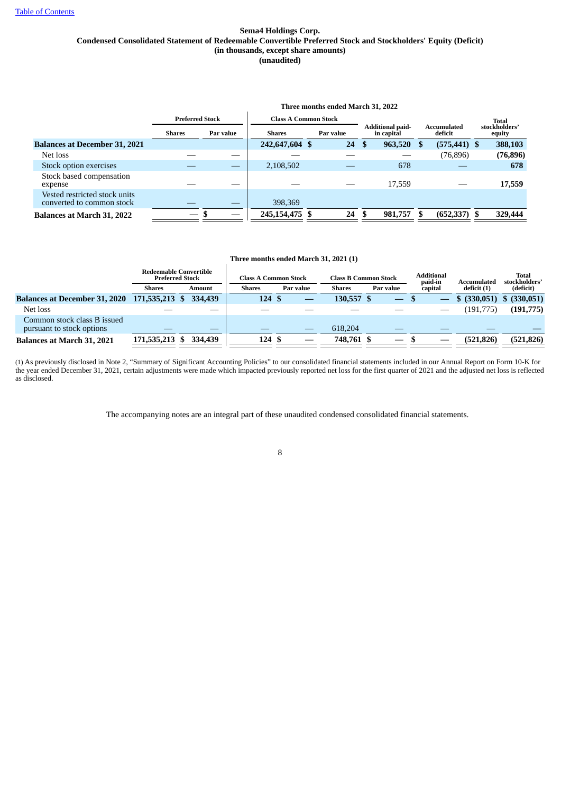# **Sema4 Holdings Corp. Condensed Consolidated Statement of Redeemable Convertible Preferred Stock and Stockholders' Equity (Deficit) (in thousands, except share amounts) (unaudited)**

|                                                            |                          |           |                             | Three months ended March 31, 2022 |                                       |                        |                         |
|------------------------------------------------------------|--------------------------|-----------|-----------------------------|-----------------------------------|---------------------------------------|------------------------|-------------------------|
|                                                            | <b>Preferred Stock</b>   |           | <b>Class A Common Stock</b> |                                   |                                       |                        | Total                   |
|                                                            | <b>Shares</b>            | Par value | <b>Shares</b>               | Par value                         | <b>Additional paid-</b><br>in capital | Accumulated<br>deficit | stockholders'<br>equity |
| <b>Balances at December 31, 2021</b>                       |                          |           | 242,647,604 \$              | 24                                | 963,520 \$<br>S                       | $(575, 441)$ \$        | 388,103                 |
| Net loss                                                   |                          |           |                             |                                   |                                       | (76, 896)              | (76, 896)               |
| Stock option exercises                                     |                          |           | 2,108,502                   |                                   | 678                                   |                        | 678                     |
| Stock based compensation<br>expense                        |                          |           |                             |                                   | 17,559                                |                        | 17,559                  |
| Vested restricted stock units<br>converted to common stock |                          |           | 398,369                     |                                   |                                       |                        |                         |
| <b>Balances at March 31, 2022</b>                          | $\overline{\phantom{0}}$ |           | 245, 154, 475 \$            | 24                                | 981,757                               | (652, 337)             | 329,444                 |

# **Three months ended March 31, 2021 (1)**

|                                                          |                | <b>Redeemable Convertible</b><br><b>Preferred Stock</b> | <b>Class A Common Stock</b> |  |               | <b>Class B Common Stock</b> | <b>Additional</b><br>paid-in | Accumulated  | Total<br>stockholders' |
|----------------------------------------------------------|----------------|---------------------------------------------------------|-----------------------------|--|---------------|-----------------------------|------------------------------|--------------|------------------------|
|                                                          | <b>Shares</b>  | Amount                                                  | <b>Shares</b><br>Par value  |  | <b>Shares</b> | Par value                   | capital                      | deficit (1)  | (deficit)              |
| <b>Balances at December 31, 2020</b>                     | 171,535,213 \$ | 334,439                                                 | 124S                        |  | 130,557 \$    |                             |                              | \$ (330,051) | \$ (330,051)           |
| Net loss                                                 |                |                                                         |                             |  |               |                             |                              | (191,775)    | (191,775)              |
| Common stock class B issued<br>pursuant to stock options |                |                                                         |                             |  | 618,204       |                             |                              |              |                        |
| <b>Balances at March 31, 2021</b>                        | 171,535,213 \$ | 334,439                                                 | 124S                        |  | 748,761 \$    |                             |                              | (521, 826)   | (521, 826)             |

(1) As previously disclosed in Note 2, "Summary of Significant Accounting Policies" to our consolidated financial statements included in our Annual Report on Form 10-K for the year ended December 31, 2021, certain adjustments were made which impacted previously reported net loss for the first quarter of 2021 and the adjusted net loss is reflected as disclosed.

<span id="page-8-0"></span>The accompanying notes are an integral part of these unaudited condensed consolidated financial statements.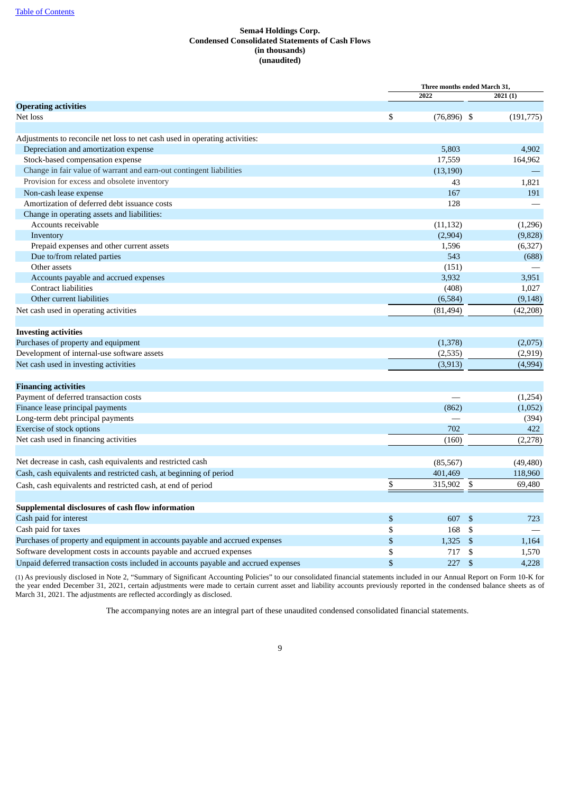# **Sema4 Holdings Corp. Condensed Consolidated Statements of Cash Flows (in thousands) (unaudited)**

|                                                                                     | Three months ended March 31, |                |           |
|-------------------------------------------------------------------------------------|------------------------------|----------------|-----------|
|                                                                                     | 2022                         |                | 2021 (1)  |
| <b>Operating activities</b>                                                         |                              |                |           |
| Net loss                                                                            | \$<br>$(76,896)$ \$          |                | (191,775) |
|                                                                                     |                              |                |           |
| Adjustments to reconcile net loss to net cash used in operating activities:         |                              |                |           |
| Depreciation and amortization expense                                               | 5,803                        |                | 4,902     |
| Stock-based compensation expense                                                    | 17,559                       |                | 164,962   |
| Change in fair value of warrant and earn-out contingent liabilities                 | (13, 190)                    |                |           |
| Provision for excess and obsolete inventory                                         | 43                           |                | 1,821     |
| Non-cash lease expense                                                              | 167                          |                | 191       |
| Amortization of deferred debt issuance costs                                        | 128                          |                |           |
| Change in operating assets and liabilities:                                         |                              |                |           |
| Accounts receivable                                                                 | (11, 132)                    |                | (1,296)   |
| Inventory                                                                           | (2,904)                      |                | (9,828)   |
| Prepaid expenses and other current assets                                           | 1,596                        |                | (6,327)   |
| Due to/from related parties                                                         | 543                          |                | (688)     |
| Other assets                                                                        | (151)                        |                |           |
| Accounts payable and accrued expenses                                               | 3,932                        |                | 3,951     |
| <b>Contract liabilities</b>                                                         | (408)                        |                | 1,027     |
| Other current liabilities                                                           | (6,584)                      |                | (9, 148)  |
| Net cash used in operating activities                                               | (81, 494)                    |                | (42, 208) |
|                                                                                     |                              |                |           |
| <b>Investing activities</b>                                                         |                              |                |           |
| Purchases of property and equipment                                                 | (1,378)                      |                | (2,075)   |
| Development of internal-use software assets                                         | (2,535)                      |                | (2,919)   |
| Net cash used in investing activities                                               | (3,913)                      |                | (4,994)   |
|                                                                                     |                              |                |           |
| <b>Financing activities</b>                                                         |                              |                |           |
| Payment of deferred transaction costs                                               |                              |                | (1,254)   |
| Finance lease principal payments                                                    | (862)                        |                | (1,052)   |
| Long-term debt principal payments                                                   |                              |                | (394)     |
| Exercise of stock options                                                           | 702                          |                | 422       |
| Net cash used in financing activities                                               | (160)                        |                | (2,278)   |
|                                                                                     |                              |                |           |
| Net decrease in cash, cash equivalents and restricted cash                          | (85, 567)                    |                | (49, 480) |
| Cash, cash equivalents and restricted cash, at beginning of period                  | 401,469                      |                | 118,960   |
| Cash, cash equivalents and restricted cash, at end of period                        | \$<br>315,902                | -\$            | 69,480    |
|                                                                                     |                              |                |           |
| Supplemental disclosures of cash flow information                                   |                              |                |           |
| Cash paid for interest                                                              | \$<br>607                    | \$             | 723       |
| Cash paid for taxes                                                                 | \$<br>168                    | \$             |           |
| Purchases of property and equipment in accounts payable and accrued expenses        | \$<br>1,325                  | \$             | 1,164     |
| Software development costs in accounts payable and accrued expenses                 | \$<br>717                    | \$             | 1,570     |
| Unpaid deferred transaction costs included in accounts payable and accrued expenses | \$<br>227                    | $\mathfrak{S}$ | 4,228     |
|                                                                                     |                              |                |           |

<span id="page-9-0"></span>(1) As previously disclosed in Note 2, "Summary of Significant Accounting Policies" to our consolidated financial statements included in our Annual Report on Form 10-K for the year ended December 31, 2021, certain adjustments were made to certain current asset and liability accounts previously reported in the condensed balance sheets as of March 31, 2021. The adjustments are reflected accordingly as disclosed.

The accompanying notes are an integral part of these unaudited condensed consolidated financial statements.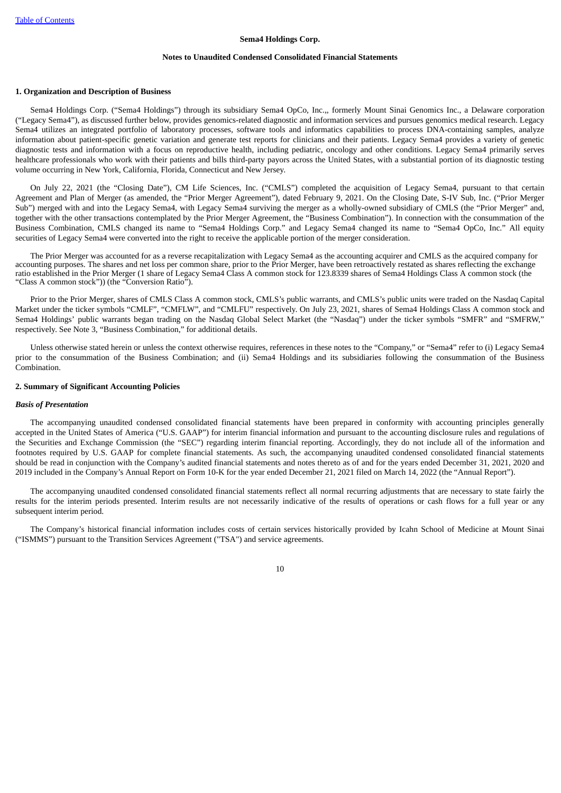#### **Notes to Unaudited Condensed Consolidated Financial Statements**

#### **1. Organization and Description of Business**

Sema4 Holdings Corp. ("Sema4 Holdings") through its subsidiary Sema4 OpCo, Inc.,, formerly Mount Sinai Genomics Inc., a Delaware corporation ("Legacy Sema4"), as discussed further below, provides genomics-related diagnostic and information services and pursues genomics medical research. Legacy Sema4 utilizes an integrated portfolio of laboratory processes, software tools and informatics capabilities to process DNA-containing samples, analyze information about patient-specific genetic variation and generate test reports for clinicians and their patients. Legacy Sema4 provides a variety of genetic diagnostic tests and information with a focus on reproductive health, including pediatric, oncology and other conditions. Legacy Sema4 primarily serves healthcare professionals who work with their patients and bills third-party payors across the United States, with a substantial portion of its diagnostic testing volume occurring in New York, California, Florida, Connecticut and New Jersey.

On July 22, 2021 (the "Closing Date"), CM Life Sciences, Inc. ("CMLS") completed the acquisition of Legacy Sema4, pursuant to that certain Agreement and Plan of Merger (as amended, the "Prior Merger Agreement"), dated February 9, 2021. On the Closing Date, S-IV Sub, Inc. ("Prior Merger Sub") merged with and into the Legacy Sema4, with Legacy Sema4 surviving the merger as a wholly-owned subsidiary of CMLS (the "Prior Merger" and, together with the other transactions contemplated by the Prior Merger Agreement, the "Business Combination"). In connection with the consummation of the Business Combination, CMLS changed its name to "Sema4 Holdings Corp." and Legacy Sema4 changed its name to "Sema4 OpCo, Inc." All equity securities of Legacy Sema4 were converted into the right to receive the applicable portion of the merger consideration.

The Prior Merger was accounted for as a reverse recapitalization with Legacy Sema4 as the accounting acquirer and CMLS as the acquired company for accounting purposes. The shares and net loss per common share, prior to the Prior Merger, have been retroactively restated as shares reflecting the exchange ratio established in the Prior Merger (1 share of Legacy Sema4 Class A common stock for 123.8339 shares of Sema4 Holdings Class A common stock (the "Class A common stock")) (the "Conversion Ratio").

Prior to the Prior Merger, shares of CMLS Class A common stock, CMLS's public warrants, and CMLS's public units were traded on the Nasdaq Capital Market under the ticker symbols "CMLF", "CMFLW", and "CMLFU" respectively. On July 23, 2021, shares of Sema4 Holdings Class A common stock and Sema4 Holdings' public warrants began trading on the Nasdaq Global Select Market (the "Nasdaq") under the ticker symbols "SMFR" and "SMFRW," respectively. See Note 3, "Business Combination," for additional details.

Unless otherwise stated herein or unless the context otherwise requires, references in these notes to the "Company," or "Sema4" refer to (i) Legacy Sema4 prior to the consummation of the Business Combination; and (ii) Sema4 Holdings and its subsidiaries following the consummation of the Business Combination.

# **2. Summary of Significant Accounting Policies**

#### *Basis of Presentation*

The accompanying unaudited condensed consolidated financial statements have been prepared in conformity with accounting principles generally accepted in the United States of America ("U.S. GAAP") for interim financial information and pursuant to the accounting disclosure rules and regulations of the Securities and Exchange Commission (the "SEC") regarding interim financial reporting. Accordingly, they do not include all of the information and footnotes required by U.S. GAAP for complete financial statements. As such, the accompanying unaudited condensed consolidated financial statements should be read in conjunction with the Company's audited financial statements and notes thereto as of and for the years ended December 31, 2021, 2020 and 2019 included in the Company's Annual Report on Form 10-K for the year ended December 21, 2021 filed on March 14, 2022 (the "Annual Report").

The accompanying unaudited condensed consolidated financial statements reflect all normal recurring adjustments that are necessary to state fairly the results for the interim periods presented. Interim results are not necessarily indicative of the results of operations or cash flows for a full year or any subsequent interim period.

The Company's historical financial information includes costs of certain services historically provided by Icahn School of Medicine at Mount Sinai ("ISMMS") pursuant to the Transition Services Agreement ("TSA") and service agreements.

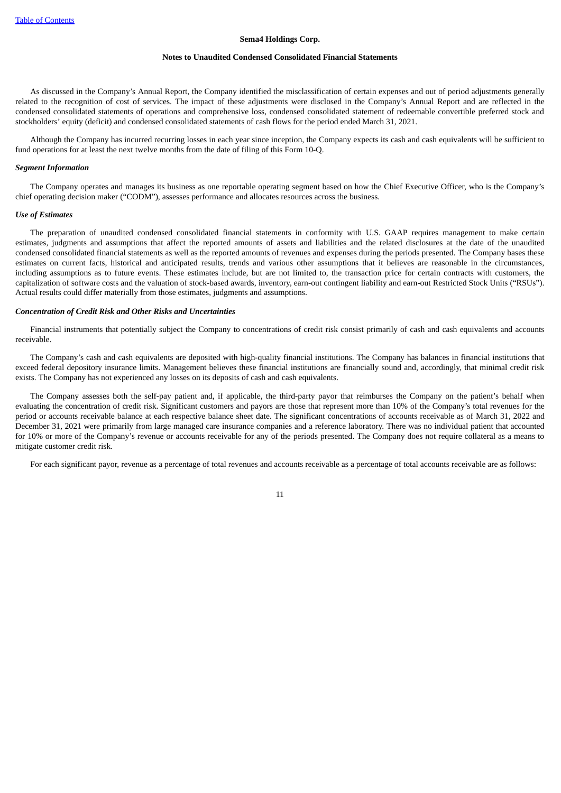#### **Notes to Unaudited Condensed Consolidated Financial Statements**

As discussed in the Company's Annual Report, the Company identified the misclassification of certain expenses and out of period adjustments generally related to the recognition of cost of services. The impact of these adjustments were disclosed in the Company's Annual Report and are reflected in the condensed consolidated statements of operations and comprehensive loss, condensed consolidated statement of redeemable convertible preferred stock and stockholders' equity (deficit) and condensed consolidated statements of cash flows for the period ended March 31, 2021.

Although the Company has incurred recurring losses in each year since inception, the Company expects its cash and cash equivalents will be sufficient to fund operations for at least the next twelve months from the date of filing of this Form 10-Q.

## *Segment Information*

The Company operates and manages its business as one reportable operating segment based on how the Chief Executive Officer, who is the Company's chief operating decision maker ("CODM"), assesses performance and allocates resources across the business.

#### *Use of Estimates*

The preparation of unaudited condensed consolidated financial statements in conformity with U.S. GAAP requires management to make certain estimates, judgments and assumptions that affect the reported amounts of assets and liabilities and the related disclosures at the date of the unaudited condensed consolidated financial statements as well as the reported amounts of revenues and expenses during the periods presented. The Company bases these estimates on current facts, historical and anticipated results, trends and various other assumptions that it believes are reasonable in the circumstances, including assumptions as to future events. These estimates include, but are not limited to, the transaction price for certain contracts with customers, the capitalization of software costs and the valuation of stock-based awards, inventory, earn-out contingent liability and earn-out Restricted Stock Units ("RSUs"). Actual results could differ materially from those estimates, judgments and assumptions.

#### *Concentration of Credit Risk and Other Risks and Uncertainties*

Financial instruments that potentially subject the Company to concentrations of credit risk consist primarily of cash and cash equivalents and accounts receivable.

The Company's cash and cash equivalents are deposited with high-quality financial institutions. The Company has balances in financial institutions that exceed federal depository insurance limits. Management believes these financial institutions are financially sound and, accordingly, that minimal credit risk exists. The Company has not experienced any losses on its deposits of cash and cash equivalents.

The Company assesses both the self-pay patient and, if applicable, the third-party payor that reimburses the Company on the patient's behalf when evaluating the concentration of credit risk. Significant customers and payors are those that represent more than 10% of the Company's total revenues for the period or accounts receivable balance at each respective balance sheet date. The significant concentrations of accounts receivable as of March 31, 2022 and December 31, 2021 were primarily from large managed care insurance companies and a reference laboratory. There was no individual patient that accounted for 10% or more of the Company's revenue or accounts receivable for any of the periods presented. The Company does not require collateral as a means to mitigate customer credit risk.

For each significant payor, revenue as a percentage of total revenues and accounts receivable as a percentage of total accounts receivable are as follows: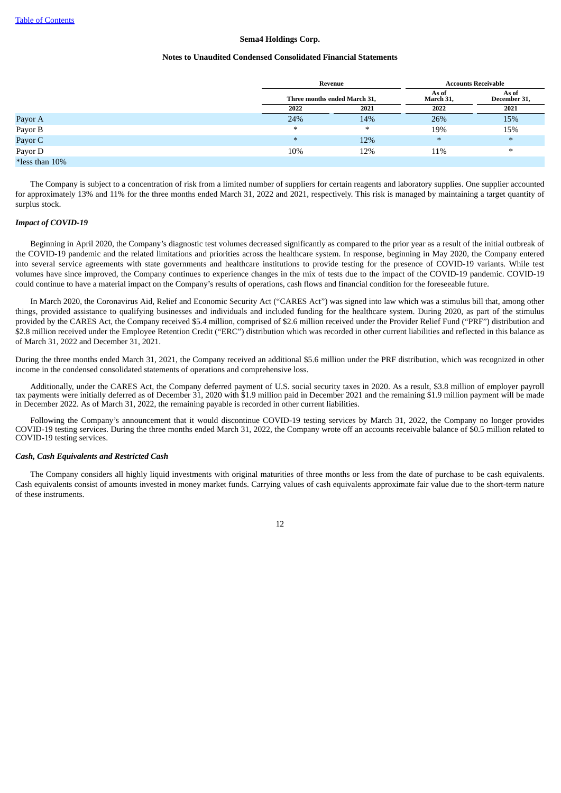#### **Notes to Unaudited Condensed Consolidated Financial Statements**

|                   |        | Revenue                      | <b>Accounts Receivable</b> |                       |  |  |
|-------------------|--------|------------------------------|----------------------------|-----------------------|--|--|
|                   |        | Three months ended March 31, | As of<br>March 31,         | As of<br>December 31, |  |  |
|                   | 2022   | 2021                         | 2022                       | 2021                  |  |  |
| Payor A           | 24%    | 14%                          | 26%                        | 15%                   |  |  |
| Payor B           | $\ast$ | $\ast$                       | 19%                        | 15%                   |  |  |
| Payor C           | $*$    | 12%                          | $\ast$                     | $\ast$                |  |  |
| Payor D           | 10%    | 12%                          | 11%                        | ∗                     |  |  |
| $*$ less than 10% |        |                              |                            |                       |  |  |

The Company is subject to a concentration of risk from a limited number of suppliers for certain reagents and laboratory supplies. One supplier accounted for approximately 13% and 11% for the three months ended March 31, 2022 and 2021, respectively. This risk is managed by maintaining a target quantity of surplus stock.

#### *Impact of COVID-19*

Beginning in April 2020, the Company's diagnostic test volumes decreased significantly as compared to the prior year as a result of the initial outbreak of the COVID-19 pandemic and the related limitations and priorities across the healthcare system. In response, beginning in May 2020, the Company entered into several service agreements with state governments and healthcare institutions to provide testing for the presence of COVID-19 variants. While test volumes have since improved, the Company continues to experience changes in the mix of tests due to the impact of the COVID-19 pandemic. COVID-19 could continue to have a material impact on the Company's results of operations, cash flows and financial condition for the foreseeable future.

In March 2020, the Coronavirus Aid, Relief and Economic Security Act ("CARES Act") was signed into law which was a stimulus bill that, among other things, provided assistance to qualifying businesses and individuals and included funding for the healthcare system. During 2020, as part of the stimulus provided by the CARES Act, the Company received \$5.4 million, comprised of \$2.6 million received under the Provider Relief Fund ("PRF") distribution and \$2.8 million received under the Employee Retention Credit ("ERC") distribution which was recorded in other current liabilities and reflected in this balance as of March 31, 2022 and December 31, 2021.

During the three months ended March 31, 2021, the Company received an additional \$5.6 million under the PRF distribution, which was recognized in other income in the condensed consolidated statements of operations and comprehensive loss.

Additionally, under the CARES Act, the Company deferred payment of U.S. social security taxes in 2020. As a result, \$3.8 million of employer payroll tax payments were initially deferred as of December 31, 2020 with \$1.9 million paid in December 2021 and the remaining \$1.9 million payment will be made in December 2022. As of March 31, 2022, the remaining payable is recorded in other current liabilities.

Following the Company's announcement that it would discontinue COVID-19 testing services by March 31, 2022, the Company no longer provides COVID-19 testing services. During the three months ended March 31, 2022, the Company wrote off an accounts receivable balance of \$0.5 million related to COVID-19 testing services.

#### *Cash, Cash Equivalents and Restricted Cash*

The Company considers all highly liquid investments with original maturities of three months or less from the date of purchase to be cash equivalents. Cash equivalents consist of amounts invested in money market funds. Carrying values of cash equivalents approximate fair value due to the short-term nature of these instruments.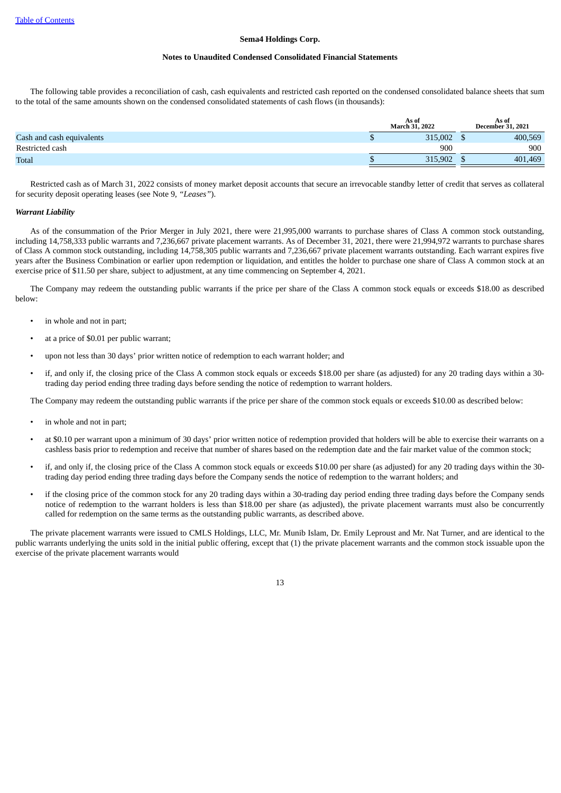#### **Notes to Unaudited Condensed Consolidated Financial Statements**

The following table provides a reconciliation of cash, cash equivalents and restricted cash reported on the condensed consolidated balance sheets that sum to the total of the same amounts shown on the condensed consolidated statements of cash flows (in thousands):

| <b>March 31, 2022</b> |       | As of<br><b>December 31, 2021</b> |
|-----------------------|-------|-----------------------------------|
| 315,002               |       | 400,569                           |
| 900                   |       | 900                               |
| 315,902               |       | 401,469                           |
|                       | As of |                                   |

Restricted cash as of March 31, 2022 consists of money market deposit accounts that secure an irrevocable standby letter of credit that serves as collateral for security deposit operating leases (see Note 9, *"Leases"*).

#### *Warrant Liability*

As of the consummation of the Prior Merger in July 2021, there were 21,995,000 warrants to purchase shares of Class A common stock outstanding, including 14,758,333 public warrants and 7,236,667 private placement warrants. As of December 31, 2021, there were 21,994,972 warrants to purchase shares of Class A common stock outstanding, including 14,758,305 public warrants and 7,236,667 private placement warrants outstanding. Each warrant expires five years after the Business Combination or earlier upon redemption or liquidation, and entitles the holder to purchase one share of Class A common stock at an exercise price of \$11.50 per share, subject to adjustment, at any time commencing on September 4, 2021.

The Company may redeem the outstanding public warrants if the price per share of the Class A common stock equals or exceeds \$18.00 as described below:

- in whole and not in part;
- at a price of \$0.01 per public warrant;
- upon not less than 30 days' prior written notice of redemption to each warrant holder; and
- if, and only if, the closing price of the Class A common stock equals or exceeds \$18.00 per share (as adjusted) for any 20 trading days within a 30 trading day period ending three trading days before sending the notice of redemption to warrant holders.

The Company may redeem the outstanding public warrants if the price per share of the common stock equals or exceeds \$10.00 as described below:

- in whole and not in part;
- at \$0.10 per warrant upon a minimum of 30 days' prior written notice of redemption provided that holders will be able to exercise their warrants on a cashless basis prior to redemption and receive that number of shares based on the redemption date and the fair market value of the common stock;
- if, and only if, the closing price of the Class A common stock equals or exceeds \$10.00 per share (as adjusted) for any 20 trading days within the 30 trading day period ending three trading days before the Company sends the notice of redemption to the warrant holders; and
- if the closing price of the common stock for any 20 trading days within a 30-trading day period ending three trading days before the Company sends notice of redemption to the warrant holders is less than \$18.00 per share (as adjusted), the private placement warrants must also be concurrently called for redemption on the same terms as the outstanding public warrants, as described above.

The private placement warrants were issued to CMLS Holdings, LLC, Mr. Munib Islam, Dr. Emily Leproust and Mr. Nat Turner, and are identical to the public warrants underlying the units sold in the initial public offering, except that (1) the private placement warrants and the common stock issuable upon the exercise of the private placement warrants would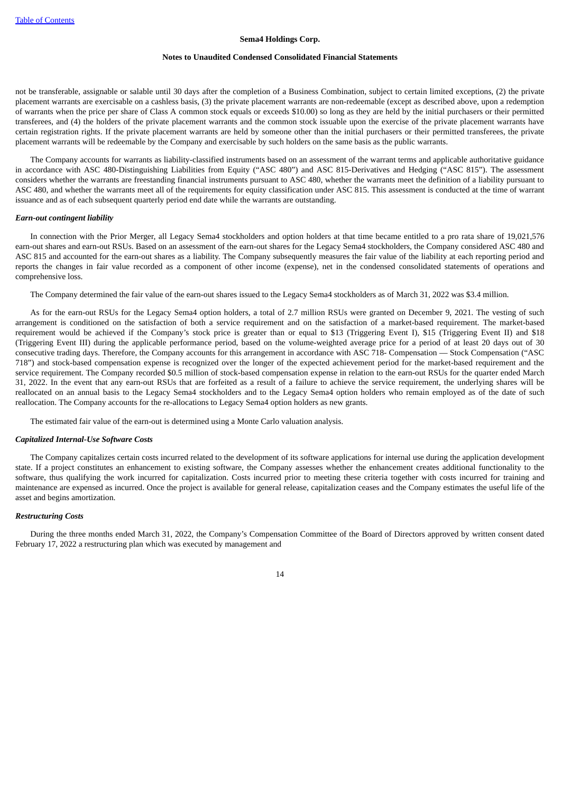#### **Notes to Unaudited Condensed Consolidated Financial Statements**

not be transferable, assignable or salable until 30 days after the completion of a Business Combination, subject to certain limited exceptions, (2) the private placement warrants are exercisable on a cashless basis, (3) the private placement warrants are non-redeemable (except as described above, upon a redemption of warrants when the price per share of Class A common stock equals or exceeds \$10.00) so long as they are held by the initial purchasers or their permitted transferees, and (4) the holders of the private placement warrants and the common stock issuable upon the exercise of the private placement warrants have certain registration rights. If the private placement warrants are held by someone other than the initial purchasers or their permitted transferees, the private placement warrants will be redeemable by the Company and exercisable by such holders on the same basis as the public warrants.

The Company accounts for warrants as liability-classified instruments based on an assessment of the warrant terms and applicable authoritative guidance in accordance with ASC 480-Distinguishing Liabilities from Equity ("ASC 480") and ASC 815-Derivatives and Hedging ("ASC 815"). The assessment considers whether the warrants are freestanding financial instruments pursuant to ASC 480, whether the warrants meet the definition of a liability pursuant to ASC 480, and whether the warrants meet all of the requirements for equity classification under ASC 815. This assessment is conducted at the time of warrant issuance and as of each subsequent quarterly period end date while the warrants are outstanding.

#### *Earn-out contingent liability*

In connection with the Prior Merger, all Legacy Sema4 stockholders and option holders at that time became entitled to a pro rata share of 19,021,576 earn-out shares and earn-out RSUs. Based on an assessment of the earn-out shares for the Legacy Sema4 stockholders, the Company considered ASC 480 and ASC 815 and accounted for the earn-out shares as a liability. The Company subsequently measures the fair value of the liability at each reporting period and reports the changes in fair value recorded as a component of other income (expense), net in the condensed consolidated statements of operations and comprehensive loss.

The Company determined the fair value of the earn-out shares issued to the Legacy Sema4 stockholders as of March 31, 2022 was \$3.4 million.

As for the earn-out RSUs for the Legacy Sema4 option holders, a total of 2.7 million RSUs were granted on December 9, 2021. The vesting of such arrangement is conditioned on the satisfaction of both a service requirement and on the satisfaction of a market-based requirement. The market-based requirement would be achieved if the Company's stock price is greater than or equal to \$13 (Triggering Event I), \$15 (Triggering Event II) and \$18 (Triggering Event III) during the applicable performance period, based on the volume-weighted average price for a period of at least 20 days out of 30 consecutive trading days. Therefore, the Company accounts for this arrangement in accordance with ASC 718- Compensation — Stock Compensation ("ASC 718") and stock-based compensation expense is recognized over the longer of the expected achievement period for the market-based requirement and the service requirement. The Company recorded \$0.5 million of stock-based compensation expense in relation to the earn-out RSUs for the quarter ended March 31, 2022. In the event that any earn-out RSUs that are forfeited as a result of a failure to achieve the service requirement, the underlying shares will be reallocated on an annual basis to the Legacy Sema4 stockholders and to the Legacy Sema4 option holders who remain employed as of the date of such reallocation. The Company accounts for the re-allocations to Legacy Sema4 option holders as new grants.

The estimated fair value of the earn-out is determined using a Monte Carlo valuation analysis.

#### *Capitalized Internal-Use Software Costs*

The Company capitalizes certain costs incurred related to the development of its software applications for internal use during the application development state. If a project constitutes an enhancement to existing software, the Company assesses whether the enhancement creates additional functionality to the software, thus qualifying the work incurred for capitalization. Costs incurred prior to meeting these criteria together with costs incurred for training and maintenance are expensed as incurred. Once the project is available for general release, capitalization ceases and the Company estimates the useful life of the asset and begins amortization.

# *Restructuring Costs*

During the three months ended March 31, 2022, the Company's Compensation Committee of the Board of Directors approved by written consent dated February 17, 2022 a restructuring plan which was executed by management and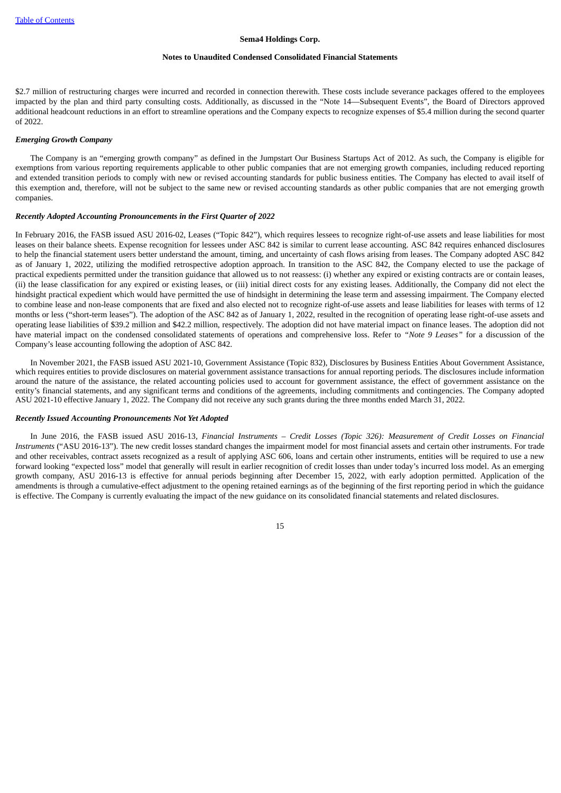#### **Notes to Unaudited Condensed Consolidated Financial Statements**

\$2.7 million of restructuring charges were incurred and recorded in connection therewith. These costs include severance packages offered to the employees impacted by the plan and third party consulting costs. Additionally, as discussed in the "Note 14—Subsequent Events", the Board of Directors approved additional headcount reductions in an effort to streamline operations and the Company expects to recognize expenses of \$5.4 million during the second quarter of 2022.

# *Emerging Growth Company*

The Company is an "emerging growth company" as defined in the Jumpstart Our Business Startups Act of 2012. As such, the Company is eligible for exemptions from various reporting requirements applicable to other public companies that are not emerging growth companies, including reduced reporting and extended transition periods to comply with new or revised accounting standards for public business entities. The Company has elected to avail itself of this exemption and, therefore, will not be subject to the same new or revised accounting standards as other public companies that are not emerging growth companies.

#### *Recently Adopted Accounting Pronouncements in the First Quarter of 2022*

In February 2016, the FASB issued ASU 2016-02, Leases ("Topic 842"), which requires lessees to recognize right-of-use assets and lease liabilities for most leases on their balance sheets. Expense recognition for lessees under ASC 842 is similar to current lease accounting. ASC 842 requires enhanced disclosures to help the financial statement users better understand the amount, timing, and uncertainty of cash flows arising from leases. The Company adopted ASC 842 as of January 1, 2022, utilizing the modified retrospective adoption approach. In transition to the ASC 842, the Company elected to use the package of practical expedients permitted under the transition guidance that allowed us to not reassess: (i) whether any expired or existing contracts are or contain leases, (ii) the lease classification for any expired or existing leases, or (iii) initial direct costs for any existing leases. Additionally, the Company did not elect the hindsight practical expedient which would have permitted the use of hindsight in determining the lease term and assessing impairment. The Company elected to combine lease and non-lease components that are fixed and also elected not to recognize right-of-use assets and lease liabilities for leases with terms of 12 months or less ("short-term leases"). The adoption of the ASC 842 as of January 1, 2022, resulted in the recognition of operating lease right-of-use assets and operating lease liabilities of \$39.2 million and \$42.2 million, respectively. The adoption did not have material impact on finance leases. The adoption did not have material impact on the condensed consolidated statements of operations and comprehensive loss. Refer to *"Note 9 Leases"* for a discussion of the Company's lease accounting following the adoption of ASC 842.

In November 2021, the FASB issued ASU 2021-10, Government Assistance (Topic 832), Disclosures by Business Entities About Government Assistance, which requires entities to provide disclosures on material government assistance transactions for annual reporting periods. The disclosures include information around the nature of the assistance, the related accounting policies used to account for government assistance, the effect of government assistance on the entity's financial statements, and any significant terms and conditions of the agreements, including commitments and contingencies. The Company adopted ASU 2021-10 effective January 1, 2022. The Company did not receive any such grants during the three months ended March 31, 2022.

# *Recently Issued Accounting Pronouncements Not Yet Adopted*

In June 2016, the FASB issued ASU 2016-13, Financial Instruments - Credit Losses (Topic 326): Measurement of Credit Losses on Financial *Instruments* ("ASU 2016-13"). The new credit losses standard changes the impairment model for most financial assets and certain other instruments. For trade and other receivables, contract assets recognized as a result of applying ASC 606, loans and certain other instruments, entities will be required to use a new forward looking "expected loss" model that generally will result in earlier recognition of credit losses than under today's incurred loss model. As an emerging growth company, ASU 2016-13 is effective for annual periods beginning after December 15, 2022, with early adoption permitted. Application of the amendments is through a cumulative-effect adjustment to the opening retained earnings as of the beginning of the first reporting period in which the guidance is effective. The Company is currently evaluating the impact of the new guidance on its consolidated financial statements and related disclosures.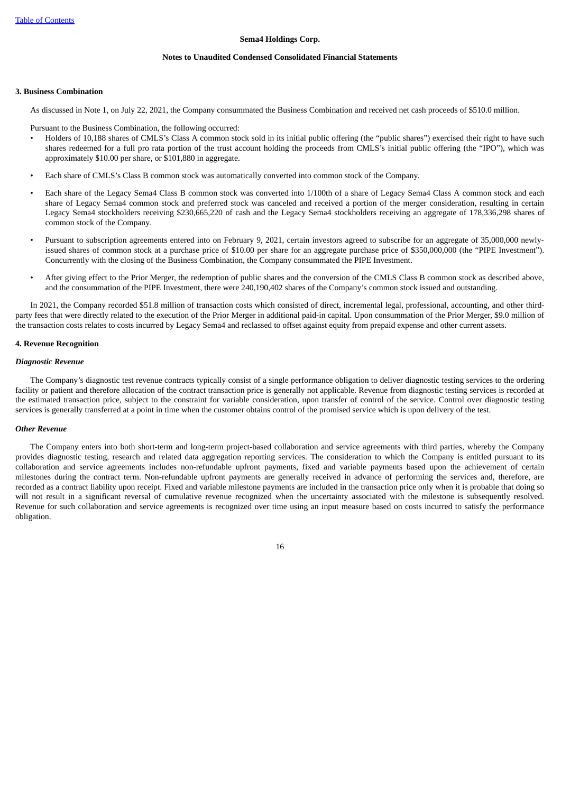#### **Notes to Unaudited Condensed Consolidated Financial Statements**

### **3. Business Combination**

As discussed in Note 1, on July 22, 2021, the Company consummated the Business Combination and received net cash proceeds of \$510.0 million.

Pursuant to the Business Combination, the following occurred:

- Holders of 10,188 shares of CMLS's Class A common stock sold in its initial public offering (the "public shares") exercised their right to have such shares redeemed for a full pro rata portion of the trust account holding the proceeds from CMLS's initial public offering (the "IPO"), which was approximately \$10.00 per share, or \$101,880 in aggregate.
- Each share of CMLS's Class B common stock was automatically converted into common stock of the Company.
- Each share of the Legacy Sema4 Class B common stock was converted into 1/100th of a share of Legacy Sema4 Class A common stock and each share of Legacy Sema4 common stock and preferred stock was canceled and received a portion of the merger consideration, resulting in certain Legacy Sema4 stockholders receiving \$230,665,220 of cash and the Legacy Sema4 stockholders receiving an aggregate of 178,336,298 shares of common stock of the Company.
- Pursuant to subscription agreements entered into on February 9, 2021, certain investors agreed to subscribe for an aggregate of 35,000,000 newlyissued shares of common stock at a purchase price of \$10.00 per share for an aggregate purchase price of \$350,000,000 (the "PIPE Investment"). Concurrently with the closing of the Business Combination, the Company consummated the PIPE Investment.
- After giving effect to the Prior Merger, the redemption of public shares and the conversion of the CMLS Class B common stock as described above, and the consummation of the PIPE Investment, there were 240,190,402 shares of the Company's common stock issued and outstanding.

In 2021, the Company recorded \$51.8 million of transaction costs which consisted of direct, incremental legal, professional, accounting, and other thirdparty fees that were directly related to the execution of the Prior Merger in additional paid-in capital. Upon consummation of the Prior Merger, \$9.0 million of the transaction costs relates to costs incurred by Legacy Sema4 and reclassed to offset against equity from prepaid expense and other current assets.

# **4. Revenue Recognition**

#### *Diagnostic Revenue*

The Company's diagnostic test revenue contracts typically consist of a single performance obligation to deliver diagnostic testing services to the ordering facility or patient and therefore allocation of the contract transaction price is generally not applicable. Revenue from diagnostic testing services is recorded at the estimated transaction price, subject to the constraint for variable consideration, upon transfer of control of the service. Control over diagnostic testing services is generally transferred at a point in time when the customer obtains control of the promised service which is upon delivery of the test.

# *Other Revenue*

The Company enters into both short-term and long-term project-based collaboration and service agreements with third parties, whereby the Company provides diagnostic testing, research and related data aggregation reporting services. The consideration to which the Company is entitled pursuant to its collaboration and service agreements includes non-refundable upfront payments, fixed and variable payments based upon the achievement of certain milestones during the contract term. Non-refundable upfront payments are generally received in advance of performing the services and, therefore, are recorded as a contract liability upon receipt. Fixed and variable milestone payments are included in the transaction price only when it is probable that doing so will not result in a significant reversal of cumulative revenue recognized when the uncertainty associated with the milestone is subsequently resolved. Revenue for such collaboration and service agreements is recognized over time using an input measure based on costs incurred to satisfy the performance obligation.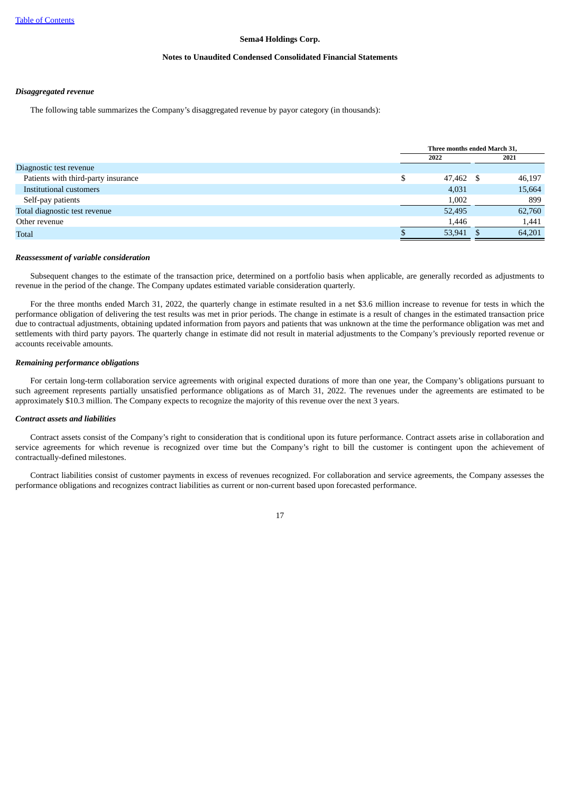#### **Notes to Unaudited Condensed Consolidated Financial Statements**

## *Disaggregated revenue*

The following table summarizes the Company's disaggregated revenue by payor category (in thousands):

|                                     | Three months ended March 31, |  |        |
|-------------------------------------|------------------------------|--|--------|
|                                     | 2022                         |  | 2021   |
| Diagnostic test revenue             |                              |  |        |
| Patients with third-party insurance | 47,462                       |  | 46,197 |
| Institutional customers             | 4,031                        |  | 15,664 |
| Self-pay patients                   | 1.002                        |  | 899    |
| Total diagnostic test revenue       | 52,495                       |  | 62,760 |
| Other revenue                       | 1,446                        |  | 1,441  |
| <b>Total</b>                        | 53,941                       |  | 64,201 |

#### *Reassessment of variable consideration*

Subsequent changes to the estimate of the transaction price, determined on a portfolio basis when applicable, are generally recorded as adjustments to revenue in the period of the change. The Company updates estimated variable consideration quarterly.

For the three months ended March 31, 2022, the quarterly change in estimate resulted in a net \$3.6 million increase to revenue for tests in which the performance obligation of delivering the test results was met in prior periods. The change in estimate is a result of changes in the estimated transaction price due to contractual adjustments, obtaining updated information from payors and patients that was unknown at the time the performance obligation was met and settlements with third party payors. The quarterly change in estimate did not result in material adjustments to the Company's previously reported revenue or accounts receivable amounts.

#### *Remaining performance obligations*

For certain long-term collaboration service agreements with original expected durations of more than one year, the Company's obligations pursuant to such agreement represents partially unsatisfied performance obligations as of March 31, 2022. The revenues under the agreements are estimated to be approximately \$10.3 million. The Company expects to recognize the majority of this revenue over the next 3 years.

# *Contract assets and liabilities*

Contract assets consist of the Company's right to consideration that is conditional upon its future performance. Contract assets arise in collaboration and service agreements for which revenue is recognized over time but the Company's right to bill the customer is contingent upon the achievement of contractually-defined milestones.

Contract liabilities consist of customer payments in excess of revenues recognized. For collaboration and service agreements, the Company assesses the performance obligations and recognizes contract liabilities as current or non-current based upon forecasted performance.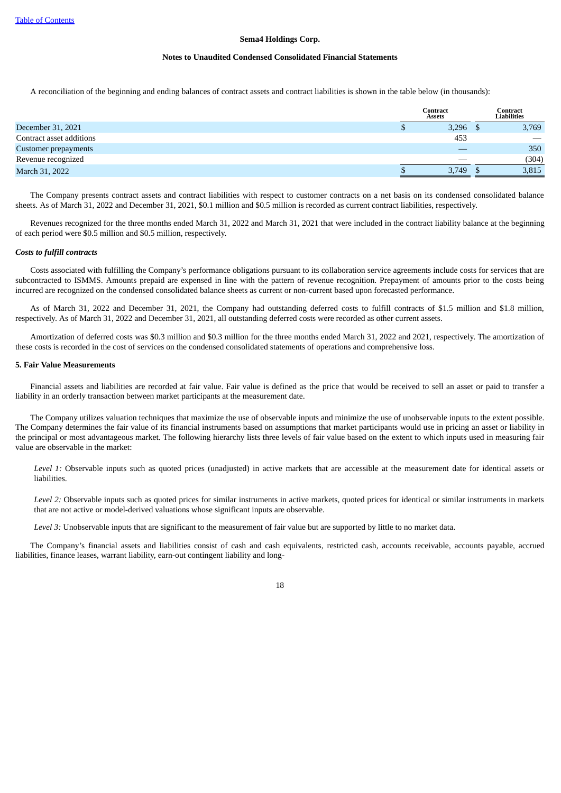#### **Notes to Unaudited Condensed Consolidated Financial Statements**

A reconciliation of the beginning and ending balances of contract assets and contract liabilities is shown in the table below (in thousands):

|                          | <b>Contract</b><br><b>Assets</b> |       | Contract<br>Liabilities |
|--------------------------|----------------------------------|-------|-------------------------|
| December 31, 2021        |                                  | 3,296 | 3,769                   |
| Contract asset additions |                                  | 453   |                         |
| Customer prepayments     |                                  |       | 350                     |
| Revenue recognized       |                                  |       | (304)                   |
| March 31, 2022           |                                  | 3,749 | 3,815                   |

The Company presents contract assets and contract liabilities with respect to customer contracts on a net basis on its condensed consolidated balance sheets. As of March 31, 2022 and December 31, 2021, \$0.1 million and \$0.5 million is recorded as current contract liabilities, respectively.

Revenues recognized for the three months ended March 31, 2022 and March 31, 2021 that were included in the contract liability balance at the beginning of each period were \$0.5 million and \$0.5 million, respectively.

#### *Costs to fulfill contracts*

Costs associated with fulfilling the Company's performance obligations pursuant to its collaboration service agreements include costs for services that are subcontracted to ISMMS. Amounts prepaid are expensed in line with the pattern of revenue recognition. Prepayment of amounts prior to the costs being incurred are recognized on the condensed consolidated balance sheets as current or non-current based upon forecasted performance.

As of March 31, 2022 and December 31, 2021, the Company had outstanding deferred costs to fulfill contracts of \$1.5 million and \$1.8 million, respectively. As of March 31, 2022 and December 31, 2021, all outstanding deferred costs were recorded as other current assets.

Amortization of deferred costs was \$0.3 million and \$0.3 million for the three months ended March 31, 2022 and 2021, respectively. The amortization of these costs is recorded in the cost of services on the condensed consolidated statements of operations and comprehensive loss.

# **5. Fair Value Measurements**

Financial assets and liabilities are recorded at fair value. Fair value is defined as the price that would be received to sell an asset or paid to transfer a liability in an orderly transaction between market participants at the measurement date.

The Company utilizes valuation techniques that maximize the use of observable inputs and minimize the use of unobservable inputs to the extent possible. The Company determines the fair value of its financial instruments based on assumptions that market participants would use in pricing an asset or liability in the principal or most advantageous market. The following hierarchy lists three levels of fair value based on the extent to which inputs used in measuring fair value are observable in the market:

Level 1: Observable inputs such as quoted prices (unadjusted) in active markets that are accessible at the measurement date for identical assets or liabilities.

*Level 2:* Observable inputs such as quoted prices for similar instruments in active markets, quoted prices for identical or similar instruments in markets that are not active or model-derived valuations whose significant inputs are observable.

*Level 3:* Unobservable inputs that are significant to the measurement of fair value but are supported by little to no market data.

The Company's financial assets and liabilities consist of cash and cash equivalents, restricted cash, accounts receivable, accounts payable, accrued liabilities, finance leases, warrant liability, earn-out contingent liability and long-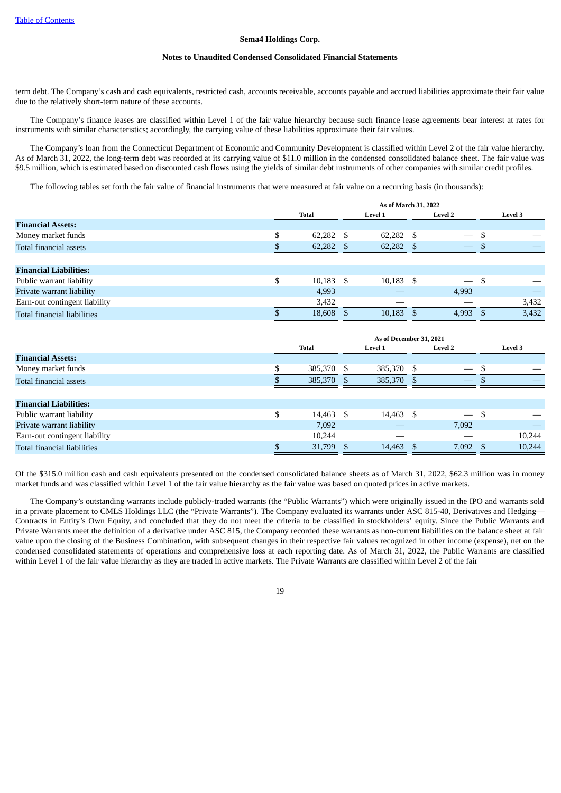#### **Notes to Unaudited Condensed Consolidated Financial Statements**

term debt. The Company's cash and cash equivalents, restricted cash, accounts receivable, accounts payable and accrued liabilities approximate their fair value due to the relatively short-term nature of these accounts.

The Company's finance leases are classified within Level 1 of the fair value hierarchy because such finance lease agreements bear interest at rates for instruments with similar characteristics; accordingly, the carrying value of these liabilities approximate their fair values.

The Company's loan from the Connecticut Department of Economic and Community Development is classified within Level 2 of the fair value hierarchy. As of March 31, 2022, the long-term debt was recorded at its carrying value of \$11.0 million in the condensed consolidated balance sheet. The fair value was \$9.5 million, which is estimated based on discounted cash flows using the yields of similar debt instruments of other companies with similar credit profiles.

The following tables set forth the fair value of financial instruments that were measured at fair value on a recurring basis (in thousands):

|                               | As of March 31, 2022 |              |  |             |    |                                |     |         |
|-------------------------------|----------------------|--------------|--|-------------|----|--------------------------------|-----|---------|
|                               |                      | <b>Total</b> |  | Level 1     |    | <b>Level 2</b>                 |     | Level 3 |
| <b>Financial Assets:</b>      |                      |              |  |             |    |                                |     |         |
| Money market funds            |                      | $62,282$ \$  |  | 62,282      | -S |                                | \$  |         |
| Total financial assets        |                      | 62,282       |  | 62,282      |    | $\overbrace{\hspace{25mm}}^{}$ |     |         |
|                               |                      |              |  |             |    |                                |     |         |
| <b>Financial Liabilities:</b> |                      |              |  |             |    |                                |     |         |
| Public warrant liability      |                      | $10,183$ \$  |  | $10,183$ \$ |    | $\overline{\phantom{0}}$       | -\$ |         |
| Private warrant liability     |                      | 4,993        |  |             |    | 4,993                          |     |         |
| Earn-out contingent liability |                      | 3,432        |  |             |    |                                |     | 3,432   |
| Total financial liabilities   |                      | 18,608 \$    |  | 10,183      |    | 4,993                          |     | 3,432   |

|                               | As of December 31, 2021 |              |  |                |      |                                |      |                |
|-------------------------------|-------------------------|--------------|--|----------------|------|--------------------------------|------|----------------|
|                               |                         | <b>Total</b> |  | <b>Level 1</b> |      | <b>Level 2</b>                 |      | <b>Level 3</b> |
| <b>Financial Assets:</b>      |                         |              |  |                |      |                                |      |                |
| Money market funds            |                         | 385,370 \$   |  | 385,370        | - \$ | $\overbrace{\hspace{25mm}}^{}$ |      |                |
| Total financial assets        |                         | 385,370 \$   |  | 385,370 \$     |      |                                | . D  |                |
|                               |                         |              |  |                |      |                                |      |                |
| <b>Financial Liabilities:</b> |                         |              |  |                |      |                                |      |                |
| Public warrant liability      | \$                      | 14,463 \$    |  | 14,463 \$      |      | $\qquad \qquad -$              | - \$ |                |
| Private warrant liability     |                         | 7,092        |  |                |      | 7,092                          |      |                |
| Earn-out contingent liability |                         | 10,244       |  |                |      |                                |      | 10,244         |
| Total financial liabilities   |                         | 31,799       |  | 14,463         |      | 7,092                          |      | 10,244         |

Of the \$315.0 million cash and cash equivalents presented on the condensed consolidated balance sheets as of March 31, 2022, \$62.3 million was in money market funds and was classified within Level 1 of the fair value hierarchy as the fair value was based on quoted prices in active markets.

The Company's outstanding warrants include publicly-traded warrants (the "Public Warrants") which were originally issued in the IPO and warrants sold in a private placement to CMLS Holdings LLC (the "Private Warrants"). The Company evaluated its warrants under ASC 815-40, Derivatives and Hedging— Contracts in Entity's Own Equity, and concluded that they do not meet the criteria to be classified in stockholders' equity. Since the Public Warrants and Private Warrants meet the definition of a derivative under ASC 815, the Company recorded these warrants as non-current liabilities on the balance sheet at fair value upon the closing of the Business Combination, with subsequent changes in their respective fair values recognized in other income (expense), net on the condensed consolidated statements of operations and comprehensive loss at each reporting date. As of March 31, 2022, the Public Warrants are classified within Level 1 of the fair value hierarchy as they are traded in active markets. The Private Warrants are classified within Level 2 of the fair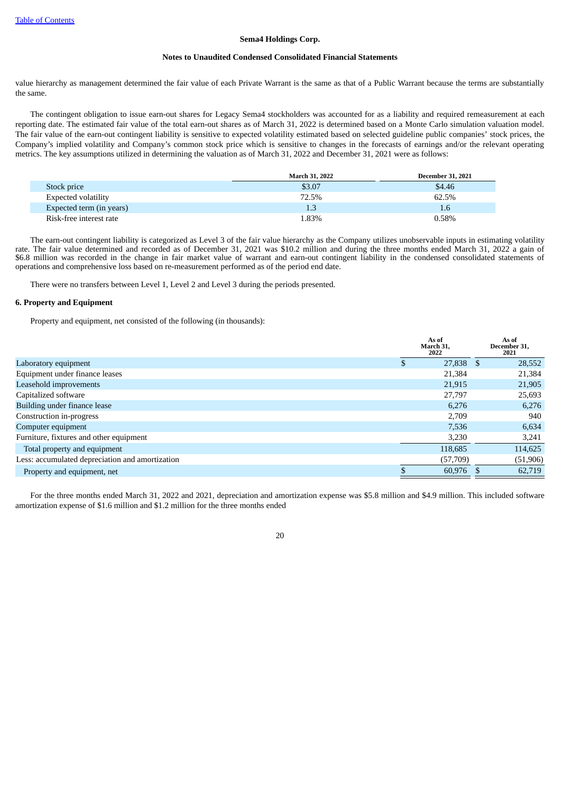#### **Notes to Unaudited Condensed Consolidated Financial Statements**

value hierarchy as management determined the fair value of each Private Warrant is the same as that of a Public Warrant because the terms are substantially the same.

The contingent obligation to issue earn-out shares for Legacy Sema4 stockholders was accounted for as a liability and required remeasurement at each reporting date. The estimated fair value of the total earn-out shares as of March 31, 2022 is determined based on a Monte Carlo simulation valuation model. The fair value of the earn-out contingent liability is sensitive to expected volatility estimated based on selected guideline public companies' stock prices, the Company's implied volatility and Company's common stock price which is sensitive to changes in the forecasts of earnings and/or the relevant operating metrics. The key assumptions utilized in determining the valuation as of March 31, 2022 and December 31, 2021 were as follows:

|                          | <b>March 31, 2022</b> | <b>December 31, 2021</b> |
|--------------------------|-----------------------|--------------------------|
| Stock price              | \$3.07                | \$4.46                   |
| Expected volatility      | 72.5%                 | 62.5%                    |
| Expected term (in years) | 1.3                   | 1.6                      |
| Risk-free interest rate  | L.83%                 | 0.58%                    |

The earn-out contingent liability is categorized as Level 3 of the fair value hierarchy as the Company utilizes unobservable inputs in estimating volatility rate. The fair value determined and recorded as of December 31, 2021 was \$10.2 million and during the three months ended March 31, 2022 a gain of \$6.8 million was recorded in the change in fair market value of warrant and earn-out contingent liability in the condensed consolidated statements of operations and comprehensive loss based on re-measurement performed as of the period end date.

There were no transfers between Level 1, Level 2 and Level 3 during the periods presented.

# **6. Property and Equipment**

Property and equipment, net consisted of the following (in thousands):

|                                                 |          | As of<br>March 31,<br>2022 |    | As of<br>December 31,<br>2021 |
|-------------------------------------------------|----------|----------------------------|----|-------------------------------|
| Laboratory equipment                            | <b>D</b> | 27,838                     | -S | 28,552                        |
| Equipment under finance leases                  |          | 21,384                     |    | 21,384                        |
| Leasehold improvements                          |          | 21,915                     |    | 21,905                        |
| Capitalized software                            |          | 27,797                     |    | 25,693                        |
| Building under finance lease                    |          | 6,276                      |    | 6,276                         |
| Construction in-progress                        |          | 2,709                      |    | 940                           |
| Computer equipment                              |          | 7,536                      |    | 6,634                         |
| Furniture, fixtures and other equipment         |          | 3,230                      |    | 3,241                         |
| Total property and equipment                    |          | 118,685                    |    | 114,625                       |
| Less: accumulated depreciation and amortization |          | (57,709)                   |    | (51, 906)                     |
| Property and equipment, net                     |          | 60,976                     |    | 62,719                        |

For the three months ended March 31, 2022 and 2021, depreciation and amortization expense was \$5.8 million and \$4.9 million. This included software amortization expense of \$1.6 million and \$1.2 million for the three months ended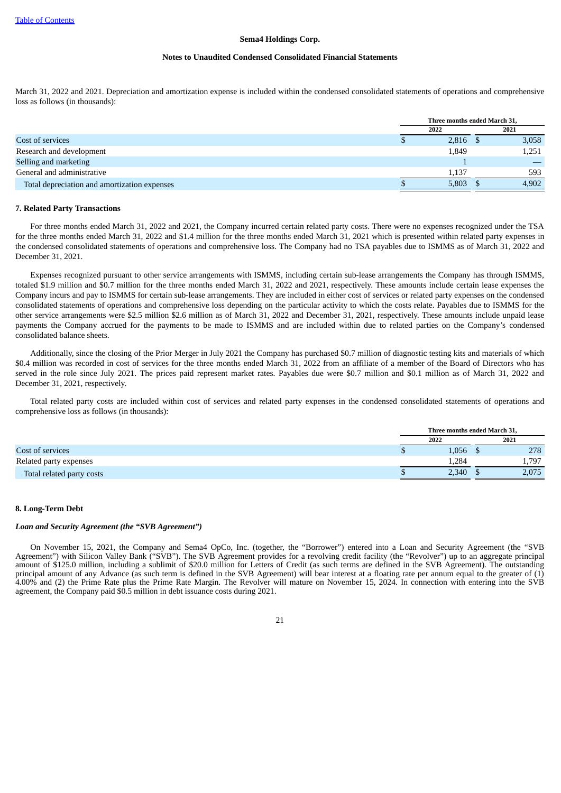#### **Notes to Unaudited Condensed Consolidated Financial Statements**

March 31, 2022 and 2021. Depreciation and amortization expense is included within the condensed consolidated statements of operations and comprehensive loss as follows (in thousands):

|                                              | Three months ended March 31, |       |  |       |
|----------------------------------------------|------------------------------|-------|--|-------|
|                                              |                              | 2022  |  | 2021  |
| Cost of services                             |                              | 2,816 |  | 3,058 |
| Research and development                     |                              | 1,849 |  | 1,251 |
| Selling and marketing                        |                              |       |  |       |
| General and administrative                   |                              | 1,137 |  | 593   |
| Total depreciation and amortization expenses |                              | 5,803 |  | 4,902 |

#### **7. Related Party Transactions**

For three months ended March 31, 2022 and 2021, the Company incurred certain related party costs. There were no expenses recognized under the TSA for the three months ended March 31, 2022 and \$1.4 million for the three months ended March 31, 2021 which is presented within related party expenses in the condensed consolidated statements of operations and comprehensive loss. The Company had no TSA payables due to ISMMS as of March 31, 2022 and December 31, 2021.

Expenses recognized pursuant to other service arrangements with ISMMS, including certain sub-lease arrangements the Company has through ISMMS, totaled \$1.9 million and \$0.7 million for the three months ended March 31, 2022 and 2021, respectively. These amounts include certain lease expenses the Company incurs and pay to ISMMS for certain sub-lease arrangements. They are included in either cost of services or related party expenses on the condensed consolidated statements of operations and comprehensive loss depending on the particular activity to which the costs relate. Payables due to ISMMS for the other service arrangements were \$2.5 million \$2.6 million as of March 31, 2022 and December 31, 2021, respectively. These amounts include unpaid lease payments the Company accrued for the payments to be made to ISMMS and are included within due to related parties on the Company's condensed consolidated balance sheets.

Additionally, since the closing of the Prior Merger in July 2021 the Company has purchased \$0.7 million of diagnostic testing kits and materials of which \$0.4 million was recorded in cost of services for the three months ended March 31, 2022 from an affiliate of a member of the Board of Directors who has served in the role since July 2021. The prices paid represent market rates. Payables due were \$0.7 million and \$0.1 million as of March 31, 2022 and December 31, 2021, respectively.

Total related party costs are included within cost of services and related party expenses in the condensed consolidated statements of operations and comprehensive loss as follows (in thousands):

|                           | Three months ended March 31, |  |       |  |
|---------------------------|------------------------------|--|-------|--|
|                           | 2022                         |  | 2021  |  |
| Cost of services          | 1,056                        |  | 278   |  |
| Related party expenses    | 1,284                        |  | 1,797 |  |
| Total related party costs | 2,340                        |  | 2,075 |  |

# **8. Long-Term Debt**

#### *Loan and Security Agreement (the "SVB Agreement")*

On November 15, 2021, the Company and Sema4 OpCo, Inc. (together, the "Borrower") entered into a Loan and Security Agreement (the "SVB Agreement") with Silicon Valley Bank ("SVB"). The SVB Agreement provides for a revolving credit facility (the "Revolver") up to an aggregate principal amount of \$125.0 million, including a sublimit of \$20.0 million for Letters of Credit (as such terms are defined in the SVB Agreement). The outstanding principal amount of any Advance (as such term is defined in the SVB Agreement) will bear interest at a floating rate per annum equal to the greater of (1) 4.00% and (2) the Prime Rate plus the Prime Rate Margin. The Revolver will mature on November 15, 2024. In connection with entering into the SVB agreement, the Company paid \$0.5 million in debt issuance costs during 2021.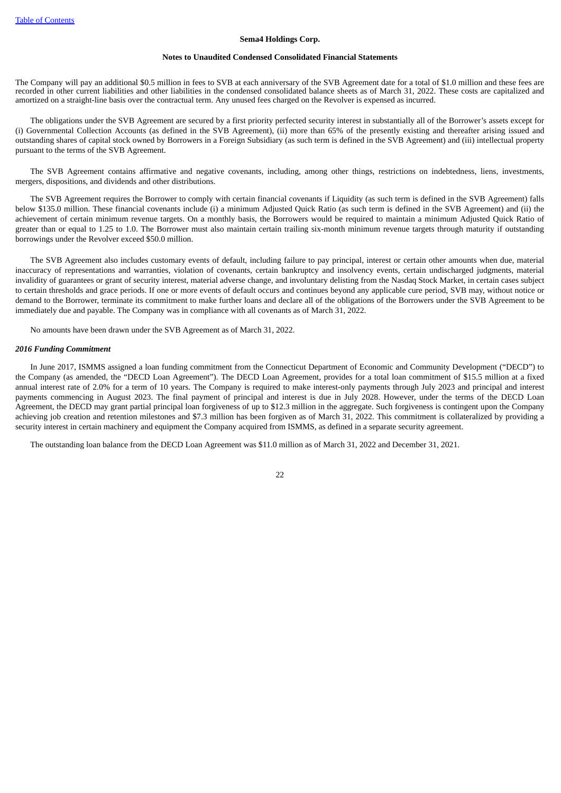#### **Notes to Unaudited Condensed Consolidated Financial Statements**

The Company will pay an additional \$0.5 million in fees to SVB at each anniversary of the SVB Agreement date for a total of \$1.0 million and these fees are recorded in other current liabilities and other liabilities in the condensed consolidated balance sheets as of March 31, 2022. These costs are capitalized and amortized on a straight-line basis over the contractual term. Any unused fees charged on the Revolver is expensed as incurred.

The obligations under the SVB Agreement are secured by a first priority perfected security interest in substantially all of the Borrower's assets except for (i) Governmental Collection Accounts (as defined in the SVB Agreement), (ii) more than 65% of the presently existing and thereafter arising issued and outstanding shares of capital stock owned by Borrowers in a Foreign Subsidiary (as such term is defined in the SVB Agreement) and (iii) intellectual property pursuant to the terms of the SVB Agreement.

The SVB Agreement contains affirmative and negative covenants, including, among other things, restrictions on indebtedness, liens, investments, mergers, dispositions, and dividends and other distributions.

The SVB Agreement requires the Borrower to comply with certain financial covenants if Liquidity (as such term is defined in the SVB Agreement) falls below \$135.0 million. These financial covenants include (i) a minimum Adjusted Quick Ratio (as such term is defined in the SVB Agreement) and (ii) the achievement of certain minimum revenue targets. On a monthly basis, the Borrowers would be required to maintain a minimum Adjusted Quick Ratio of greater than or equal to 1.25 to 1.0. The Borrower must also maintain certain trailing six-month minimum revenue targets through maturity if outstanding borrowings under the Revolver exceed \$50.0 million.

The SVB Agreement also includes customary events of default, including failure to pay principal, interest or certain other amounts when due, material inaccuracy of representations and warranties, violation of covenants, certain bankruptcy and insolvency events, certain undischarged judgments, material invalidity of guarantees or grant of security interest, material adverse change, and involuntary delisting from the Nasdaq Stock Market, in certain cases subject to certain thresholds and grace periods. If one or more events of default occurs and continues beyond any applicable cure period, SVB may, without notice or demand to the Borrower, terminate its commitment to make further loans and declare all of the obligations of the Borrowers under the SVB Agreement to be immediately due and payable. The Company was in compliance with all covenants as of March 31, 2022.

No amounts have been drawn under the SVB Agreement as of March 31, 2022.

#### *2016 Funding Commitment*

In June 2017, ISMMS assigned a loan funding commitment from the Connecticut Department of Economic and Community Development ("DECD") to the Company (as amended, the "DECD Loan Agreement"). The DECD Loan Agreement, provides for a total loan commitment of \$15.5 million at a fixed annual interest rate of 2.0% for a term of 10 years. The Company is required to make interest-only payments through July 2023 and principal and interest payments commencing in August 2023. The final payment of principal and interest is due in July 2028. However, under the terms of the DECD Loan Agreement, the DECD may grant partial principal loan forgiveness of up to \$12.3 million in the aggregate. Such forgiveness is contingent upon the Company achieving job creation and retention milestones and \$7.3 million has been forgiven as of March 31, 2022. This commitment is collateralized by providing a security interest in certain machinery and equipment the Company acquired from ISMMS, as defined in a separate security agreement.

The outstanding loan balance from the DECD Loan Agreement was \$11.0 million as of March 31, 2022 and December 31, 2021.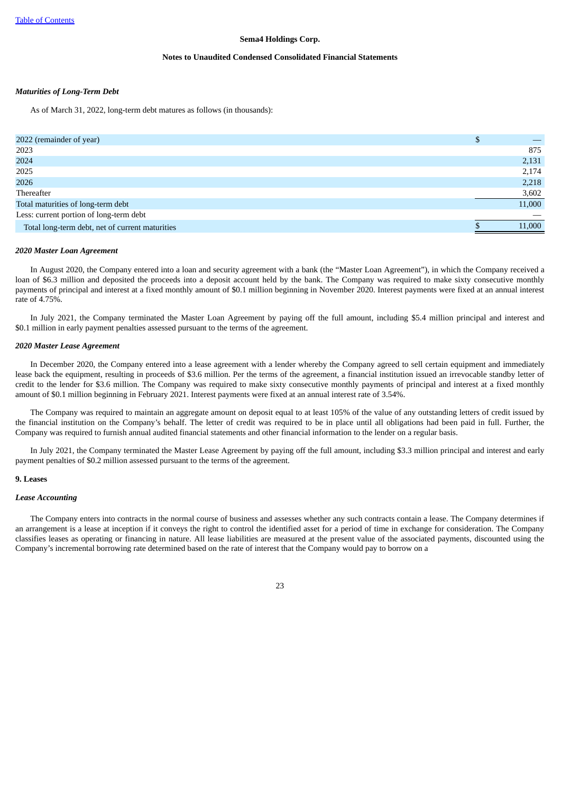#### **Notes to Unaudited Condensed Consolidated Financial Statements**

## *Maturities of Long-Term Debt*

As of March 31, 2022, long-term debt matures as follows (in thousands):

| 2022 (remainder of year)                        |        |
|-------------------------------------------------|--------|
| 2023                                            | 875    |
| 2024                                            | 2,131  |
| 2025                                            | 2,174  |
| 2026                                            | 2,218  |
| Thereafter                                      | 3,602  |
| Total maturities of long-term debt              | 11,000 |
| Less: current portion of long-term debt         |        |
| Total long-term debt, net of current maturities | 11,000 |

#### *2020 Master Loan Agreement*

In August 2020, the Company entered into a loan and security agreement with a bank (the "Master Loan Agreement"), in which the Company received a loan of \$6.3 million and deposited the proceeds into a deposit account held by the bank. The Company was required to make sixty consecutive monthly payments of principal and interest at a fixed monthly amount of \$0.1 million beginning in November 2020. Interest payments were fixed at an annual interest rate of 4.75%.

In July 2021, the Company terminated the Master Loan Agreement by paying off the full amount, including \$5.4 million principal and interest and \$0.1 million in early payment penalties assessed pursuant to the terms of the agreement.

# *2020 Master Lease Agreement*

In December 2020, the Company entered into a lease agreement with a lender whereby the Company agreed to sell certain equipment and immediately lease back the equipment, resulting in proceeds of \$3.6 million. Per the terms of the agreement, a financial institution issued an irrevocable standby letter of credit to the lender for \$3.6 million. The Company was required to make sixty consecutive monthly payments of principal and interest at a fixed monthly amount of \$0.1 million beginning in February 2021. Interest payments were fixed at an annual interest rate of 3.54%.

The Company was required to maintain an aggregate amount on deposit equal to at least 105% of the value of any outstanding letters of credit issued by the financial institution on the Company's behalf. The letter of credit was required to be in place until all obligations had been paid in full. Further, the Company was required to furnish annual audited financial statements and other financial information to the lender on a regular basis.

In July 2021, the Company terminated the Master Lease Agreement by paying off the full amount, including \$3.3 million principal and interest and early payment penalties of \$0.2 million assessed pursuant to the terms of the agreement.

#### **9. Leases**

#### *Lease Accounting*

The Company enters into contracts in the normal course of business and assesses whether any such contracts contain a lease. The Company determines if an arrangement is a lease at inception if it conveys the right to control the identified asset for a period of time in exchange for consideration. The Company classifies leases as operating or financing in nature. All lease liabilities are measured at the present value of the associated payments, discounted using the Company's incremental borrowing rate determined based on the rate of interest that the Company would pay to borrow on a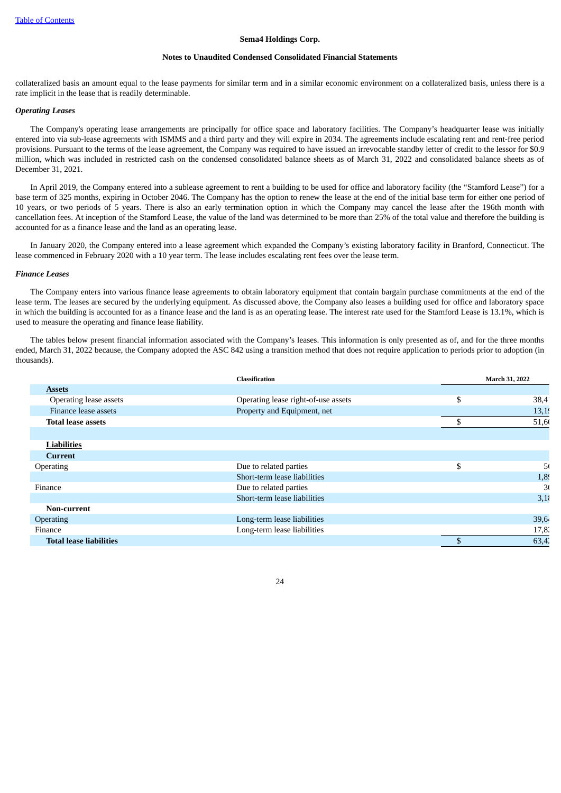#### **Notes to Unaudited Condensed Consolidated Financial Statements**

collateralized basis an amount equal to the lease payments for similar term and in a similar economic environment on a collateralized basis, unless there is a rate implicit in the lease that is readily determinable.

## *Operating Leases*

The Company's operating lease arrangements are principally for office space and laboratory facilities. The Company's headquarter lease was initially entered into via sub-lease agreements with ISMMS and a third party and they will expire in 2034. The agreements include escalating rent and rent-free period provisions. Pursuant to the terms of the lease agreement, the Company was required to have issued an irrevocable standby letter of credit to the lessor for \$0.9 million, which was included in restricted cash on the condensed consolidated balance sheets as of March 31, 2022 and consolidated balance sheets as of December 31, 2021.

In April 2019, the Company entered into a sublease agreement to rent a building to be used for office and laboratory facility (the "Stamford Lease") for a base term of 325 months, expiring in October 2046. The Company has the option to renew the lease at the end of the initial base term for either one period of 10 years, or two periods of 5 years. There is also an early termination option in which the Company may cancel the lease after the 196th month with cancellation fees. At inception of the Stamford Lease, the value of the land was determined to be more than 25% of the total value and therefore the building is accounted for as a finance lease and the land as an operating lease.

In January 2020, the Company entered into a lease agreement which expanded the Company's existing laboratory facility in Branford, Connecticut. The lease commenced in February 2020 with a 10 year term. The lease includes escalating rent fees over the lease term.

#### *Finance Leases*

The Company enters into various finance lease agreements to obtain laboratory equipment that contain bargain purchase commitments at the end of the lease term. The leases are secured by the underlying equipment. As discussed above, the Company also leases a building used for office and laboratory space in which the building is accounted for as a finance lease and the land is as an operating lease. The interest rate used for the Stamford Lease is 13.1%, which is used to measure the operating and finance lease liability.

The tables below present financial information associated with the Company's leases. This information is only presented as of, and for the three months ended, March 31, 2022 because, the Company adopted the ASC 842 using a transition method that does not require application to periods prior to adoption (in thousands).

|                                | <b>Classification</b>               | March 31, 2022       |
|--------------------------------|-------------------------------------|----------------------|
| <b>Assets</b>                  |                                     |                      |
| Operating lease assets         | Operating lease right-of-use assets | \$<br>$38,4^{\circ}$ |
| Finance lease assets           | Property and Equipment, net         | 13,19                |
| <b>Total lease assets</b>      |                                     | 51,60                |
|                                |                                     |                      |
| <b>Liabilities</b>             |                                     |                      |
| Current                        |                                     |                      |
| Operating                      | Due to related parties              | \$<br>5(             |
|                                | Short-term lease liabilities        | 1,89                 |
| Finance                        | Due to related parties              | 30                   |
|                                | Short-term lease liabilities        | 3,18                 |
| Non-current                    |                                     |                      |
| <b>Operating</b>               | Long-term lease liabilities         | 39,64                |
| Finance                        | Long-term lease liabilities         | 17,8.                |
| <b>Total lease liabilities</b> |                                     | 63,42                |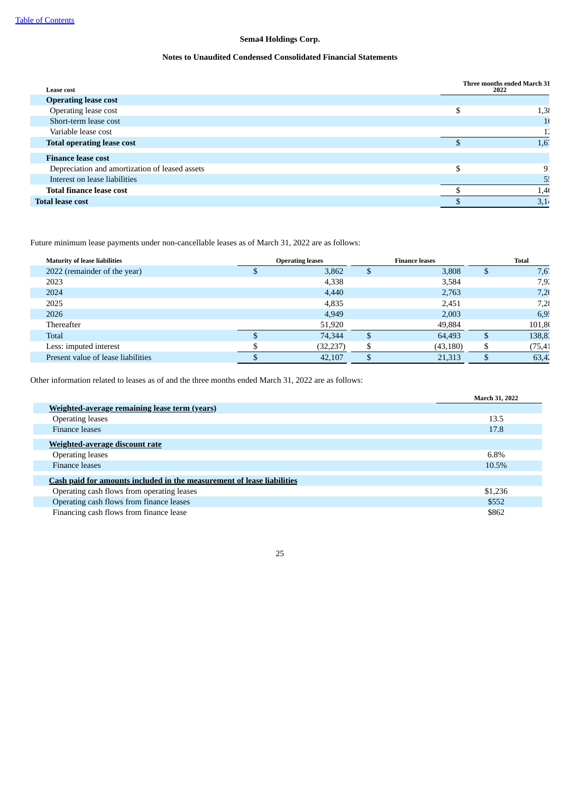# **Notes to Unaudited Condensed Consolidated Financial Statements**

| <b>Lease cost</b>                              | Three months ended March 31<br>2022 |  |  |
|------------------------------------------------|-------------------------------------|--|--|
| <b>Operating lease cost</b>                    |                                     |  |  |
| Operating lease cost                           | 1,38                                |  |  |
| Short-term lease cost                          | 1 <sup>1</sup>                      |  |  |
| Variable lease cost                            |                                     |  |  |
| <b>Total operating lease cost</b>              | 1,6'                                |  |  |
| <b>Finance lease cost</b>                      |                                     |  |  |
| Depreciation and amortization of leased assets | 9                                   |  |  |
| Interest on lease liabilities                  | 55                                  |  |  |
| <b>Total finance lease cost</b>                | 1,4(                                |  |  |
| <b>Total lease cost</b>                        | 3,14                                |  |  |

Future minimum lease payments under non-cancellable leases as of March 31, 2022 are as follows:

| <b>Maturity of lease liabilities</b> | <b>Operating leases</b> |    | <b>Finance leases</b> | <b>Total</b> |
|--------------------------------------|-------------------------|----|-----------------------|--------------|
| 2022 (remainder of the year)         | 3,862                   | S  | 3,808                 | 7,6'         |
| 2023                                 | 4,338                   |    | 3,584                 | 7,92         |
| 2024                                 | 4,440                   |    | 2,763                 | 7,20         |
| 2025                                 | 4,835                   |    | 2,451                 | 7,28         |
| 2026                                 | 4,949                   |    | 2,003                 | 6,9!         |
| Thereafter                           | 51,920                  |    | 49,884                | 101,80       |
| Total                                | 74.344                  | \$ | 64,493                | 138,83       |
| Less: imputed interest               | (32, 237)               | \$ | (43, 180)             | (75, 41)     |
| Present value of lease liabilities   | 42,107                  |    | 21,313                | 63,42        |

Other information related to leases as of and the three months ended March 31, 2022 are as follows:

|                                                                        | March 31, 2022 |
|------------------------------------------------------------------------|----------------|
| Weighted-average remaining lease term (years)                          |                |
| <b>Operating leases</b>                                                | 13.5           |
| <b>Finance leases</b>                                                  | 17.8           |
| <b>Weighted-average discount rate</b>                                  |                |
| <b>Operating leases</b>                                                | 6.8%           |
| <b>Finance leases</b>                                                  | 10.5%          |
| Cash paid for amounts included in the measurement of lease liabilities |                |
| Operating cash flows from operating leases                             | \$1,236        |
| Operating cash flows from finance leases                               | \$552          |
| Financing cash flows from finance lease                                | \$862          |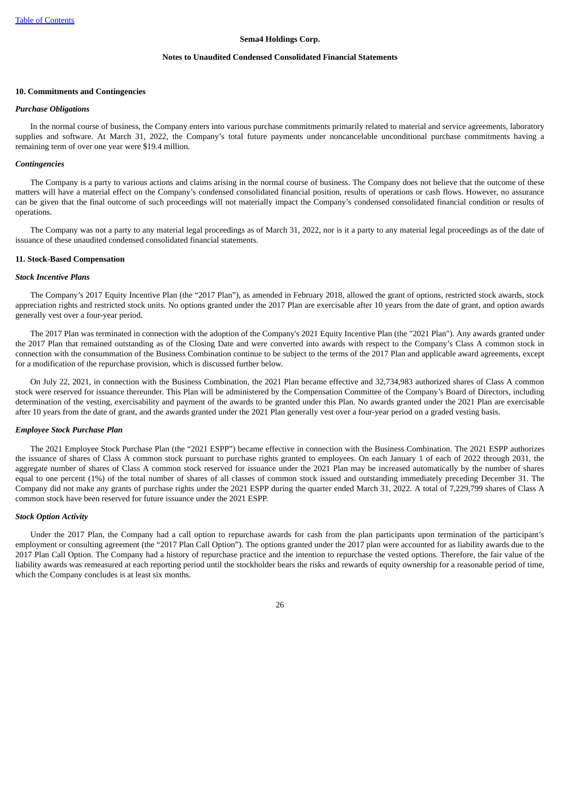#### **Notes to Unaudited Condensed Consolidated Financial Statements**

#### **10. Commitments and Contingencies**

#### *Purchase Obligations*

In the normal course of business, the Company enters into various purchase commitments primarily related to material and service agreements, laboratory supplies and software. At March 31, 2022, the Company's total future payments under noncancelable unconditional purchase commitments having a remaining term of over one year were \$19.4 million.

#### *Contingencies*

The Company is a party to various actions and claims arising in the normal course of business. The Company does not believe that the outcome of these matters will have a material effect on the Company's condensed consolidated financial position, results of operations or cash flows. However, no assurance can be given that the final outcome of such proceedings will not materially impact the Company's condensed consolidated financial condition or results of operations.

The Company was not a party to any material legal proceedings as of March 31, 2022, nor is it a party to any material legal proceedings as of the date of issuance of these unaudited condensed consolidated financial statements.

#### **11. Stock-Based Compensation**

#### *Stock Incentive Plans*

The Company's 2017 Equity Incentive Plan (the "2017 Plan"), as amended in February 2018, allowed the grant of options, restricted stock awards, stock appreciation rights and restricted stock units. No options granted under the 2017 Plan are exercisable after 10 years from the date of grant, and option awards generally vest over a four-year period.

The 2017 Plan was terminated in connection with the adoption of the Company's 2021 Equity Incentive Plan (the "2021 Plan"). Any awards granted under the 2017 Plan that remained outstanding as of the Closing Date and were converted into awards with respect to the Company's Class A common stock in connection with the consummation of the Business Combination continue to be subject to the terms of the 2017 Plan and applicable award agreements, except for a modification of the repurchase provision, which is discussed further below.

On July 22, 2021, in connection with the Business Combination, the 2021 Plan became effective and 32,734,983 authorized shares of Class A common stock were reserved for issuance thereunder. This Plan will be administered by the Compensation Committee of the Company's Board of Directors, including determination of the vesting, exercisability and payment of the awards to be granted under this Plan. No awards granted under the 2021 Plan are exercisable after 10 years from the date of grant, and the awards granted under the 2021 Plan generally vest over a four-year period on a graded vesting basis.

#### *Employee Stock Purchase Plan*

The 2021 Employee Stock Purchase Plan (the "2021 ESPP") became effective in connection with the Business Combination. The 2021 ESPP authorizes the issuance of shares of Class A common stock pursuant to purchase rights granted to employees. On each January 1 of each of 2022 through 2031, the aggregate number of shares of Class A common stock reserved for issuance under the 2021 Plan may be increased automatically by the number of shares equal to one percent (1%) of the total number of shares of all classes of common stock issued and outstanding immediately preceding December 31. The Company did not make any grants of purchase rights under the 2021 ESPP during the quarter ended March 31, 2022. A total of 7,229,799 shares of Class A common stock have been reserved for future issuance under the 2021 ESPP.

#### *Stock Option Activity*

Under the 2017 Plan, the Company had a call option to repurchase awards for cash from the plan participants upon termination of the participant's employment or consulting agreement (the "2017 Plan Call Option"). The options granted under the 2017 plan were accounted for as liability awards due to the 2017 Plan Call Option. The Company had a history of repurchase practice and the intention to repurchase the vested options. Therefore, the fair value of the liability awards was remeasured at each reporting period until the stockholder bears the risks and rewards of equity ownership for a reasonable period of time, which the Company concludes is at least six months.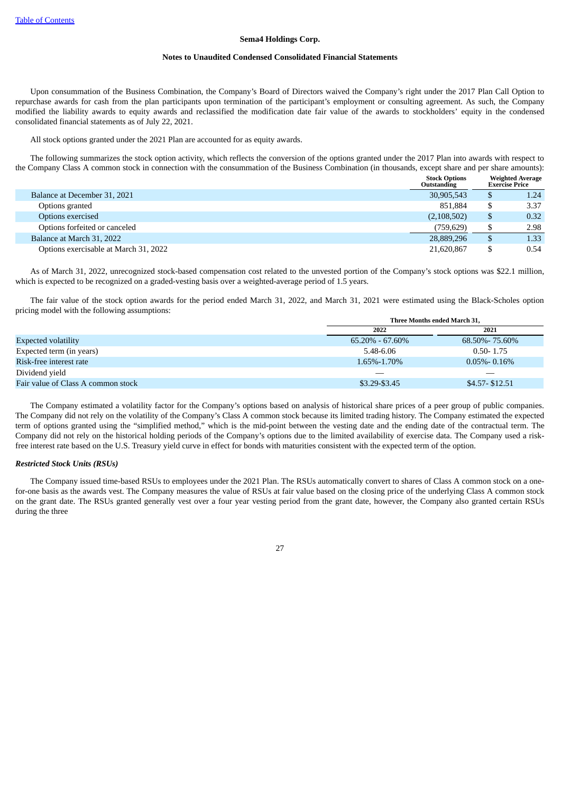#### **Notes to Unaudited Condensed Consolidated Financial Statements**

Upon consummation of the Business Combination, the Company's Board of Directors waived the Company's right under the 2017 Plan Call Option to repurchase awards for cash from the plan participants upon termination of the participant's employment or consulting agreement. As such, the Company modified the liability awards to equity awards and reclassified the modification date fair value of the awards to stockholders' equity in the condensed consolidated financial statements as of July 22, 2021.

All stock options granted under the 2021 Plan are accounted for as equity awards.

The following summarizes the stock option activity, which reflects the conversion of the options granted under the 2017 Plan into awards with respect to the Company Class A common stock in connection with the consummation of the Business Combination (in thousands, except share and per share amounts):

|                                       | <b>Stock Options</b><br>Outstanding |   | <b>Weighted Average</b><br><b>Exercise Price</b> |
|---------------------------------------|-------------------------------------|---|--------------------------------------------------|
| Balance at December 31, 2021          | 30,905,543                          |   | 1.24                                             |
| Options granted                       | 851.884                             |   | 3.37                                             |
| Options exercised                     | (2,108,502)                         |   | 0.32                                             |
| Options forfeited or canceled         | (759.629)                           |   | 2.98                                             |
| Balance at March 31, 2022             | 28,889,296                          | D | 1.33                                             |
| Options exercisable at March 31, 2022 | 21,620,867                          |   | 0.54                                             |

As of March 31, 2022, unrecognized stock-based compensation cost related to the unvested portion of the Company's stock options was \$22.1 million, which is expected to be recognized on a graded-vesting basis over a weighted-average period of 1.5 years.

The fair value of the stock option awards for the period ended March 31, 2022, and March 31, 2021 were estimated using the Black-Scholes option pricing model with the following assumptions: **Three Months ended March 31,**

|                                    | Three Months ended March 31. |                  |  |
|------------------------------------|------------------------------|------------------|--|
|                                    | 2022                         | 2021             |  |
| <b>Expected volatility</b>         | $65.20\% - 67.60\%$          | 68.50%-75.60%    |  |
| Expected term (in years)           | 5.48-6.06                    | $0.50 - 1.75$    |  |
| Risk-free interest rate            | 1.65%-1.70%                  | $0.05\%$ - 0.16% |  |
| Dividend yield                     |                              |                  |  |
| Fair value of Class A common stock | \$3.29-\$3.45                | $$4.57 - $12.51$ |  |

The Company estimated a volatility factor for the Company's options based on analysis of historical share prices of a peer group of public companies. The Company did not rely on the volatility of the Company's Class A common stock because its limited trading history. The Company estimated the expected term of options granted using the "simplified method," which is the mid-point between the vesting date and the ending date of the contractual term. The Company did not rely on the historical holding periods of the Company's options due to the limited availability of exercise data. The Company used a riskfree interest rate based on the U.S. Treasury yield curve in effect for bonds with maturities consistent with the expected term of the option.

# *Restricted Stock Units (RSUs)*

The Company issued time-based RSUs to employees under the 2021 Plan. The RSUs automatically convert to shares of Class A common stock on a onefor-one basis as the awards vest. The Company measures the value of RSUs at fair value based on the closing price of the underlying Class A common stock on the grant date. The RSUs granted generally vest over a four year vesting period from the grant date, however, the Company also granted certain RSUs during the three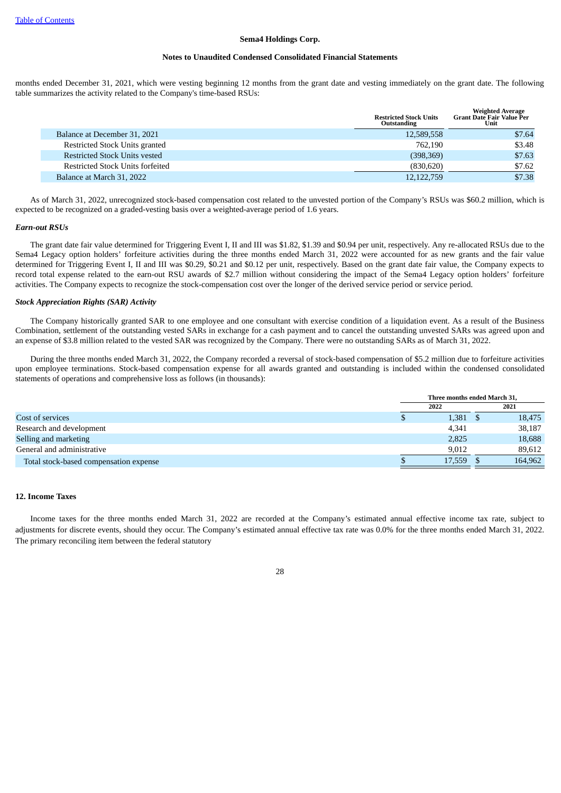#### **Notes to Unaudited Condensed Consolidated Financial Statements**

months ended December 31, 2021, which were vesting beginning 12 months from the grant date and vesting immediately on the grant date. The following table summarizes the activity related to the Company's time-based RSUs:

|                                      | <b>Restricted Stock Units</b><br>Outstanding | <b>Weighted Average</b><br><b>Grant Date Fair Value Per</b><br>Unit |
|--------------------------------------|----------------------------------------------|---------------------------------------------------------------------|
| Balance at December 31, 2021         | 12,589,558                                   | \$7.64                                                              |
| Restricted Stock Units granted       | 762.190                                      | \$3.48                                                              |
| <b>Restricted Stock Units vested</b> | (398, 369)                                   | \$7.63                                                              |
| Restricted Stock Units forfeited     | (830,620)                                    | \$7.62                                                              |
| Balance at March 31, 2022            | 12, 122, 759                                 | \$7.38                                                              |

As of March 31, 2022, unrecognized stock-based compensation cost related to the unvested portion of the Company's RSUs was \$60.2 million, which is expected to be recognized on a graded-vesting basis over a weighted-average period of 1.6 years.

#### *Earn-out RSUs*

The grant date fair value determined for Triggering Event I, II and III was \$1.82, \$1.39 and \$0.94 per unit, respectively. Any re-allocated RSUs due to the Sema4 Legacy option holders' forfeiture activities during the three months ended March 31, 2022 were accounted for as new grants and the fair value determined for Triggering Event I, II and III was \$0.29, \$0.21 and \$0.12 per unit, respectively. Based on the grant date fair value, the Company expects to record total expense related to the earn-out RSU awards of \$2.7 million without considering the impact of the Sema4 Legacy option holders' forfeiture activities. The Company expects to recognize the stock-compensation cost over the longer of the derived service period or service period.

# *Stock Appreciation Rights (SAR) Activity*

The Company historically granted SAR to one employee and one consultant with exercise condition of a liquidation event. As a result of the Business Combination, settlement of the outstanding vested SARs in exchange for a cash payment and to cancel the outstanding unvested SARs was agreed upon and an expense of \$3.8 million related to the vested SAR was recognized by the Company. There were no outstanding SARs as of March 31, 2022.

During the three months ended March 31, 2022, the Company recorded a reversal of stock-based compensation of \$5.2 million due to forfeiture activities upon employee terminations. Stock-based compensation expense for all awards granted and outstanding is included within the condensed consolidated statements of operations and comprehensive loss as follows (in thousands):

|                                        | Three months ended March 31, |  |         |
|----------------------------------------|------------------------------|--|---------|
|                                        | 2022                         |  | 2021    |
| Cost of services                       | 1,381                        |  | 18,475  |
| Research and development               | 4,341                        |  | 38,187  |
| Selling and marketing                  | 2,825                        |  | 18,688  |
| General and administrative             | 9.012                        |  | 89,612  |
| Total stock-based compensation expense | 17.559                       |  | 164.962 |

# **12. Income Taxes**

Income taxes for the three months ended March 31, 2022 are recorded at the Company's estimated annual effective income tax rate, subject to adjustments for discrete events, should they occur. The Company's estimated annual effective tax rate was 0.0% for the three months ended March 31, 2022. The primary reconciling item between the federal statutory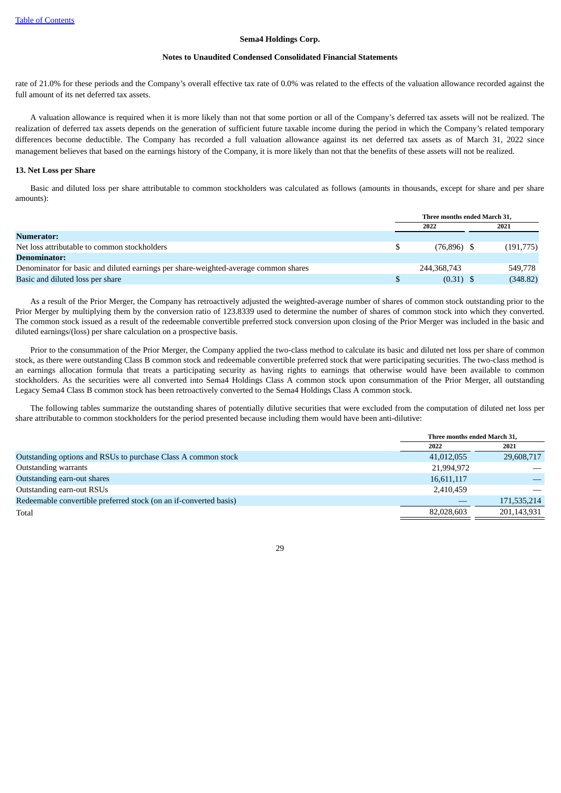#### **Notes to Unaudited Condensed Consolidated Financial Statements**

rate of 21.0% for these periods and the Company's overall effective tax rate of 0.0% was related to the effects of the valuation allowance recorded against the full amount of its net deferred tax assets.

A valuation allowance is required when it is more likely than not that some portion or all of the Company's deferred tax assets will not be realized. The realization of deferred tax assets depends on the generation of sufficient future taxable income during the period in which the Company's related temporary differences become deductible. The Company has recorded a full valuation allowance against its net deferred tax assets as of March 31, 2022 since management believes that based on the earnings history of the Company, it is more likely than not that the benefits of these assets will not be realized.

# **13. Net Loss per Share**

Basic and diluted loss per share attributable to common stockholders was calculated as follows (amounts in thousands, except for share and per share amounts):

|                                                                                     | Three months ended March 31. |               |  |           |
|-------------------------------------------------------------------------------------|------------------------------|---------------|--|-----------|
|                                                                                     |                              | 2022          |  | 2021      |
| Numerator:                                                                          |                              |               |  |           |
| Net loss attributable to common stockholders                                        | S                            | $(76,896)$ \$ |  | (191,775) |
| Denominator:                                                                        |                              |               |  |           |
| Denominator for basic and diluted earnings per share-weighted-average common shares |                              | 244,368,743   |  | 549,778   |
| Basic and diluted loss per share                                                    |                              | $(0.31)$ \$   |  | (348.82)  |

As a result of the Prior Merger, the Company has retroactively adjusted the weighted-average number of shares of common stock outstanding prior to the Prior Merger by multiplying them by the conversion ratio of 123.8339 used to determine the number of shares of common stock into which they converted. The common stock issued as a result of the redeemable convertible preferred stock conversion upon closing of the Prior Merger was included in the basic and diluted earnings/(loss) per share calculation on a prospective basis.

Prior to the consummation of the Prior Merger, the Company applied the two-class method to calculate its basic and diluted net loss per share of common stock, as there were outstanding Class B common stock and redeemable convertible preferred stock that were participating securities. The two-class method is an earnings allocation formula that treats a participating security as having rights to earnings that otherwise would have been available to common stockholders. As the securities were all converted into Sema4 Holdings Class A common stock upon consummation of the Prior Merger, all outstanding Legacy Sema4 Class B common stock has been retroactively converted to the Sema4 Holdings Class A common stock.

The following tables summarize the outstanding shares of potentially dilutive securities that were excluded from the computation of diluted net loss per share attributable to common stockholders for the period presented because including them would have been anti-dilutive:

|                                                                   | Three months ended March 31, |             |  |
|-------------------------------------------------------------------|------------------------------|-------------|--|
|                                                                   | 2022                         | 2021        |  |
| Outstanding options and RSUs to purchase Class A common stock     | 41,012,055                   | 29,608,717  |  |
| <b>Outstanding warrants</b>                                       | 21,994,972                   |             |  |
| Outstanding earn-out shares                                       | 16,611,117                   |             |  |
| Outstanding earn-out RSUs                                         | 2,410,459                    |             |  |
| Redeemable convertible preferred stock (on an if-converted basis) |                              | 171,535,214 |  |
| Total                                                             | 82,028,603                   | 201,143,931 |  |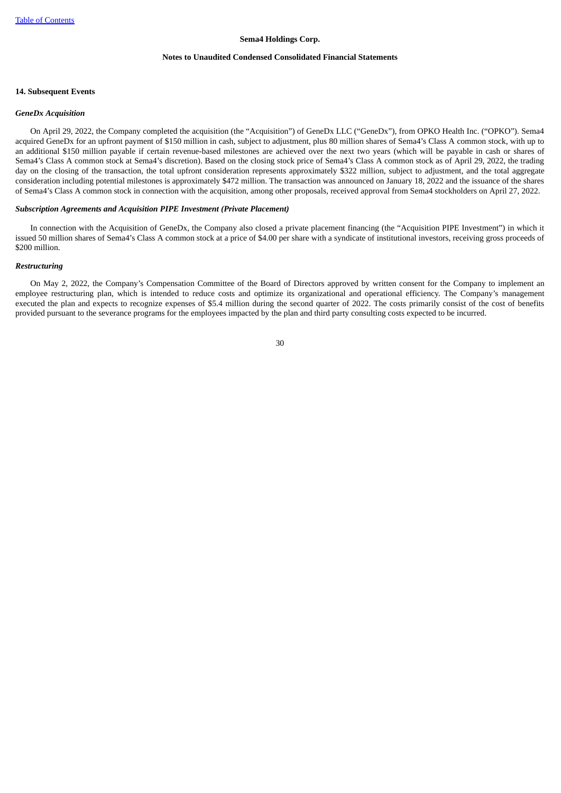#### **Notes to Unaudited Condensed Consolidated Financial Statements**

#### **14. Subsequent Events**

#### *GeneDx Acquisition*

On April 29, 2022, the Company completed the acquisition (the "Acquisition") of GeneDx LLC ("GeneDx"), from OPKO Health Inc. ("OPKO"). Sema4 acquired GeneDx for an upfront payment of \$150 million in cash, subject to adjustment, plus 80 million shares of Sema4's Class A common stock, with up to an additional \$150 million payable if certain revenue-based milestones are achieved over the next two years (which will be payable in cash or shares of Sema4's Class A common stock at Sema4's discretion). Based on the closing stock price of Sema4's Class A common stock as of April 29, 2022, the trading day on the closing of the transaction, the total upfront consideration represents approximately \$322 million, subject to adjustment, and the total aggregate consideration including potential milestones is approximately \$472 million. The transaction was announced on January 18, 2022 and the issuance of the shares of Sema4's Class A common stock in connection with the acquisition, among other proposals, received approval from Sema4 stockholders on April 27, 2022.

#### *Subscription Agreements and Acquisition PIPE Investment (Private Placement)*

In connection with the Acquisition of GeneDx, the Company also closed a private placement financing (the "Acquisition PIPE Investment") in which it issued 50 million shares of Sema4's Class A common stock at a price of \$4.00 per share with a syndicate of institutional investors, receiving gross proceeds of \$200 million.

## *Restructuring*

<span id="page-30-0"></span>On May 2, 2022, the Company's Compensation Committee of the Board of Directors approved by written consent for the Company to implement an employee restructuring plan, which is intended to reduce costs and optimize its organizational and operational efficiency. The Company's management executed the plan and expects to recognize expenses of \$5.4 million during the second quarter of 2022. The costs primarily consist of the cost of benefits provided pursuant to the severance programs for the employees impacted by the plan and third party consulting costs expected to be incurred.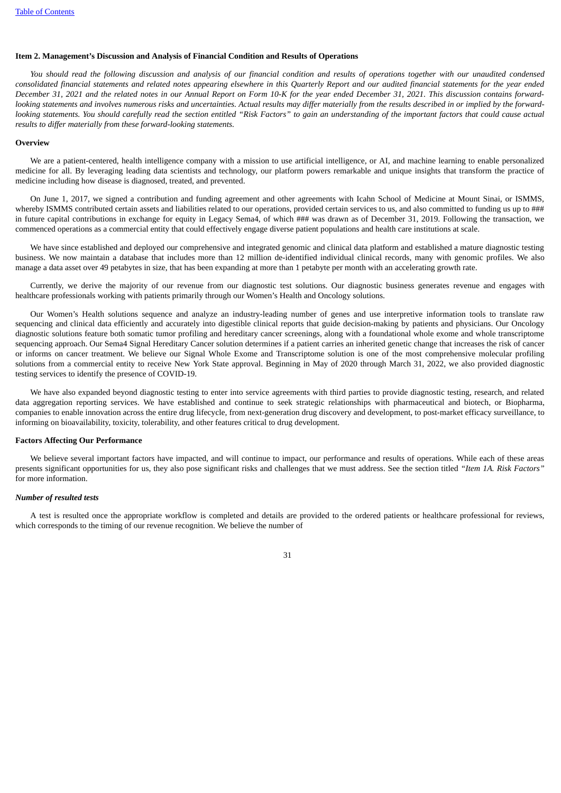#### **Item 2. Management's Discussion and Analysis of Financial Condition and Results of Operations**

You should read the following discussion and analysis of our financial condition and results of operations together with our unaudited condensed consolidated financial statements and related notes appearing elsewhere in this Quarterly Report and our audited financial statements for the year ended December 31, 2021 and the related notes in our Annual Report on Form 10-K for the year ended December 31, 2021. This discussion contains forwardlooking statements and involves numerous risks and uncertainties. Actual results may differ materially from the results described in or implied by the forwardlooking statements. You should carefully read the section entitled "Risk Factors" to gain an understanding of the important factors that could cause actual *results to differ materially from these forward-looking statements.*

#### **Overview**

We are a patient-centered, health intelligence company with a mission to use artificial intelligence, or AI, and machine learning to enable personalized medicine for all. By leveraging leading data scientists and technology, our platform powers remarkable and unique insights that transform the practice of medicine including how disease is diagnosed, treated, and prevented.

On June 1, 2017, we signed a contribution and funding agreement and other agreements with Icahn School of Medicine at Mount Sinai, or ISMMS, whereby ISMMS contributed certain assets and liabilities related to our operations, provided certain services to us, and also committed to funding us up to ### in future capital contributions in exchange for equity in Legacy Sema4, of which ### was drawn as of December 31, 2019. Following the transaction, we commenced operations as a commercial entity that could effectively engage diverse patient populations and health care institutions at scale.

We have since established and deployed our comprehensive and integrated genomic and clinical data platform and established a mature diagnostic testing business. We now maintain a database that includes more than 12 million de-identified individual clinical records, many with genomic profiles. We also manage a data asset over 49 petabytes in size, that has been expanding at more than 1 petabyte per month with an accelerating growth rate.

Currently, we derive the majority of our revenue from our diagnostic test solutions. Our diagnostic business generates revenue and engages with healthcare professionals working with patients primarily through our Women's Health and Oncology solutions.

Our Women's Health solutions sequence and analyze an industry-leading number of genes and use interpretive information tools to translate raw sequencing and clinical data efficiently and accurately into digestible clinical reports that guide decision-making by patients and physicians. Our Oncology diagnostic solutions feature both somatic tumor profiling and hereditary cancer screenings, along with a foundational whole exome and whole transcriptome sequencing approach. Our Sema4 Signal Hereditary Cancer solution determines if a patient carries an inherited genetic change that increases the risk of cancer or informs on cancer treatment. We believe our Signal Whole Exome and Transcriptome solution is one of the most comprehensive molecular profiling solutions from a commercial entity to receive New York State approval. Beginning in May of 2020 through March 31, 2022, we also provided diagnostic testing services to identify the presence of COVID-19.

We have also expanded beyond diagnostic testing to enter into service agreements with third parties to provide diagnostic testing, research, and related data aggregation reporting services. We have established and continue to seek strategic relationships with pharmaceutical and biotech, or Biopharma, companies to enable innovation across the entire drug lifecycle, from next-generation drug discovery and development, to post-market efficacy surveillance, to informing on bioavailability, toxicity, tolerability, and other features critical to drug development.

#### **Factors Affecting Our Performance**

We believe several important factors have impacted, and will continue to impact, our performance and results of operations. While each of these areas presents significant opportunities for us, they also pose significant risks and challenges that we must address. See the section titled *"Item 1A. Risk Factors"* for more information.

#### *Number of resulted tests*

A test is resulted once the appropriate workflow is completed and details are provided to the ordered patients or healthcare professional for reviews, which corresponds to the timing of our revenue recognition. We believe the number of

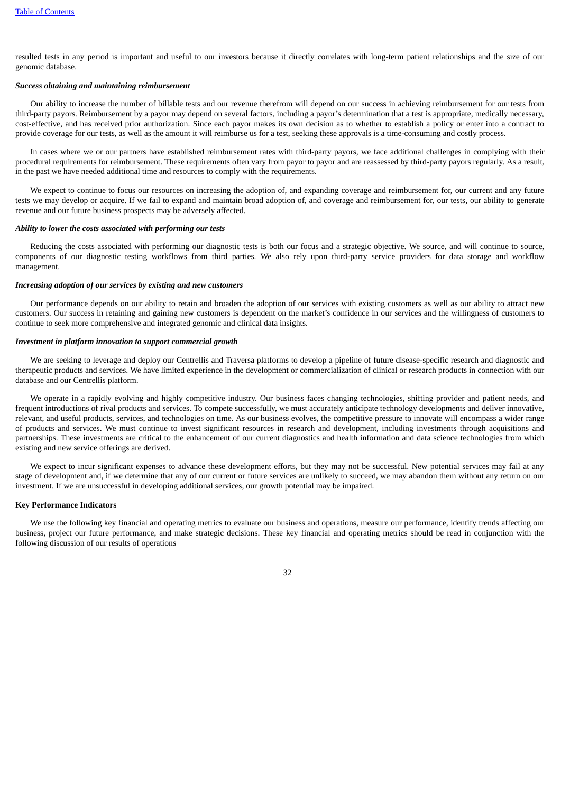resulted tests in any period is important and useful to our investors because it directly correlates with long-term patient relationships and the size of our genomic database.

## *Success obtaining and maintaining reimbursement*

Our ability to increase the number of billable tests and our revenue therefrom will depend on our success in achieving reimbursement for our tests from third-party payors. Reimbursement by a payor may depend on several factors, including a payor's determination that a test is appropriate, medically necessary, cost-effective, and has received prior authorization. Since each payor makes its own decision as to whether to establish a policy or enter into a contract to provide coverage for our tests, as well as the amount it will reimburse us for a test, seeking these approvals is a time-consuming and costly process.

In cases where we or our partners have established reimbursement rates with third-party payors, we face additional challenges in complying with their procedural requirements for reimbursement. These requirements often vary from payor to payor and are reassessed by third-party payors regularly. As a result, in the past we have needed additional time and resources to comply with the requirements.

We expect to continue to focus our resources on increasing the adoption of, and expanding coverage and reimbursement for, our current and any future tests we may develop or acquire. If we fail to expand and maintain broad adoption of, and coverage and reimbursement for, our tests, our ability to generate revenue and our future business prospects may be adversely affected.

#### *Ability to lower the costs associated with performing our tests*

Reducing the costs associated with performing our diagnostic tests is both our focus and a strategic objective. We source, and will continue to source, components of our diagnostic testing workflows from third parties. We also rely upon third-party service providers for data storage and workflow management.

#### *Increasing adoption of our services by existing and new customers*

Our performance depends on our ability to retain and broaden the adoption of our services with existing customers as well as our ability to attract new customers. Our success in retaining and gaining new customers is dependent on the market's confidence in our services and the willingness of customers to continue to seek more comprehensive and integrated genomic and clinical data insights.

#### *Investment in platform innovation to support commercial growth*

We are seeking to leverage and deploy our Centrellis and Traversa platforms to develop a pipeline of future disease-specific research and diagnostic and therapeutic products and services. We have limited experience in the development or commercialization of clinical or research products in connection with our database and our Centrellis platform.

We operate in a rapidly evolving and highly competitive industry. Our business faces changing technologies, shifting provider and patient needs, and frequent introductions of rival products and services. To compete successfully, we must accurately anticipate technology developments and deliver innovative, relevant, and useful products, services, and technologies on time. As our business evolves, the competitive pressure to innovate will encompass a wider range of products and services. We must continue to invest significant resources in research and development, including investments through acquisitions and partnerships. These investments are critical to the enhancement of our current diagnostics and health information and data science technologies from which existing and new service offerings are derived.

We expect to incur significant expenses to advance these development efforts, but they may not be successful. New potential services may fail at any stage of development and, if we determine that any of our current or future services are unlikely to succeed, we may abandon them without any return on our investment. If we are unsuccessful in developing additional services, our growth potential may be impaired.

# **Key Performance Indicators**

We use the following key financial and operating metrics to evaluate our business and operations, measure our performance, identify trends affecting our business, project our future performance, and make strategic decisions. These key financial and operating metrics should be read in conjunction with the following discussion of our results of operations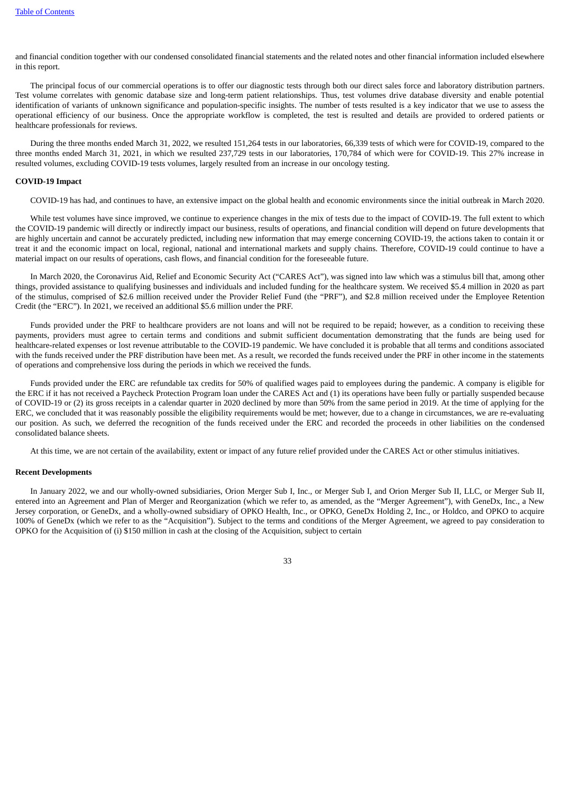and financial condition together with our condensed consolidated financial statements and the related notes and other financial information included elsewhere in this report.

The principal focus of our commercial operations is to offer our diagnostic tests through both our direct sales force and laboratory distribution partners. Test volume correlates with genomic database size and long-term patient relationships. Thus, test volumes drive database diversity and enable potential identification of variants of unknown significance and population-specific insights. The number of tests resulted is a key indicator that we use to assess the operational efficiency of our business. Once the appropriate workflow is completed, the test is resulted and details are provided to ordered patients or healthcare professionals for reviews.

During the three months ended March 31, 2022, we resulted 151,264 tests in our laboratories, 66,339 tests of which were for COVID-19, compared to the three months ended March 31, 2021, in which we resulted 237,729 tests in our laboratories, 170,784 of which were for COVID-19. This 27% increase in resulted volumes, excluding COVID-19 tests volumes, largely resulted from an increase in our oncology testing.

# **COVID-19 Impact**

COVID-19 has had, and continues to have, an extensive impact on the global health and economic environments since the initial outbreak in March 2020.

While test volumes have since improved, we continue to experience changes in the mix of tests due to the impact of COVID-19. The full extent to which the COVID-19 pandemic will directly or indirectly impact our business, results of operations, and financial condition will depend on future developments that are highly uncertain and cannot be accurately predicted, including new information that may emerge concerning COVID-19, the actions taken to contain it or treat it and the economic impact on local, regional, national and international markets and supply chains. Therefore, COVID-19 could continue to have a material impact on our results of operations, cash flows, and financial condition for the foreseeable future.

In March 2020, the Coronavirus Aid, Relief and Economic Security Act ("CARES Act"), was signed into law which was a stimulus bill that, among other things, provided assistance to qualifying businesses and individuals and included funding for the healthcare system. We received \$5.4 million in 2020 as part of the stimulus, comprised of \$2.6 million received under the Provider Relief Fund (the "PRF"), and \$2.8 million received under the Employee Retention Credit (the "ERC"). In 2021, we received an additional \$5.6 million under the PRF.

Funds provided under the PRF to healthcare providers are not loans and will not be required to be repaid; however, as a condition to receiving these payments, providers must agree to certain terms and conditions and submit sufficient documentation demonstrating that the funds are being used for healthcare-related expenses or lost revenue attributable to the COVID-19 pandemic. We have concluded it is probable that all terms and conditions associated with the funds received under the PRF distribution have been met. As a result, we recorded the funds received under the PRF in other income in the statements of operations and comprehensive loss during the periods in which we received the funds.

Funds provided under the ERC are refundable tax credits for 50% of qualified wages paid to employees during the pandemic. A company is eligible for the ERC if it has not received a Paycheck Protection Program loan under the CARES Act and (1) its operations have been fully or partially suspended because of COVID-19 or (2) its gross receipts in a calendar quarter in 2020 declined by more than 50% from the same period in 2019. At the time of applying for the ERC, we concluded that it was reasonably possible the eligibility requirements would be met; however, due to a change in circumstances, we are re-evaluating our position. As such, we deferred the recognition of the funds received under the ERC and recorded the proceeds in other liabilities on the condensed consolidated balance sheets.

At this time, we are not certain of the availability, extent or impact of any future relief provided under the CARES Act or other stimulus initiatives.

#### **Recent Developments**

In January 2022, we and our wholly-owned subsidiaries, Orion Merger Sub I, Inc., or Merger Sub I, and Orion Merger Sub II, LLC, or Merger Sub II, entered into an Agreement and Plan of Merger and Reorganization (which we refer to, as amended, as the "Merger Agreement"), with GeneDx, Inc., a New Jersey corporation, or GeneDx, and a wholly-owned subsidiary of OPKO Health, Inc., or OPKO, GeneDx Holding 2, Inc., or Holdco, and OPKO to acquire 100% of GeneDx (which we refer to as the "Acquisition"). Subject to the terms and conditions of the Merger Agreement, we agreed to pay consideration to OPKO for the Acquisition of (i) \$150 million in cash at the closing of the Acquisition, subject to certain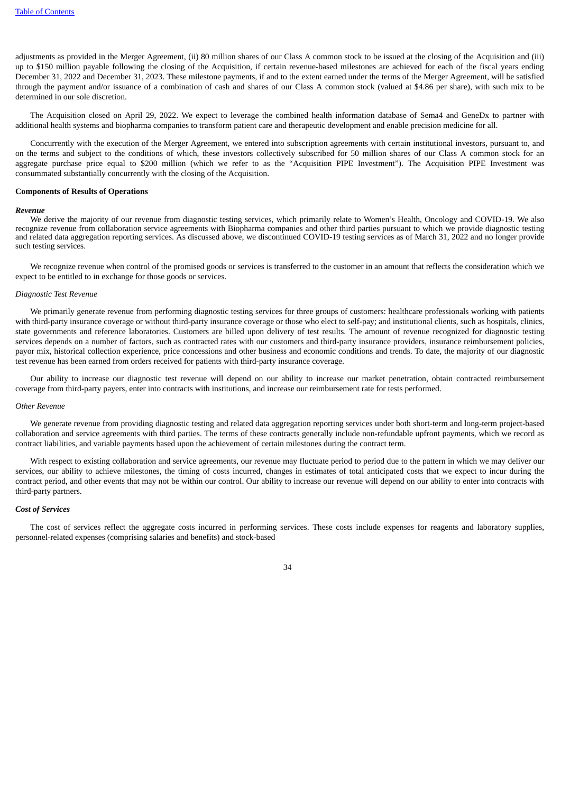adjustments as provided in the Merger Agreement, (ii) 80 million shares of our Class A common stock to be issued at the closing of the Acquisition and (iii) up to \$150 million payable following the closing of the Acquisition, if certain revenue-based milestones are achieved for each of the fiscal years ending December 31, 2022 and December 31, 2023. These milestone payments, if and to the extent earned under the terms of the Merger Agreement, will be satisfied through the payment and/or issuance of a combination of cash and shares of our Class A common stock (valued at \$4.86 per share), with such mix to be determined in our sole discretion.

The Acquisition closed on April 29, 2022. We expect to leverage the combined health information database of Sema4 and GeneDx to partner with additional health systems and biopharma companies to transform patient care and therapeutic development and enable precision medicine for all.

Concurrently with the execution of the Merger Agreement, we entered into subscription agreements with certain institutional investors, pursuant to, and on the terms and subject to the conditions of which, these investors collectively subscribed for 50 million shares of our Class A common stock for an aggregate purchase price equal to \$200 million (which we refer to as the "Acquisition PIPE Investment"). The Acquisition PIPE Investment was consummated substantially concurrently with the closing of the Acquisition.

#### **Components of Results of Operations**

#### *Revenue*

We derive the majority of our revenue from diagnostic testing services, which primarily relate to Women's Health, Oncology and COVID-19. We also recognize revenue from collaboration service agreements with Biopharma companies and other third parties pursuant to which we provide diagnostic testing and related data aggregation reporting services. As discussed above, we discontinued COVID-19 testing services as of March 31, 2022 and no longer provide such testing services.

We recognize revenue when control of the promised goods or services is transferred to the customer in an amount that reflects the consideration which we expect to be entitled to in exchange for those goods or services.

#### *Diagnostic Test Revenue*

We primarily generate revenue from performing diagnostic testing services for three groups of customers: healthcare professionals working with patients with third-party insurance coverage or without third-party insurance coverage or those who elect to self-pay; and institutional clients, such as hospitals, clinics, state governments and reference laboratories. Customers are billed upon delivery of test results. The amount of revenue recognized for diagnostic testing services depends on a number of factors, such as contracted rates with our customers and third-party insurance providers, insurance reimbursement policies, payor mix, historical collection experience, price concessions and other business and economic conditions and trends. To date, the majority of our diagnostic test revenue has been earned from orders received for patients with third-party insurance coverage.

Our ability to increase our diagnostic test revenue will depend on our ability to increase our market penetration, obtain contracted reimbursement coverage from third-party payers, enter into contracts with institutions, and increase our reimbursement rate for tests performed.

#### *Other Revenue*

We generate revenue from providing diagnostic testing and related data aggregation reporting services under both short-term and long-term project-based collaboration and service agreements with third parties. The terms of these contracts generally include non-refundable upfront payments, which we record as contract liabilities, and variable payments based upon the achievement of certain milestones during the contract term.

With respect to existing collaboration and service agreements, our revenue may fluctuate period to period due to the pattern in which we may deliver our services, our ability to achieve milestones, the timing of costs incurred, changes in estimates of total anticipated costs that we expect to incur during the contract period, and other events that may not be within our control. Our ability to increase our revenue will depend on our ability to enter into contracts with third-party partners.

# *Cost of Services*

The cost of services reflect the aggregate costs incurred in performing services. These costs include expenses for reagents and laboratory supplies, personnel-related expenses (comprising salaries and benefits) and stock-based

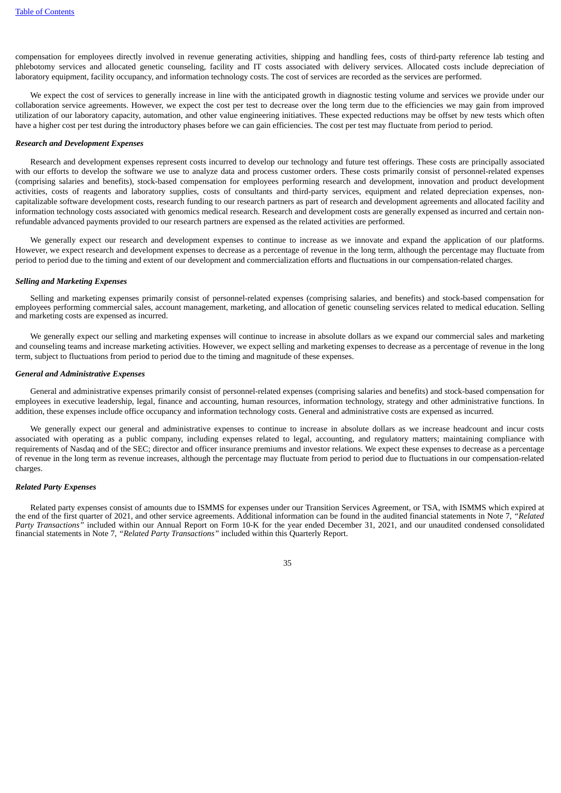compensation for employees directly involved in revenue generating activities, shipping and handling fees, costs of third-party reference lab testing and phlebotomy services and allocated genetic counseling, facility and IT costs associated with delivery services. Allocated costs include depreciation of laboratory equipment, facility occupancy, and information technology costs. The cost of services are recorded as the services are performed.

We expect the cost of services to generally increase in line with the anticipated growth in diagnostic testing volume and services we provide under our collaboration service agreements. However, we expect the cost per test to decrease over the long term due to the efficiencies we may gain from improved utilization of our laboratory capacity, automation, and other value engineering initiatives. These expected reductions may be offset by new tests which often have a higher cost per test during the introductory phases before we can gain efficiencies. The cost per test may fluctuate from period to period.

#### *Research and Development Expenses*

Research and development expenses represent costs incurred to develop our technology and future test offerings. These costs are principally associated with our efforts to develop the software we use to analyze data and process customer orders. These costs primarily consist of personnel-related expenses (comprising salaries and benefits), stock-based compensation for employees performing research and development, innovation and product development activities, costs of reagents and laboratory supplies, costs of consultants and third-party services, equipment and related depreciation expenses, noncapitalizable software development costs, research funding to our research partners as part of research and development agreements and allocated facility and information technology costs associated with genomics medical research. Research and development costs are generally expensed as incurred and certain nonrefundable advanced payments provided to our research partners are expensed as the related activities are performed.

We generally expect our research and development expenses to continue to increase as we innovate and expand the application of our platforms. However, we expect research and development expenses to decrease as a percentage of revenue in the long term, although the percentage may fluctuate from period to period due to the timing and extent of our development and commercialization efforts and fluctuations in our compensation-related charges.

#### *Selling and Marketing Expenses*

Selling and marketing expenses primarily consist of personnel-related expenses (comprising salaries, and benefits) and stock-based compensation for employees performing commercial sales, account management, marketing, and allocation of genetic counseling services related to medical education. Selling and marketing costs are expensed as incurred.

We generally expect our selling and marketing expenses will continue to increase in absolute dollars as we expand our commercial sales and marketing and counseling teams and increase marketing activities. However, we expect selling and marketing expenses to decrease as a percentage of revenue in the long term, subject to fluctuations from period to period due to the timing and magnitude of these expenses.

#### *General and Administrative Expenses*

General and administrative expenses primarily consist of personnel-related expenses (comprising salaries and benefits) and stock-based compensation for employees in executive leadership, legal, finance and accounting, human resources, information technology, strategy and other administrative functions. In addition, these expenses include office occupancy and information technology costs. General and administrative costs are expensed as incurred.

We generally expect our general and administrative expenses to continue to increase in absolute dollars as we increase headcount and incur costs associated with operating as a public company, including expenses related to legal, accounting, and regulatory matters; maintaining compliance with requirements of Nasdaq and of the SEC; director and officer insurance premiums and investor relations. We expect these expenses to decrease as a percentage of revenue in the long term as revenue increases, although the percentage may fluctuate from period to period due to fluctuations in our compensation-related charges.

# *Related Party Expenses*

Related party expenses consist of amounts due to ISMMS for expenses under our Transition Services Agreement, or TSA, with ISMMS which expired at the end of the first quarter of 2021, and other service agreements. Additional information can be found in the audited financial statements in Note 7, *"Related Party Transactions"* included within our Annual Report on Form 10-K for the year ended December 31, 2021, and our unaudited condensed consolidated financial statements in Note 7, *"Related Party Transactions"* included within this Quarterly Report.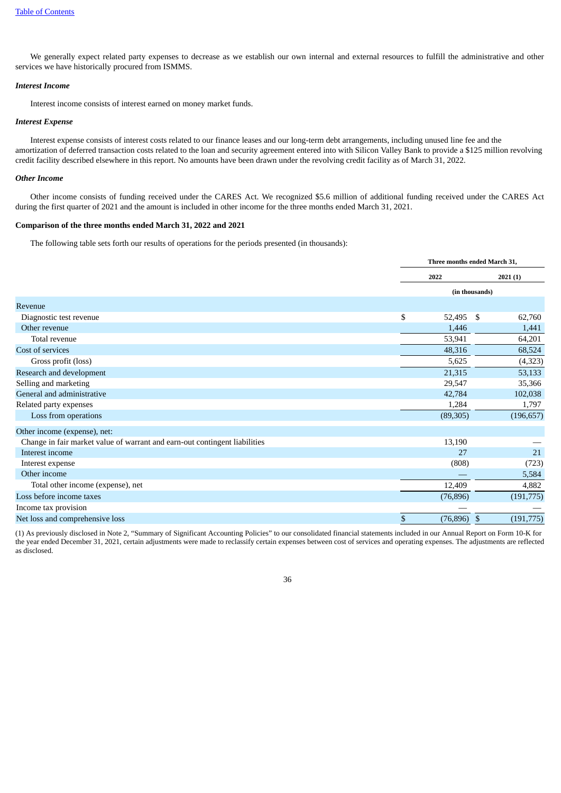We generally expect related party expenses to decrease as we establish our own internal and external resources to fulfill the administrative and other services we have historically procured from ISMMS.

## *Interest Income*

Interest income consists of interest earned on money market funds.

# *Interest Expense*

Interest expense consists of interest costs related to our finance leases and our long-term debt arrangements, including unused line fee and the amortization of deferred transaction costs related to the loan and security agreement entered into with Silicon Valley Bank to provide a \$125 million revolving credit facility described elsewhere in this report. No amounts have been drawn under the revolving credit facility as of March 31, 2022.

### *Other Income*

Other income consists of funding received under the CARES Act. We recognized \$5.6 million of additional funding received under the CARES Act during the first quarter of 2021 and the amount is included in other income for the three months ended March 31, 2021.

# **Comparison of the three months ended March 31, 2022 and 2021**

The following table sets forth our results of operations for the periods presented (in thousands):

|                                                                            | Three months ended March 31, |    |            |  |
|----------------------------------------------------------------------------|------------------------------|----|------------|--|
|                                                                            | 2022                         |    | 2021(1)    |  |
|                                                                            | (in thousands)               |    |            |  |
| Revenue                                                                    |                              |    |            |  |
| Diagnostic test revenue                                                    | \$<br>52,495                 | \$ | 62,760     |  |
| Other revenue                                                              | 1,446                        |    | 1,441      |  |
| Total revenue                                                              | 53,941                       |    | 64,201     |  |
| Cost of services                                                           | 48,316                       |    | 68,524     |  |
| Gross profit (loss)                                                        | 5,625                        |    | (4, 323)   |  |
| Research and development                                                   | 21,315                       |    | 53,133     |  |
| Selling and marketing                                                      | 29,547                       |    | 35,366     |  |
| General and administrative                                                 | 42,784                       |    | 102,038    |  |
| Related party expenses                                                     | 1,284                        |    | 1,797      |  |
| Loss from operations                                                       | (89, 305)                    |    | (196, 657) |  |
| Other income (expense), net:                                               |                              |    |            |  |
| Change in fair market value of warrant and earn-out contingent liabilities | 13,190                       |    |            |  |
| Interest income                                                            | 27                           |    | 21         |  |
| Interest expense                                                           | (808)                        |    | (723)      |  |
| Other income                                                               |                              |    | 5,584      |  |
| Total other income (expense), net                                          | 12,409                       |    | 4,882      |  |
| Loss before income taxes                                                   | (76, 896)                    |    | (191,775)  |  |
| Income tax provision                                                       |                              |    |            |  |
| Net loss and comprehensive loss                                            | \$<br>(76, 896)              | \$ | (191, 775) |  |

(1) As previously disclosed in Note 2, "Summary of Significant Accounting Policies" to our consolidated financial statements included in our Annual Report on Form 10-K for the year ended December 31, 2021, certain adjustments were made to reclassify certain expenses between cost of services and operating expenses. The adjustments are reflected as disclosed.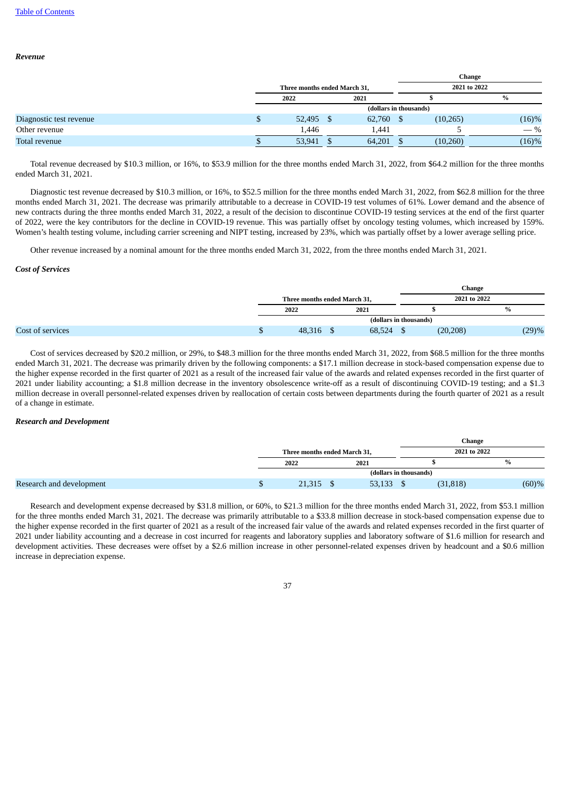### *Revenue*

|                         |                              |        |     |        |     |              | Change   |  |
|-------------------------|------------------------------|--------|-----|--------|-----|--------------|----------|--|
|                         | Three months ended March 31, |        |     |        |     | 2021 to 2022 |          |  |
|                         |                              | 2022   |     | 2021   |     |              | $\%$     |  |
|                         | (dollars in thousands)       |        |     |        |     |              |          |  |
| Diagnostic test revenue |                              | 52,495 | - S | 62,760 | - S | (10, 265)    | $(16)\%$ |  |
| Other revenue           |                              | 1,446  |     | 1,441  |     |              | $-$ %    |  |
| Total revenue           |                              | 53,941 |     | 64,201 |     | (10,260)     | (16)%    |  |

Total revenue decreased by \$10.3 million, or 16%, to \$53.9 million for the three months ended March 31, 2022, from \$64.2 million for the three months ended March 31, 2021.

Diagnostic test revenue decreased by \$10.3 million, or 16%, to \$52.5 million for the three months ended March 31, 2022, from \$62.8 million for the three months ended March 31, 2021. The decrease was primarily attributable to a decrease in COVID-19 test volumes of 61%. Lower demand and the absence of new contracts during the three months ended March 31, 2022, a result of the decision to discontinue COVID-19 testing services at the end of the first quarter of 2022, were the key contributors for the decline in COVID-19 revenue. This was partially offset by oncology testing volumes, which increased by 159%. Women's health testing volume, including carrier screening and NIPT testing, increased by 23%, which was partially offset by a lower average selling price.

Other revenue increased by a nominal amount for the three months ended March 31, 2022, from the three months ended March 31, 2021.

### *Cost of Services*

|                  |                              |        |  | <b>Change</b> |       |
|------------------|------------------------------|--------|--|---------------|-------|
|                  | Three months ended March 31, |        |  | 2021 to 2022  |       |
|                  | 2022                         | 2021   |  |               | $\%$  |
|                  | (dollars in thousands)       |        |  |               |       |
| Cost of services | 48,316                       | 68,524 |  | (20, 208)     | (29)% |

Cost of services decreased by \$20.2 million, or 29%, to \$48.3 million for the three months ended March 31, 2022, from \$68.5 million for the three months ended March 31, 2021. The decrease was primarily driven by the following components: a \$17.1 million decrease in stock-based compensation expense due to the higher expense recorded in the first quarter of 2021 as a result of the increased fair value of the awards and related expenses recorded in the first quarter of 2021 under liability accounting; a \$1.8 million decrease in the inventory obsolescence write-off as a result of discontinuing COVID-19 testing; and a \$1.3 million decrease in overall personnel-related expenses driven by reallocation of certain costs between departments during the fourth quarter of 2021 as a result of a change in estimate.

#### *Research and Development*

|                          |                              |        |                        | Change       |
|--------------------------|------------------------------|--------|------------------------|--------------|
|                          | Three months ended March 31, |        |                        | 2021 to 2022 |
|                          | 2022                         | 2021   |                        | %            |
|                          |                              |        | (dollars in thousands) |              |
| Research and development | 21,315                       | 53,133 | (31, 818)              | (60)%        |

Research and development expense decreased by \$31.8 million, or 60%, to \$21.3 million for the three months ended March 31, 2022, from \$53.1 million for the three months ended March 31, 2021. The decrease was primarily attributable to a \$33.8 million decrease in stock-based compensation expense due to the higher expense recorded in the first quarter of 2021 as a result of the increased fair value of the awards and related expenses recorded in the first quarter of 2021 under liability accounting and a decrease in cost incurred for reagents and laboratory supplies and laboratory software of \$1.6 million for research and development activities. These decreases were offset by a \$2.6 million increase in other personnel-related expenses driven by headcount and a \$0.6 million increase in depreciation expense.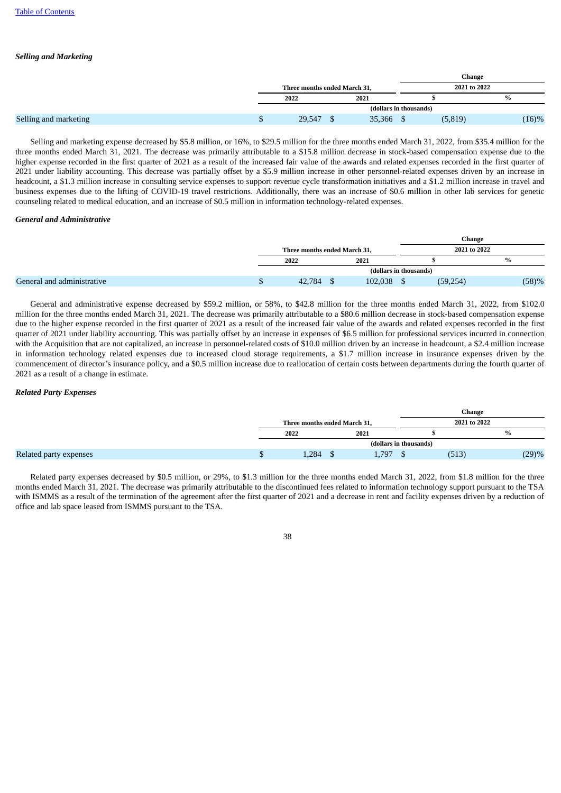# *Selling and Marketing*

|                       |                              |                        | Change       |               |
|-----------------------|------------------------------|------------------------|--------------|---------------|
|                       | Three months ended March 31, |                        | 2021 to 2022 |               |
|                       | 2022                         | 2021                   |              | $\frac{0}{0}$ |
|                       |                              | (dollars in thousands) |              |               |
| Selling and marketing | 29,547                       | 35,366                 | (5, 819)     | (16)%         |

Selling and marketing expense decreased by \$5.8 million, or 16%, to \$29.5 million for the three months ended March 31, 2022, from \$35.4 million for the three months ended March 31, 2021. The decrease was primarily attributable to a \$15.8 million decrease in stock-based compensation expense due to the higher expense recorded in the first quarter of 2021 as a result of the increased fair value of the awards and related expenses recorded in the first quarter of 2021 under liability accounting. This decrease was partially offset by a \$5.9 million increase in other personnel-related expenses driven by an increase in headcount, a \$1.3 million increase in consulting service expenses to support revenue cycle transformation initiatives and a \$1.2 million increase in travel and business expenses due to the lifting of COVID-19 travel restrictions. Additionally, there was an increase of \$0.6 million in other lab services for genetic counseling related to medical education, and an increase of \$0.5 million in information technology-related expenses.

### *General and Administrative*

|                            |                              |                        | <b>Change</b> |       |
|----------------------------|------------------------------|------------------------|---------------|-------|
|                            | Three months ended March 31, |                        | 2021 to 2022  |       |
|                            | 2022                         | 2021                   |               | $\%$  |
|                            |                              | (dollars in thousands) |               |       |
| General and administrative | 42,784                       | 102,038                | (59, 254)     | (58)% |

General and administrative expense decreased by \$59.2 million, or 58%, to \$42.8 million for the three months ended March 31, 2022, from \$102.0 million for the three months ended March 31, 2021. The decrease was primarily attributable to a \$80.6 million decrease in stock-based compensation expense due to the higher expense recorded in the first quarter of 2021 as a result of the increased fair value of the awards and related expenses recorded in the first quarter of 2021 under liability accounting. This was partially offset by an increase in expenses of \$6.5 million for professional services incurred in connection with the Acquisition that are not capitalized, an increase in personnel-related costs of \$10.0 million driven by an increase in headcount, a \$2.4 million increase in information technology related expenses due to increased cloud storage requirements, a \$1.7 million increase in insurance expenses driven by the commencement of director's insurance policy, and a \$0.5 million increase due to reallocation of certain costs between departments during the fourth quarter of 2021 as a result of a change in estimate.

# *Related Party Expenses*

|                        |                              |       |                        | Change       |       |
|------------------------|------------------------------|-------|------------------------|--------------|-------|
|                        | Three months ended March 31, |       |                        | 2021 to 2022 |       |
|                        | 2022                         | 2021  |                        |              | $\%$  |
|                        |                              |       | (dollars in thousands) |              |       |
| Related party expenses | 1,284                        | 1,797 |                        | (513         | (29)% |

Related party expenses decreased by \$0.5 million, or 29%, to \$1.3 million for the three months ended March 31, 2022, from \$1.8 million for the three months ended March 31, 2021. The decrease was primarily attributable to the discontinued fees related to information technology support pursuant to the TSA with ISMMS as a result of the termination of the agreement after the first quarter of 2021 and a decrease in rent and facility expenses driven by a reduction of office and lab space leased from ISMMS pursuant to the TSA.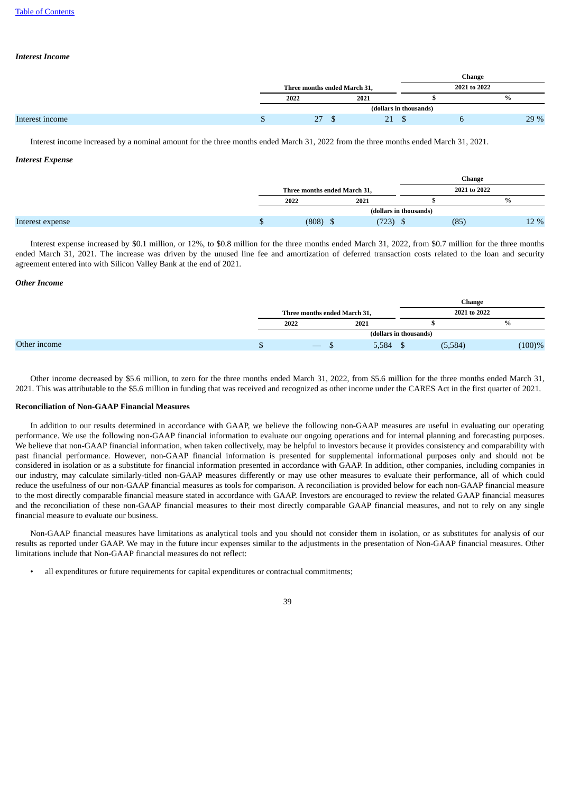# *Interest Income*

|                 |                              |      |                        | <b>Change</b> |      |
|-----------------|------------------------------|------|------------------------|---------------|------|
|                 | Three months ended March 31, |      |                        | 2021 to 2022  |      |
|                 | 2022                         | 2021 |                        |               | %    |
|                 |                              |      | (dollars in thousands) |               |      |
| Interest income | 27                           | 21   |                        |               | 29 % |

Interest income increased by a nominal amount for the three months ended March 31, 2022 from the three months ended March 31, 2021.

# *Interest Expense*

|                  |                              |                        | Change       |      |
|------------------|------------------------------|------------------------|--------------|------|
|                  | Three months ended March 31, |                        | 2021 to 2022 |      |
|                  | 2022                         | 2021                   |              | $\%$ |
|                  |                              | (dollars in thousands) |              |      |
| Interest expense | (808)                        | (723)                  | (85)         | 12 % |

Interest expense increased by \$0.1 million, or 12%, to \$0.8 million for the three months ended March 31, 2022, from \$0.7 million for the three months ended March 31, 2021. The increase was driven by the unused line fee and amortization of deferred transaction costs related to the loan and security agreement entered into with Silicon Valley Bank at the end of 2021.

# *Other Income*

|              |                              |                                 |       |                        | <b>Change</b> |               |
|--------------|------------------------------|---------------------------------|-------|------------------------|---------------|---------------|
|              | Three months ended March 31, |                                 |       |                        | 2021 to 2022  |               |
|              |                              | 2022                            | 2021  |                        |               | $\frac{0}{0}$ |
|              |                              |                                 |       | (dollars in thousands) |               |               |
| Other income |                              | $\hspace{0.1mm}-\hspace{0.1mm}$ | 5,584 |                        | (5,584)       | $(100)\%$     |

Other income decreased by \$5.6 million, to zero for the three months ended March 31, 2022, from \$5.6 million for the three months ended March 31, 2021. This was attributable to the \$5.6 million in funding that was received and recognized as other income under the CARES Act in the first quarter of 2021.

# **Reconciliation of Non-GAAP Financial Measures**

In addition to our results determined in accordance with GAAP, we believe the following non-GAAP measures are useful in evaluating our operating performance. We use the following non-GAAP financial information to evaluate our ongoing operations and for internal planning and forecasting purposes. We believe that non-GAAP financial information, when taken collectively, may be helpful to investors because it provides consistency and comparability with past financial performance. However, non-GAAP financial information is presented for supplemental informational purposes only and should not be considered in isolation or as a substitute for financial information presented in accordance with GAAP. In addition, other companies, including companies in our industry, may calculate similarly-titled non-GAAP measures differently or may use other measures to evaluate their performance, all of which could reduce the usefulness of our non-GAAP financial measures as tools for comparison. A reconciliation is provided below for each non-GAAP financial measure to the most directly comparable financial measure stated in accordance with GAAP. Investors are encouraged to review the related GAAP financial measures and the reconciliation of these non-GAAP financial measures to their most directly comparable GAAP financial measures, and not to rely on any single financial measure to evaluate our business.

Non-GAAP financial measures have limitations as analytical tools and you should not consider them in isolation, or as substitutes for analysis of our results as reported under GAAP. We may in the future incur expenses similar to the adjustments in the presentation of Non-GAAP financial measures. Other limitations include that Non-GAAP financial measures do not reflect:

• all expenditures or future requirements for capital expenditures or contractual commitments;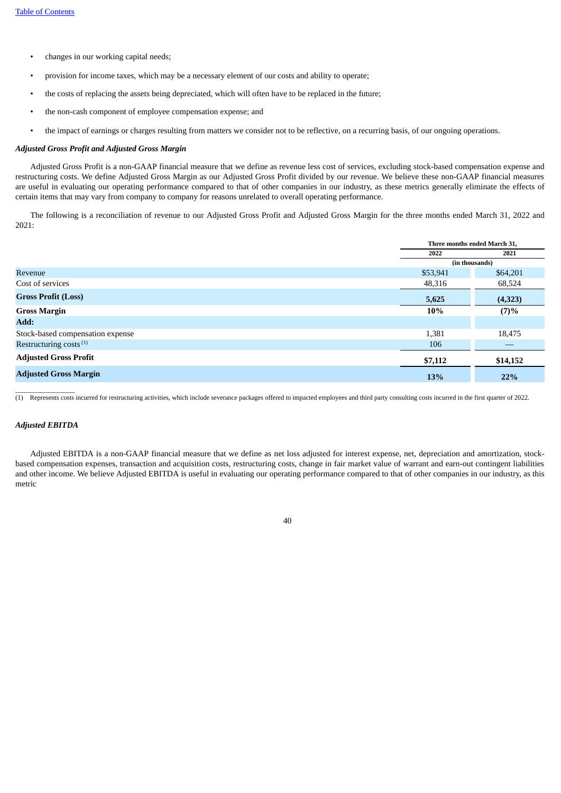- changes in our working capital needs;
- provision for income taxes, which may be a necessary element of our costs and ability to operate;
- the costs of replacing the assets being depreciated, which will often have to be replaced in the future;
- the non-cash component of employee compensation expense; and
- the impact of earnings or charges resulting from matters we consider not to be reflective, on a recurring basis, of our ongoing operations.

# *Adjusted Gross Profit and Adjusted Gross Margin*

Adjusted Gross Profit is a non-GAAP financial measure that we define as revenue less cost of services, excluding stock-based compensation expense and restructuring costs. We define Adjusted Gross Margin as our Adjusted Gross Profit divided by our revenue. We believe these non-GAAP financial measures are useful in evaluating our operating performance compared to that of other companies in our industry, as these metrics generally eliminate the effects of certain items that may vary from company to company for reasons unrelated to overall operating performance.

The following is a reconciliation of revenue to our Adjusted Gross Profit and Adjusted Gross Margin for the three months ended March 31, 2022 and 2021:

|                                    | Three months ended March 31, |                |  |
|------------------------------------|------------------------------|----------------|--|
|                                    | 2022                         | 2021           |  |
|                                    |                              | (in thousands) |  |
| Revenue                            | \$53,941                     | \$64,201       |  |
| Cost of services                   | 48,316                       | 68,524         |  |
| <b>Gross Profit (Loss)</b>         | 5,625                        | (4,323)        |  |
| <b>Gross Margin</b>                | 10%                          | (7)%           |  |
| Add:                               |                              |                |  |
| Stock-based compensation expense   | 1,381                        | 18,475         |  |
| Restructuring costs <sup>(1)</sup> | 106                          | $-$            |  |
| <b>Adjusted Gross Profit</b>       | \$7,112                      | \$14,152       |  |
| <b>Adjusted Gross Margin</b>       | 13%                          | 22%            |  |

\_\_\_\_\_\_\_\_\_\_\_\_\_\_\_\_\_\_ (1) Represents costs incurred for restructuring activities, which include severance packages offered to impacted employees and third party consulting costs incurred in the first quarter of 2022.

### *Adjusted EBITDA*

Adjusted EBITDA is a non-GAAP financial measure that we define as net loss adjusted for interest expense, net, depreciation and amortization, stockbased compensation expenses, transaction and acquisition costs, restructuring costs, change in fair market value of warrant and earn-out contingent liabilities and other income. We believe Adjusted EBITDA is useful in evaluating our operating performance compared to that of other companies in our industry, as this metric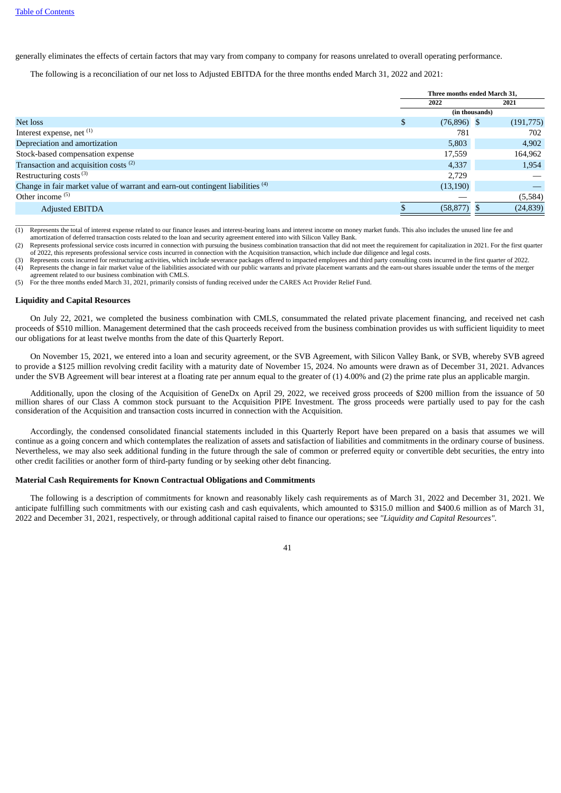generally eliminates the effects of certain factors that may vary from company to company for reasons unrelated to overall operating performance.

The following is a reconciliation of our net loss to Adjusted EBITDA for the three months ended March 31, 2022 and 2021:

|                                                                                           | Three months ended March 31, |               |                |           |
|-------------------------------------------------------------------------------------------|------------------------------|---------------|----------------|-----------|
|                                                                                           |                              | 2022          |                | 2021      |
|                                                                                           |                              |               | (in thousands) |           |
| Net loss                                                                                  | <b>D</b>                     | $(76,896)$ \$ |                | (191,775) |
| Interest expense, net (1)                                                                 |                              | 781           |                | 702       |
| Depreciation and amortization                                                             |                              | 5,803         |                | 4,902     |
| Stock-based compensation expense                                                          |                              | 17,559        |                | 164,962   |
| Transaction and acquisition costs <sup>(2)</sup>                                          |                              | 4,337         |                | 1,954     |
| Restructuring costs <sup>(3)</sup>                                                        |                              | 2,729         |                |           |
| Change in fair market value of warrant and earn-out contingent liabilities <sup>(4)</sup> |                              | (13, 190)     |                |           |
| Other income $(5)$                                                                        |                              |               |                | (5,584)   |
| <b>Adjusted EBITDA</b>                                                                    |                              | (58, 877)     |                | (24, 839) |

\_\_\_\_\_\_\_\_\_\_\_\_\_\_\_\_\_\_ (1) Represents the total of interest expense related to our finance leases and interest-bearing loans and interest income on money market funds. This also includes the unused line fee and amortization of deferred transaction costs related to the loan and security agreement entered into with Silicon Valley Bank.

(2) Represents professional service costs incurred in connection with pursuing the business combination transaction that did not meet the requirement for capitalization in 2021. For the first quarter of 2022, this represents professional service costs incurred in connection with the Acquisition transaction, which include due diligence and legal costs.

(3) Represents costs incurred for restructuring activities, which include severance packages offered to impacted employees and third party consulting costs incurred in the first quarter of 2022.<br>(4) Represents the change i agreement related to our business combination with CMLS.

(5) For the three months ended March 31, 2021, primarily consists of funding received under the CARES Act Provider Relief Fund.

#### **Liquidity and Capital Resources**

On July 22, 2021, we completed the business combination with CMLS, consummated the related private placement financing, and received net cash proceeds of \$510 million. Management determined that the cash proceeds received from the business combination provides us with sufficient liquidity to meet our obligations for at least twelve months from the date of this Quarterly Report.

On November 15, 2021, we entered into a loan and security agreement, or the SVB Agreement, with Silicon Valley Bank, or SVB, whereby SVB agreed to provide a \$125 million revolving credit facility with a maturity date of November 15, 2024. No amounts were drawn as of December 31, 2021. Advances under the SVB Agreement will bear interest at a floating rate per annum equal to the greater of (1) 4.00% and (2) the prime rate plus an applicable margin.

Additionally, upon the closing of the Acquisition of GeneDx on April 29, 2022, we received gross proceeds of \$200 million from the issuance of 50 million shares of our Class A common stock pursuant to the Acquisition PIPE Investment. The gross proceeds were partially used to pay for the cash consideration of the Acquisition and transaction costs incurred in connection with the Acquisition.

Accordingly, the condensed consolidated financial statements included in this Quarterly Report have been prepared on a basis that assumes we will continue as a going concern and which contemplates the realization of assets and satisfaction of liabilities and commitments in the ordinary course of business. Nevertheless, we may also seek additional funding in the future through the sale of common or preferred equity or convertible debt securities, the entry into other credit facilities or another form of third-party funding or by seeking other debt financing.

### **Material Cash Requirements for Known Contractual Obligations and Commitments**

The following is a description of commitments for known and reasonably likely cash requirements as of March 31, 2022 and December 31, 2021. We anticipate fulfilling such commitments with our existing cash and cash equivalents, which amounted to \$315.0 million and \$400.6 million as of March 31, 2022 and December 31, 2021, respectively, or through additional capital raised to finance our operations; see *"Liquidity and Capital Resources"*.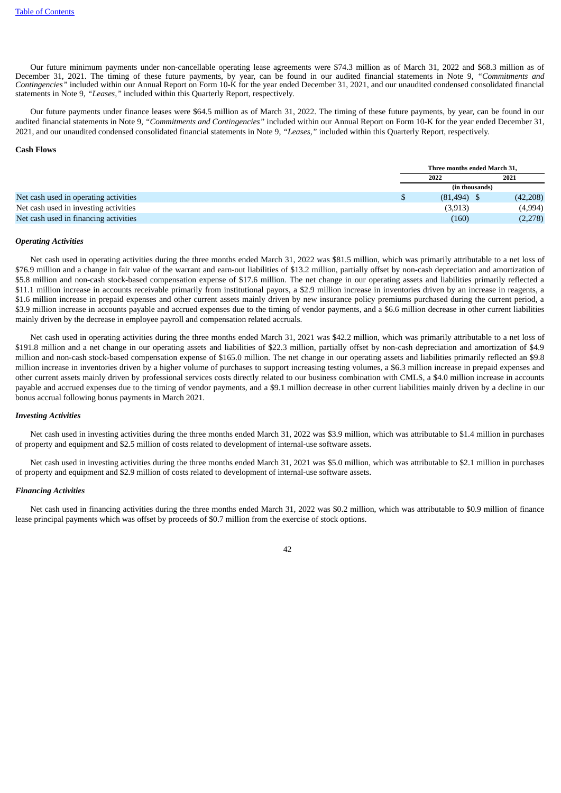Our future minimum payments under non-cancellable operating lease agreements were \$74.3 million as of March 31, 2022 and \$68.3 million as of December 31, 2021. The timing of these future payments, by year, can be found in our audited financial statements in Note 9, *"Commitments and Contingencies"* included within our Annual Report on Form 10-K for the year ended December 31, 2021, and our unaudited condensed consolidated financial statements in Note 9, *"Leases,"* included within this Quarterly Report, respectively.

Our future payments under finance leases were \$64.5 million as of March 31, 2022. The timing of these future payments, by year, can be found in our audited financial statements in Note 9, *"Commitments and Contingencies"* included within our Annual Report on Form 10-K for the year ended December 31, 2021, and our unaudited condensed consolidated financial statements in Note 9, *"Leases,"* included within this Quarterly Report, respectively.

### **Cash Flows**

|                                       | Three months ended March 31. |          |  |
|---------------------------------------|------------------------------|----------|--|
|                                       | 2022                         | 2021     |  |
|                                       | (in thousands)               |          |  |
| Net cash used in operating activities | $(81, 494)$ \$               | (42,208) |  |
| Net cash used in investing activities | (3,913)                      | (4,994)  |  |
| Net cash used in financing activities | (160)                        | (2,278)  |  |

### *Operating Activities*

Net cash used in operating activities during the three months ended March 31, 2022 was \$81.5 million, which was primarily attributable to a net loss of \$76.9 million and a change in fair value of the warrant and earn-out liabilities of \$13.2 million, partially offset by non-cash depreciation and amortization of \$5.8 million and non-cash stock-based compensation expense of \$17.6 million. The net change in our operating assets and liabilities primarily reflected a \$11.1 million increase in accounts receivable primarily from institutional payors, a \$2.9 million increase in inventories driven by an increase in reagents, a \$1.6 million increase in prepaid expenses and other current assets mainly driven by new insurance policy premiums purchased during the current period, a \$3.9 million increase in accounts payable and accrued expenses due to the timing of vendor payments, and a \$6.6 million decrease in other current liabilities mainly driven by the decrease in employee payroll and compensation related accruals.

Net cash used in operating activities during the three months ended March 31, 2021 was \$42.2 million, which was primarily attributable to a net loss of \$191.8 million and a net change in our operating assets and liabilities of \$22.3 million, partially offset by non-cash depreciation and amortization of \$4.9 million and non-cash stock-based compensation expense of \$165.0 million. The net change in our operating assets and liabilities primarily reflected an \$9.8 million increase in inventories driven by a higher volume of purchases to support increasing testing volumes, a \$6.3 million increase in prepaid expenses and other current assets mainly driven by professional services costs directly related to our business combination with CMLS, a \$4.0 million increase in accounts payable and accrued expenses due to the timing of vendor payments, and a \$9.1 million decrease in other current liabilities mainly driven by a decline in our bonus accrual following bonus payments in March 2021.

### *Investing Activities*

Net cash used in investing activities during the three months ended March 31, 2022 was \$3.9 million, which was attributable to \$1.4 million in purchases of property and equipment and \$2.5 million of costs related to development of internal-use software assets.

Net cash used in investing activities during the three months ended March 31, 2021 was \$5.0 million, which was attributable to \$2.1 million in purchases of property and equipment and \$2.9 million of costs related to development of internal-use software assets.

#### *Financing Activities*

Net cash used in financing activities during the three months ended March 31, 2022 was \$0.2 million, which was attributable to \$0.9 million of finance lease principal payments which was offset by proceeds of \$0.7 million from the exercise of stock options.

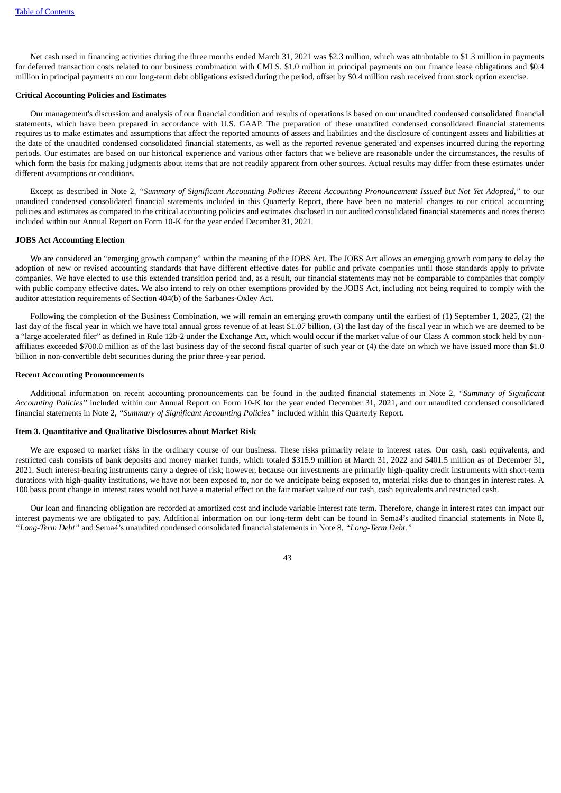Net cash used in financing activities during the three months ended March 31, 2021 was \$2.3 million, which was attributable to \$1.3 million in payments for deferred transaction costs related to our business combination with CMLS, \$1.0 million in principal payments on our finance lease obligations and \$0.4 million in principal payments on our long-term debt obligations existed during the period, offset by \$0.4 million cash received from stock option exercise.

#### **Critical Accounting Policies and Estimates**

Our management's discussion and analysis of our financial condition and results of operations is based on our unaudited condensed consolidated financial statements, which have been prepared in accordance with U.S. GAAP. The preparation of these unaudited condensed consolidated financial statements requires us to make estimates and assumptions that affect the reported amounts of assets and liabilities and the disclosure of contingent assets and liabilities at the date of the unaudited condensed consolidated financial statements, as well as the reported revenue generated and expenses incurred during the reporting periods. Our estimates are based on our historical experience and various other factors that we believe are reasonable under the circumstances, the results of which form the basis for making judgments about items that are not readily apparent from other sources. Actual results may differ from these estimates under different assumptions or conditions.

Except as described in Note 2, "Summary of Significant Accounting Policies-Recent Accounting Pronouncement Issued but Not Yet Adopted," to our unaudited condensed consolidated financial statements included in this Quarterly Report, there have been no material changes to our critical accounting policies and estimates as compared to the critical accounting policies and estimates disclosed in our audited consolidated financial statements and notes thereto included within our Annual Report on Form 10-K for the year ended December 31, 2021.

#### **JOBS Act Accounting Election**

We are considered an "emerging growth company" within the meaning of the JOBS Act. The JOBS Act allows an emerging growth company to delay the adoption of new or revised accounting standards that have different effective dates for public and private companies until those standards apply to private companies. We have elected to use this extended transition period and, as a result, our financial statements may not be comparable to companies that comply with public company effective dates. We also intend to rely on other exemptions provided by the JOBS Act, including not being required to comply with the auditor attestation requirements of Section 404(b) of the Sarbanes-Oxley Act.

Following the completion of the Business Combination, we will remain an emerging growth company until the earliest of (1) September 1, 2025, (2) the last day of the fiscal year in which we have total annual gross revenue of at least \$1.07 billion, (3) the last day of the fiscal year in which we are deemed to be a "large accelerated filer" as defined in Rule 12b-2 under the Exchange Act, which would occur if the market value of our Class A common stock held by nonaffiliates exceeded \$700.0 million as of the last business day of the second fiscal quarter of such year or (4) the date on which we have issued more than \$1.0 billion in non-convertible debt securities during the prior three-year period.

# **Recent Accounting Pronouncements**

Additional information on recent accounting pronouncements can be found in the audited financial statements in Note 2, *"Summary of Significant Accounting Policies"* included within our Annual Report on Form 10-K for the year ended December 31, 2021, and our unaudited condensed consolidated financial statements in Note 2, *"Summary of Significant Accounting Policies"* included within this Quarterly Report.

# **Item 3. Quantitative and Qualitative Disclosures about Market Risk**

We are exposed to market risks in the ordinary course of our business. These risks primarily relate to interest rates. Our cash, cash equivalents, and restricted cash consists of bank deposits and money market funds, which totaled \$315.9 million at March 31, 2022 and \$401.5 million as of December 31, 2021. Such interest-bearing instruments carry a degree of risk; however, because our investments are primarily high-quality credit instruments with short-term durations with high-quality institutions, we have not been exposed to, nor do we anticipate being exposed to, material risks due to changes in interest rates. A 100 basis point change in interest rates would not have a material effect on the fair market value of our cash, cash equivalents and restricted cash.

Our loan and financing obligation are recorded at amortized cost and include variable interest rate term. Therefore, change in interest rates can impact our interest payments we are obligated to pay. Additional information on our long-term debt can be found in Sema4's audited financial statements in Note 8, *"Long-Term Debt"* and Sema4's unaudited condensed consolidated financial statements in Note 8, *"Long-Term Debt."*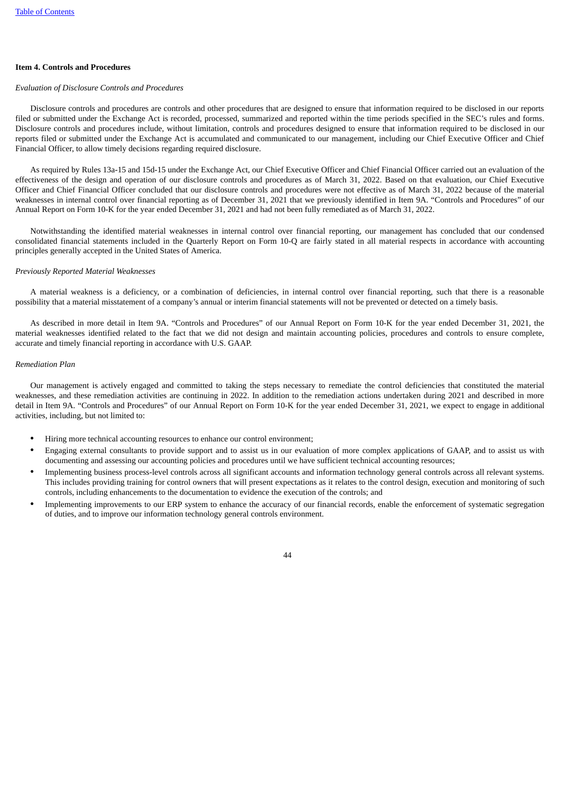# **Item 4. Controls and Procedures**

## *Evaluation of Disclosure Controls and Procedures*

Disclosure controls and procedures are controls and other procedures that are designed to ensure that information required to be disclosed in our reports filed or submitted under the Exchange Act is recorded, processed, summarized and reported within the time periods specified in the SEC's rules and forms. Disclosure controls and procedures include, without limitation, controls and procedures designed to ensure that information required to be disclosed in our reports filed or submitted under the Exchange Act is accumulated and communicated to our management, including our Chief Executive Officer and Chief Financial Officer, to allow timely decisions regarding required disclosure.

As required by Rules 13a-15 and 15d-15 under the Exchange Act, our Chief Executive Officer and Chief Financial Officer carried out an evaluation of the effectiveness of the design and operation of our disclosure controls and procedures as of March 31, 2022. Based on that evaluation, our Chief Executive Officer and Chief Financial Officer concluded that our disclosure controls and procedures were not effective as of March 31, 2022 because of the material weaknesses in internal control over financial reporting as of December 31, 2021 that we previously identified in Item 9A. "Controls and Procedures" of our Annual Report on Form 10-K for the year ended December 31, 2021 and had not been fully remediated as of March 31, 2022.

Notwithstanding the identified material weaknesses in internal control over financial reporting, our management has concluded that our condensed consolidated financial statements included in the Quarterly Report on Form 10-Q are fairly stated in all material respects in accordance with accounting principles generally accepted in the United States of America.

#### *Previously Reported Material Weaknesses*

A material weakness is a deficiency, or a combination of deficiencies, in internal control over financial reporting, such that there is a reasonable possibility that a material misstatement of a company's annual or interim financial statements will not be prevented or detected on a timely basis.

As described in more detail in Item 9A. "Controls and Procedures" of our Annual Report on Form 10-K for the year ended December 31, 2021, the material weaknesses identified related to the fact that we did not design and maintain accounting policies, procedures and controls to ensure complete, accurate and timely financial reporting in accordance with U.S. GAAP.

## *Remediation Plan*

Our management is actively engaged and committed to taking the steps necessary to remediate the control deficiencies that constituted the material weaknesses, and these remediation activities are continuing in 2022. In addition to the remediation actions undertaken during 2021 and described in more detail in Item 9A. "Controls and Procedures" of our Annual Report on Form 10-K for the year ended December 31, 2021, we expect to engage in additional activities, including, but not limited to:

- Hiring more technical accounting resources to enhance our control environment;
- Engaging external consultants to provide support and to assist us in our evaluation of more complex applications of GAAP, and to assist us with documenting and assessing our accounting policies and procedures until we have sufficient technical accounting resources;
- Implementing business process-level controls across all significant accounts and information technology general controls across all relevant systems. This includes providing training for control owners that will present expectations as it relates to the control design, execution and monitoring of such controls, including enhancements to the documentation to evidence the execution of the controls; and
- Implementing improvements to our ERP system to enhance the accuracy of our financial records, enable the enforcement of systematic segregation of duties, and to improve our information technology general controls environment.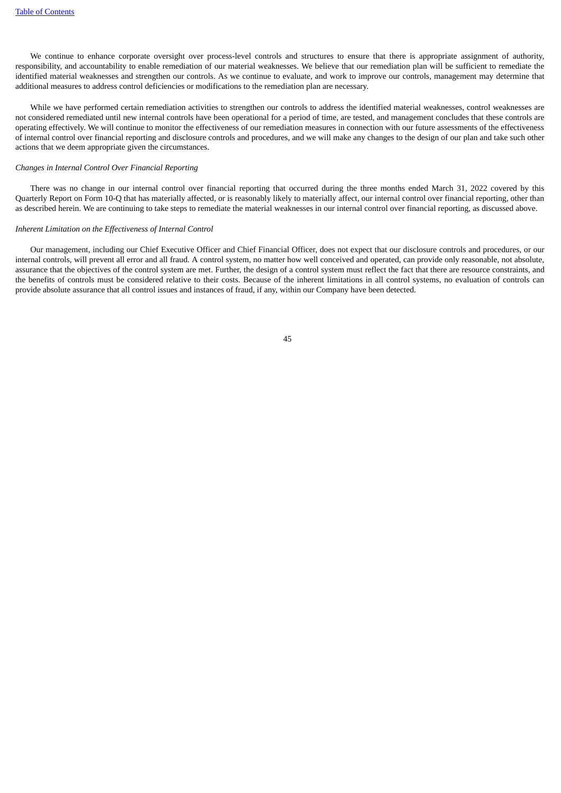We continue to enhance corporate oversight over process-level controls and structures to ensure that there is appropriate assignment of authority, responsibility, and accountability to enable remediation of our material weaknesses. We believe that our remediation plan will be sufficient to remediate the identified material weaknesses and strengthen our controls. As we continue to evaluate, and work to improve our controls, management may determine that additional measures to address control deficiencies or modifications to the remediation plan are necessary.

While we have performed certain remediation activities to strengthen our controls to address the identified material weaknesses, control weaknesses are not considered remediated until new internal controls have been operational for a period of time, are tested, and management concludes that these controls are operating effectively. We will continue to monitor the effectiveness of our remediation measures in connection with our future assessments of the effectiveness of internal control over financial reporting and disclosure controls and procedures, and we will make any changes to the design of our plan and take such other actions that we deem appropriate given the circumstances.

### *Changes in Internal Control Over Financial Reporting*

There was no change in our internal control over financial reporting that occurred during the three months ended March 31, 2022 covered by this Quarterly Report on Form 10-Q that has materially affected, or is reasonably likely to materially affect, our internal control over financial reporting, other than as described herein. We are continuing to take steps to remediate the material weaknesses in our internal control over financial reporting, as discussed above.

#### *Inherent Limitation on the Effectiveness of Internal Control*

Our management, including our Chief Executive Officer and Chief Financial Officer, does not expect that our disclosure controls and procedures, or our internal controls, will prevent all error and all fraud. A control system, no matter how well conceived and operated, can provide only reasonable, not absolute, assurance that the objectives of the control system are met. Further, the design of a control system must reflect the fact that there are resource constraints, and the benefits of controls must be considered relative to their costs. Because of the inherent limitations in all control systems, no evaluation of controls can provide absolute assurance that all control issues and instances of fraud, if any, within our Company have been detected.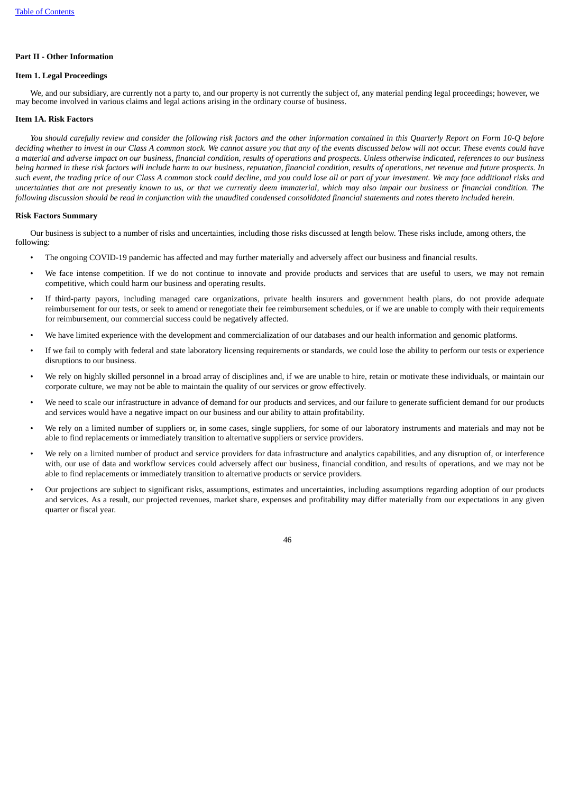# **Part II - Other Information**

### **Item 1. Legal Proceedings**

We, and our subsidiary, are currently not a party to, and our property is not currently the subject of, any material pending legal proceedings; however, we may become involved in various claims and legal actions arising in the ordinary course of business.

# **Item 1A. Risk Factors**

You should carefully review and consider the followina risk factors and the other information contained in this Quarterly Report on Form 10-O before deciding whether to invest in our Class A common stock. We cannot assure you that any of the events discussed below will not occur. These events could have a material and adverse impact on our business, financial condition, results of operations and prospects. Unless otherwise indicated, references to our business being harmed in these risk factors will include harm to our business, reputation, financial condition, results of operations, net revenue and future prospects. In such event, the trading price of our Class A common stock could decline, and you could lose all or part of your investment. We may face additional risks and uncertainties that are not presently known to us, or that we currently deem immaterial, which may also impair our business or financial condition. The following discussion should be read in conjunction with the unaudited condensed consolidated financial statements and notes thereto included herein.

### **Risk Factors Summary**

Our business is subject to a number of risks and uncertainties, including those risks discussed at length below. These risks include, among others, the following:

- The ongoing COVID-19 pandemic has affected and may further materially and adversely affect our business and financial results.
- We face intense competition. If we do not continue to innovate and provide products and services that are useful to users, we may not remain competitive, which could harm our business and operating results.
- If third-party payors, including managed care organizations, private health insurers and government health plans, do not provide adequate reimbursement for our tests, or seek to amend or renegotiate their fee reimbursement schedules, or if we are unable to comply with their requirements for reimbursement, our commercial success could be negatively affected.
- We have limited experience with the development and commercialization of our databases and our health information and genomic platforms.
- If we fail to comply with federal and state laboratory licensing requirements or standards, we could lose the ability to perform our tests or experience disruptions to our business.
- We rely on highly skilled personnel in a broad array of disciplines and, if we are unable to hire, retain or motivate these individuals, or maintain our corporate culture, we may not be able to maintain the quality of our services or grow effectively.
- We need to scale our infrastructure in advance of demand for our products and services, and our failure to generate sufficient demand for our products and services would have a negative impact on our business and our ability to attain profitability.
- We rely on a limited number of suppliers or, in some cases, single suppliers, for some of our laboratory instruments and materials and may not be able to find replacements or immediately transition to alternative suppliers or service providers.
- We rely on a limited number of product and service providers for data infrastructure and analytics capabilities, and any disruption of, or interference with, our use of data and workflow services could adversely affect our business, financial condition, and results of operations, and we may not be able to find replacements or immediately transition to alternative products or service providers.
- Our projections are subject to significant risks, assumptions, estimates and uncertainties, including assumptions regarding adoption of our products and services. As a result, our projected revenues, market share, expenses and profitability may differ materially from our expectations in any given quarter or fiscal year.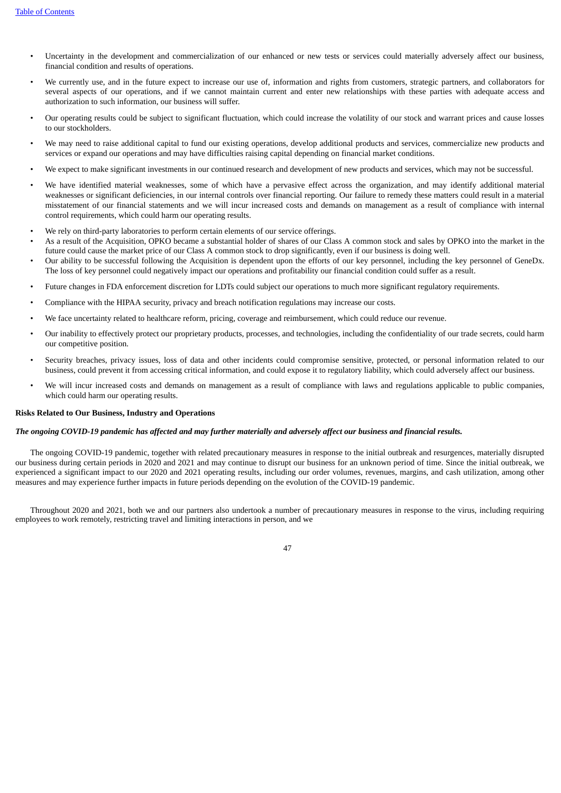- Uncertainty in the development and commercialization of our enhanced or new tests or services could materially adversely affect our business, financial condition and results of operations.
- We currently use, and in the future expect to increase our use of, information and rights from customers, strategic partners, and collaborators for several aspects of our operations, and if we cannot maintain current and enter new relationships with these parties with adequate access and authorization to such information, our business will suffer.
- Our operating results could be subject to significant fluctuation, which could increase the volatility of our stock and warrant prices and cause losses to our stockholders.
- We may need to raise additional capital to fund our existing operations, develop additional products and services, commercialize new products and services or expand our operations and may have difficulties raising capital depending on financial market conditions.
- We expect to make significant investments in our continued research and development of new products and services, which may not be successful.
- We have identified material weaknesses, some of which have a pervasive effect across the organization, and may identify additional material weaknesses or significant deficiencies, in our internal controls over financial reporting. Our failure to remedy these matters could result in a material misstatement of our financial statements and we will incur increased costs and demands on management as a result of compliance with internal control requirements, which could harm our operating results.
- We rely on third-party laboratories to perform certain elements of our service offerings.
- As a result of the Acquisition, OPKO became a substantial holder of shares of our Class A common stock and sales by OPKO into the market in the future could cause the market price of our Class A common stock to drop significantly, even if our business is doing well.
- Our ability to be successful following the Acquisition is dependent upon the efforts of our key personnel, including the key personnel of GeneDx. The loss of key personnel could negatively impact our operations and profitability our financial condition could suffer as a result.
- Future changes in FDA enforcement discretion for LDTs could subject our operations to much more significant regulatory requirements.
- Compliance with the HIPAA security, privacy and breach notification regulations may increase our costs.
- We face uncertainty related to healthcare reform, pricing, coverage and reimbursement, which could reduce our revenue.
- Our inability to effectively protect our proprietary products, processes, and technologies, including the confidentiality of our trade secrets, could harm our competitive position.
- Security breaches, privacy issues, loss of data and other incidents could compromise sensitive, protected, or personal information related to our business, could prevent it from accessing critical information, and could expose it to regulatory liability, which could adversely affect our business.
- We will incur increased costs and demands on management as a result of compliance with laws and regulations applicable to public companies, which could harm our operating results.

### **Risks Related to Our Business, Industry and Operations**

# The ongoing COVID-19 pandemic has affected and may further materially and adversely affect our business and financial results.

The ongoing COVID-19 pandemic, together with related precautionary measures in response to the initial outbreak and resurgences, materially disrupted our business during certain periods in 2020 and 2021 and may continue to disrupt our business for an unknown period of time. Since the initial outbreak, we experienced a significant impact to our 2020 and 2021 operating results, including our order volumes, revenues, margins, and cash utilization, among other measures and may experience further impacts in future periods depending on the evolution of the COVID-19 pandemic.

Throughout 2020 and 2021, both we and our partners also undertook a number of precautionary measures in response to the virus, including requiring employees to work remotely, restricting travel and limiting interactions in person, and we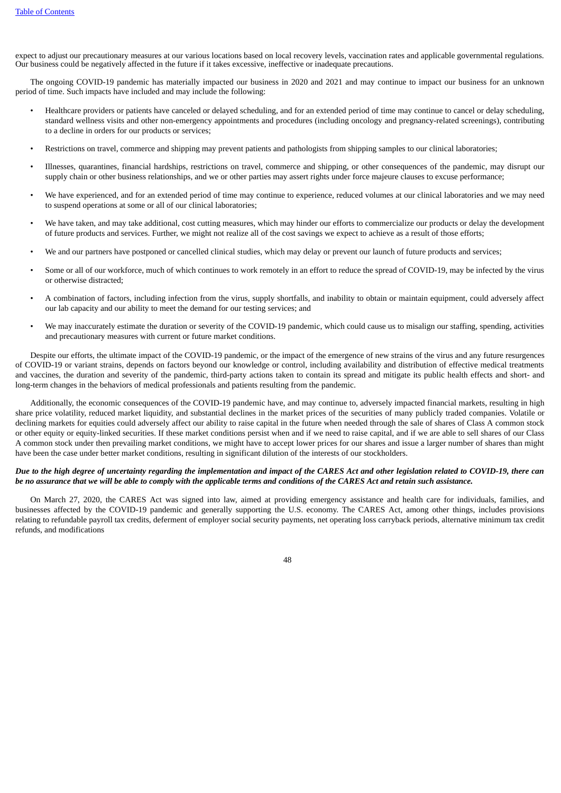expect to adjust our precautionary measures at our various locations based on local recovery levels, vaccination rates and applicable governmental regulations. Our business could be negatively affected in the future if it takes excessive, ineffective or inadequate precautions.

The ongoing COVID-19 pandemic has materially impacted our business in 2020 and 2021 and may continue to impact our business for an unknown period of time. Such impacts have included and may include the following:

- Healthcare providers or patients have canceled or delayed scheduling, and for an extended period of time may continue to cancel or delay scheduling, standard wellness visits and other non-emergency appointments and procedures (including oncology and pregnancy-related screenings), contributing to a decline in orders for our products or services;
- Restrictions on travel, commerce and shipping may prevent patients and pathologists from shipping samples to our clinical laboratories;
- Illnesses, quarantines, financial hardships, restrictions on travel, commerce and shipping, or other consequences of the pandemic, may disrupt our supply chain or other business relationships, and we or other parties may assert rights under force majeure clauses to excuse performance;
- We have experienced, and for an extended period of time may continue to experience, reduced volumes at our clinical laboratories and we may need to suspend operations at some or all of our clinical laboratories;
- We have taken, and may take additional, cost cutting measures, which may hinder our efforts to commercialize our products or delay the development of future products and services. Further, we might not realize all of the cost savings we expect to achieve as a result of those efforts;
- We and our partners have postponed or cancelled clinical studies, which may delay or prevent our launch of future products and services;
- Some or all of our workforce, much of which continues to work remotely in an effort to reduce the spread of COVID-19, may be infected by the virus or otherwise distracted;
- A combination of factors, including infection from the virus, supply shortfalls, and inability to obtain or maintain equipment, could adversely affect our lab capacity and our ability to meet the demand for our testing services; and
- We may inaccurately estimate the duration or severity of the COVID-19 pandemic, which could cause us to misalign our staffing, spending, activities and precautionary measures with current or future market conditions.

Despite our efforts, the ultimate impact of the COVID-19 pandemic, or the impact of the emergence of new strains of the virus and any future resurgences of COVID-19 or variant strains, depends on factors beyond our knowledge or control, including availability and distribution of effective medical treatments and vaccines, the duration and severity of the pandemic, third-party actions taken to contain its spread and mitigate its public health effects and short- and long-term changes in the behaviors of medical professionals and patients resulting from the pandemic.

Additionally, the economic consequences of the COVID-19 pandemic have, and may continue to, adversely impacted financial markets, resulting in high share price volatility, reduced market liquidity, and substantial declines in the market prices of the securities of many publicly traded companies. Volatile or declining markets for equities could adversely affect our ability to raise capital in the future when needed through the sale of shares of Class A common stock or other equity or equity-linked securities. If these market conditions persist when and if we need to raise capital, and if we are able to sell shares of our Class A common stock under then prevailing market conditions, we might have to accept lower prices for our shares and issue a larger number of shares than might have been the case under better market conditions, resulting in significant dilution of the interests of our stockholders.

# Due to the high degree of uncertainty regarding the implementation and impact of the CARES Act and other legislation related to COVID-19, there can be no assurance that we will be able to comply with the applicable terms and conditions of the CARES Act and retain such assistance.

On March 27, 2020, the CARES Act was signed into law, aimed at providing emergency assistance and health care for individuals, families, and businesses affected by the COVID-19 pandemic and generally supporting the U.S. economy. The CARES Act, among other things, includes provisions relating to refundable payroll tax credits, deferment of employer social security payments, net operating loss carryback periods, alternative minimum tax credit refunds, and modifications

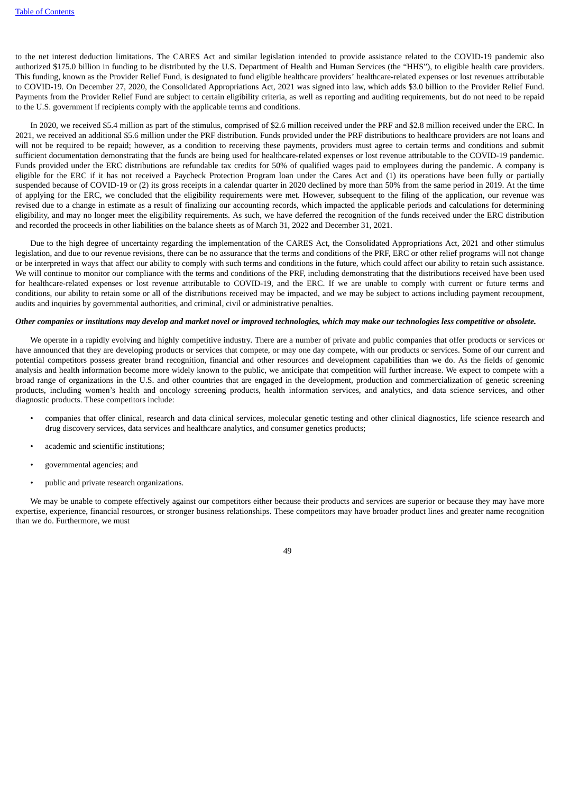to the net interest deduction limitations. The CARES Act and similar legislation intended to provide assistance related to the COVID-19 pandemic also authorized \$175.0 billion in funding to be distributed by the U.S. Department of Health and Human Services (the "HHS"), to eligible health care providers. This funding, known as the Provider Relief Fund, is designated to fund eligible healthcare providers' healthcare-related expenses or lost revenues attributable to COVID-19. On December 27, 2020, the Consolidated Appropriations Act, 2021 was signed into law, which adds \$3.0 billion to the Provider Relief Fund. Payments from the Provider Relief Fund are subject to certain eligibility criteria, as well as reporting and auditing requirements, but do not need to be repaid to the U.S. government if recipients comply with the applicable terms and conditions.

In 2020, we received \$5.4 million as part of the stimulus, comprised of \$2.6 million received under the PRF and \$2.8 million received under the ERC. In 2021, we received an additional \$5.6 million under the PRF distribution. Funds provided under the PRF distributions to healthcare providers are not loans and will not be required to be repaid; however, as a condition to receiving these payments, providers must agree to certain terms and conditions and submit sufficient documentation demonstrating that the funds are being used for healthcare-related expenses or lost revenue attributable to the COVID-19 pandemic. Funds provided under the ERC distributions are refundable tax credits for 50% of qualified wages paid to employees during the pandemic. A company is eligible for the ERC if it has not received a Paycheck Protection Program loan under the Cares Act and (1) its operations have been fully or partially suspended because of COVID-19 or (2) its gross receipts in a calendar quarter in 2020 declined by more than 50% from the same period in 2019. At the time of applying for the ERC, we concluded that the eligibility requirements were met. However, subsequent to the filing of the application, our revenue was revised due to a change in estimate as a result of finalizing our accounting records, which impacted the applicable periods and calculations for determining eligibility, and may no longer meet the eligibility requirements. As such, we have deferred the recognition of the funds received under the ERC distribution and recorded the proceeds in other liabilities on the balance sheets as of March 31, 2022 and December 31, 2021.

Due to the high degree of uncertainty regarding the implementation of the CARES Act, the Consolidated Appropriations Act, 2021 and other stimulus legislation, and due to our revenue revisions, there can be no assurance that the terms and conditions of the PRF, ERC or other relief programs will not change or be interpreted in ways that affect our ability to comply with such terms and conditions in the future, which could affect our ability to retain such assistance. We will continue to monitor our compliance with the terms and conditions of the PRF, including demonstrating that the distributions received have been used for healthcare-related expenses or lost revenue attributable to COVID-19, and the ERC. If we are unable to comply with current or future terms and conditions, our ability to retain some or all of the distributions received may be impacted, and we may be subject to actions including payment recoupment, audits and inquiries by governmental authorities, and criminal, civil or administrative penalties.

#### Other companies or institutions may develop and market novel or improved technologies, which may make our technologies less competitive or obsolete.

We operate in a rapidly evolving and highly competitive industry. There are a number of private and public companies that offer products or services or have announced that they are developing products or services that compete, or may one day compete, with our products or services. Some of our current and potential competitors possess greater brand recognition, financial and other resources and development capabilities than we do. As the fields of genomic analysis and health information become more widely known to the public, we anticipate that competition will further increase. We expect to compete with a broad range of organizations in the U.S. and other countries that are engaged in the development, production and commercialization of genetic screening products, including women's health and oncology screening products, health information services, and analytics, and data science services, and other diagnostic products. These competitors include:

- companies that offer clinical, research and data clinical services, molecular genetic testing and other clinical diagnostics, life science research and drug discovery services, data services and healthcare analytics, and consumer genetics products;
- academic and scientific institutions;
- governmental agencies; and
- public and private research organizations.

We may be unable to compete effectively against our competitors either because their products and services are superior or because they may have more expertise, experience, financial resources, or stronger business relationships. These competitors may have broader product lines and greater name recognition than we do. Furthermore, we must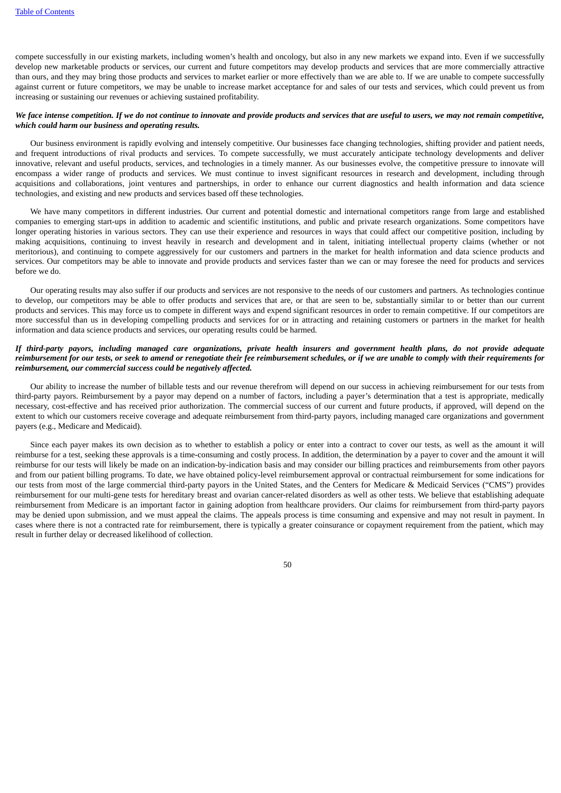compete successfully in our existing markets, including women's health and oncology, but also in any new markets we expand into. Even if we successfully develop new marketable products or services, our current and future competitors may develop products and services that are more commercially attractive than ours, and they may bring those products and services to market earlier or more effectively than we are able to. If we are unable to compete successfully against current or future competitors, we may be unable to increase market acceptance for and sales of our tests and services, which could prevent us from increasing or sustaining our revenues or achieving sustained profitability.

## We face intense competition. If we do not continue to innovate and provide products and services that are useful to users, we may not remain competitive, *which could harm our business and operating results.*

Our business environment is rapidly evolving and intensely competitive. Our businesses face changing technologies, shifting provider and patient needs, and frequent introductions of rival products and services. To compete successfully, we must accurately anticipate technology developments and deliver innovative, relevant and useful products, services, and technologies in a timely manner. As our businesses evolve, the competitive pressure to innovate will encompass a wider range of products and services. We must continue to invest significant resources in research and development, including through acquisitions and collaborations, joint ventures and partnerships, in order to enhance our current diagnostics and health information and data science technologies, and existing and new products and services based off these technologies.

We have many competitors in different industries. Our current and potential domestic and international competitors range from large and established companies to emerging start-ups in addition to academic and scientific institutions, and public and private research organizations. Some competitors have longer operating histories in various sectors. They can use their experience and resources in ways that could affect our competitive position, including by making acquisitions, continuing to invest heavily in research and development and in talent, initiating intellectual property claims (whether or not meritorious), and continuing to compete aggressively for our customers and partners in the market for health information and data science products and services. Our competitors may be able to innovate and provide products and services faster than we can or may foresee the need for products and services before we do.

Our operating results may also suffer if our products and services are not responsive to the needs of our customers and partners. As technologies continue to develop, our competitors may be able to offer products and services that are, or that are seen to be, substantially similar to or better than our current products and services. This may force us to compete in different ways and expend significant resources in order to remain competitive. If our competitors are more successful than us in developing compelling products and services for or in attracting and retaining customers or partners in the market for health information and data science products and services, our operating results could be harmed.

# If third-party payors, including managed care organizations, private health insurers and government health plans, do not provide adequate reimbursement for our tests, or seek to amend or renegotiate their fee reimbursement schedules, or if we are unable to comply with their requirements for *reimbursement, our commercial success could be negatively affected.*

Our ability to increase the number of billable tests and our revenue therefrom will depend on our success in achieving reimbursement for our tests from third-party payors. Reimbursement by a payor may depend on a number of factors, including a payer's determination that a test is appropriate, medically necessary, cost-effective and has received prior authorization. The commercial success of our current and future products, if approved, will depend on the extent to which our customers receive coverage and adequate reimbursement from third-party payors, including managed care organizations and government payers (e.g., Medicare and Medicaid).

Since each payer makes its own decision as to whether to establish a policy or enter into a contract to cover our tests, as well as the amount it will reimburse for a test, seeking these approvals is a time-consuming and costly process. In addition, the determination by a payer to cover and the amount it will reimburse for our tests will likely be made on an indication-by-indication basis and may consider our billing practices and reimbursements from other payors and from our patient billing programs. To date, we have obtained policy-level reimbursement approval or contractual reimbursement for some indications for our tests from most of the large commercial third-party payors in the United States, and the Centers for Medicare & Medicaid Services ("CMS") provides reimbursement for our multi-gene tests for hereditary breast and ovarian cancer-related disorders as well as other tests. We believe that establishing adequate reimbursement from Medicare is an important factor in gaining adoption from healthcare providers. Our claims for reimbursement from third-party payors may be denied upon submission, and we must appeal the claims. The appeals process is time consuming and expensive and may not result in payment. In cases where there is not a contracted rate for reimbursement, there is typically a greater coinsurance or copayment requirement from the patient, which may result in further delay or decreased likelihood of collection.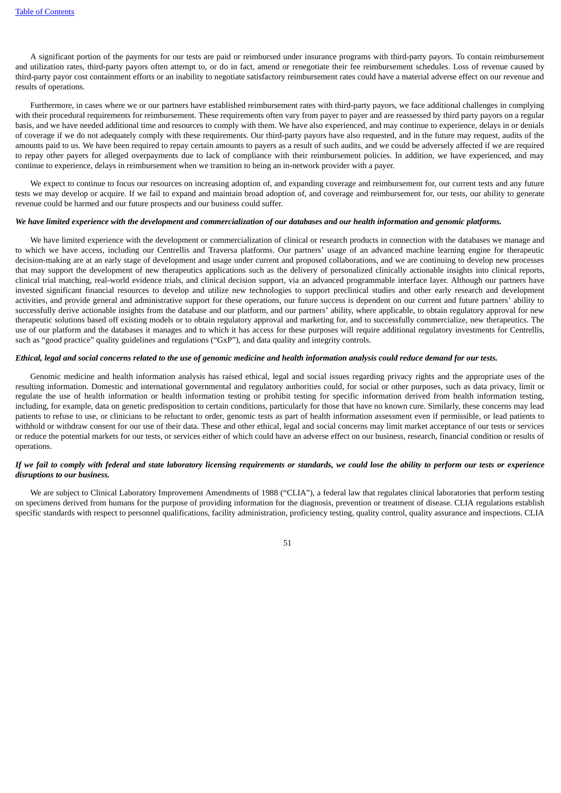A significant portion of the payments for our tests are paid or reimbursed under insurance programs with third-party payors. To contain reimbursement and utilization rates, third-party payors often attempt to, or do in fact, amend or renegotiate their fee reimbursement schedules. Loss of revenue caused by third-party payor cost containment efforts or an inability to negotiate satisfactory reimbursement rates could have a material adverse effect on our revenue and results of operations.

Furthermore, in cases where we or our partners have established reimbursement rates with third-party payors, we face additional challenges in complying with their procedural requirements for reimbursement. These requirements often vary from payer to payer and are reassessed by third party payors on a regular basis, and we have needed additional time and resources to comply with them. We have also experienced, and may continue to experience, delays in or denials of coverage if we do not adequately comply with these requirements. Our third-party payors have also requested, and in the future may request, audits of the amounts paid to us. We have been required to repay certain amounts to payers as a result of such audits, and we could be adversely affected if we are required to repay other payers for alleged overpayments due to lack of compliance with their reimbursement policies. In addition, we have experienced, and may continue to experience, delays in reimbursement when we transition to being an in-network provider with a payer.

We expect to continue to focus our resources on increasing adoption of, and expanding coverage and reimbursement for, our current tests and any future tests we may develop or acquire. If we fail to expand and maintain broad adoption of, and coverage and reimbursement for, our tests, our ability to generate revenue could be harmed and our future prospects and our business could suffer.

### We have limited experience with the development and commercialization of our databases and our health information and genomic platforms.

We have limited experience with the development or commercialization of clinical or research products in connection with the databases we manage and to which we have access, including our Centrellis and Traversa platforms. Our partners' usage of an advanced machine learning engine for therapeutic decision-making are at an early stage of development and usage under current and proposed collaborations, and we are continuing to develop new processes that may support the development of new therapeutics applications such as the delivery of personalized clinically actionable insights into clinical reports, clinical trial matching, real-world evidence trials, and clinical decision support, via an advanced programmable interface layer. Although our partners have invested significant financial resources to develop and utilize new technologies to support preclinical studies and other early research and development activities, and provide general and administrative support for these operations, our future success is dependent on our current and future partners' ability to successfully derive actionable insights from the database and our platform, and our partners' ability, where applicable, to obtain regulatory approval for new therapeutic solutions based off existing models or to obtain regulatory approval and marketing for, and to successfully commercialize, new therapeutics. The use of our platform and the databases it manages and to which it has access for these purposes will require additional regulatory investments for Centrellis, such as "good practice" quality guidelines and regulations ("GxP"), and data quality and integrity controls.

### Ethical, legal and social concerns related to the use of genomic medicine and health information analysis could reduce demand for our tests.

Genomic medicine and health information analysis has raised ethical, legal and social issues regarding privacy rights and the appropriate uses of the resulting information. Domestic and international governmental and regulatory authorities could, for social or other purposes, such as data privacy, limit or regulate the use of health information or health information testing or prohibit testing for specific information derived from health information testing, including, for example, data on genetic predisposition to certain conditions, particularly for those that have no known cure. Similarly, these concerns may lead patients to refuse to use, or clinicians to be reluctant to order, genomic tests as part of health information assessment even if permissible, or lead patients to withhold or withdraw consent for our use of their data. These and other ethical, legal and social concerns may limit market acceptance of our tests or services or reduce the potential markets for our tests, or services either of which could have an adverse effect on our business, research, financial condition or results of operations.

# If we fail to comply with federal and state laboratory licensing requirements or standards, we could lose the ability to perform our tests or experience *disruptions to our business.*

We are subject to Clinical Laboratory Improvement Amendments of 1988 ("CLIA"), a federal law that regulates clinical laboratories that perform testing on specimens derived from humans for the purpose of providing information for the diagnosis, prevention or treatment of disease. CLIA regulations establish specific standards with respect to personnel qualifications, facility administration, proficiency testing, quality control, quality assurance and inspections. CLIA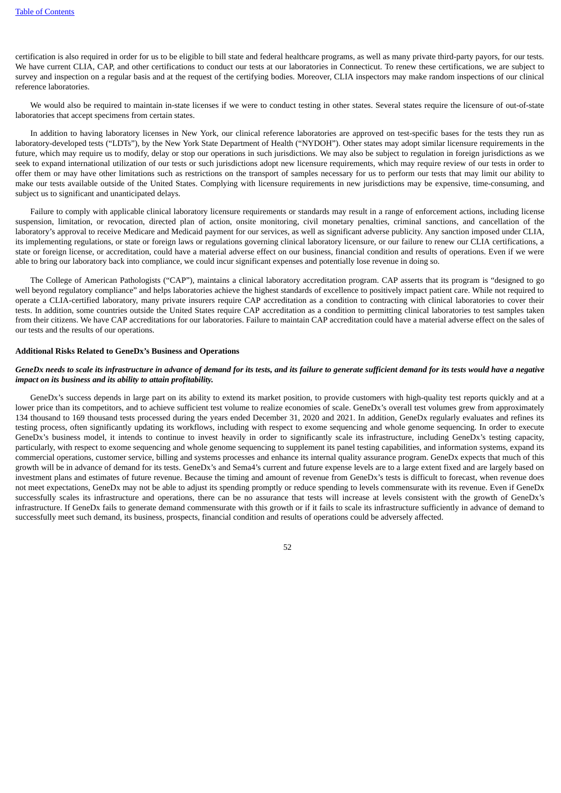certification is also required in order for us to be eligible to bill state and federal healthcare programs, as well as many private third-party payors, for our tests. We have current CLIA, CAP, and other certifications to conduct our tests at our laboratories in Connecticut. To renew these certifications, we are subject to survey and inspection on a regular basis and at the request of the certifying bodies. Moreover, CLIA inspectors may make random inspections of our clinical reference laboratories.

We would also be required to maintain in-state licenses if we were to conduct testing in other states. Several states require the licensure of out-of-state laboratories that accept specimens from certain states.

In addition to having laboratory licenses in New York, our clinical reference laboratories are approved on test-specific bases for the tests they run as laboratory-developed tests ("LDTs"), by the New York State Department of Health ("NYDOH"). Other states may adopt similar licensure requirements in the future, which may require us to modify, delay or stop our operations in such jurisdictions. We may also be subject to regulation in foreign jurisdictions as we seek to expand international utilization of our tests or such jurisdictions adopt new licensure requirements, which may require review of our tests in order to offer them or may have other limitations such as restrictions on the transport of samples necessary for us to perform our tests that may limit our ability to make our tests available outside of the United States. Complying with licensure requirements in new jurisdictions may be expensive, time-consuming, and subject us to significant and unanticipated delays.

Failure to comply with applicable clinical laboratory licensure requirements or standards may result in a range of enforcement actions, including license suspension, limitation, or revocation, directed plan of action, onsite monitoring, civil monetary penalties, criminal sanctions, and cancellation of the laboratory's approval to receive Medicare and Medicaid payment for our services, as well as significant adverse publicity. Any sanction imposed under CLIA, its implementing regulations, or state or foreign laws or regulations governing clinical laboratory licensure, or our failure to renew our CLIA certifications, a state or foreign license, or accreditation, could have a material adverse effect on our business, financial condition and results of operations. Even if we were able to bring our laboratory back into compliance, we could incur significant expenses and potentially lose revenue in doing so.

The College of American Pathologists ("CAP"), maintains a clinical laboratory accreditation program. CAP asserts that its program is "designed to go well beyond regulatory compliance" and helps laboratories achieve the highest standards of excellence to positively impact patient care. While not required to operate a CLIA-certified laboratory, many private insurers require CAP accreditation as a condition to contracting with clinical laboratories to cover their tests. In addition, some countries outside the United States require CAP accreditation as a condition to permitting clinical laboratories to test samples taken from their citizens. We have CAP accreditations for our laboratories. Failure to maintain CAP accreditation could have a material adverse effect on the sales of our tests and the results of our operations.

#### **Additional Risks Related to GeneDx's Business and Operations**

### GeneDx needs to scale its infrastructure in advance of demand for its tests, and its failure to generate sufficient demand for its tests would have a negative *impact on its business and its ability to attain profitability.*

GeneDx's success depends in large part on its ability to extend its market position, to provide customers with high-quality test reports quickly and at a lower price than its competitors, and to achieve sufficient test volume to realize economies of scale. GeneDx's overall test volumes grew from approximately 134 thousand to 169 thousand tests processed during the years ended December 31, 2020 and 2021. In addition, GeneDx regularly evaluates and refines its testing process, often significantly updating its workflows, including with respect to exome sequencing and whole genome sequencing. In order to execute GeneDx's business model, it intends to continue to invest heavily in order to significantly scale its infrastructure, including GeneDx's testing capacity, particularly, with respect to exome sequencing and whole genome sequencing to supplement its panel testing capabilities, and information systems, expand its commercial operations, customer service, billing and systems processes and enhance its internal quality assurance program. GeneDx expects that much of this growth will be in advance of demand for its tests. GeneDx's and Sema4's current and future expense levels are to a large extent fixed and are largely based on investment plans and estimates of future revenue. Because the timing and amount of revenue from GeneDx's tests is difficult to forecast, when revenue does not meet expectations, GeneDx may not be able to adjust its spending promptly or reduce spending to levels commensurate with its revenue. Even if GeneDx successfully scales its infrastructure and operations, there can be no assurance that tests will increase at levels consistent with the growth of GeneDx's infrastructure. If GeneDx fails to generate demand commensurate with this growth or if it fails to scale its infrastructure sufficiently in advance of demand to successfully meet such demand, its business, prospects, financial condition and results of operations could be adversely affected.

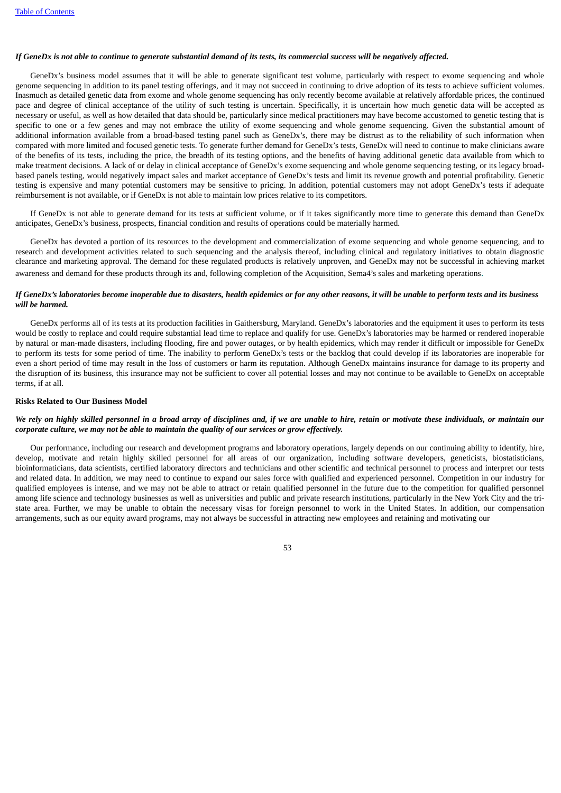### If GeneDx is not able to continue to generate substantial demand of its tests, its commercial success will be negatively affected.

GeneDx's business model assumes that it will be able to generate significant test volume, particularly with respect to exome sequencing and whole genome sequencing in addition to its panel testing offerings, and it may not succeed in continuing to drive adoption of its tests to achieve sufficient volumes. Inasmuch as detailed genetic data from exome and whole genome sequencing has only recently become available at relatively affordable prices, the continued pace and degree of clinical acceptance of the utility of such testing is uncertain. Specifically, it is uncertain how much genetic data will be accepted as necessary or useful, as well as how detailed that data should be, particularly since medical practitioners may have become accustomed to genetic testing that is specific to one or a few genes and may not embrace the utility of exome sequencing and whole genome sequencing. Given the substantial amount of additional information available from a broad-based testing panel such as GeneDx's, there may be distrust as to the reliability of such information when compared with more limited and focused genetic tests. To generate further demand for GeneDx's tests, GeneDx will need to continue to make clinicians aware of the benefits of its tests, including the price, the breadth of its testing options, and the benefits of having additional genetic data available from which to make treatment decisions. A lack of or delay in clinical acceptance of GeneDx's exome sequencing and whole genome sequencing testing, or its legacy broadbased panels testing, would negatively impact sales and market acceptance of GeneDx's tests and limit its revenue growth and potential profitability. Genetic testing is expensive and many potential customers may be sensitive to pricing. In addition, potential customers may not adopt GeneDx's tests if adequate reimbursement is not available, or if GeneDx is not able to maintain low prices relative to its competitors.

If GeneDx is not able to generate demand for its tests at sufficient volume, or if it takes significantly more time to generate this demand than GeneDx anticipates, GeneDx's business, prospects, financial condition and results of operations could be materially harmed.

GeneDx has devoted a portion of its resources to the development and commercialization of exome sequencing and whole genome sequencing, and to research and development activities related to such sequencing and the analysis thereof, including clinical and regulatory initiatives to obtain diagnostic clearance and marketing approval. The demand for these regulated products is relatively unproven, and GeneDx may not be successful in achieving market awareness and demand for these products through its and, following completion of the Acquisition, Sema4's sales and marketing operations.

# If GeneDx's laboratories become inoperable due to disasters, health epidemics or for any other reasons, it will be unable to perform tests and its business *will be harmed.*

GeneDx performs all of its tests at its production facilities in Gaithersburg, Maryland. GeneDx's laboratories and the equipment it uses to perform its tests would be costly to replace and could require substantial lead time to replace and qualify for use. GeneDx's laboratories may be harmed or rendered inoperable by natural or man-made disasters, including flooding, fire and power outages, or by health epidemics, which may render it difficult or impossible for GeneDx to perform its tests for some period of time. The inability to perform GeneDx's tests or the backlog that could develop if its laboratories are inoperable for even a short period of time may result in the loss of customers or harm its reputation. Although GeneDx maintains insurance for damage to its property and the disruption of its business, this insurance may not be sufficient to cover all potential losses and may not continue to be available to GeneDx on acceptable terms, if at all.

#### **Risks Related to Our Business Model**

## We rely on highly skilled personnel in a broad array of disciplines and, if we are unable to hire, retain or motivate these individuals, or maintain our *corporate culture, we may not be able to maintain the quality of our services or grow effectively.*

Our performance, including our research and development programs and laboratory operations, largely depends on our continuing ability to identify, hire, develop, motivate and retain highly skilled personnel for all areas of our organization, including software developers, geneticists, biostatisticians, bioinformaticians, data scientists, certified laboratory directors and technicians and other scientific and technical personnel to process and interpret our tests and related data. In addition, we may need to continue to expand our sales force with qualified and experienced personnel. Competition in our industry for qualified employees is intense, and we may not be able to attract or retain qualified personnel in the future due to the competition for qualified personnel among life science and technology businesses as well as universities and public and private research institutions, particularly in the New York City and the tristate area. Further, we may be unable to obtain the necessary visas for foreign personnel to work in the United States. In addition, our compensation arrangements, such as our equity award programs, may not always be successful in attracting new employees and retaining and motivating our

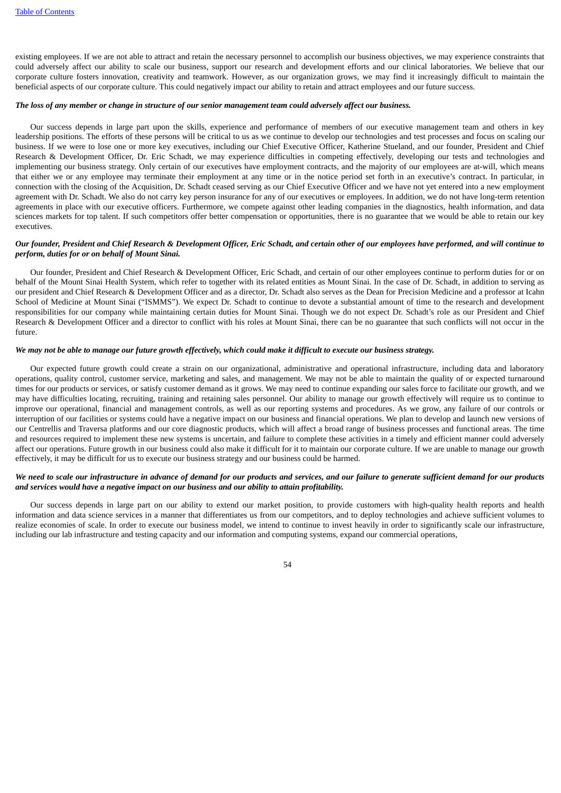existing employees. If we are not able to attract and retain the necessary personnel to accomplish our business objectives, we may experience constraints that could adversely affect our ability to scale our business, support our research and development efforts and our clinical laboratories. We believe that our corporate culture fosters innovation, creativity and teamwork. However, as our organization grows, we may find it increasingly difficult to maintain the beneficial aspects of our corporate culture. This could negatively impact our ability to retain and attract employees and our future success.

### The loss of any member or change in structure of our senior management team could adversely affect our business.

Our success depends in large part upon the skills, experience and performance of members of our executive management team and others in key leadership positions. The efforts of these persons will be critical to us as we continue to develop our technologies and test processes and focus on scaling our business. If we were to lose one or more key executives, including our Chief Executive Officer, Katherine Stueland, and our founder, President and Chief Research & Development Officer, Dr. Eric Schadt, we may experience difficulties in competing effectively, developing our tests and technologies and implementing our business strategy. Only certain of our executives have employment contracts, and the majority of our employees are at-will, which means that either we or any employee may terminate their employment at any time or in the notice period set forth in an executive's contract. In particular, in connection with the closing of the Acquisition, Dr. Schadt ceased serving as our Chief Executive Officer and we have not yet entered into a new employment agreement with Dr. Schadt. We also do not carry key person insurance for any of our executives or employees. In addition, we do not have long-term retention agreements in place with our executive officers. Furthermore, we compete against other leading companies in the diagnostics, health information, and data sciences markets for top talent. If such competitors offer better compensation or opportunities, there is no guarantee that we would be able to retain our key executives.

# Our founder, President and Chief Research & Development Officer, Eric Schadt, and certain other of our employees have performed, and will continue to *perform, duties for or on behalf of Mount Sinai.*

Our founder, President and Chief Research & Development Officer, Eric Schadt, and certain of our other employees continue to perform duties for or on behalf of the Mount Sinai Health System, which refer to together with its related entities as Mount Sinai. In the case of Dr. Schadt, in addition to serving as our president and Chief Research & Development Officer and as a director, Dr. Schadt also serves as the Dean for Precision Medicine and a professor at Icahn School of Medicine at Mount Sinai ("ISMMS"). We expect Dr. Schadt to continue to devote a substantial amount of time to the research and development responsibilities for our company while maintaining certain duties for Mount Sinai. Though we do not expect Dr. Schadt's role as our President and Chief Research & Development Officer and a director to conflict with his roles at Mount Sinai, there can be no guarantee that such conflicts will not occur in the future.

### We may not be able to manage our future growth effectively, which could make it difficult to execute our business strategy.

Our expected future growth could create a strain on our organizational, administrative and operational infrastructure, including data and laboratory operations, quality control, customer service, marketing and sales, and management. We may not be able to maintain the quality of or expected turnaround times for our products or services, or satisfy customer demand as it grows. We may need to continue expanding our sales force to facilitate our growth, and we may have difficulties locating, recruiting, training and retaining sales personnel. Our ability to manage our growth effectively will require us to continue to improve our operational, financial and management controls, as well as our reporting systems and procedures. As we grow, any failure of our controls or interruption of our facilities or systems could have a negative impact on our business and financial operations. We plan to develop and launch new versions of our Centrellis and Traversa platforms and our core diagnostic products, which will affect a broad range of business processes and functional areas. The time and resources required to implement these new systems is uncertain, and failure to complete these activities in a timely and efficient manner could adversely affect our operations. Future growth in our business could also make it difficult for it to maintain our corporate culture. If we are unable to manage our growth effectively, it may be difficult for us to execute our business strategy and our business could be harmed.

# We need to scale our infrastructure in advance of demand for our products and services, and our failure to generate sufficient demand for our products *and services would have a negative impact on our business and our ability to attain profitability.*

Our success depends in large part on our ability to extend our market position, to provide customers with high-quality health reports and health information and data science services in a manner that differentiates us from our competitors, and to deploy technologies and achieve sufficient volumes to realize economies of scale. In order to execute our business model, we intend to continue to invest heavily in order to significantly scale our infrastructure, including our lab infrastructure and testing capacity and our information and computing systems, expand our commercial operations,

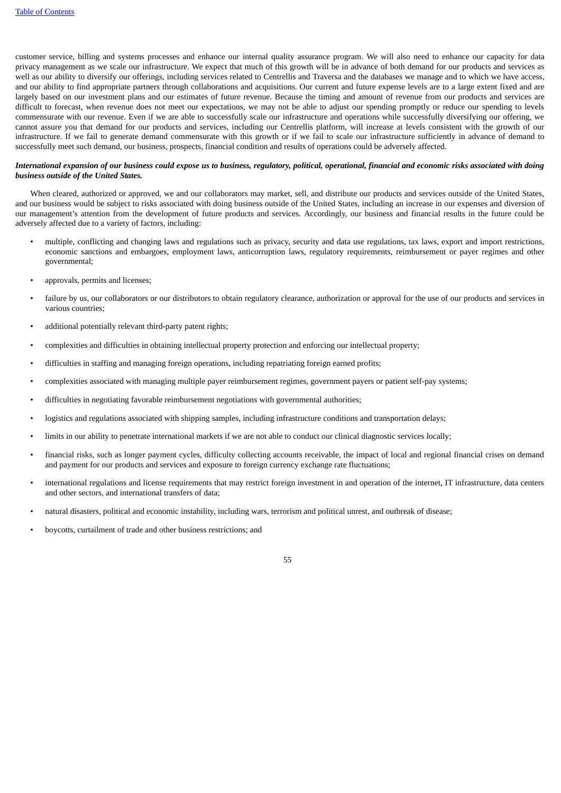customer service, billing and systems processes and enhance our internal quality assurance program. We will also need to enhance our capacity for data privacy management as we scale our infrastructure. We expect that much of this growth will be in advance of both demand for our products and services as well as our ability to diversify our offerings, including services related to Centrellis and Traversa and the databases we manage and to which we have access, and our ability to find appropriate partners through collaborations and acquisitions. Our current and future expense levels are to a large extent fixed and are largely based on our investment plans and our estimates of future revenue. Because the timing and amount of revenue from our products and services are difficult to forecast, when revenue does not meet our expectations, we may not be able to adjust our spending promptly or reduce our spending to levels commensurate with our revenue. Even if we are able to successfully scale our infrastructure and operations while successfully diversifying our offering, we cannot assure you that demand for our products and services, including our Centrellis platform, will increase at levels consistent with the growth of our infrastructure. If we fail to generate demand commensurate with this growth or if we fail to scale our infrastructure sufficiently in advance of demand to successfully meet such demand, our business, prospects, financial condition and results of operations could be adversely affected.

# International expansion of our business could expose us to business, regulatory, political, operational, financial and economic risks associated with doing *business outside of the United States.*

When cleared, authorized or approved, we and our collaborators may market, sell, and distribute our products and services outside of the United States, and our business would be subject to risks associated with doing business outside of the United States, including an increase in our expenses and diversion of our management's attention from the development of future products and services. Accordingly, our business and financial results in the future could be adversely affected due to a variety of factors, including:

- multiple, conflicting and changing laws and regulations such as privacy, security and data use regulations, tax laws, export and import restrictions, economic sanctions and embargoes, employment laws, anticorruption laws, regulatory requirements, reimbursement or payer regimes and other governmental;
- approvals, permits and licenses;
- failure by us, our collaborators or our distributors to obtain regulatory clearance, authorization or approval for the use of our products and services in various countries;
- additional potentially relevant third-party patent rights;
- complexities and difficulties in obtaining intellectual property protection and enforcing our intellectual property;
- difficulties in staffing and managing foreign operations, including repatriating foreign earned profits;
- complexities associated with managing multiple payer reimbursement regimes, government payers or patient self-pay systems;
- difficulties in negotiating favorable reimbursement negotiations with governmental authorities;
- logistics and regulations associated with shipping samples, including infrastructure conditions and transportation delays;
- limits in our ability to penetrate international markets if we are not able to conduct our clinical diagnostic services locally;
- financial risks, such as longer payment cycles, difficulty collecting accounts receivable, the impact of local and regional financial crises on demand and payment for our products and services and exposure to foreign currency exchange rate fluctuations;
- international regulations and license requirements that may restrict foreign investment in and operation of the internet, IT infrastructure, data centers and other sectors, and international transfers of data;
- natural disasters, political and economic instability, including wars, terrorism and political unrest, and outbreak of disease;
- boycotts, curtailment of trade and other business restrictions; and

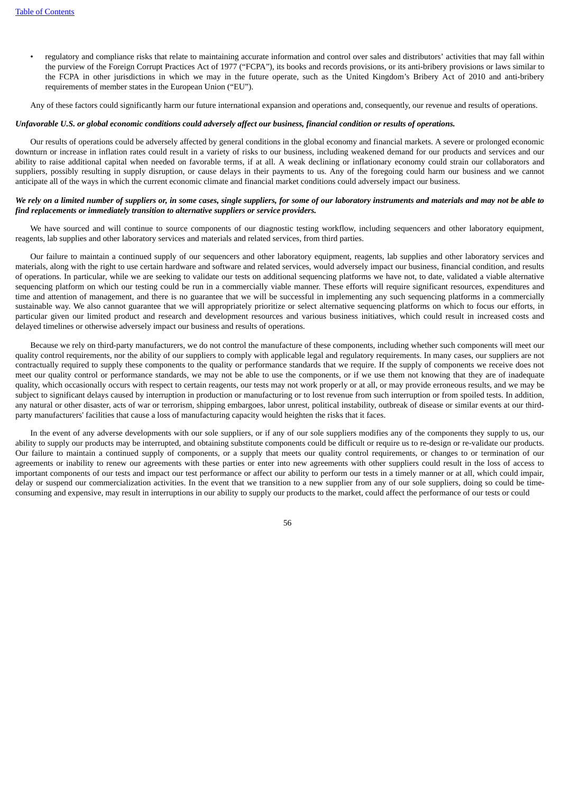• regulatory and compliance risks that relate to maintaining accurate information and control over sales and distributors' activities that may fall within the purview of the Foreign Corrupt Practices Act of 1977 ("FCPA"), its books and records provisions, or its anti-bribery provisions or laws similar to the FCPA in other jurisdictions in which we may in the future operate, such as the United Kingdom's Bribery Act of 2010 and anti-bribery requirements of member states in the European Union ("EU").

Any of these factors could significantly harm our future international expansion and operations and, consequently, our revenue and results of operations.

#### Unfavorable U.S. or global economic conditions could adversely affect our business, financial condition or results of operations.

Our results of operations could be adversely affected by general conditions in the global economy and financial markets. A severe or prolonged economic downturn or increase in inflation rates could result in a variety of risks to our business, including weakened demand for our products and services and our ability to raise additional capital when needed on favorable terms, if at all. A weak declining or inflationary economy could strain our collaborators and suppliers, possibly resulting in supply disruption, or cause delays in their payments to us. Any of the foregoing could harm our business and we cannot anticipate all of the ways in which the current economic climate and financial market conditions could adversely impact our business.

# We rely on a limited number of suppliers or, in some cases, single suppliers, for some of our laboratory instruments and materials and may not be able to *find replacements or immediately transition to alternative suppliers or service providers.*

We have sourced and will continue to source components of our diagnostic testing workflow, including sequencers and other laboratory equipment, reagents, lab supplies and other laboratory services and materials and related services, from third parties.

Our failure to maintain a continued supply of our sequencers and other laboratory equipment, reagents, lab supplies and other laboratory services and materials, along with the right to use certain hardware and software and related services, would adversely impact our business, financial condition, and results of operations. In particular, while we are seeking to validate our tests on additional sequencing platforms we have not, to date, validated a viable alternative sequencing platform on which our testing could be run in a commercially viable manner. These efforts will require significant resources, expenditures and time and attention of management, and there is no guarantee that we will be successful in implementing any such sequencing platforms in a commercially sustainable way. We also cannot guarantee that we will appropriately prioritize or select alternative sequencing platforms on which to focus our efforts, in particular given our limited product and research and development resources and various business initiatives, which could result in increased costs and delayed timelines or otherwise adversely impact our business and results of operations.

Because we rely on third-party manufacturers, we do not control the manufacture of these components, including whether such components will meet our quality control requirements, nor the ability of our suppliers to comply with applicable legal and regulatory requirements. In many cases, our suppliers are not contractually required to supply these components to the quality or performance standards that we require. If the supply of components we receive does not meet our quality control or performance standards, we may not be able to use the components, or if we use them not knowing that they are of inadequate quality, which occasionally occurs with respect to certain reagents, our tests may not work properly or at all, or may provide erroneous results, and we may be subject to significant delays caused by interruption in production or manufacturing or to lost revenue from such interruption or from spoiled tests. In addition, any natural or other disaster, acts of war or terrorism, shipping embargoes, labor unrest, political instability, outbreak of disease or similar events at our thirdparty manufacturers' facilities that cause a loss of manufacturing capacity would heighten the risks that it faces.

In the event of any adverse developments with our sole suppliers, or if any of our sole suppliers modifies any of the components they supply to us, our ability to supply our products may be interrupted, and obtaining substitute components could be difficult or require us to re-design or re-validate our products. Our failure to maintain a continued supply of components, or a supply that meets our quality control requirements, or changes to or termination of our agreements or inability to renew our agreements with these parties or enter into new agreements with other suppliers could result in the loss of access to important components of our tests and impact our test performance or affect our ability to perform our tests in a timely manner or at all, which could impair, delay or suspend our commercialization activities. In the event that we transition to a new supplier from any of our sole suppliers, doing so could be timeconsuming and expensive, may result in interruptions in our ability to supply our products to the market, could affect the performance of our tests or could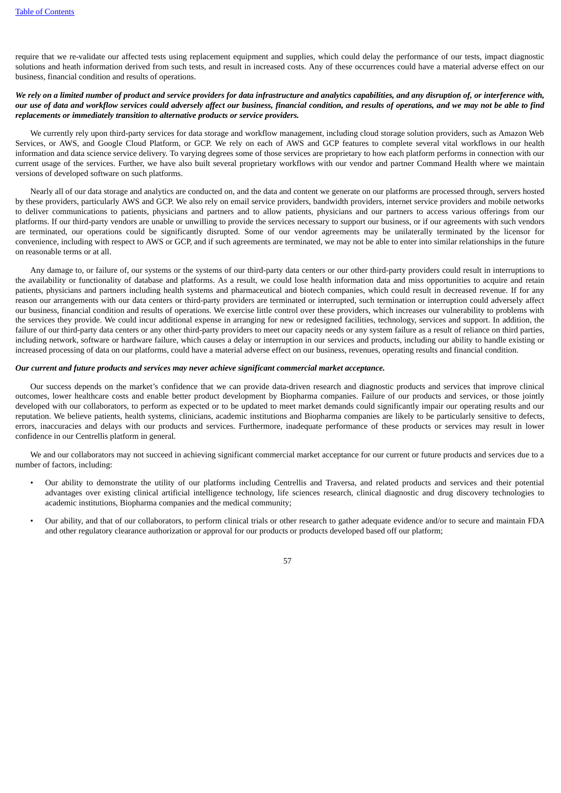require that we re-validate our affected tests using replacement equipment and supplies, which could delay the performance of our tests, impact diagnostic solutions and heath information derived from such tests, and result in increased costs. Any of these occurrences could have a material adverse effect on our business, financial condition and results of operations.

# We rely on a limited number of product and service providers for data infrastructure and analytics capabilities, and any disruption of, or interference with, our use of data and workflow services could adversely affect our business, financial condition, and results of operations, and we may not be able to find *replacements or immediately transition to alternative products or service providers.*

We currently rely upon third-party services for data storage and workflow management, including cloud storage solution providers, such as Amazon Web Services, or AWS, and Google Cloud Platform, or GCP. We rely on each of AWS and GCP features to complete several vital workflows in our health information and data science service delivery. To varying degrees some of those services are proprietary to how each platform performs in connection with our current usage of the services. Further, we have also built several proprietary workflows with our vendor and partner Command Health where we maintain versions of developed software on such platforms.

Nearly all of our data storage and analytics are conducted on, and the data and content we generate on our platforms are processed through, servers hosted by these providers, particularly AWS and GCP. We also rely on email service providers, bandwidth providers, internet service providers and mobile networks to deliver communications to patients, physicians and partners and to allow patients, physicians and our partners to access various offerings from our platforms. If our third-party vendors are unable or unwilling to provide the services necessary to support our business, or if our agreements with such vendors are terminated, our operations could be significantly disrupted. Some of our vendor agreements may be unilaterally terminated by the licensor for convenience, including with respect to AWS or GCP, and if such agreements are terminated, we may not be able to enter into similar relationships in the future on reasonable terms or at all.

Any damage to, or failure of, our systems or the systems of our third-party data centers or our other third-party providers could result in interruptions to the availability or functionality of database and platforms. As a result, we could lose health information data and miss opportunities to acquire and retain patients, physicians and partners including health systems and pharmaceutical and biotech companies, which could result in decreased revenue. If for any reason our arrangements with our data centers or third-party providers are terminated or interrupted, such termination or interruption could adversely affect our business, financial condition and results of operations. We exercise little control over these providers, which increases our vulnerability to problems with the services they provide. We could incur additional expense in arranging for new or redesigned facilities, technology, services and support. In addition, the failure of our third-party data centers or any other third-party providers to meet our capacity needs or any system failure as a result of reliance on third parties, including network, software or hardware failure, which causes a delay or interruption in our services and products, including our ability to handle existing or increased processing of data on our platforms, could have a material adverse effect on our business, revenues, operating results and financial condition.

# *Our current and future products and services may never achieve significant commercial market acceptance.*

Our success depends on the market's confidence that we can provide data-driven research and diagnostic products and services that improve clinical outcomes, lower healthcare costs and enable better product development by Biopharma companies. Failure of our products and services, or those jointly developed with our collaborators, to perform as expected or to be updated to meet market demands could significantly impair our operating results and our reputation. We believe patients, health systems, clinicians, academic institutions and Biopharma companies are likely to be particularly sensitive to defects, errors, inaccuracies and delays with our products and services. Furthermore, inadequate performance of these products or services may result in lower confidence in our Centrellis platform in general.

We and our collaborators may not succeed in achieving significant commercial market acceptance for our current or future products and services due to a number of factors, including:

- Our ability to demonstrate the utility of our platforms including Centrellis and Traversa, and related products and services and their potential advantages over existing clinical artificial intelligence technology, life sciences research, clinical diagnostic and drug discovery technologies to academic institutions, Biopharma companies and the medical community;
- Our ability, and that of our collaborators, to perform clinical trials or other research to gather adequate evidence and/or to secure and maintain FDA and other regulatory clearance authorization or approval for our products or products developed based off our platform;

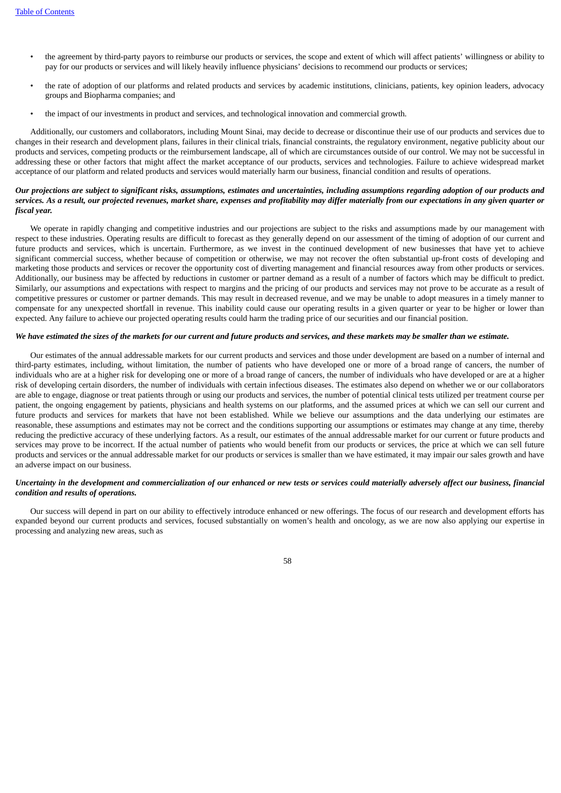- the agreement by third-party payors to reimburse our products or services, the scope and extent of which will affect patients' willingness or ability to pay for our products or services and will likely heavily influence physicians' decisions to recommend our products or services;
- the rate of adoption of our platforms and related products and services by academic institutions, clinicians, patients, key opinion leaders, advocacy groups and Biopharma companies; and
- the impact of our investments in product and services, and technological innovation and commercial growth.

Additionally, our customers and collaborators, including Mount Sinai, may decide to decrease or discontinue their use of our products and services due to changes in their research and development plans, failures in their clinical trials, financial constraints, the regulatory environment, negative publicity about our products and services, competing products or the reimbursement landscape, all of which are circumstances outside of our control. We may not be successful in addressing these or other factors that might affect the market acceptance of our products, services and technologies. Failure to achieve widespread market acceptance of our platform and related products and services would materially harm our business, financial condition and results of operations.

# Our projections are subject to significant risks, assumptions, estimates and uncertainties, including assumptions regarding adoption of our products and services. As a result, our projected revenues, market share, expenses and profitability may differ materially from our expectations in any given quarter or *fiscal year.*

We operate in rapidly changing and competitive industries and our projections are subject to the risks and assumptions made by our management with respect to these industries. Operating results are difficult to forecast as they generally depend on our assessment of the timing of adoption of our current and future products and services, which is uncertain. Furthermore, as we invest in the continued development of new businesses that have yet to achieve significant commercial success, whether because of competition or otherwise, we may not recover the often substantial up-front costs of developing and marketing those products and services or recover the opportunity cost of diverting management and financial resources away from other products or services. Additionally, our business may be affected by reductions in customer or partner demand as a result of a number of factors which may be difficult to predict. Similarly, our assumptions and expectations with respect to margins and the pricing of our products and services may not prove to be accurate as a result of competitive pressures or customer or partner demands. This may result in decreased revenue, and we may be unable to adopt measures in a timely manner to compensate for any unexpected shortfall in revenue. This inability could cause our operating results in a given quarter or year to be higher or lower than expected. Any failure to achieve our projected operating results could harm the trading price of our securities and our financial position.

# We have estimated the sizes of the markets for our current and future products and services, and these markets may be smaller than we estimate.

Our estimates of the annual addressable markets for our current products and services and those under development are based on a number of internal and third-party estimates, including, without limitation, the number of patients who have developed one or more of a broad range of cancers, the number of individuals who are at a higher risk for developing one or more of a broad range of cancers, the number of individuals who have developed or are at a higher risk of developing certain disorders, the number of individuals with certain infectious diseases. The estimates also depend on whether we or our collaborators are able to engage, diagnose or treat patients through or using our products and services, the number of potential clinical tests utilized per treatment course per patient, the ongoing engagement by patients, physicians and health systems on our platforms, and the assumed prices at which we can sell our current and future products and services for markets that have not been established. While we believe our assumptions and the data underlying our estimates are reasonable, these assumptions and estimates may not be correct and the conditions supporting our assumptions or estimates may change at any time, thereby reducing the predictive accuracy of these underlying factors. As a result, our estimates of the annual addressable market for our current or future products and services may prove to be incorrect. If the actual number of patients who would benefit from our products or services, the price at which we can sell future products and services or the annual addressable market for our products or services is smaller than we have estimated, it may impair our sales growth and have an adverse impact on our business.

# Uncertainty in the development and commercialization of our enhanced or new tests or services could materially adversely affect our business, financial *condition and results of operations.*

Our success will depend in part on our ability to effectively introduce enhanced or new offerings. The focus of our research and development efforts has expanded beyond our current products and services, focused substantially on women's health and oncology, as we are now also applying our expertise in processing and analyzing new areas, such as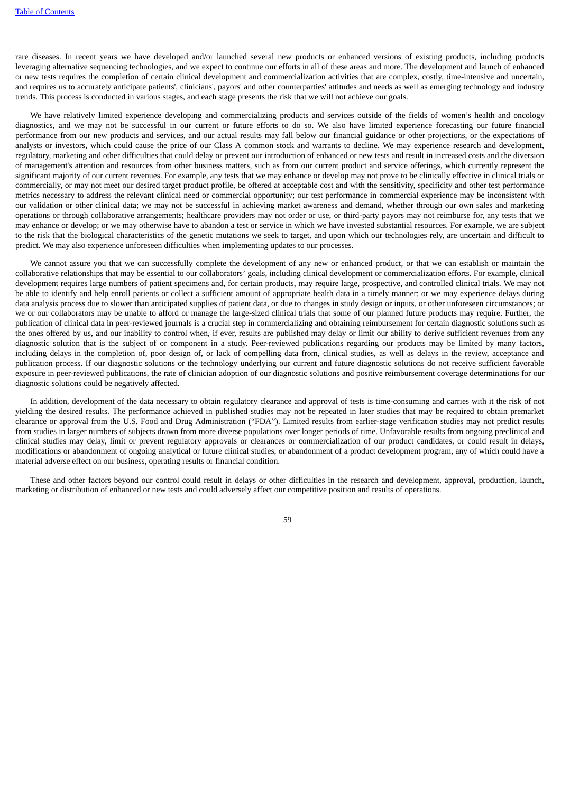rare diseases. In recent years we have developed and/or launched several new products or enhanced versions of existing products, including products leveraging alternative sequencing technologies, and we expect to continue our efforts in all of these areas and more. The development and launch of enhanced or new tests requires the completion of certain clinical development and commercialization activities that are complex, costly, time-intensive and uncertain, and requires us to accurately anticipate patients', clinicians', payors' and other counterparties' attitudes and needs as well as emerging technology and industry trends. This process is conducted in various stages, and each stage presents the risk that we will not achieve our goals.

We have relatively limited experience developing and commercializing products and services outside of the fields of women's health and oncology diagnostics, and we may not be successful in our current or future efforts to do so. We also have limited experience forecasting our future financial performance from our new products and services, and our actual results may fall below our financial guidance or other projections, or the expectations of analysts or investors, which could cause the price of our Class A common stock and warrants to decline. We may experience research and development, regulatory, marketing and other difficulties that could delay or prevent our introduction of enhanced or new tests and result in increased costs and the diversion of management's attention and resources from other business matters, such as from our current product and service offerings, which currently represent the significant majority of our current revenues. For example, any tests that we may enhance or develop may not prove to be clinically effective in clinical trials or commercially, or may not meet our desired target product profile, be offered at acceptable cost and with the sensitivity, specificity and other test performance metrics necessary to address the relevant clinical need or commercial opportunity; our test performance in commercial experience may be inconsistent with our validation or other clinical data; we may not be successful in achieving market awareness and demand, whether through our own sales and marketing operations or through collaborative arrangements; healthcare providers may not order or use, or third-party payors may not reimburse for, any tests that we may enhance or develop; or we may otherwise have to abandon a test or service in which we have invested substantial resources. For example, we are subject to the risk that the biological characteristics of the genetic mutations we seek to target, and upon which our technologies rely, are uncertain and difficult to predict. We may also experience unforeseen difficulties when implementing updates to our processes.

We cannot assure you that we can successfully complete the development of any new or enhanced product, or that we can establish or maintain the collaborative relationships that may be essential to our collaborators' goals, including clinical development or commercialization efforts. For example, clinical development requires large numbers of patient specimens and, for certain products, may require large, prospective, and controlled clinical trials. We may not be able to identify and help enroll patients or collect a sufficient amount of appropriate health data in a timely manner; or we may experience delays during data analysis process due to slower than anticipated supplies of patient data, or due to changes in study design or inputs, or other unforeseen circumstances; or we or our collaborators may be unable to afford or manage the large-sized clinical trials that some of our planned future products may require. Further, the publication of clinical data in peer-reviewed journals is a crucial step in commercializing and obtaining reimbursement for certain diagnostic solutions such as the ones offered by us, and our inability to control when, if ever, results are published may delay or limit our ability to derive sufficient revenues from any diagnostic solution that is the subject of or component in a study. Peer-reviewed publications regarding our products may be limited by many factors, including delays in the completion of, poor design of, or lack of compelling data from, clinical studies, as well as delays in the review, acceptance and publication process. If our diagnostic solutions or the technology underlying our current and future diagnostic solutions do not receive sufficient favorable exposure in peer-reviewed publications, the rate of clinician adoption of our diagnostic solutions and positive reimbursement coverage determinations for our diagnostic solutions could be negatively affected.

In addition, development of the data necessary to obtain regulatory clearance and approval of tests is time-consuming and carries with it the risk of not yielding the desired results. The performance achieved in published studies may not be repeated in later studies that may be required to obtain premarket clearance or approval from the U.S. Food and Drug Administration ("FDA"). Limited results from earlier-stage verification studies may not predict results from studies in larger numbers of subjects drawn from more diverse populations over longer periods of time. Unfavorable results from ongoing preclinical and clinical studies may delay, limit or prevent regulatory approvals or clearances or commercialization of our product candidates, or could result in delays, modifications or abandonment of ongoing analytical or future clinical studies, or abandonment of a product development program, any of which could have a material adverse effect on our business, operating results or financial condition.

These and other factors beyond our control could result in delays or other difficulties in the research and development, approval, production, launch, marketing or distribution of enhanced or new tests and could adversely affect our competitive position and results of operations.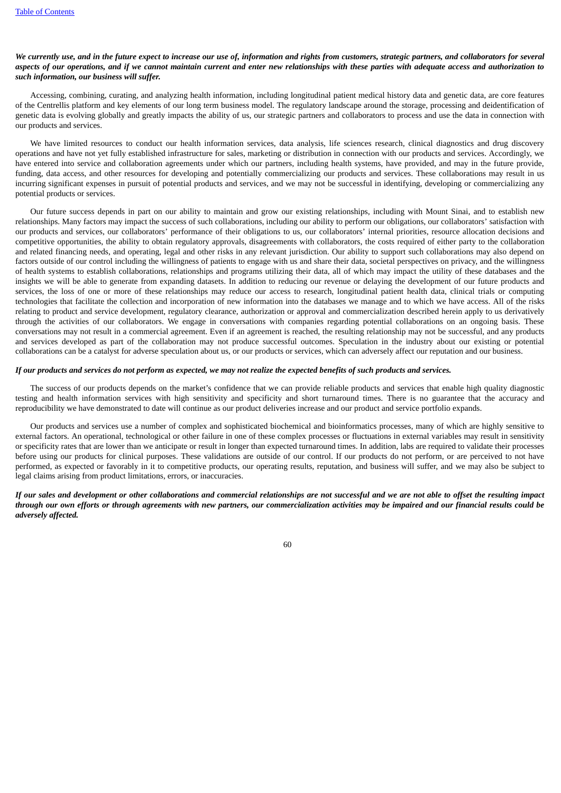# We currently use, and in the future expect to increase our use of, information and rights from customers, strategic partners, and collaborators for several aspects of our operations, and if we cannot maintain current and enter new relationships with these parties with adequate access and authorization to *such information, our business will suffer.*

Accessing, combining, curating, and analyzing health information, including longitudinal patient medical history data and genetic data, are core features of the Centrellis platform and key elements of our long term business model. The regulatory landscape around the storage, processing and deidentification of genetic data is evolving globally and greatly impacts the ability of us, our strategic partners and collaborators to process and use the data in connection with our products and services.

We have limited resources to conduct our health information services, data analysis, life sciences research, clinical diagnostics and drug discovery operations and have not yet fully established infrastructure for sales, marketing or distribution in connection with our products and services. Accordingly, we have entered into service and collaboration agreements under which our partners, including health systems, have provided, and may in the future provide, funding, data access, and other resources for developing and potentially commercializing our products and services. These collaborations may result in us incurring significant expenses in pursuit of potential products and services, and we may not be successful in identifying, developing or commercializing any potential products or services.

Our future success depends in part on our ability to maintain and grow our existing relationships, including with Mount Sinai, and to establish new relationships. Many factors may impact the success of such collaborations, including our ability to perform our obligations, our collaborators' satisfaction with our products and services, our collaborators' performance of their obligations to us, our collaborators' internal priorities, resource allocation decisions and competitive opportunities, the ability to obtain regulatory approvals, disagreements with collaborators, the costs required of either party to the collaboration and related financing needs, and operating, legal and other risks in any relevant jurisdiction. Our ability to support such collaborations may also depend on factors outside of our control including the willingness of patients to engage with us and share their data, societal perspectives on privacy, and the willingness of health systems to establish collaborations, relationships and programs utilizing their data, all of which may impact the utility of these databases and the insights we will be able to generate from expanding datasets. In addition to reducing our revenue or delaying the development of our future products and services, the loss of one or more of these relationships may reduce our access to research, longitudinal patient health data, clinical trials or computing technologies that facilitate the collection and incorporation of new information into the databases we manage and to which we have access. All of the risks relating to product and service development, regulatory clearance, authorization or approval and commercialization described herein apply to us derivatively through the activities of our collaborators. We engage in conversations with companies regarding potential collaborations on an ongoing basis. These conversations may not result in a commercial agreement. Even if an agreement is reached, the resulting relationship may not be successful, and any products and services developed as part of the collaboration may not produce successful outcomes. Speculation in the industry about our existing or potential collaborations can be a catalyst for adverse speculation about us, or our products or services, which can adversely affect our reputation and our business.

### If our products and services do not perform as expected, we may not realize the expected benefits of such products and services.

The success of our products depends on the market's confidence that we can provide reliable products and services that enable high quality diagnostic testing and health information services with high sensitivity and specificity and short turnaround times. There is no guarantee that the accuracy and reproducibility we have demonstrated to date will continue as our product deliveries increase and our product and service portfolio expands.

Our products and services use a number of complex and sophisticated biochemical and bioinformatics processes, many of which are highly sensitive to external factors. An operational, technological or other failure in one of these complex processes or fluctuations in external variables may result in sensitivity or specificity rates that are lower than we anticipate or result in longer than expected turnaround times. In addition, labs are required to validate their processes before using our products for clinical purposes. These validations are outside of our control. If our products do not perform, or are perceived to not have performed, as expected or favorably in it to competitive products, our operating results, reputation, and business will suffer, and we may also be subject to legal claims arising from product limitations, errors, or inaccuracies.

If our sales and development or other collaborations and commercial relationships are not successful and we are not able to offset the resulting impact through our own efforts or through agreements with new partners, our commercialization activities may be impaired and our financial results could be *adversely affected.*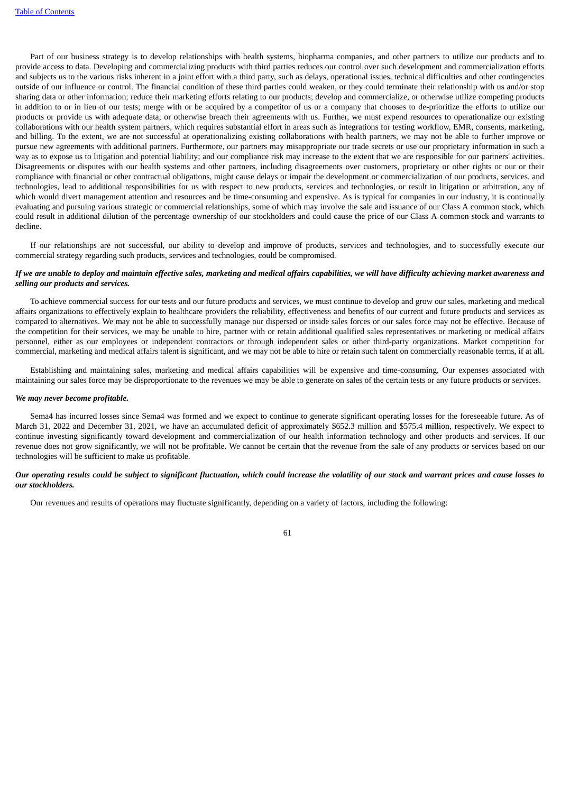Part of our business strategy is to develop relationships with health systems, biopharma companies, and other partners to utilize our products and to provide access to data. Developing and commercializing products with third parties reduces our control over such development and commercialization efforts and subjects us to the various risks inherent in a joint effort with a third party, such as delays, operational issues, technical difficulties and other contingencies outside of our influence or control. The financial condition of these third parties could weaken, or they could terminate their relationship with us and/or stop sharing data or other information; reduce their marketing efforts relating to our products; develop and commercialize, or otherwise utilize competing products in addition to or in lieu of our tests; merge with or be acquired by a competitor of us or a company that chooses to de-prioritize the efforts to utilize our products or provide us with adequate data; or otherwise breach their agreements with us. Further, we must expend resources to operationalize our existing collaborations with our health system partners, which requires substantial effort in areas such as integrations for testing workflow, EMR, consents, marketing, and billing. To the extent, we are not successful at operationalizing existing collaborations with health partners, we may not be able to further improve or pursue new agreements with additional partners. Furthermore, our partners may misappropriate our trade secrets or use our proprietary information in such a way as to expose us to litigation and potential liability; and our compliance risk may increase to the extent that we are responsible for our partners' activities. Disagreements or disputes with our health systems and other partners, including disagreements over customers, proprietary or other rights or our or their compliance with financial or other contractual obligations, might cause delays or impair the development or commercialization of our products, services, and technologies, lead to additional responsibilities for us with respect to new products, services and technologies, or result in litigation or arbitration, any of which would divert management attention and resources and be time-consuming and expensive. As is typical for companies in our industry, it is continually evaluating and pursuing various strategic or commercial relationships, some of which may involve the sale and issuance of our Class A common stock, which could result in additional dilution of the percentage ownership of our stockholders and could cause the price of our Class A common stock and warrants to decline.

If our relationships are not successful, our ability to develop and improve of products, services and technologies, and to successfully execute our commercial strategy regarding such products, services and technologies, could be compromised.

# If we are unable to deploy and maintain effective sales, marketing and medical affairs capabilities, we will have difficulty achieving market awareness and *selling our products and services.*

To achieve commercial success for our tests and our future products and services, we must continue to develop and grow our sales, marketing and medical affairs organizations to effectively explain to healthcare providers the reliability, effectiveness and benefits of our current and future products and services as compared to alternatives. We may not be able to successfully manage our dispersed or inside sales forces or our sales force may not be effective. Because of the competition for their services, we may be unable to hire, partner with or retain additional qualified sales representatives or marketing or medical affairs personnel, either as our employees or independent contractors or through independent sales or other third-party organizations. Market competition for commercial, marketing and medical affairs talent is significant, and we may not be able to hire or retain such talent on commercially reasonable terms, if at all.

Establishing and maintaining sales, marketing and medical affairs capabilities will be expensive and time-consuming. Our expenses associated with maintaining our sales force may be disproportionate to the revenues we may be able to generate on sales of the certain tests or any future products or services.

### *We may never become profitable.*

Sema4 has incurred losses since Sema4 was formed and we expect to continue to generate significant operating losses for the foreseeable future. As of March 31, 2022 and December 31, 2021, we have an accumulated deficit of approximately \$652.3 million and \$575.4 million, respectively. We expect to continue investing significantly toward development and commercialization of our health information technology and other products and services. If our revenue does not grow significantly, we will not be profitable. We cannot be certain that the revenue from the sale of any products or services based on our technologies will be sufficient to make us profitable.

# Our operating results could be subject to significant fluctuation, which could increase the volatility of our stock and warrant prices and cause losses to *our stockholders.*

Our revenues and results of operations may fluctuate significantly, depending on a variety of factors, including the following: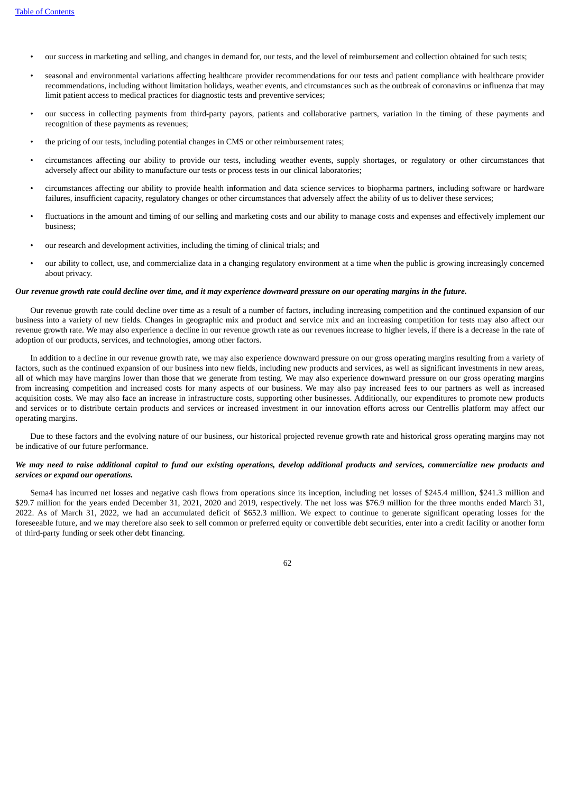- our success in marketing and selling, and changes in demand for, our tests, and the level of reimbursement and collection obtained for such tests;
- seasonal and environmental variations affecting healthcare provider recommendations for our tests and patient compliance with healthcare provider recommendations, including without limitation holidays, weather events, and circumstances such as the outbreak of coronavirus or influenza that may limit patient access to medical practices for diagnostic tests and preventive services;
- our success in collecting payments from third-party payors, patients and collaborative partners, variation in the timing of these payments and recognition of these payments as revenues;
- the pricing of our tests, including potential changes in CMS or other reimbursement rates;
- circumstances affecting our ability to provide our tests, including weather events, supply shortages, or regulatory or other circumstances that adversely affect our ability to manufacture our tests or process tests in our clinical laboratories;
- circumstances affecting our ability to provide health information and data science services to biopharma partners, including software or hardware failures, insufficient capacity, regulatory changes or other circumstances that adversely affect the ability of us to deliver these services;
- fluctuations in the amount and timing of our selling and marketing costs and our ability to manage costs and expenses and effectively implement our business;
- our research and development activities, including the timing of clinical trials; and
- our ability to collect, use, and commercialize data in a changing regulatory environment at a time when the public is growing increasingly concerned about privacy.

#### Our revenue growth rate could decline over time, and it may experience downward pressure on our operating margins in the future.

Our revenue growth rate could decline over time as a result of a number of factors, including increasing competition and the continued expansion of our business into a variety of new fields. Changes in geographic mix and product and service mix and an increasing competition for tests may also affect our revenue growth rate. We may also experience a decline in our revenue growth rate as our revenues increase to higher levels, if there is a decrease in the rate of adoption of our products, services, and technologies, among other factors.

In addition to a decline in our revenue growth rate, we may also experience downward pressure on our gross operating margins resulting from a variety of factors, such as the continued expansion of our business into new fields, including new products and services, as well as significant investments in new areas, all of which may have margins lower than those that we generate from testing. We may also experience downward pressure on our gross operating margins from increasing competition and increased costs for many aspects of our business. We may also pay increased fees to our partners as well as increased acquisition costs. We may also face an increase in infrastructure costs, supporting other businesses. Additionally, our expenditures to promote new products and services or to distribute certain products and services or increased investment in our innovation efforts across our Centrellis platform may affect our operating margins.

Due to these factors and the evolving nature of our business, our historical projected revenue growth rate and historical gross operating margins may not be indicative of our future performance.

# We may need to raise additional capital to fund our existing operations, develop additional products and services, commercialize new products and *services or expand our operations.*

Sema4 has incurred net losses and negative cash flows from operations since its inception, including net losses of \$245.4 million, \$241.3 million and \$29.7 million for the years ended December 31, 2021, 2020 and 2019, respectively. The net loss was \$76.9 million for the three months ended March 31, 2022. As of March 31, 2022, we had an accumulated deficit of \$652.3 million. We expect to continue to generate significant operating losses for the foreseeable future, and we may therefore also seek to sell common or preferred equity or convertible debt securities, enter into a credit facility or another form of third-party funding or seek other debt financing.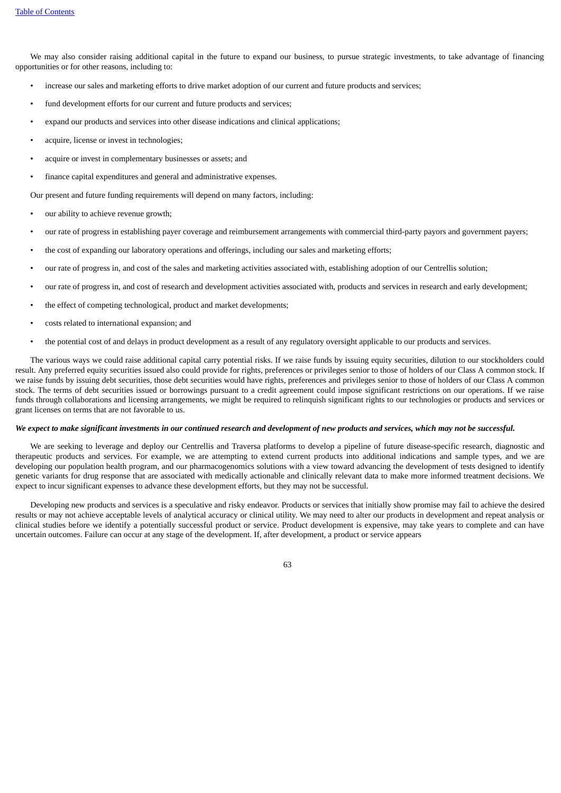We may also consider raising additional capital in the future to expand our business, to pursue strategic investments, to take advantage of financing opportunities or for other reasons, including to:

- increase our sales and marketing efforts to drive market adoption of our current and future products and services;
- fund development efforts for our current and future products and services;
- expand our products and services into other disease indications and clinical applications;
- acquire, license or invest in technologies;
- acquire or invest in complementary businesses or assets; and
- finance capital expenditures and general and administrative expenses.

Our present and future funding requirements will depend on many factors, including:

- our ability to achieve revenue growth;
- our rate of progress in establishing payer coverage and reimbursement arrangements with commercial third-party payors and government payers;
- the cost of expanding our laboratory operations and offerings, including our sales and marketing efforts;
- our rate of progress in, and cost of the sales and marketing activities associated with, establishing adoption of our Centrellis solution;
- our rate of progress in, and cost of research and development activities associated with, products and services in research and early development;
- the effect of competing technological, product and market developments;
- costs related to international expansion; and
- the potential cost of and delays in product development as a result of any regulatory oversight applicable to our products and services.

The various ways we could raise additional capital carry potential risks. If we raise funds by issuing equity securities, dilution to our stockholders could result. Any preferred equity securities issued also could provide for rights, preferences or privileges senior to those of holders of our Class A common stock. If we raise funds by issuing debt securities, those debt securities would have rights, preferences and privileges senior to those of holders of our Class A common stock. The terms of debt securities issued or borrowings pursuant to a credit agreement could impose significant restrictions on our operations. If we raise funds through collaborations and licensing arrangements, we might be required to relinquish significant rights to our technologies or products and services or grant licenses on terms that are not favorable to us.

# We expect to make significant investments in our continued research and development of new products and services, which may not be successful.

We are seeking to leverage and deploy our Centrellis and Traversa platforms to develop a pipeline of future disease-specific research, diagnostic and therapeutic products and services. For example, we are attempting to extend current products into additional indications and sample types, and we are developing our population health program, and our pharmacogenomics solutions with a view toward advancing the development of tests designed to identify genetic variants for drug response that are associated with medically actionable and clinically relevant data to make more informed treatment decisions. We expect to incur significant expenses to advance these development efforts, but they may not be successful.

Developing new products and services is a speculative and risky endeavor. Products or services that initially show promise may fail to achieve the desired results or may not achieve acceptable levels of analytical accuracy or clinical utility. We may need to alter our products in development and repeat analysis or clinical studies before we identify a potentially successful product or service. Product development is expensive, may take years to complete and can have uncertain outcomes. Failure can occur at any stage of the development. If, after development, a product or service appears

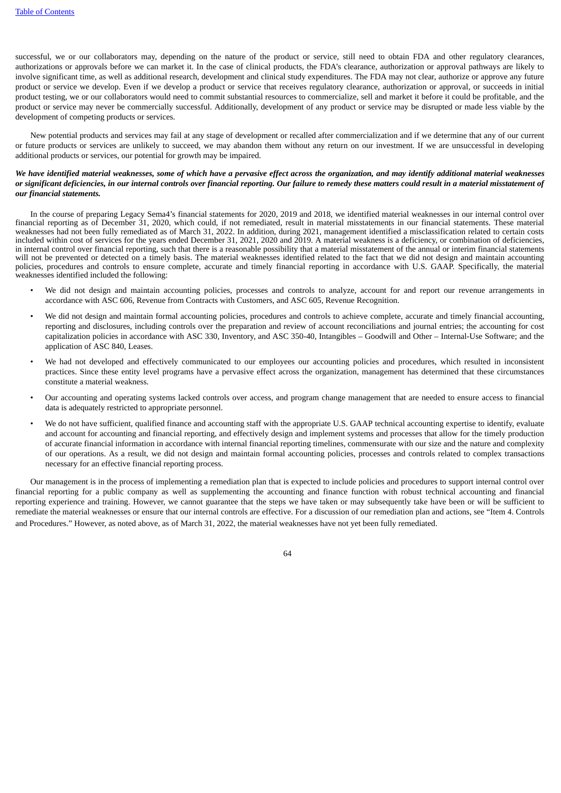successful, we or our collaborators may, depending on the nature of the product or service, still need to obtain FDA and other regulatory clearances, authorizations or approvals before we can market it. In the case of clinical products, the FDA's clearance, authorization or approval pathways are likely to involve significant time, as well as additional research, development and clinical study expenditures. The FDA may not clear, authorize or approve any future product or service we develop. Even if we develop a product or service that receives regulatory clearance, authorization or approval, or succeeds in initial product testing, we or our collaborators would need to commit substantial resources to commercialize, sell and market it before it could be profitable, and the product or service may never be commercially successful. Additionally, development of any product or service may be disrupted or made less viable by the development of competing products or services.

New potential products and services may fail at any stage of development or recalled after commercialization and if we determine that any of our current or future products or services are unlikely to succeed, we may abandon them without any return on our investment. If we are unsuccessful in developing additional products or services, our potential for growth may be impaired.

# We have identified material weaknesses, some of which have a pervasive effect across the organization, and may identify additional material weaknesses or significant deficiencies, in our internal controls over financial reporting. Our failure to remedy these matters could result in a material misstatement of *our financial statements.*

In the course of preparing Legacy Sema4's financial statements for 2020, 2019 and 2018, we identified material weaknesses in our internal control over financial reporting as of December 31, 2020, which could, if not remediated, result in material misstatements in our financial statements. These material weaknesses had not been fully remediated as of March 31, 2022. In addition, during 2021, management identified a misclassification related to certain costs included within cost of services for the years ended December 31, 2021, 2020 and 2019. A material weakness is a deficiency, or combination of deficiencies, in internal control over financial reporting, such that there is a reasonable possibility that a material misstatement of the annual or interim financial statements will not be prevented or detected on a timely basis. The material weaknesses identified related to the fact that we did not design and maintain accounting policies, procedures and controls to ensure complete, accurate and timely financial reporting in accordance with U.S. GAAP. Specifically, the material weaknesses identified included the following:

- We did not design and maintain accounting policies, processes and controls to analyze, account for and report our revenue arrangements in accordance with ASC 606, Revenue from Contracts with Customers, and ASC 605, Revenue Recognition.
- We did not design and maintain formal accounting policies, procedures and controls to achieve complete, accurate and timely financial accounting, reporting and disclosures, including controls over the preparation and review of account reconciliations and journal entries; the accounting for cost capitalization policies in accordance with ASC 330, Inventory, and ASC 350-40, Intangibles – Goodwill and Other – Internal-Use Software; and the application of ASC 840, Leases.
- We had not developed and effectively communicated to our employees our accounting policies and procedures, which resulted in inconsistent practices. Since these entity level programs have a pervasive effect across the organization, management has determined that these circumstances constitute a material weakness.
- Our accounting and operating systems lacked controls over access, and program change management that are needed to ensure access to financial data is adequately restricted to appropriate personnel.
- We do not have sufficient, qualified finance and accounting staff with the appropriate U.S. GAAP technical accounting expertise to identify, evaluate and account for accounting and financial reporting, and effectively design and implement systems and processes that allow for the timely production of accurate financial information in accordance with internal financial reporting timelines, commensurate with our size and the nature and complexity of our operations. As a result, we did not design and maintain formal accounting policies, processes and controls related to complex transactions necessary for an effective financial reporting process.

Our management is in the process of implementing a remediation plan that is expected to include policies and procedures to support internal control over financial reporting for a public company as well as supplementing the accounting and finance function with robust technical accounting and financial reporting experience and training. However, we cannot guarantee that the steps we have taken or may subsequently take have been or will be sufficient to remediate the material weaknesses or ensure that our internal controls are effective. For a discussion of our remediation plan and actions, see "Item 4. Controls and Procedures." However, as noted above, as of March 31, 2022, the material weaknesses have not yet been fully remediated.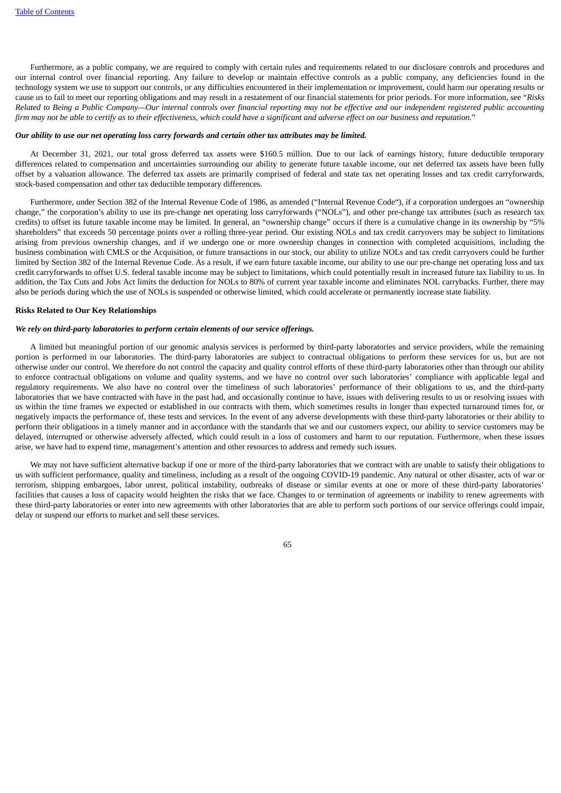Furthermore, as a public company, we are required to comply with certain rules and requirements related to our disclosure controls and procedures and our internal control over financial reporting. Any failure to develop or maintain effective controls as a public company, any deficiencies found in the technology system we use to support our controls, or any difficulties encountered in their implementation or improvement, could harm our operating results or cause us to fail to meet our reporting obligations and may result in a restatement of our financial statements for prior periods. For more information, see "*Risks* Related to Being a Public Company—Our internal controls over financial reporting may not be effective and our independent registered public accounting firm may not be able to certify as to their effectiveness, which could have a significant and adverse effect on our business and reputation."

#### Our ability to use our net operating loss carry forwards and certain other tax attributes may be limited.

At December 31, 2021, our total gross deferred tax assets were \$160.5 million. Due to our lack of earnings history, future deductible temporary differences related to compensation and uncertainties surrounding our ability to generate future taxable income, our net deferred tax assets have been fully offset by a valuation allowance. The deferred tax assets are primarily comprised of federal and state tax net operating losses and tax credit carryforwards, stock-based compensation and other tax deductible temporary differences.

Furthermore, under Section 382 of the Internal Revenue Code of 1986, as amended ("Internal Revenue Code"), if a corporation undergoes an "ownership change," the corporation's ability to use its pre-change net operating loss carryforwards ("NOLs"), and other pre-change tax attributes (such as research tax credits) to offset its future taxable income may be limited. In general, an "ownership change" occurs if there is a cumulative change in its ownership by "5% shareholders" that exceeds 50 percentage points over a rolling three-year period. Our existing NOLs and tax credit carryovers may be subject to limitations arising from previous ownership changes, and if we undergo one or more ownership changes in connection with completed acquisitions, including the business combination with CMLS or the Acquisition, or future transactions in our stock, our ability to utilize NOLs and tax credit carryovers could be further limited by Section 382 of the Internal Revenue Code. As a result, if we earn future taxable income, our ability to use our pre-change net operating loss and tax credit carryforwards to offset U.S. federal taxable income may be subject to limitations, which could potentially result in increased future tax liability to us. In addition, the Tax Cuts and Jobs Act limits the deduction for NOLs to 80% of current year taxable income and eliminates NOL carrybacks. Further, there may also be periods during which the use of NOLs is suspended or otherwise limited, which could accelerate or permanently increase state liability.

#### **Risks Related to Our Key Relationships**

#### *We rely on third-party laboratories to perform certain elements of our service offerings.*

A limited but meaningful portion of our genomic analysis services is performed by third-party laboratories and service providers, while the remaining portion is performed in our laboratories. The third-party laboratories are subject to contractual obligations to perform these services for us, but are not otherwise under our control. We therefore do not control the capacity and quality control efforts of these third-party laboratories other than through our ability to enforce contractual obligations on volume and quality systems, and we have no control over such laboratories' compliance with applicable legal and regulatory requirements. We also have no control over the timeliness of such laboratories' performance of their obligations to us, and the third-party laboratories that we have contracted with have in the past had, and occasionally continue to have, issues with delivering results to us or resolving issues with us within the time frames we expected or established in our contracts with them, which sometimes results in longer than expected turnaround times for, or negatively impacts the performance of, these tests and services. In the event of any adverse developments with these third-party laboratories or their ability to perform their obligations in a timely manner and in accordance with the standards that we and our customers expect, our ability to service customers may be delayed, interrupted or otherwise adversely affected, which could result in a loss of customers and harm to our reputation. Furthermore, when these issues arise, we have had to expend time, management's attention and other resources to address and remedy such issues.

We may not have sufficient alternative backup if one or more of the third-party laboratories that we contract with are unable to satisfy their obligations to us with sufficient performance, quality and timeliness, including as a result of the ongoing COVID-19 pandemic. Any natural or other disaster, acts of war or terrorism, shipping embargoes, labor unrest, political instability, outbreaks of disease or similar events at one or more of these third-party laboratories' facilities that causes a loss of capacity would heighten the risks that we face. Changes to or termination of agreements or inability to renew agreements with these third-party laboratories or enter into new agreements with other laboratories that are able to perform such portions of our service offerings could impair, delay or suspend our efforts to market and sell these services.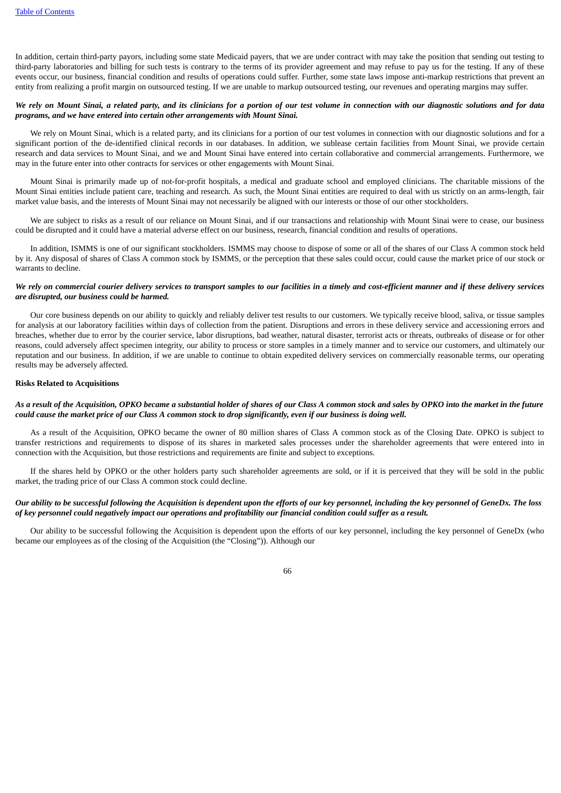In addition, certain third-party payors, including some state Medicaid payers, that we are under contract with may take the position that sending out testing to third-party laboratories and billing for such tests is contrary to the terms of its provider agreement and may refuse to pay us for the testing. If any of these events occur, our business, financial condition and results of operations could suffer. Further, some state laws impose anti-markup restrictions that prevent an entity from realizing a profit margin on outsourced testing. If we are unable to markup outsourced testing, our revenues and operating margins may suffer.

# We rely on Mount Sinai, a related party, and its clinicians for a portion of our test volume in connection with our diagnostic solutions and for data *programs, and we have entered into certain other arrangements with Mount Sinai.*

We rely on Mount Sinai, which is a related party, and its clinicians for a portion of our test volumes in connection with our diagnostic solutions and for a significant portion of the de-identified clinical records in our databases. In addition, we sublease certain facilities from Mount Sinai, we provide certain research and data services to Mount Sinai, and we and Mount Sinai have entered into certain collaborative and commercial arrangements. Furthermore, we may in the future enter into other contracts for services or other engagements with Mount Sinai.

Mount Sinai is primarily made up of not-for-profit hospitals, a medical and graduate school and employed clinicians. The charitable missions of the Mount Sinai entities include patient care, teaching and research. As such, the Mount Sinai entities are required to deal with us strictly on an arms-length, fair market value basis, and the interests of Mount Sinai may not necessarily be aligned with our interests or those of our other stockholders.

We are subject to risks as a result of our reliance on Mount Sinai, and if our transactions and relationship with Mount Sinai were to cease, our business could be disrupted and it could have a material adverse effect on our business, research, financial condition and results of operations.

In addition, ISMMS is one of our significant stockholders. ISMMS may choose to dispose of some or all of the shares of our Class A common stock held by it. Any disposal of shares of Class A common stock by ISMMS, or the perception that these sales could occur, could cause the market price of our stock or warrants to decline.

# We rely on commercial courier delivery services to transport samples to our facilities in a timely and cost-efficient manner and if these delivery services *are disrupted, our business could be harmed.*

Our core business depends on our ability to quickly and reliably deliver test results to our customers. We typically receive blood, saliva, or tissue samples for analysis at our laboratory facilities within days of collection from the patient. Disruptions and errors in these delivery service and accessioning errors and breaches, whether due to error by the courier service, labor disruptions, bad weather, natural disaster, terrorist acts or threats, outbreaks of disease or for other reasons, could adversely affect specimen integrity, our ability to process or store samples in a timely manner and to service our customers, and ultimately our reputation and our business. In addition, if we are unable to continue to obtain expedited delivery services on commercially reasonable terms, our operating results may be adversely affected.

### **Risks Related to Acquisitions**

### As a result of the Acquisition, OPKO became a substantial holder of shares of our Class A common stock and sales by OPKO into the market in the future could cause the market price of our Class A common stock to drop significantly, even if our business is doing well.

As a result of the Acquisition, OPKO became the owner of 80 million shares of Class A common stock as of the Closing Date. OPKO is subject to transfer restrictions and requirements to dispose of its shares in marketed sales processes under the shareholder agreements that were entered into in connection with the Acquisition, but those restrictions and requirements are finite and subject to exceptions.

If the shares held by OPKO or the other holders party such shareholder agreements are sold, or if it is perceived that they will be sold in the public market, the trading price of our Class A common stock could decline.

# Our ability to be successful following the Acquisition is dependent upon the efforts of our key personnel, including the key personnel of GeneDx. The loss of key personnel could negatively impact our operations and profitability our financial condition could suffer as a result.

Our ability to be successful following the Acquisition is dependent upon the efforts of our key personnel, including the key personnel of GeneDx (who became our employees as of the closing of the Acquisition (the "Closing")). Although our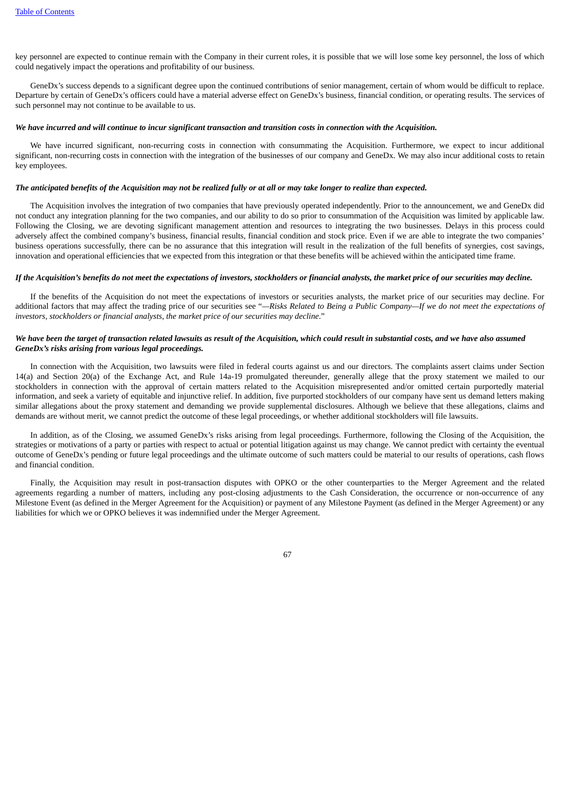key personnel are expected to continue remain with the Company in their current roles, it is possible that we will lose some key personnel, the loss of which could negatively impact the operations and profitability of our business.

GeneDx's success depends to a significant degree upon the continued contributions of senior management, certain of whom would be difficult to replace. Departure by certain of GeneDx's officers could have a material adverse effect on GeneDx's business, financial condition, or operating results. The services of such personnel may not continue to be available to us.

#### We have incurred and will continue to incur sianificant transaction and transition costs in connection with the Acauisition.

We have incurred significant, non-recurring costs in connection with consummating the Acquisition. Furthermore, we expect to incur additional significant, non-recurring costs in connection with the integration of the businesses of our company and GeneDx. We may also incur additional costs to retain key employees.

#### The anticipated benefits of the Acquisition may not be realized fully or at all or may take longer to realize than expected.

The Acquisition involves the integration of two companies that have previously operated independently. Prior to the announcement, we and GeneDx did not conduct any integration planning for the two companies, and our ability to do so prior to consummation of the Acquisition was limited by applicable law. Following the Closing, we are devoting significant management attention and resources to integrating the two businesses. Delays in this process could adversely affect the combined company's business, financial results, financial condition and stock price. Even if we are able to integrate the two companies' business operations successfully, there can be no assurance that this integration will result in the realization of the full benefits of synergies, cost savings, innovation and operational efficiencies that we expected from this integration or that these benefits will be achieved within the anticipated time frame.

#### If the Acquisition's benefits do not meet the expectations of investors, stockholders or financial analysts, the market price of our securities may decline.

If the benefits of the Acquisition do not meet the expectations of investors or securities analysts, the market price of our securities may decline. For additional factors that may affect the trading price of our securities see "—Risks Related to Being a Public Company—If we do not meet the expectations of *investors, stockholders or financial analysts, the market price of our securities may decline*."

# We have been the target of transaction related lawsuits as result of the Acquisition, which could result in substantial costs, and we have also assumed *GeneDx's risks arising from various legal proceedings.*

In connection with the Acquisition, two lawsuits were filed in federal courts against us and our directors. The complaints assert claims under Section 14(a) and Section 20(a) of the Exchange Act, and Rule 14a-19 promulgated thereunder, generally allege that the proxy statement we mailed to our stockholders in connection with the approval of certain matters related to the Acquisition misrepresented and/or omitted certain purportedly material information, and seek a variety of equitable and injunctive relief. In addition, five purported stockholders of our company have sent us demand letters making similar allegations about the proxy statement and demanding we provide supplemental disclosures. Although we believe that these allegations, claims and demands are without merit, we cannot predict the outcome of these legal proceedings, or whether additional stockholders will file lawsuits.

In addition, as of the Closing, we assumed GeneDx's risks arising from legal proceedings. Furthermore, following the Closing of the Acquisition, the strategies or motivations of a party or parties with respect to actual or potential litigation against us may change. We cannot predict with certainty the eventual outcome of GeneDx's pending or future legal proceedings and the ultimate outcome of such matters could be material to our results of operations, cash flows and financial condition.

Finally, the Acquisition may result in post-transaction disputes with OPKO or the other counterparties to the Merger Agreement and the related agreements regarding a number of matters, including any post-closing adjustments to the Cash Consideration, the occurrence or non-occurrence of any Milestone Event (as defined in the Merger Agreement for the Acquisition) or payment of any Milestone Payment (as defined in the Merger Agreement) or any liabilities for which we or OPKO believes it was indemnified under the Merger Agreement.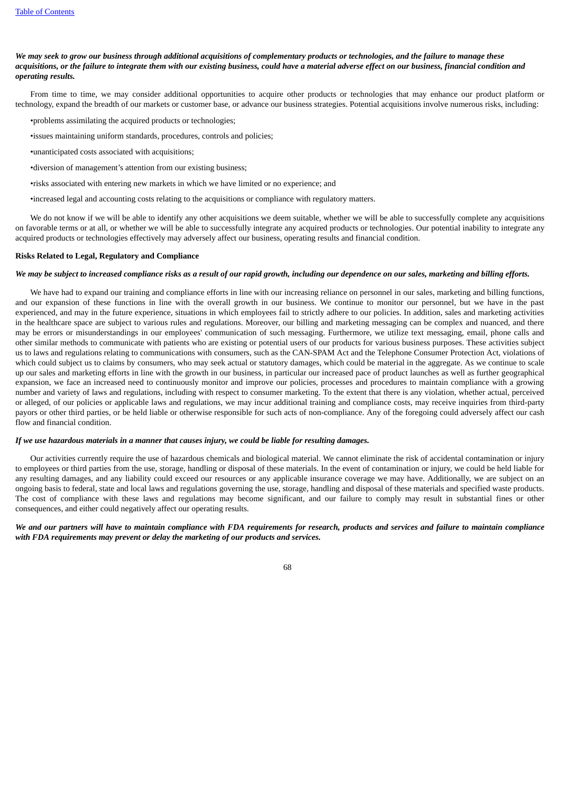# We may seek to grow our business through additional acquisitions of complementary products or technologies, and the failure to manage these acquisitions, or the failure to integrate them with our existing business, could have a material adverse effect on our business, financial condition and *operating results.*

From time to time, we may consider additional opportunities to acquire other products or technologies that may enhance our product platform or technology, expand the breadth of our markets or customer base, or advance our business strategies. Potential acquisitions involve numerous risks, including:

•problems assimilating the acquired products or technologies;

•issues maintaining uniform standards, procedures, controls and policies;

- •unanticipated costs associated with acquisitions;
- •diversion of management's attention from our existing business;
- •risks associated with entering new markets in which we have limited or no experience; and
- •increased legal and accounting costs relating to the acquisitions or compliance with regulatory matters.

We do not know if we will be able to identify any other acquisitions we deem suitable, whether we will be able to successfully complete any acquisitions on favorable terms or at all, or whether we will be able to successfully integrate any acquired products or technologies. Our potential inability to integrate any acquired products or technologies effectively may adversely affect our business, operating results and financial condition.

#### **Risks Related to Legal, Regulatory and Compliance**

### We may be subject to increased compliance risks as a result of our rapid growth, including our dependence on our sales, marketing and billing efforts.

We have had to expand our training and compliance efforts in line with our increasing reliance on personnel in our sales, marketing and billing functions, and our expansion of these functions in line with the overall growth in our business. We continue to monitor our personnel, but we have in the past experienced, and may in the future experience, situations in which employees fail to strictly adhere to our policies. In addition, sales and marketing activities in the healthcare space are subject to various rules and regulations. Moreover, our billing and marketing messaging can be complex and nuanced, and there may be errors or misunderstandings in our employees' communication of such messaging. Furthermore, we utilize text messaging, email, phone calls and other similar methods to communicate with patients who are existing or potential users of our products for various business purposes. These activities subject us to laws and regulations relating to communications with consumers, such as the CAN-SPAM Act and the Telephone Consumer Protection Act, violations of which could subject us to claims by consumers, who may seek actual or statutory damages, which could be material in the aggregate. As we continue to scale up our sales and marketing efforts in line with the growth in our business, in particular our increased pace of product launches as well as further geographical expansion, we face an increased need to continuously monitor and improve our policies, processes and procedures to maintain compliance with a growing number and variety of laws and regulations, including with respect to consumer marketing. To the extent that there is any violation, whether actual, perceived or alleged, of our policies or applicable laws and regulations, we may incur additional training and compliance costs, may receive inquiries from third-party payors or other third parties, or be held liable or otherwise responsible for such acts of non-compliance. Any of the foregoing could adversely affect our cash flow and financial condition.

### If we use hazardous materials in a manner that causes injury, we could be liable for resulting damages.

Our activities currently require the use of hazardous chemicals and biological material. We cannot eliminate the risk of accidental contamination or injury to employees or third parties from the use, storage, handling or disposal of these materials. In the event of contamination or injury, we could be held liable for any resulting damages, and any liability could exceed our resources or any applicable insurance coverage we may have. Additionally, we are subject on an ongoing basis to federal, state and local laws and regulations governing the use, storage, handling and disposal of these materials and specified waste products. The cost of compliance with these laws and regulations may become significant, and our failure to comply may result in substantial fines or other consequences, and either could negatively affect our operating results.

# We and our partners will have to maintain compliance with FDA requirements for research, products and services and failure to maintain compliance *with FDA requirements may prevent or delay the marketing of our products and services.*

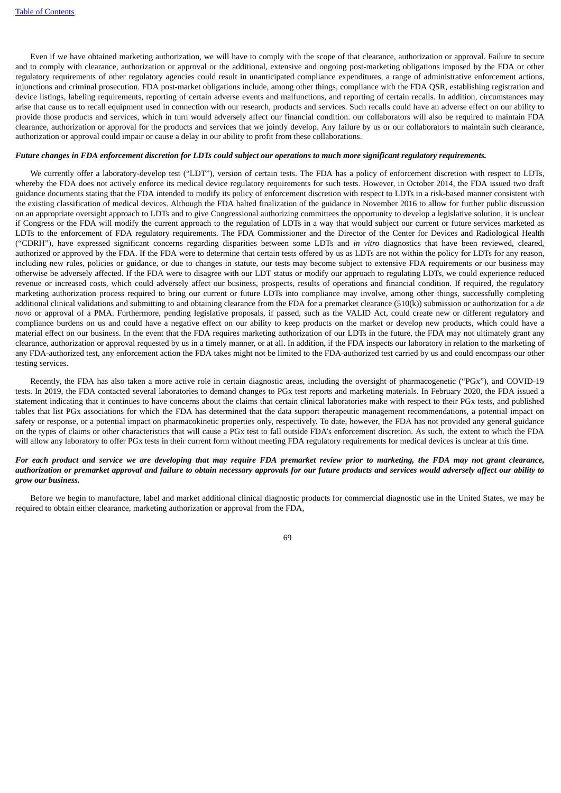Even if we have obtained marketing authorization, we will have to comply with the scope of that clearance, authorization or approval. Failure to secure and to comply with clearance, authorization or approval or the additional, extensive and ongoing post-marketing obligations imposed by the FDA or other regulatory requirements of other regulatory agencies could result in unanticipated compliance expenditures, a range of administrative enforcement actions, injunctions and criminal prosecution. FDA post-market obligations include, among other things, compliance with the FDA QSR, establishing registration and device listings, labeling requirements, reporting of certain adverse events and malfunctions, and reporting of certain recalls. In addition, circumstances may arise that cause us to recall equipment used in connection with our research, products and services. Such recalls could have an adverse effect on our ability to provide those products and services, which in turn would adversely affect our financial condition. our collaborators will also be required to maintain FDA clearance, authorization or approval for the products and services that we jointly develop. Any failure by us or our collaborators to maintain such clearance, authorization or approval could impair or cause a delay in our ability to profit from these collaborations.

#### Future changes in FDA enforcement discretion for LDTs could subject our operations to much more significant regulatory requirements.

We currently offer a laboratory-develop test ("LDT"), version of certain tests. The FDA has a policy of enforcement discretion with respect to LDTs, whereby the FDA does not actively enforce its medical device regulatory requirements for such tests. However, in October 2014, the FDA issued two draft guidance documents stating that the FDA intended to modify its policy of enforcement discretion with respect to LDTs in a risk-based manner consistent with the existing classification of medical devices. Although the FDA halted finalization of the guidance in November 2016 to allow for further public discussion on an appropriate oversight approach to LDTs and to give Congressional authorizing committees the opportunity to develop a legislative solution, it is unclear if Congress or the FDA will modify the current approach to the regulation of LDTs in a way that would subject our current or future services marketed as LDTs to the enforcement of FDA regulatory requirements. The FDA Commissioner and the Director of the Center for Devices and Radiological Health ("CDRH"), have expressed significant concerns regarding disparities between some LDTs and *in vitro* diagnostics that have been reviewed, cleared, authorized or approved by the FDA. If the FDA were to determine that certain tests offered by us as LDTs are not within the policy for LDTs for any reason, including new rules, policies or guidance, or due to changes in statute, our tests may become subject to extensive FDA requirements or our business may otherwise be adversely affected. If the FDA were to disagree with our LDT status or modify our approach to regulating LDTs, we could experience reduced revenue or increased costs, which could adversely affect our business, prospects, results of operations and financial condition. If required, the regulatory marketing authorization process required to bring our current or future LDTs into compliance may involve, among other things, successfully completing additional clinical validations and submitting to and obtaining clearance from the FDA for a premarket clearance (510(k)) submission or authorization for a *de novo* or approval of a PMA. Furthermore, pending legislative proposals, if passed, such as the VALID Act, could create new or different regulatory and compliance burdens on us and could have a negative effect on our ability to keep products on the market or develop new products, which could have a material effect on our business. In the event that the FDA requires marketing authorization of our LDTs in the future, the FDA may not ultimately grant any clearance, authorization or approval requested by us in a timely manner, or at all. In addition, if the FDA inspects our laboratory in relation to the marketing of any FDA-authorized test, any enforcement action the FDA takes might not be limited to the FDA-authorized test carried by us and could encompass our other testing services.

Recently, the FDA has also taken a more active role in certain diagnostic areas, including the oversight of pharmacogenetic ("PGx"), and COVID-19 tests. In 2019, the FDA contacted several laboratories to demand changes to PGx test reports and marketing materials. In February 2020, the FDA issued a statement indicating that it continues to have concerns about the claims that certain clinical laboratories make with respect to their PGx tests, and published tables that list PGx associations for which the FDA has determined that the data support therapeutic management recommendations, a potential impact on safety or response, or a potential impact on pharmacokinetic properties only, respectively. To date, however, the FDA has not provided any general guidance on the types of claims or other characteristics that will cause a PGx test to fall outside FDA's enforcement discretion. As such, the extent to which the FDA will allow any laboratory to offer PGx tests in their current form without meeting FDA regulatory requirements for medical devices is unclear at this time.

# For each product and service we are developing that may require FDA premarket review prior to marketing, the FDA may not grant clearance. authorization or premarket approval and failure to obtain necessary approvals for our future products and services would adversely affect our ability to *grow our business.*

Before we begin to manufacture, label and market additional clinical diagnostic products for commercial diagnostic use in the United States, we may be required to obtain either clearance, marketing authorization or approval from the FDA,

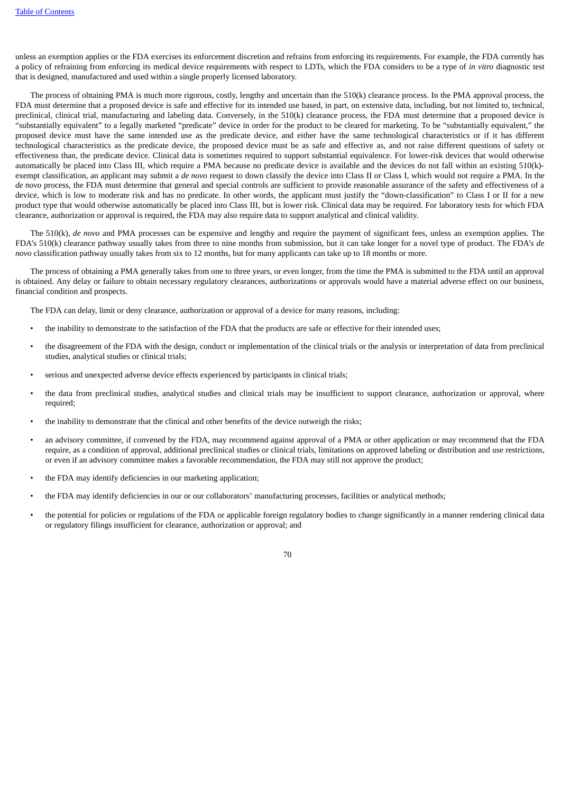unless an exemption applies or the FDA exercises its enforcement discretion and refrains from enforcing its requirements. For example, the FDA currently has a policy of refraining from enforcing its medical device requirements with respect to LDTs, which the FDA considers to be a type of *in vitro* diagnostic test that is designed, manufactured and used within a single properly licensed laboratory.

The process of obtaining PMA is much more rigorous, costly, lengthy and uncertain than the 510(k) clearance process. In the PMA approval process, the FDA must determine that a proposed device is safe and effective for its intended use based, in part, on extensive data, including, but not limited to, technical, preclinical, clinical trial, manufacturing and labeling data. Conversely, in the 510(k) clearance process, the FDA must determine that a proposed device is "substantially equivalent" to a legally marketed "predicate" device in order for the product to be cleared for marketing. To be "substantially equivalent," the proposed device must have the same intended use as the predicate device, and either have the same technological characteristics or if it has different technological characteristics as the predicate device, the proposed device must be as safe and effective as, and not raise different questions of safety or effectiveness than, the predicate device. Clinical data is sometimes required to support substantial equivalence. For lower-risk devices that would otherwise automatically be placed into Class III, which require a PMA because no predicate device is available and the devices do not fall within an existing 510(k) exempt classification, an applicant may submit a *de novo* request to down classify the device into Class II or Class I, which would not require a PMA. In the *de novo* process, the FDA must determine that general and special controls are sufficient to provide reasonable assurance of the safety and effectiveness of a device, which is low to moderate risk and has no predicate. In other words, the applicant must justify the "down-classification" to Class I or II for a new product type that would otherwise automatically be placed into Class III, but is lower risk. Clinical data may be required. For laboratory tests for which FDA clearance, authorization or approval is required, the FDA may also require data to support analytical and clinical validity.

The 510(k), *de novo* and PMA processes can be expensive and lengthy and require the payment of significant fees, unless an exemption applies. The FDA's 510(k) clearance pathway usually takes from three to nine months from submission, but it can take longer for a novel type of product. The FDA's *de novo* classification pathway usually takes from six to 12 months, but for many applicants can take up to 18 months or more.

The process of obtaining a PMA generally takes from one to three years, or even longer, from the time the PMA is submitted to the FDA until an approval is obtained. Any delay or failure to obtain necessary regulatory clearances, authorizations or approvals would have a material adverse effect on our business, financial condition and prospects.

The FDA can delay, limit or deny clearance, authorization or approval of a device for many reasons, including:

- the inability to demonstrate to the satisfaction of the FDA that the products are safe or effective for their intended uses;
- the disagreement of the FDA with the design, conduct or implementation of the clinical trials or the analysis or interpretation of data from preclinical studies, analytical studies or clinical trials;
- serious and unexpected adverse device effects experienced by participants in clinical trials;
- the data from preclinical studies, analytical studies and clinical trials may be insufficient to support clearance, authorization or approval, where required;
- the inability to demonstrate that the clinical and other benefits of the device outweigh the risks;
- an advisory committee, if convened by the FDA, may recommend against approval of a PMA or other application or may recommend that the FDA require, as a condition of approval, additional preclinical studies or clinical trials, limitations on approved labeling or distribution and use restrictions, or even if an advisory committee makes a favorable recommendation, the FDA may still not approve the product;
- the FDA may identify deficiencies in our marketing application;
- the FDA may identify deficiencies in our or our collaborators' manufacturing processes, facilities or analytical methods;
- the potential for policies or regulations of the FDA or applicable foreign regulatory bodies to change significantly in a manner rendering clinical data or regulatory filings insufficient for clearance, authorization or approval; and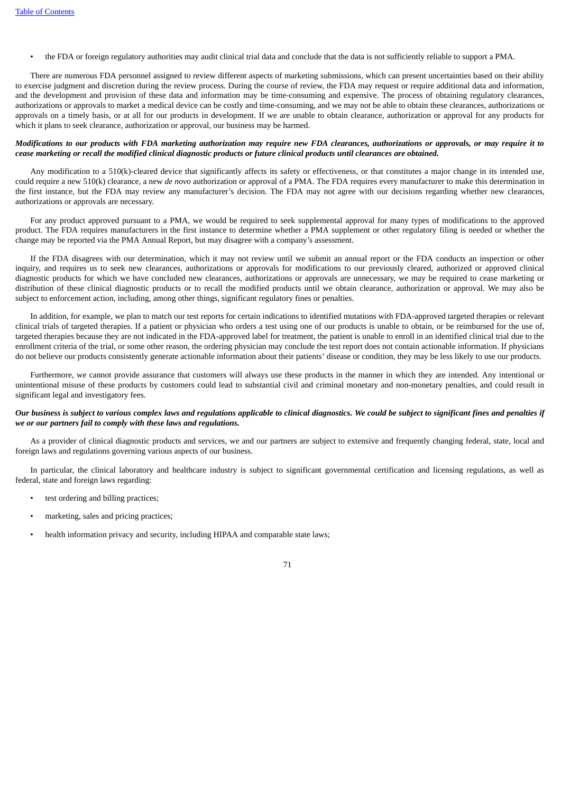• the FDA or foreign regulatory authorities may audit clinical trial data and conclude that the data is not sufficiently reliable to support a PMA.

There are numerous FDA personnel assigned to review different aspects of marketing submissions, which can present uncertainties based on their ability to exercise judgment and discretion during the review process. During the course of review, the FDA may request or require additional data and information, and the development and provision of these data and information may be time-consuming and expensive. The process of obtaining regulatory clearances, authorizations or approvals to market a medical device can be costly and time-consuming, and we may not be able to obtain these clearances, authorizations or approvals on a timely basis, or at all for our products in development. If we are unable to obtain clearance, authorization or approval for any products for which it plans to seek clearance, authorization or approval, our business may be harmed.

# Modifications to our products with FDA marketing authorization may require new FDA clearances, authorizations or approvals, or may require it to cease marketing or recall the modified clinical diganostic products or future clinical products until clearances are obtained.

Any modification to a 510(k)-cleared device that significantly affects its safety or effectiveness, or that constitutes a major change in its intended use, could require a new 510(k) clearance, a new *de novo* authorization or approval of a PMA. The FDA requires every manufacturer to make this determination in the first instance, but the FDA may review any manufacturer's decision. The FDA may not agree with our decisions regarding whether new clearances, authorizations or approvals are necessary.

For any product approved pursuant to a PMA, we would be required to seek supplemental approval for many types of modifications to the approved product. The FDA requires manufacturers in the first instance to determine whether a PMA supplement or other regulatory filing is needed or whether the change may be reported via the PMA Annual Report, but may disagree with a company's assessment.

If the FDA disagrees with our determination, which it may not review until we submit an annual report or the FDA conducts an inspection or other inquiry, and requires us to seek new clearances, authorizations or approvals for modifications to our previously cleared, authorized or approved clinical diagnostic products for which we have concluded new clearances, authorizations or approvals are unnecessary, we may be required to cease marketing or distribution of these clinical diagnostic products or to recall the modified products until we obtain clearance, authorization or approval. We may also be subject to enforcement action, including, among other things, significant regulatory fines or penalties.

In addition, for example, we plan to match our test reports for certain indications to identified mutations with FDA-approved targeted therapies or relevant clinical trials of targeted therapies. If a patient or physician who orders a test using one of our products is unable to obtain, or be reimbursed for the use of, targeted therapies because they are not indicated in the FDA-approved label for treatment, the patient is unable to enroll in an identified clinical trial due to the enrollment criteria of the trial, or some other reason, the ordering physician may conclude the test report does not contain actionable information. If physicians do not believe our products consistently generate actionable information about their patients' disease or condition, they may be less likely to use our products.

Furthermore, we cannot provide assurance that customers will always use these products in the manner in which they are intended. Any intentional or unintentional misuse of these products by customers could lead to substantial civil and criminal monetary and non-monetary penalties, and could result in significant legal and investigatory fees.

# Our business is subject to various complex laws and regulations applicable to clinical diagnostics. We could be subject to significant fines and penalties if *we or our partners fail to comply with these laws and regulations.*

As a provider of clinical diagnostic products and services, we and our partners are subject to extensive and frequently changing federal, state, local and foreign laws and regulations governing various aspects of our business.

In particular, the clinical laboratory and healthcare industry is subject to significant governmental certification and licensing regulations, as well as federal, state and foreign laws regarding:

- test ordering and billing practices;
- marketing, sales and pricing practices;
- health information privacy and security, including HIPAA and comparable state laws:

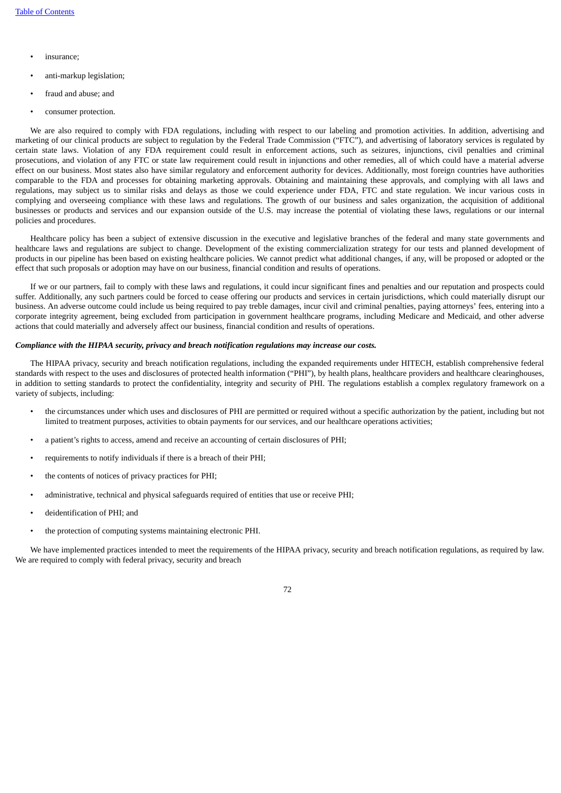- insurance;
- anti-markup legislation;
- fraud and abuse; and
- consumer protection.

We are also required to comply with FDA regulations, including with respect to our labeling and promotion activities. In addition, advertising and marketing of our clinical products are subject to regulation by the Federal Trade Commission ("FTC"), and advertising of laboratory services is regulated by certain state laws. Violation of any FDA requirement could result in enforcement actions, such as seizures, injunctions, civil penalties and criminal prosecutions, and violation of any FTC or state law requirement could result in injunctions and other remedies, all of which could have a material adverse effect on our business. Most states also have similar regulatory and enforcement authority for devices. Additionally, most foreign countries have authorities comparable to the FDA and processes for obtaining marketing approvals. Obtaining and maintaining these approvals, and complying with all laws and regulations, may subject us to similar risks and delays as those we could experience under FDA, FTC and state regulation. We incur various costs in complying and overseeing compliance with these laws and regulations. The growth of our business and sales organization, the acquisition of additional businesses or products and services and our expansion outside of the U.S. may increase the potential of violating these laws, regulations or our internal policies and procedures.

Healthcare policy has been a subject of extensive discussion in the executive and legislative branches of the federal and many state governments and healthcare laws and regulations are subject to change. Development of the existing commercialization strategy for our tests and planned development of products in our pipeline has been based on existing healthcare policies. We cannot predict what additional changes, if any, will be proposed or adopted or the effect that such proposals or adoption may have on our business, financial condition and results of operations.

If we or our partners, fail to comply with these laws and regulations, it could incur significant fines and penalties and our reputation and prospects could suffer. Additionally, any such partners could be forced to cease offering our products and services in certain jurisdictions, which could materially disrupt our business. An adverse outcome could include us being required to pay treble damages, incur civil and criminal penalties, paying attorneys' fees, entering into a corporate integrity agreement, being excluded from participation in government healthcare programs, including Medicare and Medicaid, and other adverse actions that could materially and adversely affect our business, financial condition and results of operations.

#### *Compliance with the HIPAA security, privacy and breach notification regulations may increase our costs.*

The HIPAA privacy, security and breach notification regulations, including the expanded requirements under HITECH, establish comprehensive federal standards with respect to the uses and disclosures of protected health information ("PHI"), by health plans, healthcare providers and healthcare clearinghouses, in addition to setting standards to protect the confidentiality, integrity and security of PHI. The regulations establish a complex regulatory framework on a variety of subjects, including:

- the circumstances under which uses and disclosures of PHI are permitted or required without a specific authorization by the patient, including but not limited to treatment purposes, activities to obtain payments for our services, and our healthcare operations activities;
- a patient's rights to access, amend and receive an accounting of certain disclosures of PHI;
- requirements to notify individuals if there is a breach of their PHI;
- the contents of notices of privacy practices for PHI:
- administrative, technical and physical safeguards required of entities that use or receive PHI;
- deidentification of PHI; and
- the protection of computing systems maintaining electronic PHI.

We have implemented practices intended to meet the requirements of the HIPAA privacy, security and breach notification regulations, as required by law. We are required to comply with federal privacy, security and breach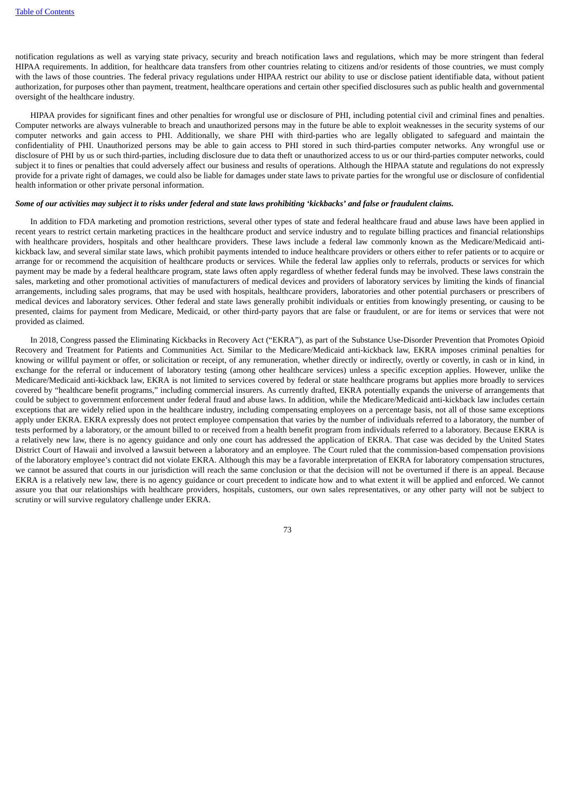notification regulations as well as varying state privacy, security and breach notification laws and regulations, which may be more stringent than federal HIPAA requirements. In addition, for healthcare data transfers from other countries relating to citizens and/or residents of those countries, we must comply with the laws of those countries. The federal privacy regulations under HIPAA restrict our ability to use or disclose patient identifiable data, without patient authorization, for purposes other than payment, treatment, healthcare operations and certain other specified disclosures such as public health and governmental oversight of the healthcare industry.

HIPAA provides for significant fines and other penalties for wrongful use or disclosure of PHI, including potential civil and criminal fines and penalties. Computer networks are always vulnerable to breach and unauthorized persons may in the future be able to exploit weaknesses in the security systems of our computer networks and gain access to PHI. Additionally, we share PHI with third-parties who are legally obligated to safeguard and maintain the confidentiality of PHI. Unauthorized persons may be able to gain access to PHI stored in such third-parties computer networks. Any wrongful use or disclosure of PHI by us or such third-parties, including disclosure due to data theft or unauthorized access to us or our third-parties computer networks, could subject it to fines or penalties that could adversely affect our business and results of operations. Although the HIPAA statute and regulations do not expressly provide for a private right of damages, we could also be liable for damages under state laws to private parties for the wrongful use or disclosure of confidential health information or other private personal information.

## Some of our activities may subject it to risks under federal and state laws prohibiting 'kickbacks' and false or fraudulent claims.

In addition to FDA marketing and promotion restrictions, several other types of state and federal healthcare fraud and abuse laws have been applied in recent years to restrict certain marketing practices in the healthcare product and service industry and to regulate billing practices and financial relationships with healthcare providers, hospitals and other healthcare providers. These laws include a federal law commonly known as the Medicare/Medicaid antikickback law, and several similar state laws, which prohibit payments intended to induce healthcare providers or others either to refer patients or to acquire or arrange for or recommend the acquisition of healthcare products or services. While the federal law applies only to referrals, products or services for which payment may be made by a federal healthcare program, state laws often apply regardless of whether federal funds may be involved. These laws constrain the sales, marketing and other promotional activities of manufacturers of medical devices and providers of laboratory services by limiting the kinds of financial arrangements, including sales programs, that may be used with hospitals, healthcare providers, laboratories and other potential purchasers or prescribers of medical devices and laboratory services. Other federal and state laws generally prohibit individuals or entities from knowingly presenting, or causing to be presented, claims for payment from Medicare, Medicaid, or other third-party payors that are false or fraudulent, or are for items or services that were not provided as claimed.

In 2018, Congress passed the Eliminating Kickbacks in Recovery Act ("EKRA"), as part of the Substance Use-Disorder Prevention that Promotes Opioid Recovery and Treatment for Patients and Communities Act. Similar to the Medicare/Medicaid anti-kickback law, EKRA imposes criminal penalties for knowing or willful payment or offer, or solicitation or receipt, of any remuneration, whether directly or indirectly, overtly or covertly, in cash or in kind, in exchange for the referral or inducement of laboratory testing (among other healthcare services) unless a specific exception applies. However, unlike the Medicare/Medicaid anti-kickback law, EKRA is not limited to services covered by federal or state healthcare programs but applies more broadly to services covered by "healthcare benefit programs," including commercial insurers. As currently drafted, EKRA potentially expands the universe of arrangements that could be subject to government enforcement under federal fraud and abuse laws. In addition, while the Medicare/Medicaid anti-kickback law includes certain exceptions that are widely relied upon in the healthcare industry, including compensating employees on a percentage basis, not all of those same exceptions apply under EKRA. EKRA expressly does not protect employee compensation that varies by the number of individuals referred to a laboratory, the number of tests performed by a laboratory, or the amount billed to or received from a health benefit program from individuals referred to a laboratory. Because EKRA is a relatively new law, there is no agency guidance and only one court has addressed the application of EKRA. That case was decided by the United States District Court of Hawaii and involved a lawsuit between a laboratory and an employee. The Court ruled that the commission-based compensation provisions of the laboratory employee's contract did not violate EKRA. Although this may be a favorable interpretation of EKRA for laboratory compensation structures, we cannot be assured that courts in our jurisdiction will reach the same conclusion or that the decision will not be overturned if there is an appeal. Because EKRA is a relatively new law, there is no agency guidance or court precedent to indicate how and to what extent it will be applied and enforced. We cannot assure you that our relationships with healthcare providers, hospitals, customers, our own sales representatives, or any other party will not be subject to scrutiny or will survive regulatory challenge under EKRA.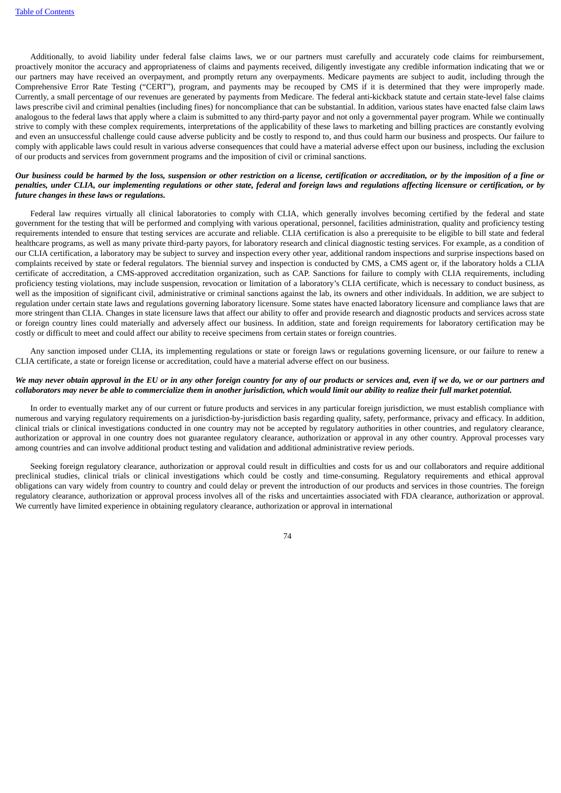Additionally, to avoid liability under federal false claims laws, we or our partners must carefully and accurately code claims for reimbursement, proactively monitor the accuracy and appropriateness of claims and payments received, diligently investigate any credible information indicating that we or our partners may have received an overpayment, and promptly return any overpayments. Medicare payments are subject to audit, including through the Comprehensive Error Rate Testing ("CERT"), program, and payments may be recouped by CMS if it is determined that they were improperly made. Currently, a small percentage of our revenues are generated by payments from Medicare. The federal anti-kickback statute and certain state-level false claims laws prescribe civil and criminal penalties (including fines) for noncompliance that can be substantial. In addition, various states have enacted false claim laws analogous to the federal laws that apply where a claim is submitted to any third-party payor and not only a governmental payer program. While we continually strive to comply with these complex requirements, interpretations of the applicability of these laws to marketing and billing practices are constantly evolving and even an unsuccessful challenge could cause adverse publicity and be costly to respond to, and thus could harm our business and prospects. Our failure to comply with applicable laws could result in various adverse consequences that could have a material adverse effect upon our business, including the exclusion of our products and services from government programs and the imposition of civil or criminal sanctions.

## Our business could be harmed by the loss, suspension or other restriction on a license, certification or accreditation, or by the imposition of a fine or penalties, under CLIA, our implementing regulations or other state, federal and foreign laws and regulations affecting licensure or certification, or by *future changes in these laws or regulations.*

Federal law requires virtually all clinical laboratories to comply with CLIA, which generally involves becoming certified by the federal and state government for the testing that will be performed and complying with various operational, personnel, facilities administration, quality and proficiency testing requirements intended to ensure that testing services are accurate and reliable. CLIA certification is also a prerequisite to be eligible to bill state and federal healthcare programs, as well as many private third-party payors, for laboratory research and clinical diagnostic testing services. For example, as a condition of our CLIA certification, a laboratory may be subject to survey and inspection every other year, additional random inspections and surprise inspections based on complaints received by state or federal regulators. The biennial survey and inspection is conducted by CMS, a CMS agent or, if the laboratory holds a CLIA certificate of accreditation, a CMS-approved accreditation organization, such as CAP. Sanctions for failure to comply with CLIA requirements, including proficiency testing violations, may include suspension, revocation or limitation of a laboratory's CLIA certificate, which is necessary to conduct business, as well as the imposition of significant civil, administrative or criminal sanctions against the lab, its owners and other individuals. In addition, we are subject to regulation under certain state laws and regulations governing laboratory licensure. Some states have enacted laboratory licensure and compliance laws that are more stringent than CLIA. Changes in state licensure laws that affect our ability to offer and provide research and diagnostic products and services across state or foreign country lines could materially and adversely affect our business. In addition, state and foreign requirements for laboratory certification may be costly or difficult to meet and could affect our ability to receive specimens from certain states or foreign countries.

Any sanction imposed under CLIA, its implementing regulations or state or foreign laws or regulations governing licensure, or our failure to renew a CLIA certificate, a state or foreign license or accreditation, could have a material adverse effect on our business.

### We may never obtain approval in the EU or in any other foreign country for any of our products or services and, even if we do, we or our partners and collaborators may never be able to commercialize them in another jurisdiction, which would limit our ability to realize their full market potential.

In order to eventually market any of our current or future products and services in any particular foreign jurisdiction, we must establish compliance with numerous and varying regulatory requirements on a jurisdiction-by-jurisdiction basis regarding quality, safety, performance, privacy and efficacy. In addition, clinical trials or clinical investigations conducted in one country may not be accepted by regulatory authorities in other countries, and regulatory clearance, authorization or approval in one country does not guarantee regulatory clearance, authorization or approval in any other country. Approval processes vary among countries and can involve additional product testing and validation and additional administrative review periods.

Seeking foreign regulatory clearance, authorization or approval could result in difficulties and costs for us and our collaborators and require additional preclinical studies, clinical trials or clinical investigations which could be costly and time-consuming. Regulatory requirements and ethical approval obligations can vary widely from country to country and could delay or prevent the introduction of our products and services in those countries. The foreign regulatory clearance, authorization or approval process involves all of the risks and uncertainties associated with FDA clearance, authorization or approval. We currently have limited experience in obtaining regulatory clearance, authorization or approval in international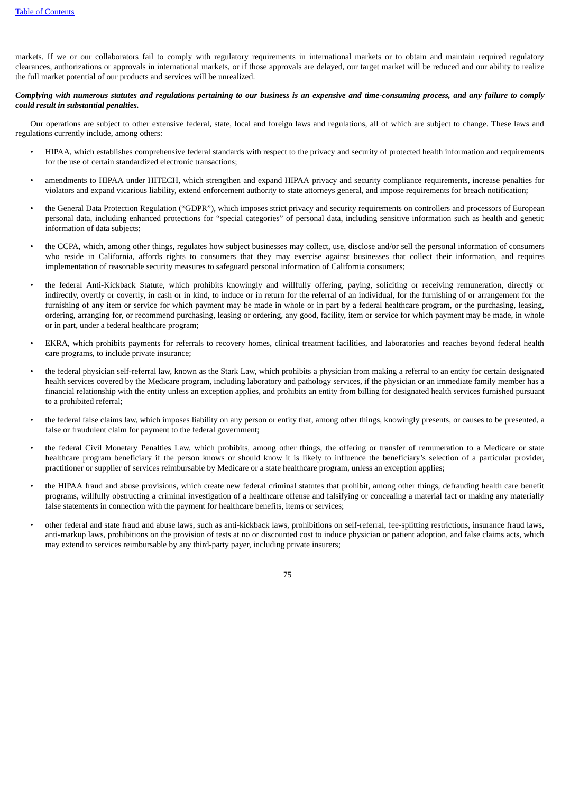markets. If we or our collaborators fail to comply with regulatory requirements in international markets or to obtain and maintain required regulatory clearances, authorizations or approvals in international markets, or if those approvals are delayed, our target market will be reduced and our ability to realize the full market potential of our products and services will be unrealized.

## Complying with numerous statutes and regulations pertaining to our business is an expensive and time-consuming process, and any failure to comply *could result in substantial penalties.*

Our operations are subject to other extensive federal, state, local and foreign laws and regulations, all of which are subject to change. These laws and regulations currently include, among others:

- HIPAA, which establishes comprehensive federal standards with respect to the privacy and security of protected health information and requirements for the use of certain standardized electronic transactions;
- amendments to HIPAA under HITECH, which strengthen and expand HIPAA privacy and security compliance requirements, increase penalties for violators and expand vicarious liability, extend enforcement authority to state attorneys general, and impose requirements for breach notification;
- the General Data Protection Regulation ("GDPR"), which imposes strict privacy and security requirements on controllers and processors of European personal data, including enhanced protections for "special categories" of personal data, including sensitive information such as health and genetic information of data subjects;
- the CCPA, which, among other things, regulates how subject businesses may collect, use, disclose and/or sell the personal information of consumers who reside in California, affords rights to consumers that they may exercise against businesses that collect their information, and requires implementation of reasonable security measures to safeguard personal information of California consumers;
- the federal Anti-Kickback Statute, which prohibits knowingly and willfully offering, paying, soliciting or receiving remuneration, directly or indirectly, overtly or covertly, in cash or in kind, to induce or in return for the referral of an individual, for the furnishing of or arrangement for the furnishing of any item or service for which payment may be made in whole or in part by a federal healthcare program, or the purchasing, leasing, ordering, arranging for, or recommend purchasing, leasing or ordering, any good, facility, item or service for which payment may be made, in whole or in part, under a federal healthcare program;
- EKRA, which prohibits payments for referrals to recovery homes, clinical treatment facilities, and laboratories and reaches beyond federal health care programs, to include private insurance;
- the federal physician self-referral law, known as the Stark Law, which prohibits a physician from making a referral to an entity for certain designated health services covered by the Medicare program, including laboratory and pathology services, if the physician or an immediate family member has a financial relationship with the entity unless an exception applies, and prohibits an entity from billing for designated health services furnished pursuant to a prohibited referral;
- the federal false claims law, which imposes liability on any person or entity that, among other things, knowingly presents, or causes to be presented, a false or fraudulent claim for payment to the federal government;
- the federal Civil Monetary Penalties Law, which prohibits, among other things, the offering or transfer of remuneration to a Medicare or state healthcare program beneficiary if the person knows or should know it is likely to influence the beneficiary's selection of a particular provider, practitioner or supplier of services reimbursable by Medicare or a state healthcare program, unless an exception applies;
- the HIPAA fraud and abuse provisions, which create new federal criminal statutes that prohibit, among other things, defrauding health care benefit programs, willfully obstructing a criminal investigation of a healthcare offense and falsifying or concealing a material fact or making any materially false statements in connection with the payment for healthcare benefits, items or services;
- other federal and state fraud and abuse laws, such as anti-kickback laws, prohibitions on self-referral, fee-splitting restrictions, insurance fraud laws, anti-markup laws, prohibitions on the provision of tests at no or discounted cost to induce physician or patient adoption, and false claims acts, which may extend to services reimbursable by any third-party payer, including private insurers;

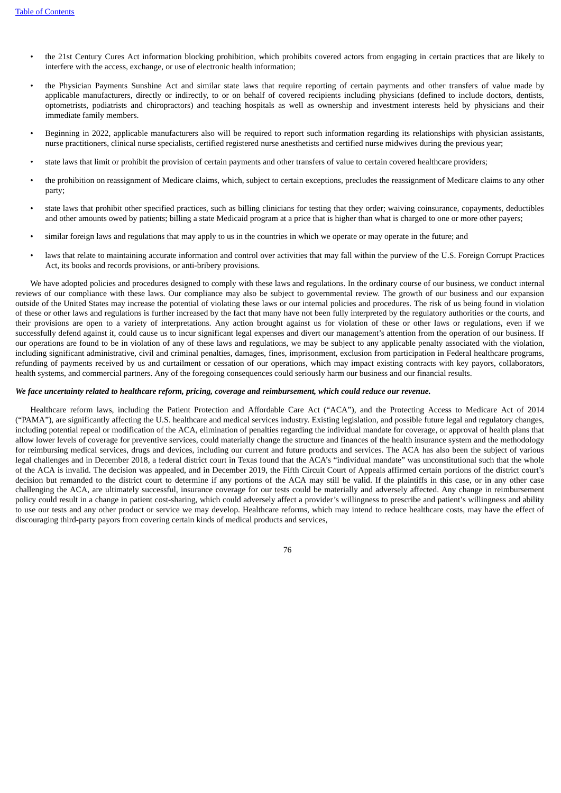- the 21st Century Cures Act information blocking prohibition, which prohibits covered actors from engaging in certain practices that are likely to interfere with the access, exchange, or use of electronic health information;
- the Physician Payments Sunshine Act and similar state laws that require reporting of certain payments and other transfers of value made by applicable manufacturers, directly or indirectly, to or on behalf of covered recipients including physicians (defined to include doctors, dentists, optometrists, podiatrists and chiropractors) and teaching hospitals as well as ownership and investment interests held by physicians and their immediate family members.
- Beginning in 2022, applicable manufacturers also will be required to report such information regarding its relationships with physician assistants, nurse practitioners, clinical nurse specialists, certified registered nurse anesthetists and certified nurse midwives during the previous year;
- state laws that limit or prohibit the provision of certain payments and other transfers of value to certain covered healthcare providers;
- the prohibition on reassignment of Medicare claims, which, subject to certain exceptions, precludes the reassignment of Medicare claims to any other party;
- state laws that prohibit other specified practices, such as billing clinicians for testing that they order; waiving coinsurance, copayments, deductibles and other amounts owed by patients; billing a state Medicaid program at a price that is higher than what is charged to one or more other payers;
- similar foreign laws and regulations that may apply to us in the countries in which we operate or may operate in the future; and
- laws that relate to maintaining accurate information and control over activities that may fall within the purview of the U.S. Foreign Corrupt Practices Act, its books and records provisions, or anti-bribery provisions.

We have adopted policies and procedures designed to comply with these laws and regulations. In the ordinary course of our business, we conduct internal reviews of our compliance with these laws. Our compliance may also be subject to governmental review. The growth of our business and our expansion outside of the United States may increase the potential of violating these laws or our internal policies and procedures. The risk of us being found in violation of these or other laws and regulations is further increased by the fact that many have not been fully interpreted by the regulatory authorities or the courts, and their provisions are open to a variety of interpretations. Any action brought against us for violation of these or other laws or regulations, even if we successfully defend against it, could cause us to incur significant legal expenses and divert our management's attention from the operation of our business. If our operations are found to be in violation of any of these laws and regulations, we may be subject to any applicable penalty associated with the violation, including significant administrative, civil and criminal penalties, damages, fines, imprisonment, exclusion from participation in Federal healthcare programs, refunding of payments received by us and curtailment or cessation of our operations, which may impact existing contracts with key payors, collaborators, health systems, and commercial partners. Any of the foregoing consequences could seriously harm our business and our financial results.

### We face uncertainty related to healthcare reform, pricing, coverage and reimbursement, which could reduce our revenue.

Healthcare reform laws, including the Patient Protection and Affordable Care Act ("ACA"), and the Protecting Access to Medicare Act of 2014 ("PAMA"), are significantly affecting the U.S. healthcare and medical services industry. Existing legislation, and possible future legal and regulatory changes, including potential repeal or modification of the ACA, elimination of penalties regarding the individual mandate for coverage, or approval of health plans that allow lower levels of coverage for preventive services, could materially change the structure and finances of the health insurance system and the methodology for reimbursing medical services, drugs and devices, including our current and future products and services. The ACA has also been the subject of various legal challenges and in December 2018, a federal district court in Texas found that the ACA's "individual mandate" was unconstitutional such that the whole of the ACA is invalid. The decision was appealed, and in December 2019, the Fifth Circuit Court of Appeals affirmed certain portions of the district court's decision but remanded to the district court to determine if any portions of the ACA may still be valid. If the plaintiffs in this case, or in any other case challenging the ACA, are ultimately successful, insurance coverage for our tests could be materially and adversely affected. Any change in reimbursement policy could result in a change in patient cost-sharing, which could adversely affect a provider's willingness to prescribe and patient's willingness and ability to use our tests and any other product or service we may develop. Healthcare reforms, which may intend to reduce healthcare costs, may have the effect of discouraging third-party payors from covering certain kinds of medical products and services,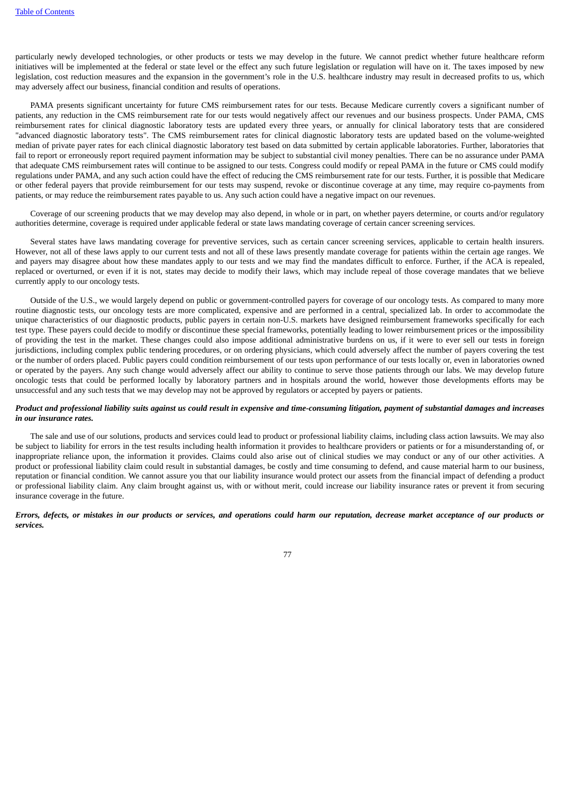particularly newly developed technologies, or other products or tests we may develop in the future. We cannot predict whether future healthcare reform initiatives will be implemented at the federal or state level or the effect any such future legislation or regulation will have on it. The taxes imposed by new legislation, cost reduction measures and the expansion in the government's role in the U.S. healthcare industry may result in decreased profits to us, which may adversely affect our business, financial condition and results of operations.

PAMA presents significant uncertainty for future CMS reimbursement rates for our tests. Because Medicare currently covers a significant number of patients, any reduction in the CMS reimbursement rate for our tests would negatively affect our revenues and our business prospects. Under PAMA, CMS reimbursement rates for clinical diagnostic laboratory tests are updated every three years, or annually for clinical laboratory tests that are considered "advanced diagnostic laboratory tests". The CMS reimbursement rates for clinical diagnostic laboratory tests are updated based on the volume-weighted median of private payer rates for each clinical diagnostic laboratory test based on data submitted by certain applicable laboratories. Further, laboratories that fail to report or erroneously report required payment information may be subject to substantial civil money penalties. There can be no assurance under PAMA that adequate CMS reimbursement rates will continue to be assigned to our tests. Congress could modify or repeal PAMA in the future or CMS could modify regulations under PAMA, and any such action could have the effect of reducing the CMS reimbursement rate for our tests. Further, it is possible that Medicare or other federal payers that provide reimbursement for our tests may suspend, revoke or discontinue coverage at any time, may require co-payments from patients, or may reduce the reimbursement rates payable to us. Any such action could have a negative impact on our revenues.

Coverage of our screening products that we may develop may also depend, in whole or in part, on whether payers determine, or courts and/or regulatory authorities determine, coverage is required under applicable federal or state laws mandating coverage of certain cancer screening services.

Several states have laws mandating coverage for preventive services, such as certain cancer screening services, applicable to certain health insurers. However, not all of these laws apply to our current tests and not all of these laws presently mandate coverage for patients within the certain age ranges. We and payers may disagree about how these mandates apply to our tests and we may find the mandates difficult to enforce. Further, if the ACA is repealed, replaced or overturned, or even if it is not, states may decide to modify their laws, which may include repeal of those coverage mandates that we believe currently apply to our oncology tests.

Outside of the U.S., we would largely depend on public or government-controlled payers for coverage of our oncology tests. As compared to many more routine diagnostic tests, our oncology tests are more complicated, expensive and are performed in a central, specialized lab. In order to accommodate the unique characteristics of our diagnostic products, public payers in certain non-U.S. markets have designed reimbursement frameworks specifically for each test type. These payers could decide to modify or discontinue these special frameworks, potentially leading to lower reimbursement prices or the impossibility of providing the test in the market. These changes could also impose additional administrative burdens on us, if it were to ever sell our tests in foreign jurisdictions, including complex public tendering procedures, or on ordering physicians, which could adversely affect the number of payers covering the test or the number of orders placed. Public payers could condition reimbursement of our tests upon performance of our tests locally or, even in laboratories owned or operated by the payers. Any such change would adversely affect our ability to continue to serve those patients through our labs. We may develop future oncologic tests that could be performed locally by laboratory partners and in hospitals around the world, however those developments efforts may be unsuccessful and any such tests that we may develop may not be approved by regulators or accepted by payers or patients.

### Product and professional liability suits against us could result in expensive and time-consuming litigation, payment of substantial damages and increases *in our insurance rates.*

The sale and use of our solutions, products and services could lead to product or professional liability claims, including class action lawsuits. We may also be subject to liability for errors in the test results including health information it provides to healthcare providers or patients or for a misunderstanding of, or inappropriate reliance upon, the information it provides. Claims could also arise out of clinical studies we may conduct or any of our other activities. A product or professional liability claim could result in substantial damages, be costly and time consuming to defend, and cause material harm to our business, reputation or financial condition. We cannot assure you that our liability insurance would protect our assets from the financial impact of defending a product or professional liability claim. Any claim brought against us, with or without merit, could increase our liability insurance rates or prevent it from securing insurance coverage in the future.

## Errors, defects, or mistakes in our products or services, and operations could harm our reputation, decrease market acceptance of our products or *services.*

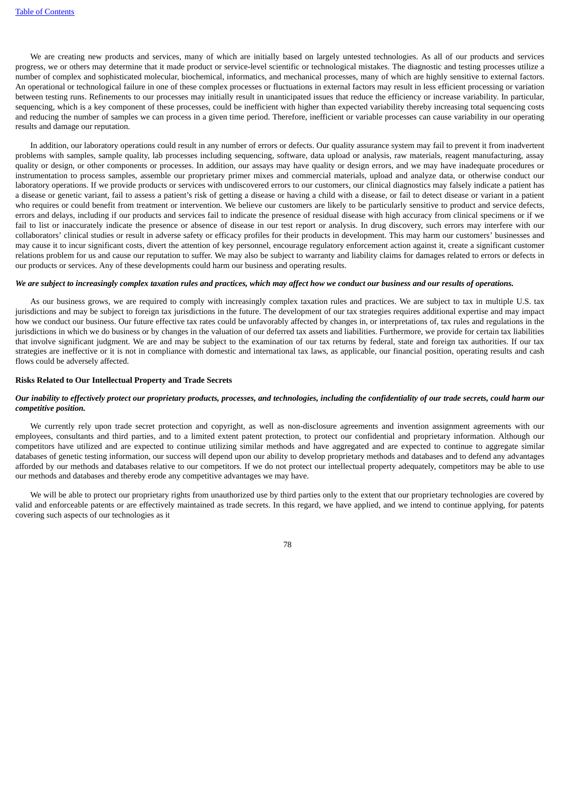We are creating new products and services, many of which are initially based on largely untested technologies. As all of our products and services progress, we or others may determine that it made product or service-level scientific or technological mistakes. The diagnostic and testing processes utilize a number of complex and sophisticated molecular, biochemical, informatics, and mechanical processes, many of which are highly sensitive to external factors. An operational or technological failure in one of these complex processes or fluctuations in external factors may result in less efficient processing or variation between testing runs. Refinements to our processes may initially result in unanticipated issues that reduce the efficiency or increase variability. In particular, sequencing, which is a key component of these processes, could be inefficient with higher than expected variability thereby increasing total sequencing costs and reducing the number of samples we can process in a given time period. Therefore, inefficient or variable processes can cause variability in our operating results and damage our reputation.

In addition, our laboratory operations could result in any number of errors or defects. Our quality assurance system may fail to prevent it from inadvertent problems with samples, sample quality, lab processes including sequencing, software, data upload or analysis, raw materials, reagent manufacturing, assay quality or design, or other components or processes. In addition, our assays may have quality or design errors, and we may have inadequate procedures or instrumentation to process samples, assemble our proprietary primer mixes and commercial materials, upload and analyze data, or otherwise conduct our laboratory operations. If we provide products or services with undiscovered errors to our customers, our clinical diagnostics may falsely indicate a patient has a disease or genetic variant, fail to assess a patient's risk of getting a disease or having a child with a disease, or fail to detect disease or variant in a patient who requires or could benefit from treatment or intervention. We believe our customers are likely to be particularly sensitive to product and service defects, errors and delays, including if our products and services fail to indicate the presence of residual disease with high accuracy from clinical specimens or if we fail to list or inaccurately indicate the presence or absence of disease in our test report or analysis. In drug discovery, such errors may interfere with our collaborators' clinical studies or result in adverse safety or efficacy profiles for their products in development. This may harm our customers' businesses and may cause it to incur significant costs, divert the attention of key personnel, encourage regulatory enforcement action against it, create a significant customer relations problem for us and cause our reputation to suffer. We may also be subject to warranty and liability claims for damages related to errors or defects in our products or services. Any of these developments could harm our business and operating results.

### We are subject to increasingly complex taxation rules and practices, which may affect how we conduct our business and our results of operations.

As our business grows, we are required to comply with increasingly complex taxation rules and practices. We are subject to tax in multiple U.S. tax jurisdictions and may be subject to foreign tax jurisdictions in the future. The development of our tax strategies requires additional expertise and may impact how we conduct our business. Our future effective tax rates could be unfavorably affected by changes in, or interpretations of, tax rules and regulations in the jurisdictions in which we do business or by changes in the valuation of our deferred tax assets and liabilities. Furthermore, we provide for certain tax liabilities that involve significant judgment. We are and may be subject to the examination of our tax returns by federal, state and foreign tax authorities. If our tax strategies are ineffective or it is not in compliance with domestic and international tax laws, as applicable, our financial position, operating results and cash flows could be adversely affected.

#### **Risks Related to Our Intellectual Property and Trade Secrets**

## Our inability to effectively protect our proprietary products, processes, and technologies, including the confidentiality of our trade secrets, could harm our *competitive position.*

We currently rely upon trade secret protection and copyright, as well as non-disclosure agreements and invention assignment agreements with our employees, consultants and third parties, and to a limited extent patent protection, to protect our confidential and proprietary information. Although our competitors have utilized and are expected to continue utilizing similar methods and have aggregated and are expected to continue to aggregate similar databases of genetic testing information, our success will depend upon our ability to develop proprietary methods and databases and to defend any advantages afforded by our methods and databases relative to our competitors. If we do not protect our intellectual property adequately, competitors may be able to use our methods and databases and thereby erode any competitive advantages we may have.

We will be able to protect our proprietary rights from unauthorized use by third parties only to the extent that our proprietary technologies are covered by valid and enforceable patents or are effectively maintained as trade secrets. In this regard, we have applied, and we intend to continue applying, for patents covering such aspects of our technologies as it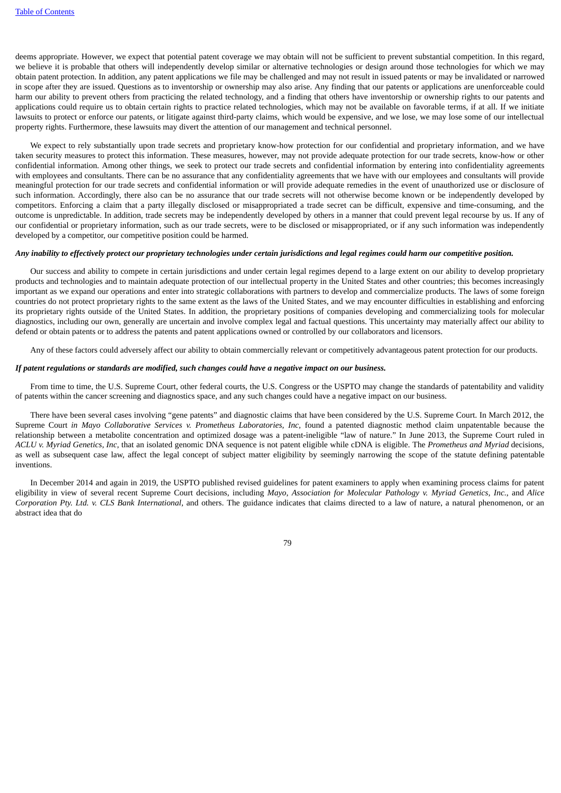deems appropriate. However, we expect that potential patent coverage we may obtain will not be sufficient to prevent substantial competition. In this regard, we believe it is probable that others will independently develop similar or alternative technologies or design around those technologies for which we may obtain patent protection. In addition, any patent applications we file may be challenged and may not result in issued patents or may be invalidated or narrowed in scope after they are issued. Questions as to inventorship or ownership may also arise. Any finding that our patents or applications are unenforceable could harm our ability to prevent others from practicing the related technology, and a finding that others have inventorship or ownership rights to our patents and applications could require us to obtain certain rights to practice related technologies, which may not be available on favorable terms, if at all. If we initiate lawsuits to protect or enforce our patents, or litigate against third-party claims, which would be expensive, and we lose, we may lose some of our intellectual property rights. Furthermore, these lawsuits may divert the attention of our management and technical personnel.

We expect to rely substantially upon trade secrets and proprietary know-how protection for our confidential and proprietary information, and we have taken security measures to protect this information. These measures, however, may not provide adequate protection for our trade secrets, know-how or other confidential information. Among other things, we seek to protect our trade secrets and confidential information by entering into confidentiality agreements with employees and consultants. There can be no assurance that any confidentiality agreements that we have with our employees and consultants will provide meaningful protection for our trade secrets and confidential information or will provide adequate remedies in the event of unauthorized use or disclosure of such information. Accordingly, there also can be no assurance that our trade secrets will not otherwise become known or be independently developed by competitors. Enforcing a claim that a party illegally disclosed or misappropriated a trade secret can be difficult, expensive and time-consuming, and the outcome is unpredictable. In addition, trade secrets may be independently developed by others in a manner that could prevent legal recourse by us. If any of our confidential or proprietary information, such as our trade secrets, were to be disclosed or misappropriated, or if any such information was independently developed by a competitor, our competitive position could be harmed.

## Any inability to effectively protect our proprietary technologies under certain jurisdictions and legal regimes could harm our competitive position.

Our success and ability to compete in certain jurisdictions and under certain legal regimes depend to a large extent on our ability to develop proprietary products and technologies and to maintain adequate protection of our intellectual property in the United States and other countries; this becomes increasingly important as we expand our operations and enter into strategic collaborations with partners to develop and commercialize products. The laws of some foreign countries do not protect proprietary rights to the same extent as the laws of the United States, and we may encounter difficulties in establishing and enforcing its proprietary rights outside of the United States. In addition, the proprietary positions of companies developing and commercializing tools for molecular diagnostics, including our own, generally are uncertain and involve complex legal and factual questions. This uncertainty may materially affect our ability to defend or obtain patents or to address the patents and patent applications owned or controlled by our collaborators and licensors.

Any of these factors could adversely affect our ability to obtain commercially relevant or competitively advantageous patent protection for our products.

## If patent regulations or standards are modified, such changes could have a negative impact on our business.

From time to time, the U.S. Supreme Court, other federal courts, the U.S. Congress or the USPTO may change the standards of patentability and validity of patents within the cancer screening and diagnostics space, and any such changes could have a negative impact on our business.

There have been several cases involving "gene patents" and diagnostic claims that have been considered by the U.S. Supreme Court. In March 2012, the Supreme Court *in Mayo Collaborative Services v. Prometheus Laboratories, Inc,* found a patented diagnostic method claim unpatentable because the relationship between a metabolite concentration and optimized dosage was a patent-ineligible "law of nature." In June 2013, the Supreme Court ruled in *ACLU v. Myriad Genetics, Inc,* that an isolated genomic DNA sequence is not patent eligible while cDNA is eligible. The *Prometheus and Myriad* decisions, as well as subsequent case law, affect the legal concept of subject matter eligibility by seemingly narrowing the scope of the statute defining patentable inventions.

In December 2014 and again in 2019, the USPTO published revised guidelines for patent examiners to apply when examining process claims for patent eligibility in view of several recent Supreme Court decisions, including *Mayo, Association for Molecular Pathology v. Myriad Genetics, Inc.*, and *Alice Corporation Pty. Ltd. v. CLS Bank International*, and others. The guidance indicates that claims directed to a law of nature, a natural phenomenon, or an abstract idea that do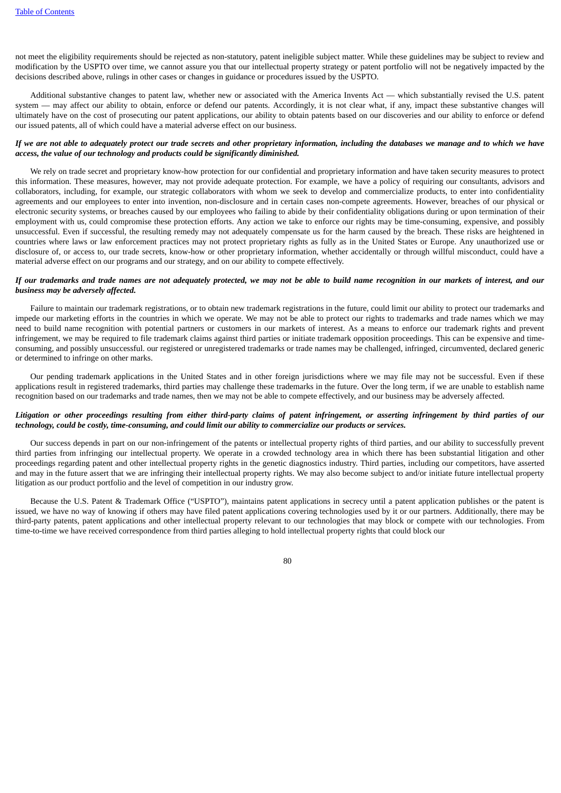not meet the eligibility requirements should be rejected as non-statutory, patent ineligible subject matter. While these guidelines may be subject to review and modification by the USPTO over time, we cannot assure you that our intellectual property strategy or patent portfolio will not be negatively impacted by the decisions described above, rulings in other cases or changes in guidance or procedures issued by the USPTO.

Additional substantive changes to patent law, whether new or associated with the America Invents Act — which substantially revised the U.S. patent system — may affect our ability to obtain, enforce or defend our patents. Accordingly, it is not clear what, if any, impact these substantive changes will ultimately have on the cost of prosecuting our patent applications, our ability to obtain patents based on our discoveries and our ability to enforce or defend our issued patents, all of which could have a material adverse effect on our business.

## If we are not able to adeauately protect our trade secrets and other proprietary information, including the databases we manage and to which we have *access, the value of our technology and products could be significantly diminished.*

We rely on trade secret and proprietary know-how protection for our confidential and proprietary information and have taken security measures to protect this information. These measures, however, may not provide adequate protection. For example, we have a policy of requiring our consultants, advisors and collaborators, including, for example, our strategic collaborators with whom we seek to develop and commercialize products, to enter into confidentiality agreements and our employees to enter into invention, non-disclosure and in certain cases non-compete agreements. However, breaches of our physical or electronic security systems, or breaches caused by our employees who failing to abide by their confidentiality obligations during or upon termination of their employment with us, could compromise these protection efforts. Any action we take to enforce our rights may be time-consuming, expensive, and possibly unsuccessful. Even if successful, the resulting remedy may not adequately compensate us for the harm caused by the breach. These risks are heightened in countries where laws or law enforcement practices may not protect proprietary rights as fully as in the United States or Europe. Any unauthorized use or disclosure of, or access to, our trade secrets, know-how or other proprietary information, whether accidentally or through willful misconduct, could have a material adverse effect on our programs and our strategy, and on our ability to compete effectively.

## If our trademarks and trade names are not adequately protected, we may not be able to build name recognition in our markets of interest, and our *business may be adversely affected.*

Failure to maintain our trademark registrations, or to obtain new trademark registrations in the future, could limit our ability to protect our trademarks and impede our marketing efforts in the countries in which we operate. We may not be able to protect our rights to trademarks and trade names which we may need to build name recognition with potential partners or customers in our markets of interest. As a means to enforce our trademark rights and prevent infringement, we may be required to file trademark claims against third parties or initiate trademark opposition proceedings. This can be expensive and timeconsuming, and possibly unsuccessful. our registered or unregistered trademarks or trade names may be challenged, infringed, circumvented, declared generic or determined to infringe on other marks.

Our pending trademark applications in the United States and in other foreign jurisdictions where we may file may not be successful. Even if these applications result in registered trademarks, third parties may challenge these trademarks in the future. Over the long term, if we are unable to establish name recognition based on our trademarks and trade names, then we may not be able to compete effectively, and our business may be adversely affected.

## Litigation or other proceedings resulting from either third-party claims of patent infringement, or asserting infringement by third parties of our technology, could be costly, time-consuming, and could limit our ability to commercialize our products or services.

Our success depends in part on our non-infringement of the patents or intellectual property rights of third parties, and our ability to successfully prevent third parties from infringing our intellectual property. We operate in a crowded technology area in which there has been substantial litigation and other proceedings regarding patent and other intellectual property rights in the genetic diagnostics industry. Third parties, including our competitors, have asserted and may in the future assert that we are infringing their intellectual property rights. We may also become subject to and/or initiate future intellectual property litigation as our product portfolio and the level of competition in our industry grow.

Because the U.S. Patent & Trademark Office ("USPTO"), maintains patent applications in secrecy until a patent application publishes or the patent is issued, we have no way of knowing if others may have filed patent applications covering technologies used by it or our partners. Additionally, there may be third-party patents, patent applications and other intellectual property relevant to our technologies that may block or compete with our technologies. From time-to-time we have received correspondence from third parties alleging to hold intellectual property rights that could block our

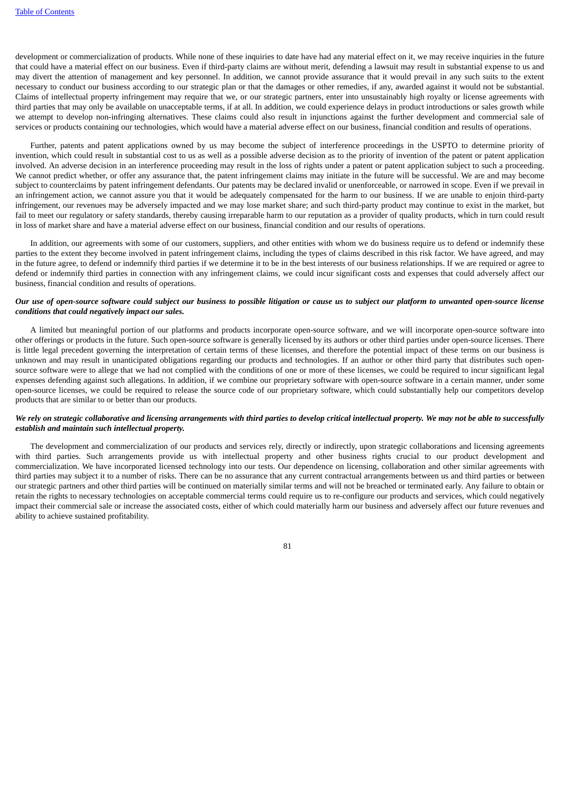development or commercialization of products. While none of these inquiries to date have had any material effect on it, we may receive inquiries in the future that could have a material effect on our business. Even if third-party claims are without merit, defending a lawsuit may result in substantial expense to us and may divert the attention of management and key personnel. In addition, we cannot provide assurance that it would prevail in any such suits to the extent necessary to conduct our business according to our strategic plan or that the damages or other remedies, if any, awarded against it would not be substantial. Claims of intellectual property infringement may require that we, or our strategic partners, enter into unsustainably high royalty or license agreements with third parties that may only be available on unacceptable terms, if at all. In addition, we could experience delays in product introductions or sales growth while we attempt to develop non-infringing alternatives. These claims could also result in injunctions against the further development and commercial sale of services or products containing our technologies, which would have a material adverse effect on our business, financial condition and results of operations.

Further, patents and patent applications owned by us may become the subject of interference proceedings in the USPTO to determine priority of invention, which could result in substantial cost to us as well as a possible adverse decision as to the priority of invention of the patent or patent application involved. An adverse decision in an interference proceeding may result in the loss of rights under a patent or patent application subject to such a proceeding. We cannot predict whether, or offer any assurance that, the patent infringement claims may initiate in the future will be successful. We are and may become subject to counterclaims by patent infringement defendants. Our patents may be declared invalid or unenforceable, or narrowed in scope. Even if we prevail in an infringement action, we cannot assure you that it would be adequately compensated for the harm to our business. If we are unable to enjoin third-party infringement, our revenues may be adversely impacted and we may lose market share; and such third-party product may continue to exist in the market, but fail to meet our regulatory or safety standards, thereby causing irreparable harm to our reputation as a provider of quality products, which in turn could result in loss of market share and have a material adverse effect on our business, financial condition and our results of operations.

In addition, our agreements with some of our customers, suppliers, and other entities with whom we do business require us to defend or indemnify these parties to the extent they become involved in patent infringement claims, including the types of claims described in this risk factor. We have agreed, and may in the future agree, to defend or indemnify third parties if we determine it to be in the best interests of our business relationships. If we are required or agree to defend or indemnify third parties in connection with any infringement claims, we could incur significant costs and expenses that could adversely affect our business, financial condition and results of operations.

## Our use of open-source software could subject our business to possible litigation or cause us to subject our platform to unwanted open-source license *conditions that could negatively impact our sales.*

A limited but meaningful portion of our platforms and products incorporate open-source software, and we will incorporate open-source software into other offerings or products in the future. Such open-source software is generally licensed by its authors or other third parties under open-source licenses. There is little legal precedent governing the interpretation of certain terms of these licenses, and therefore the potential impact of these terms on our business is unknown and may result in unanticipated obligations regarding our products and technologies. If an author or other third party that distributes such opensource software were to allege that we had not complied with the conditions of one or more of these licenses, we could be required to incur significant legal expenses defending against such allegations. In addition, if we combine our proprietary software with open-source software in a certain manner, under some open-source licenses, we could be required to release the source code of our proprietary software, which could substantially help our competitors develop products that are similar to or better than our products.

## We rely on strategic collaborative and licensing arrangements with third parties to develop critical intellectual property. We may not be able to successfully *establish and maintain such intellectual property.*

The development and commercialization of our products and services rely, directly or indirectly, upon strategic collaborations and licensing agreements with third parties. Such arrangements provide us with intellectual property and other business rights crucial to our product development and commercialization. We have incorporated licensed technology into our tests. Our dependence on licensing, collaboration and other similar agreements with third parties may subject it to a number of risks. There can be no assurance that any current contractual arrangements between us and third parties or between our strategic partners and other third parties will be continued on materially similar terms and will not be breached or terminated early. Any failure to obtain or retain the rights to necessary technologies on acceptable commercial terms could require us to re-configure our products and services, which could negatively impact their commercial sale or increase the associated costs, either of which could materially harm our business and adversely affect our future revenues and ability to achieve sustained profitability.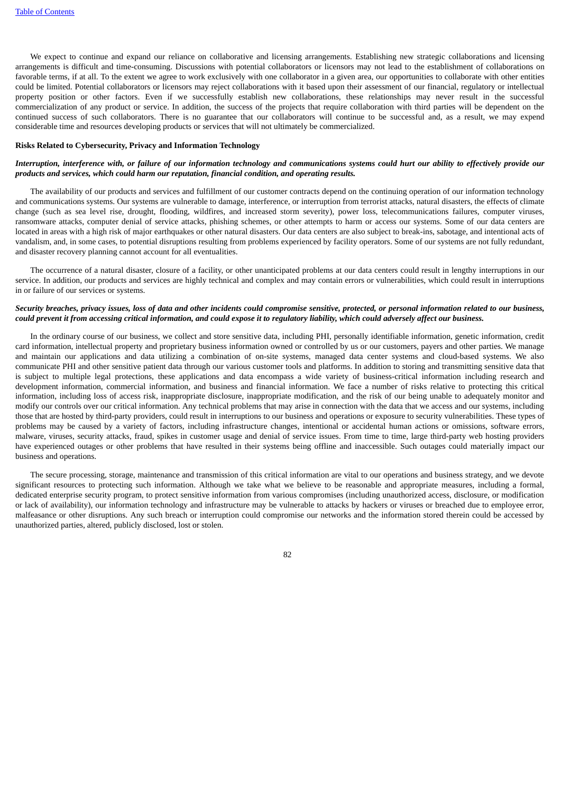We expect to continue and expand our reliance on collaborative and licensing arrangements. Establishing new strategic collaborations and licensing arrangements is difficult and time-consuming. Discussions with potential collaborators or licensors may not lead to the establishment of collaborations on favorable terms, if at all. To the extent we agree to work exclusively with one collaborator in a given area, our opportunities to collaborate with other entities could be limited. Potential collaborators or licensors may reject collaborations with it based upon their assessment of our financial, regulatory or intellectual property position or other factors. Even if we successfully establish new collaborations, these relationships may never result in the successful commercialization of any product or service. In addition, the success of the projects that require collaboration with third parties will be dependent on the continued success of such collaborators. There is no guarantee that our collaborators will continue to be successful and, as a result, we may expend considerable time and resources developing products or services that will not ultimately be commercialized.

#### **Risks Related to Cybersecurity, Privacy and Information Technology**

### Interruption, interference with, or failure of our information technology and communications systems could hurt our ability to effectively provide our *products and services, which could harm our reputation, financial condition, and operating results.*

The availability of our products and services and fulfillment of our customer contracts depend on the continuing operation of our information technology and communications systems. Our systems are vulnerable to damage, interference, or interruption from terrorist attacks, natural disasters, the effects of climate change (such as sea level rise, drought, flooding, wildfires, and increased storm severity), power loss, telecommunications failures, computer viruses, ransomware attacks, computer denial of service attacks, phishing schemes, or other attempts to harm or access our systems. Some of our data centers are located in areas with a high risk of major earthquakes or other natural disasters. Our data centers are also subject to break-ins, sabotage, and intentional acts of vandalism, and, in some cases, to potential disruptions resulting from problems experienced by facility operators. Some of our systems are not fully redundant, and disaster recovery planning cannot account for all eventualities.

The occurrence of a natural disaster, closure of a facility, or other unanticipated problems at our data centers could result in lengthy interruptions in our service. In addition, our products and services are highly technical and complex and may contain errors or vulnerabilities, which could result in interruptions in or failure of our services or systems.

### Security breaches, privacy issues, loss of data and other incidents could compromise sensitive, protected, or personal information related to our business, could prevent it from accessing critical information, and could expose it to regulatory liability, which could adversely affect our business.

In the ordinary course of our business, we collect and store sensitive data, including PHI, personally identifiable information, genetic information, credit card information, intellectual property and proprietary business information owned or controlled by us or our customers, payers and other parties. We manage and maintain our applications and data utilizing a combination of on-site systems, managed data center systems and cloud-based systems. We also communicate PHI and other sensitive patient data through our various customer tools and platforms. In addition to storing and transmitting sensitive data that is subject to multiple legal protections, these applications and data encompass a wide variety of business-critical information including research and development information, commercial information, and business and financial information. We face a number of risks relative to protecting this critical information, including loss of access risk, inappropriate disclosure, inappropriate modification, and the risk of our being unable to adequately monitor and modify our controls over our critical information. Any technical problems that may arise in connection with the data that we access and our systems, including those that are hosted by third-party providers, could result in interruptions to our business and operations or exposure to security vulnerabilities. These types of problems may be caused by a variety of factors, including infrastructure changes, intentional or accidental human actions or omissions, software errors, malware, viruses, security attacks, fraud, spikes in customer usage and denial of service issues. From time to time, large third-party web hosting providers have experienced outages or other problems that have resulted in their systems being offline and inaccessible. Such outages could materially impact our business and operations.

The secure processing, storage, maintenance and transmission of this critical information are vital to our operations and business strategy, and we devote significant resources to protecting such information. Although we take what we believe to be reasonable and appropriate measures, including a formal, dedicated enterprise security program, to protect sensitive information from various compromises (including unauthorized access, disclosure, or modification or lack of availability), our information technology and infrastructure may be vulnerable to attacks by hackers or viruses or breached due to employee error, malfeasance or other disruptions. Any such breach or interruption could compromise our networks and the information stored therein could be accessed by unauthorized parties, altered, publicly disclosed, lost or stolen.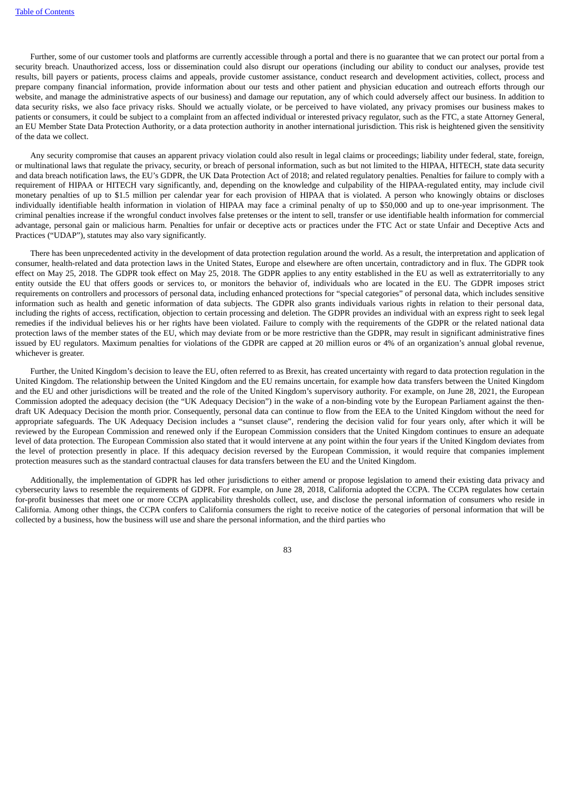Further, some of our customer tools and platforms are currently accessible through a portal and there is no guarantee that we can protect our portal from a security breach. Unauthorized access, loss or dissemination could also disrupt our operations (including our ability to conduct our analyses, provide test results, bill payers or patients, process claims and appeals, provide customer assistance, conduct research and development activities, collect, process and prepare company financial information, provide information about our tests and other patient and physician education and outreach efforts through our website, and manage the administrative aspects of our business) and damage our reputation, any of which could adversely affect our business. In addition to data security risks, we also face privacy risks. Should we actually violate, or be perceived to have violated, any privacy promises our business makes to patients or consumers, it could be subject to a complaint from an affected individual or interested privacy regulator, such as the FTC, a state Attorney General, an EU Member State Data Protection Authority, or a data protection authority in another international jurisdiction. This risk is heightened given the sensitivity of the data we collect.

Any security compromise that causes an apparent privacy violation could also result in legal claims or proceedings; liability under federal, state, foreign, or multinational laws that regulate the privacy, security, or breach of personal information, such as but not limited to the HIPAA, HITECH, state data security and data breach notification laws, the EU's GDPR, the UK Data Protection Act of 2018; and related regulatory penalties. Penalties for failure to comply with a requirement of HIPAA or HITECH vary significantly, and, depending on the knowledge and culpability of the HIPAA-regulated entity, may include civil monetary penalties of up to \$1.5 million per calendar year for each provision of HIPAA that is violated. A person who knowingly obtains or discloses individually identifiable health information in violation of HIPAA may face a criminal penalty of up to \$50,000 and up to one-year imprisonment. The criminal penalties increase if the wrongful conduct involves false pretenses or the intent to sell, transfer or use identifiable health information for commercial advantage, personal gain or malicious harm. Penalties for unfair or deceptive acts or practices under the FTC Act or state Unfair and Deceptive Acts and Practices ("UDAP"), statutes may also vary significantly.

There has been unprecedented activity in the development of data protection regulation around the world. As a result, the interpretation and application of consumer, health-related and data protection laws in the United States, Europe and elsewhere are often uncertain, contradictory and in flux. The GDPR took effect on May 25, 2018. The GDPR took effect on May 25, 2018. The GDPR applies to any entity established in the EU as well as extraterritorially to any entity outside the EU that offers goods or services to, or monitors the behavior of, individuals who are located in the EU. The GDPR imposes strict requirements on controllers and processors of personal data, including enhanced protections for "special categories" of personal data, which includes sensitive information such as health and genetic information of data subjects. The GDPR also grants individuals various rights in relation to their personal data, including the rights of access, rectification, objection to certain processing and deletion. The GDPR provides an individual with an express right to seek legal remedies if the individual believes his or her rights have been violated. Failure to comply with the requirements of the GDPR or the related national data protection laws of the member states of the EU, which may deviate from or be more restrictive than the GDPR, may result in significant administrative fines issued by EU regulators. Maximum penalties for violations of the GDPR are capped at 20 million euros or 4% of an organization's annual global revenue, whichever is greater.

Further, the United Kingdom's decision to leave the EU, often referred to as Brexit, has created uncertainty with regard to data protection regulation in the United Kingdom. The relationship between the United Kingdom and the EU remains uncertain, for example how data transfers between the United Kingdom and the EU and other jurisdictions will be treated and the role of the United Kingdom's supervisory authority. For example, on June 28, 2021, the European Commission adopted the adequacy decision (the "UK Adequacy Decision") in the wake of a non-binding vote by the European Parliament against the thendraft UK Adequacy Decision the month prior. Consequently, personal data can continue to flow from the EEA to the United Kingdom without the need for appropriate safeguards. The UK Adequacy Decision includes a "sunset clause", rendering the decision valid for four years only, after which it will be reviewed by the European Commission and renewed only if the European Commission considers that the United Kingdom continues to ensure an adequate level of data protection. The European Commission also stated that it would intervene at any point within the four years if the United Kingdom deviates from the level of protection presently in place. If this adequacy decision reversed by the European Commission, it would require that companies implement protection measures such as the standard contractual clauses for data transfers between the EU and the United Kingdom.

Additionally, the implementation of GDPR has led other jurisdictions to either amend or propose legislation to amend their existing data privacy and cybersecurity laws to resemble the requirements of GDPR. For example, on June 28, 2018, California adopted the CCPA. The CCPA regulates how certain for-profit businesses that meet one or more CCPA applicability thresholds collect, use, and disclose the personal information of consumers who reside in California. Among other things, the CCPA confers to California consumers the right to receive notice of the categories of personal information that will be collected by a business, how the business will use and share the personal information, and the third parties who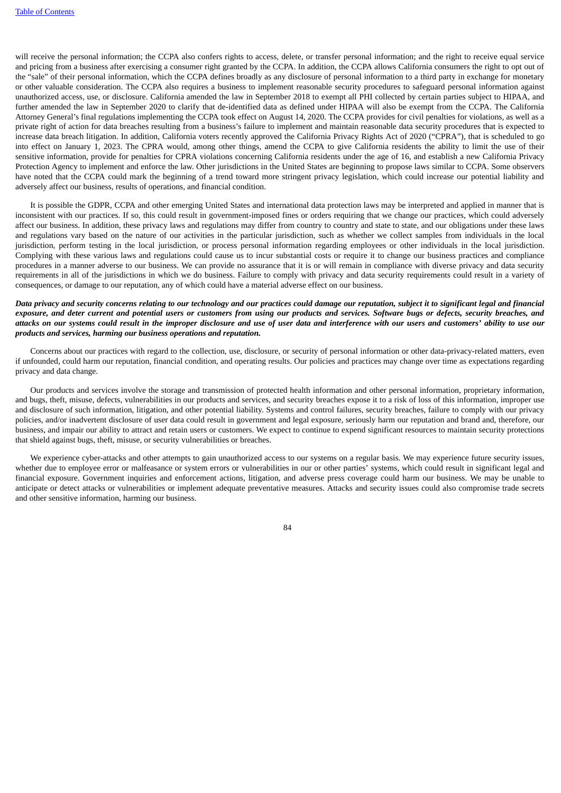will receive the personal information; the CCPA also confers rights to access, delete, or transfer personal information; and the right to receive equal service and pricing from a business after exercising a consumer right granted by the CCPA. In addition, the CCPA allows California consumers the right to opt out of the "sale" of their personal information, which the CCPA defines broadly as any disclosure of personal information to a third party in exchange for monetary or other valuable consideration. The CCPA also requires a business to implement reasonable security procedures to safeguard personal information against unauthorized access, use, or disclosure. California amended the law in September 2018 to exempt all PHI collected by certain parties subject to HIPAA, and further amended the law in September 2020 to clarify that de-identified data as defined under HIPAA will also be exempt from the CCPA. The California Attorney General's final regulations implementing the CCPA took effect on August 14, 2020. The CCPA provides for civil penalties for violations, as well as a private right of action for data breaches resulting from a business's failure to implement and maintain reasonable data security procedures that is expected to increase data breach litigation. In addition, California voters recently approved the California Privacy Rights Act of 2020 ("CPRA"), that is scheduled to go into effect on January 1, 2023. The CPRA would, among other things, amend the CCPA to give California residents the ability to limit the use of their sensitive information, provide for penalties for CPRA violations concerning California residents under the age of 16, and establish a new California Privacy Protection Agency to implement and enforce the law. Other jurisdictions in the United States are beginning to propose laws similar to CCPA. Some observers have noted that the CCPA could mark the beginning of a trend toward more stringent privacy legislation, which could increase our potential liability and adversely affect our business, results of operations, and financial condition.

It is possible the GDPR, CCPA and other emerging United States and international data protection laws may be interpreted and applied in manner that is inconsistent with our practices. If so, this could result in government-imposed fines or orders requiring that we change our practices, which could adversely affect our business. In addition, these privacy laws and regulations may differ from country to country and state to state, and our obligations under these laws and regulations vary based on the nature of our activities in the particular jurisdiction, such as whether we collect samples from individuals in the local jurisdiction, perform testing in the local jurisdiction, or process personal information regarding employees or other individuals in the local jurisdiction. Complying with these various laws and regulations could cause us to incur substantial costs or require it to change our business practices and compliance procedures in a manner adverse to our business. We can provide no assurance that it is or will remain in compliance with diverse privacy and data security requirements in all of the jurisdictions in which we do business. Failure to comply with privacy and data security requirements could result in a variety of consequences, or damage to our reputation, any of which could have a material adverse effect on our business.

## Data privacy and security concerns relating to our technology and our practices could damage our reputation, subject it to significant legal and financial exposure, and deter current and potential users or customers from using our products and services. Software bugs or defects, security breaches, and attacks on our systems could result in the improper disclosure and use of user data and interference with our users and customers' ability to use our *products and services, harming our business operations and reputation.*

Concerns about our practices with regard to the collection, use, disclosure, or security of personal information or other data-privacy-related matters, even if unfounded, could harm our reputation, financial condition, and operating results. Our policies and practices may change over time as expectations regarding privacy and data change.

Our products and services involve the storage and transmission of protected health information and other personal information, proprietary information, and bugs, theft, misuse, defects, vulnerabilities in our products and services, and security breaches expose it to a risk of loss of this information, improper use and disclosure of such information, litigation, and other potential liability. Systems and control failures, security breaches, failure to comply with our privacy policies, and/or inadvertent disclosure of user data could result in government and legal exposure, seriously harm our reputation and brand and, therefore, our business, and impair our ability to attract and retain users or customers. We expect to continue to expend significant resources to maintain security protections that shield against bugs, theft, misuse, or security vulnerabilities or breaches.

We experience cyber-attacks and other attempts to gain unauthorized access to our systems on a regular basis. We may experience future security issues, whether due to employee error or malfeasance or system errors or vulnerabilities in our or other parties' systems, which could result in significant legal and financial exposure. Government inquiries and enforcement actions, litigation, and adverse press coverage could harm our business. We may be unable to anticipate or detect attacks or vulnerabilities or implement adequate preventative measures. Attacks and security issues could also compromise trade secrets and other sensitive information, harming our business.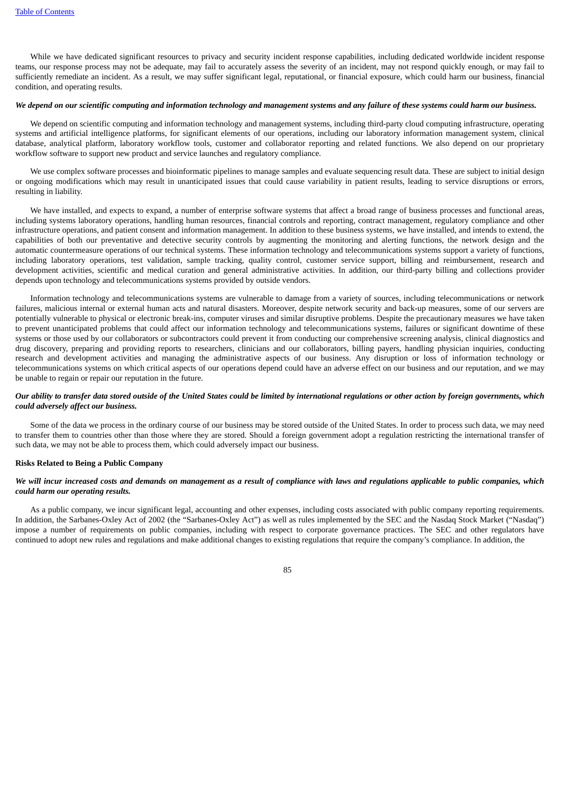While we have dedicated significant resources to privacy and security incident response capabilities, including dedicated worldwide incident response teams, our response process may not be adequate, may fail to accurately assess the severity of an incident, may not respond quickly enough, or may fail to sufficiently remediate an incident. As a result, we may suffer significant legal, reputational, or financial exposure, which could harm our business, financial condition, and operating results.

#### We depend on our scientific computing and information technology and management systems and any failure of these systems could harm our business.

We depend on scientific computing and information technology and management systems, including third-party cloud computing infrastructure, operating systems and artificial intelligence platforms, for significant elements of our operations, including our laboratory information management system, clinical database, analytical platform, laboratory workflow tools, customer and collaborator reporting and related functions. We also depend on our proprietary workflow software to support new product and service launches and regulatory compliance.

We use complex software processes and bioinformatic pipelines to manage samples and evaluate sequencing result data. These are subject to initial design or ongoing modifications which may result in unanticipated issues that could cause variability in patient results, leading to service disruptions or errors, resulting in liability.

We have installed, and expects to expand, a number of enterprise software systems that affect a broad range of business processes and functional areas, including systems laboratory operations, handling human resources, financial controls and reporting, contract management, regulatory compliance and other infrastructure operations, and patient consent and information management. In addition to these business systems, we have installed, and intends to extend, the capabilities of both our preventative and detective security controls by augmenting the monitoring and alerting functions, the network design and the automatic countermeasure operations of our technical systems. These information technology and telecommunications systems support a variety of functions, including laboratory operations, test validation, sample tracking, quality control, customer service support, billing and reimbursement, research and development activities, scientific and medical curation and general administrative activities. In addition, our third-party billing and collections provider depends upon technology and telecommunications systems provided by outside vendors.

Information technology and telecommunications systems are vulnerable to damage from a variety of sources, including telecommunications or network failures, malicious internal or external human acts and natural disasters. Moreover, despite network security and back-up measures, some of our servers are potentially vulnerable to physical or electronic break-ins, computer viruses and similar disruptive problems. Despite the precautionary measures we have taken to prevent unanticipated problems that could affect our information technology and telecommunications systems, failures or significant downtime of these systems or those used by our collaborators or subcontractors could prevent it from conducting our comprehensive screening analysis, clinical diagnostics and drug discovery, preparing and providing reports to researchers, clinicians and our collaborators, billing payers, handling physician inquiries, conducting research and development activities and managing the administrative aspects of our business. Any disruption or loss of information technology or telecommunications systems on which critical aspects of our operations depend could have an adverse effect on our business and our reputation, and we may be unable to regain or repair our reputation in the future.

## Our ability to transfer data stored outside of the United States could be limited by international regulations or other action by foreign governments, which *could adversely affect our business.*

Some of the data we process in the ordinary course of our business may be stored outside of the United States. In order to process such data, we may need to transfer them to countries other than those where they are stored. Should a foreign government adopt a regulation restricting the international transfer of such data, we may not be able to process them, which could adversely impact our business.

#### **Risks Related to Being a Public Company**

## We will incur increased costs and demands on management as a result of compliance with laws and regulations applicable to public companies, which *could harm our operating results.*

As a public company, we incur significant legal, accounting and other expenses, including costs associated with public company reporting requirements. In addition, the Sarbanes-Oxley Act of 2002 (the "Sarbanes-Oxley Act") as well as rules implemented by the SEC and the Nasdaq Stock Market ("Nasdaq") impose a number of requirements on public companies, including with respect to corporate governance practices. The SEC and other regulators have continued to adopt new rules and regulations and make additional changes to existing regulations that require the company's compliance. In addition, the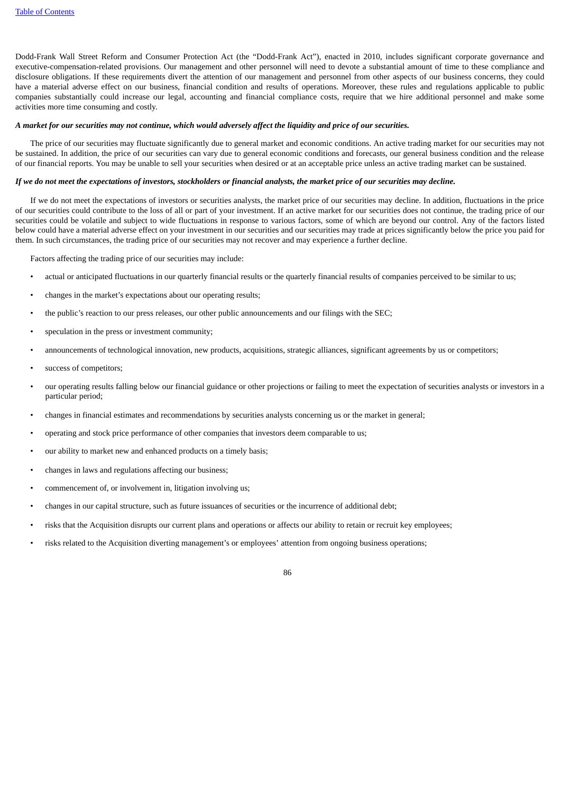Dodd-Frank Wall Street Reform and Consumer Protection Act (the "Dodd-Frank Act"), enacted in 2010, includes significant corporate governance and executive-compensation-related provisions. Our management and other personnel will need to devote a substantial amount of time to these compliance and disclosure obligations. If these requirements divert the attention of our management and personnel from other aspects of our business concerns, they could have a material adverse effect on our business, financial condition and results of operations. Moreover, these rules and regulations applicable to public companies substantially could increase our legal, accounting and financial compliance costs, require that we hire additional personnel and make some activities more time consuming and costly.

#### A market for our securities may not continue, which would adversely affect the liquidity and price of our securities.

The price of our securities may fluctuate significantly due to general market and economic conditions. An active trading market for our securities may not be sustained. In addition, the price of our securities can vary due to general economic conditions and forecasts, our general business condition and the release of our financial reports. You may be unable to sell your securities when desired or at an acceptable price unless an active trading market can be sustained.

#### If we do not meet the expectations of investors, stockholders or financial analysts, the market price of our securities may decline.

If we do not meet the expectations of investors or securities analysts, the market price of our securities may decline. In addition, fluctuations in the price of our securities could contribute to the loss of all or part of your investment. If an active market for our securities does not continue, the trading price of our securities could be volatile and subject to wide fluctuations in response to various factors, some of which are beyond our control. Any of the factors listed below could have a material adverse effect on your investment in our securities and our securities may trade at prices significantly below the price you paid for them. In such circumstances, the trading price of our securities may not recover and may experience a further decline.

Factors affecting the trading price of our securities may include:

- actual or anticipated fluctuations in our quarterly financial results or the quarterly financial results of companies perceived to be similar to us;
- changes in the market's expectations about our operating results;
- the public's reaction to our press releases, our other public announcements and our filings with the SEC;
- speculation in the press or investment community;
- announcements of technological innovation, new products, acquisitions, strategic alliances, significant agreements by us or competitors;
- success of competitors;
- our operating results falling below our financial guidance or other projections or failing to meet the expectation of securities analysts or investors in a particular period;
- changes in financial estimates and recommendations by securities analysts concerning us or the market in general;
- operating and stock price performance of other companies that investors deem comparable to us;
- our ability to market new and enhanced products on a timely basis;
- changes in laws and regulations affecting our business;
- commencement of, or involvement in, litigation involving us;
- changes in our capital structure, such as future issuances of securities or the incurrence of additional debt;
- risks that the Acquisition disrupts our current plans and operations or affects our ability to retain or recruit key employees;
- risks related to the Acquisition diverting management's or employees' attention from ongoing business operations;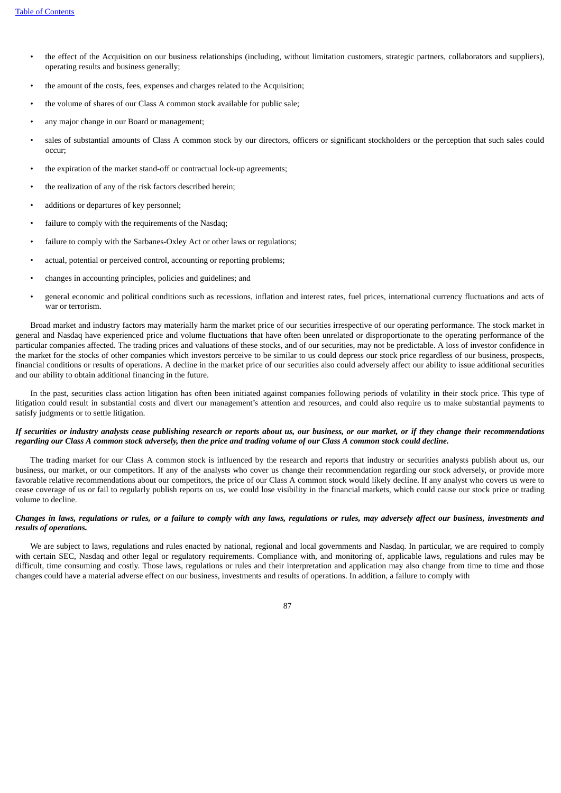- the effect of the Acquisition on our business relationships (including, without limitation customers, strategic partners, collaborators and suppliers), operating results and business generally;
- the amount of the costs, fees, expenses and charges related to the Acquisition;
- the volume of shares of our Class A common stock available for public sale;
- any major change in our Board or management;
- sales of substantial amounts of Class A common stock by our directors, officers or significant stockholders or the perception that such sales could occur;
- the expiration of the market stand-off or contractual lock-up agreements;
- the realization of any of the risk factors described herein;
- additions or departures of key personnel;
- failure to comply with the requirements of the Nasdaq;
- failure to comply with the Sarbanes-Oxley Act or other laws or regulations;
- actual, potential or perceived control, accounting or reporting problems;
- changes in accounting principles, policies and guidelines; and
- general economic and political conditions such as recessions, inflation and interest rates, fuel prices, international currency fluctuations and acts of war or terrorism.

Broad market and industry factors may materially harm the market price of our securities irrespective of our operating performance. The stock market in general and Nasdaq have experienced price and volume fluctuations that have often been unrelated or disproportionate to the operating performance of the particular companies affected. The trading prices and valuations of these stocks, and of our securities, may not be predictable. A loss of investor confidence in the market for the stocks of other companies which investors perceive to be similar to us could depress our stock price regardless of our business, prospects, financial conditions or results of operations. A decline in the market price of our securities also could adversely affect our ability to issue additional securities and our ability to obtain additional financing in the future.

In the past, securities class action litigation has often been initiated against companies following periods of volatility in their stock price. This type of litigation could result in substantial costs and divert our management's attention and resources, and could also require us to make substantial payments to satisfy judgments or to settle litigation.

## If securities or industry analysts cease publishing research or reports about us, our business, or our market, or if they change their recommendations regarding our Class A common stock adversely, then the price and trading volume of our Class A common stock could decline.

The trading market for our Class A common stock is influenced by the research and reports that industry or securities analysts publish about us, our business, our market, or our competitors. If any of the analysts who cover us change their recommendation regarding our stock adversely, or provide more favorable relative recommendations about our competitors, the price of our Class A common stock would likely decline. If any analyst who covers us were to cease coverage of us or fail to regularly publish reports on us, we could lose visibility in the financial markets, which could cause our stock price or trading volume to decline.

## Changes in laws, regulations or rules, or a failure to comply with any laws, regulations or rules, may adversely affect our business, investments and *results of operations.*

We are subject to laws, regulations and rules enacted by national, regional and local governments and Nasdaq. In particular, we are required to comply with certain SEC, Nasdaq and other legal or regulatory requirements. Compliance with, and monitoring of, applicable laws, regulations and rules may be difficult, time consuming and costly. Those laws, regulations or rules and their interpretation and application may also change from time to time and those changes could have a material adverse effect on our business, investments and results of operations. In addition, a failure to comply with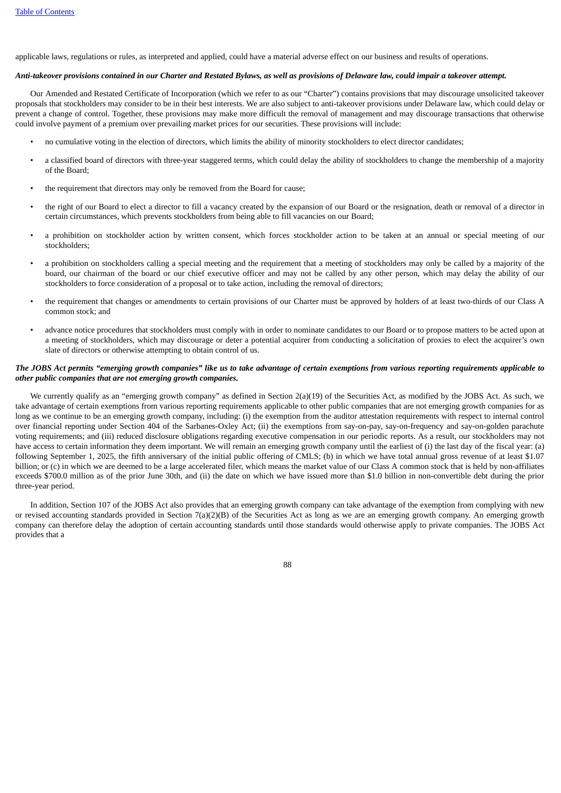applicable laws, regulations or rules, as interpreted and applied, could have a material adverse effect on our business and results of operations.

#### Anti-takeover provisions contained in our Charter and Restated Bylaws, as well as provisions of Delaware law, could impair a takeover attempt.

Our Amended and Restated Certificate of Incorporation (which we refer to as our "Charter") contains provisions that may discourage unsolicited takeover proposals that stockholders may consider to be in their best interests. We are also subject to anti-takeover provisions under Delaware law, which could delay or prevent a change of control. Together, these provisions may make more difficult the removal of management and may discourage transactions that otherwise could involve payment of a premium over prevailing market prices for our securities. These provisions will include:

- no cumulative voting in the election of directors, which limits the ability of minority stockholders to elect director candidates;
- a classified board of directors with three-year staggered terms, which could delay the ability of stockholders to change the membership of a majority of the Board;
- the requirement that directors may only be removed from the Board for cause;
- the right of our Board to elect a director to fill a vacancy created by the expansion of our Board or the resignation, death or removal of a director in certain circumstances, which prevents stockholders from being able to fill vacancies on our Board;
- a prohibition on stockholder action by written consent, which forces stockholder action to be taken at an annual or special meeting of our stockholders;
- a prohibition on stockholders calling a special meeting and the requirement that a meeting of stockholders may only be called by a majority of the board, our chairman of the board or our chief executive officer and may not be called by any other person, which may delay the ability of our stockholders to force consideration of a proposal or to take action, including the removal of directors;
- the requirement that changes or amendments to certain provisions of our Charter must be approved by holders of at least two-thirds of our Class A common stock; and
- advance notice procedures that stockholders must comply with in order to nominate candidates to our Board or to propose matters to be acted upon at a meeting of stockholders, which may discourage or deter a potential acquirer from conducting a solicitation of proxies to elect the acquirer's own slate of directors or otherwise attempting to obtain control of us.

## The JOBS Act permits "emerging growth companies" like us to take advantage of certain exemptions from various reporting requirements applicable to *other public companies that are not emerging growth companies.*

We currently qualify as an "emerging growth company" as defined in Section 2(a)(19) of the Securities Act, as modified by the JOBS Act. As such, we take advantage of certain exemptions from various reporting requirements applicable to other public companies that are not emerging growth companies for as long as we continue to be an emerging growth company, including: (i) the exemption from the auditor attestation requirements with respect to internal control over financial reporting under Section 404 of the Sarbanes-Oxley Act; (ii) the exemptions from say-on-pay, say-on-frequency and say-on-golden parachute voting requirements; and (iii) reduced disclosure obligations regarding executive compensation in our periodic reports. As a result, our stockholders may not have access to certain information they deem important. We will remain an emerging growth company until the earliest of (i) the last day of the fiscal year: (a) following September 1, 2025, the fifth anniversary of the initial public offering of CMLS; (b) in which we have total annual gross revenue of at least \$1.07 billion; or (c) in which we are deemed to be a large accelerated filer, which means the market value of our Class A common stock that is held by non-affiliates exceeds \$700.0 million as of the prior June 30th, and (ii) the date on which we have issued more than \$1.0 billion in non-convertible debt during the prior three-year period.

In addition, Section 107 of the JOBS Act also provides that an emerging growth company can take advantage of the exemption from complying with new or revised accounting standards provided in Section 7(a)(2)(B) of the Securities Act as long as we are an emerging growth company. An emerging growth company can therefore delay the adoption of certain accounting standards until those standards would otherwise apply to private companies. The JOBS Act provides that a

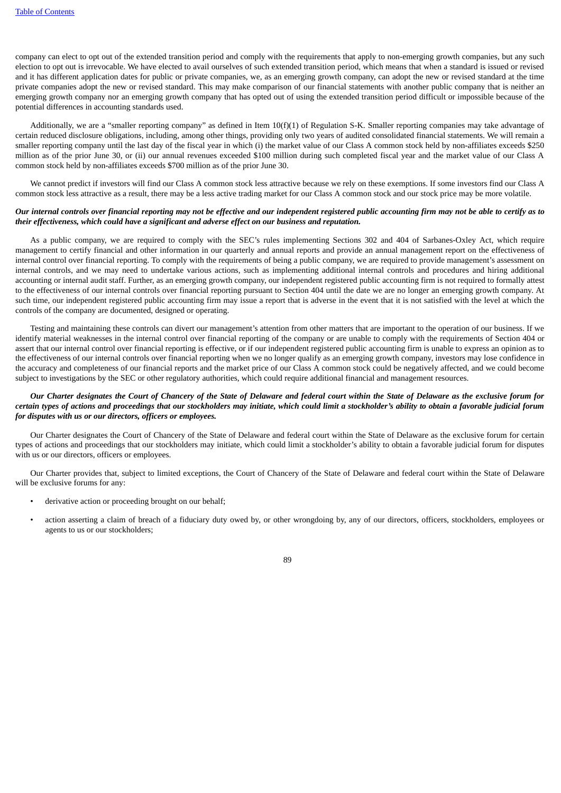company can elect to opt out of the extended transition period and comply with the requirements that apply to non-emerging growth companies, but any such election to opt out is irrevocable. We have elected to avail ourselves of such extended transition period, which means that when a standard is issued or revised and it has different application dates for public or private companies, we, as an emerging growth company, can adopt the new or revised standard at the time private companies adopt the new or revised standard. This may make comparison of our financial statements with another public company that is neither an emerging growth company nor an emerging growth company that has opted out of using the extended transition period difficult or impossible because of the potential differences in accounting standards used.

Additionally, we are a "smaller reporting company" as defined in Item 10(f)(1) of Regulation S-K. Smaller reporting companies may take advantage of certain reduced disclosure obligations, including, among other things, providing only two years of audited consolidated financial statements. We will remain a smaller reporting company until the last day of the fiscal year in which (i) the market value of our Class A common stock held by non-affiliates exceeds \$250 million as of the prior June 30, or (ii) our annual revenues exceeded \$100 million during such completed fiscal year and the market value of our Class A common stock held by non-affiliates exceeds \$700 million as of the prior June 30.

We cannot predict if investors will find our Class A common stock less attractive because we rely on these exemptions. If some investors find our Class A common stock less attractive as a result, there may be a less active trading market for our Class A common stock and our stock price may be more volatile.

## Our internal controls over financial reporting may not be effective and our independent registered public accounting firm may not be able to certify as to *their effectiveness, which could have a significant and adverse effect on our business and reputation.*

As a public company, we are required to comply with the SEC's rules implementing Sections 302 and 404 of Sarbanes-Oxley Act, which require management to certify financial and other information in our quarterly and annual reports and provide an annual management report on the effectiveness of internal control over financial reporting. To comply with the requirements of being a public company, we are required to provide management's assessment on internal controls, and we may need to undertake various actions, such as implementing additional internal controls and procedures and hiring additional accounting or internal audit staff. Further, as an emerging growth company, our independent registered public accounting firm is not required to formally attest to the effectiveness of our internal controls over financial reporting pursuant to Section 404 until the date we are no longer an emerging growth company. At such time, our independent registered public accounting firm may issue a report that is adverse in the event that it is not satisfied with the level at which the controls of the company are documented, designed or operating.

Testing and maintaining these controls can divert our management's attention from other matters that are important to the operation of our business. If we identify material weaknesses in the internal control over financial reporting of the company or are unable to comply with the requirements of Section 404 or assert that our internal control over financial reporting is effective, or if our independent registered public accounting firm is unable to express an opinion as to the effectiveness of our internal controls over financial reporting when we no longer qualify as an emerging growth company, investors may lose confidence in the accuracy and completeness of our financial reports and the market price of our Class A common stock could be negatively affected, and we could become subject to investigations by the SEC or other regulatory authorities, which could require additional financial and management resources.

## Our Charter designates the Court of Chancery of the State of Delaware and federal court within the State of Delaware as the exclusive forum for certain types of actions and proceedings that our stockholders may initiate, which could limit a stockholder's ability to obtain a favorable judicial forum *for disputes with us or our directors, officers or employees.*

Our Charter designates the Court of Chancery of the State of Delaware and federal court within the State of Delaware as the exclusive forum for certain types of actions and proceedings that our stockholders may initiate, which could limit a stockholder's ability to obtain a favorable judicial forum for disputes with us or our directors, officers or employees.

Our Charter provides that, subject to limited exceptions, the Court of Chancery of the State of Delaware and federal court within the State of Delaware will be exclusive forums for any:

- derivative action or proceeding brought on our behalf;
- action asserting a claim of breach of a fiduciary duty owed by, or other wrongdoing by, any of our directors, officers, stockholders, employees or agents to us or our stockholders;

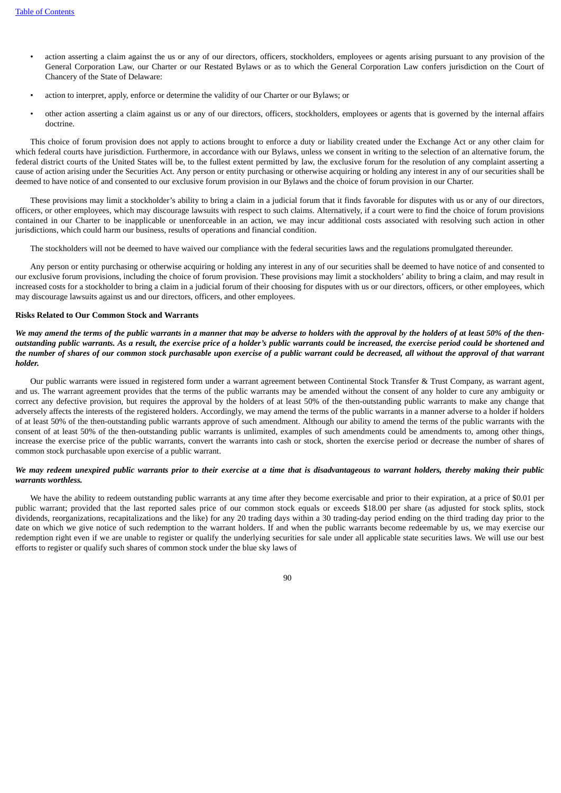- action asserting a claim against the us or any of our directors, officers, stockholders, employees or agents arising pursuant to any provision of the General Corporation Law, our Charter or our Restated Bylaws or as to which the General Corporation Law confers jurisdiction on the Court of Chancery of the State of Delaware:
- action to interpret, apply, enforce or determine the validity of our Charter or our Bylaws; or
- other action asserting a claim against us or any of our directors, officers, stockholders, employees or agents that is governed by the internal affairs doctrine.

This choice of forum provision does not apply to actions brought to enforce a duty or liability created under the Exchange Act or any other claim for which federal courts have jurisdiction. Furthermore, in accordance with our Bylaws, unless we consent in writing to the selection of an alternative forum, the federal district courts of the United States will be, to the fullest extent permitted by law, the exclusive forum for the resolution of any complaint asserting a cause of action arising under the Securities Act. Any person or entity purchasing or otherwise acquiring or holding any interest in any of our securities shall be deemed to have notice of and consented to our exclusive forum provision in our Bylaws and the choice of forum provision in our Charter.

These provisions may limit a stockholder's ability to bring a claim in a judicial forum that it finds favorable for disputes with us or any of our directors, officers, or other employees, which may discourage lawsuits with respect to such claims. Alternatively, if a court were to find the choice of forum provisions contained in our Charter to be inapplicable or unenforceable in an action, we may incur additional costs associated with resolving such action in other jurisdictions, which could harm our business, results of operations and financial condition.

The stockholders will not be deemed to have waived our compliance with the federal securities laws and the regulations promulgated thereunder.

Any person or entity purchasing or otherwise acquiring or holding any interest in any of our securities shall be deemed to have notice of and consented to our exclusive forum provisions, including the choice of forum provision. These provisions may limit a stockholders' ability to bring a claim, and may result in increased costs for a stockholder to bring a claim in a judicial forum of their choosing for disputes with us or our directors, officers, or other employees, which may discourage lawsuits against us and our directors, officers, and other employees.

## **Risks Related to Our Common Stock and Warrants**

We may amend the terms of the public warrants in a manner that may be adverse to holders with the approval by the holders of at least 50% of the thenoutstanding public warrants. As a result, the exercise price of a holder's public warrants could be increased, the exercise period could be shortened and the number of shares of our common stock purchasable upon exercise of a public warrant could be decreased, all without the approval of that warrant *holder.*

Our public warrants were issued in registered form under a warrant agreement between Continental Stock Transfer & Trust Company, as warrant agent, and us. The warrant agreement provides that the terms of the public warrants may be amended without the consent of any holder to cure any ambiguity or correct any defective provision, but requires the approval by the holders of at least 50% of the then-outstanding public warrants to make any change that adversely affects the interests of the registered holders. Accordingly, we may amend the terms of the public warrants in a manner adverse to a holder if holders of at least 50% of the then-outstanding public warrants approve of such amendment. Although our ability to amend the terms of the public warrants with the consent of at least 50% of the then-outstanding public warrants is unlimited, examples of such amendments could be amendments to, among other things, increase the exercise price of the public warrants, convert the warrants into cash or stock, shorten the exercise period or decrease the number of shares of common stock purchasable upon exercise of a public warrant.

## We may redeem unexpired public warrants prior to their exercise at a time that is disadvantageous to warrant holders, thereby making their public *warrants worthless.*

We have the ability to redeem outstanding public warrants at any time after they become exercisable and prior to their expiration, at a price of \$0.01 per public warrant; provided that the last reported sales price of our common stock equals or exceeds \$18.00 per share (as adjusted for stock splits, stock dividends, reorganizations, recapitalizations and the like) for any 20 trading days within a 30 trading-day period ending on the third trading day prior to the date on which we give notice of such redemption to the warrant holders. If and when the public warrants become redeemable by us, we may exercise our redemption right even if we are unable to register or qualify the underlying securities for sale under all applicable state securities laws. We will use our best efforts to register or qualify such shares of common stock under the blue sky laws of

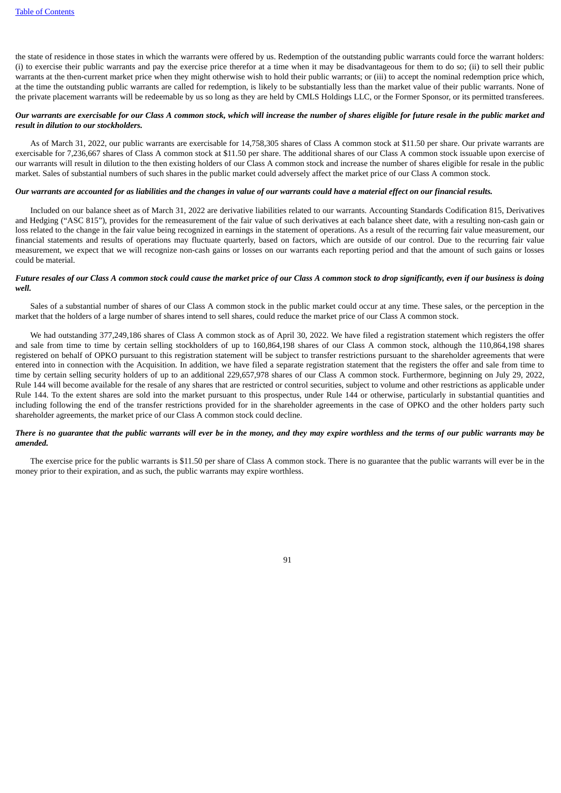the state of residence in those states in which the warrants were offered by us. Redemption of the outstanding public warrants could force the warrant holders: (i) to exercise their public warrants and pay the exercise price therefor at a time when it may be disadvantageous for them to do so; (ii) to sell their public warrants at the then-current market price when they might otherwise wish to hold their public warrants; or (iii) to accept the nominal redemption price which, at the time the outstanding public warrants are called for redemption, is likely to be substantially less than the market value of their public warrants. None of the private placement warrants will be redeemable by us so long as they are held by CMLS Holdings LLC, or the Former Sponsor, or its permitted transferees.

## Our warrants are exercisable for our Class A common stock, which will increase the number of shares eligible for future resale in the public market and *result in dilution to our stockholders.*

As of March 31, 2022, our public warrants are exercisable for 14,758,305 shares of Class A common stock at \$11.50 per share. Our private warrants are exercisable for 7,236,667 shares of Class A common stock at \$11.50 per share. The additional shares of our Class A common stock issuable upon exercise of our warrants will result in dilution to the then existing holders of our Class A common stock and increase the number of shares eligible for resale in the public market. Sales of substantial numbers of such shares in the public market could adversely affect the market price of our Class A common stock.

#### Our warrants are accounted for as liabilities and the changes in value of our warrants could have a material effect on our financial results.

Included on our balance sheet as of March 31, 2022 are derivative liabilities related to our warrants. Accounting Standards Codification 815, Derivatives and Hedging ("ASC 815"), provides for the remeasurement of the fair value of such derivatives at each balance sheet date, with a resulting non-cash gain or loss related to the change in the fair value being recognized in earnings in the statement of operations. As a result of the recurring fair value measurement, our financial statements and results of operations may fluctuate quarterly, based on factors, which are outside of our control. Due to the recurring fair value measurement, we expect that we will recognize non-cash gains or losses on our warrants each reporting period and that the amount of such gains or losses could be material.

### Future resales of our Class A common stock could cause the market price of our Class A common stock to drop significantly, even if our business is doing *well.*

Sales of a substantial number of shares of our Class A common stock in the public market could occur at any time. These sales, or the perception in the market that the holders of a large number of shares intend to sell shares, could reduce the market price of our Class A common stock.

We had outstanding 377,249,186 shares of Class A common stock as of April 30, 2022. We have filed a registration statement which registers the offer and sale from time to time by certain selling stockholders of up to 160,864,198 shares of our Class A common stock, although the 110,864,198 shares registered on behalf of OPKO pursuant to this registration statement will be subject to transfer restrictions pursuant to the shareholder agreements that were entered into in connection with the Acquisition. In addition, we have filed a separate registration statement that the registers the offer and sale from time to time by certain selling security holders of up to an additional 229,657,978 shares of our Class A common stock. Furthermore, beginning on July 29, 2022, Rule 144 will become available for the resale of any shares that are restricted or control securities, subject to volume and other restrictions as applicable under Rule 144. To the extent shares are sold into the market pursuant to this prospectus, under Rule 144 or otherwise, particularly in substantial quantities and including following the end of the transfer restrictions provided for in the shareholder agreements in the case of OPKO and the other holders party such shareholder agreements, the market price of our Class A common stock could decline.

## There is no quarantee that the public warrants will ever be in the money, and they may expire worthless and the terms of our public warrants may be *amended.*

The exercise price for the public warrants is \$11.50 per share of Class A common stock. There is no guarantee that the public warrants will ever be in the money prior to their expiration, and as such, the public warrants may expire worthless.

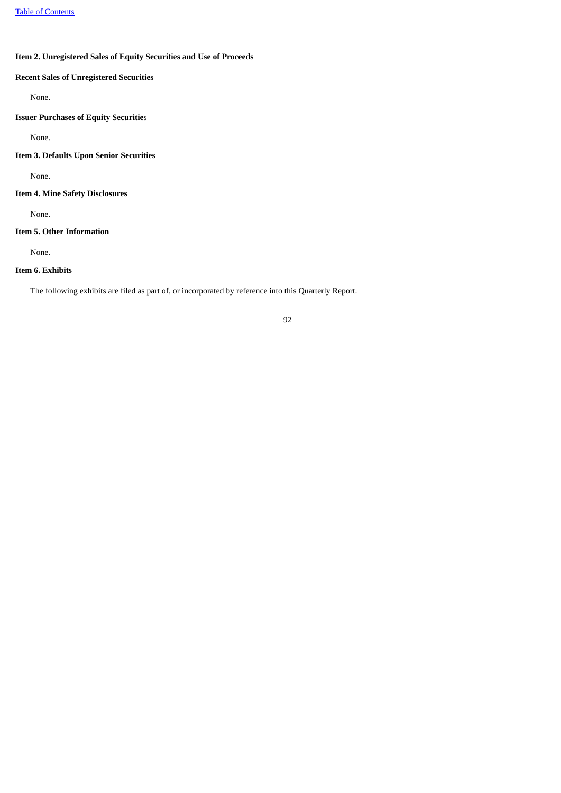# **Item 2. Unregistered Sales of Equity Securities and Use of Proceeds**

# **Recent Sales of Unregistered Securities**

None.

# **Issuer Purchases of Equity Securitie**s

None.

## **Item 3. Defaults Upon Senior Securities**

None.

## **Item 4. Mine Safety Disclosures**

None.

# **Item 5. Other Information**

None.

## **Item 6. Exhibits**

The following exhibits are filed as part of, or incorporated by reference into this Quarterly Report.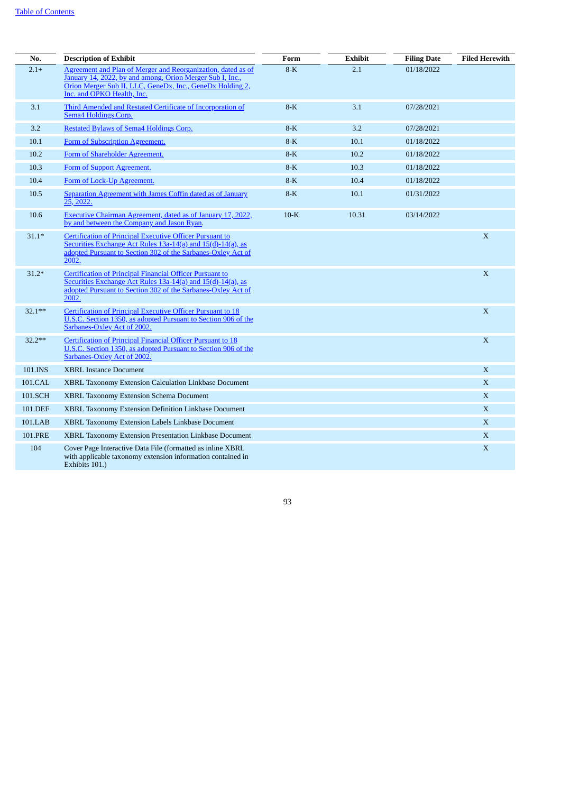| No.       | <b>Description of Exhibit</b>                                                                                                                                                                                        | Form   | Exhibit | <b>Filing Date</b> | <b>Filed Herewith</b> |
|-----------|----------------------------------------------------------------------------------------------------------------------------------------------------------------------------------------------------------------------|--------|---------|--------------------|-----------------------|
| $2.1+$    | Agreement and Plan of Merger and Reorganization, dated as of<br>January 14, 2022, by and among, Orion Merger Sub I, Inc.,<br>Orion Merger Sub II, LLC, GeneDx, Inc., GeneDx Holding 2,<br>Inc. and OPKO Health, Inc. | $8-K$  | 2.1     | 01/18/2022         |                       |
| 3.1       | Third Amended and Restated Certificate of Incorporation of<br>Sema4 Holdings Corp.                                                                                                                                   | $8-K$  | 3.1     | 07/28/2021         |                       |
| 3.2       | Restated Bylaws of Sema4 Holdings Corp.                                                                                                                                                                              | $8-K$  | 3.2     | 07/28/2021         |                       |
| 10.1      | Form of Subscription Agreement.                                                                                                                                                                                      | $8-K$  | 10.1    | 01/18/2022         |                       |
| 10.2      | Form of Shareholder Agreement.                                                                                                                                                                                       | $8-K$  | 10.2    | 01/18/2022         |                       |
| 10.3      | Form of Support Agreement.                                                                                                                                                                                           | $8-K$  | 10.3    | 01/18/2022         |                       |
| 10.4      | Form of Lock-Up Agreement.                                                                                                                                                                                           | $8-K$  | 10.4    | 01/18/2022         |                       |
| 10.5      | Separation Agreement with James Coffin dated as of January<br>25, 2022.                                                                                                                                              | $8-K$  | 10.1    | 01/31/2022         |                       |
| 10.6      | Executive Chairman Agreement, dated as of January 17, 2022,<br>by and between the Company and Jason Ryan.                                                                                                            | $10-K$ | 10.31   | 03/14/2022         |                       |
| $31.1*$   | Certification of Principal Executive Officer Pursuant to<br>Securities Exchange Act Rules 13a-14(a) and 15(d)-14(a), as<br>adopted Pursuant to Section 302 of the Sarbanes-Oxley Act of<br>2002.                     |        |         |                    | X                     |
| $31.2*$   | Certification of Principal Financial Officer Pursuant to<br>Securities Exchange Act Rules 13a-14(a) and 15(d)-14(a), as<br>adopted Pursuant to Section 302 of the Sarbanes-Oxley Act of<br>2002.                     |        |         |                    | X                     |
| $32.1***$ | Certification of Principal Executive Officer Pursuant to 18<br>U.S.C. Section 1350, as adopted Pursuant to Section 906 of the<br>Sarbanes-Oxley Act of 2002.                                                         |        |         |                    | X                     |
| $32.2**$  | Certification of Principal Financial Officer Pursuant to 18<br>U.S.C. Section 1350, as adopted Pursuant to Section 906 of the<br>Sarbanes-Oxley Act of 2002.                                                         |        |         |                    | X                     |
| 101.INS   | <b>XBRL Instance Document</b>                                                                                                                                                                                        |        |         |                    | X                     |
| 101.CAL   | XBRL Taxonomy Extension Calculation Linkbase Document                                                                                                                                                                |        |         |                    | X                     |
| 101.SCH   | <b>XBRL Taxonomy Extension Schema Document</b>                                                                                                                                                                       |        |         |                    | $\mathbf X$           |
| 101.DEF   | XBRL Taxonomy Extension Definition Linkbase Document                                                                                                                                                                 |        |         |                    | X                     |
| 101.LAB   | XBRL Taxonomy Extension Labels Linkbase Document                                                                                                                                                                     |        |         |                    | X                     |
| 101.PRE   | XBRL Taxonomy Extension Presentation Linkbase Document                                                                                                                                                               |        |         |                    | X                     |
| 104       | Cover Page Interactive Data File (formatted as inline XBRL<br>with applicable taxonomy extension information contained in<br>Exhibits 101.)                                                                          |        |         |                    | X                     |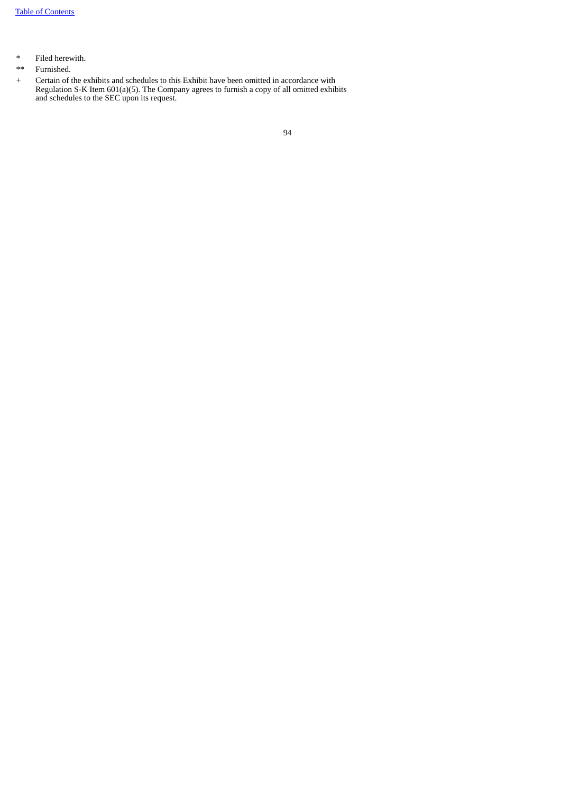- \* Filed herewith.
- \*\* Furnished.
- + Certain of the exhibits and schedules to this Exhibit have been omitted in accordance with Regulation S-K Item 601(a)(5). The Company agrees to furnish a copy of all omitted exhibits and schedules to the SEC upon its request.